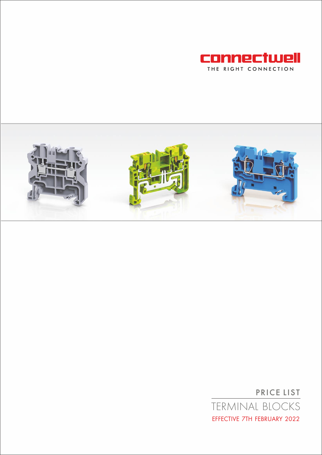



PRICE LIST TERMINAL BLOCKS EFFECTIVE 7TH FEBRUARY 2022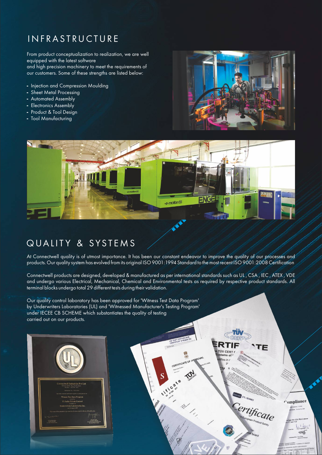# **INFRASTRUCTURE**

From product conceptualization to realization, we are well equipped with the latest software and high precision machinery to meet the requirements of our customers. Some of these strengths are listed below:

- Injection and Compression Moulding
- Sheet Metal Processing
- Automated Assembly
- Electronics Assembly
- Product & Tool Design
- Tool Manufacturing



TÜV CERT

**GTOR ETL SEMKO** 

**Certificate** 

Compliance

 $140$ For



# QUALITY & SYSTEMS

At Connectwell quality is of utmost importance. It has been our constant endeavor to improve the quality of our processes and products. Our quality system has evolved from its original ISO 9001:1994 Standard to the most recent ISO 9001:2008 Certification

Connectwell products are designed, developed & manufactured as per international standards such as UL , CSA , IEC , ATEX , VDE and undergo various Electrical, Mechanical, Chemical and Environmental tests as required by respective product standards. All terminal blocks undergo total 29 different tests during their validation.

CERTIFICA

Our quality control laboratory has been approved for 'Witness Test Data Program' by Underwriters Laboratories (UL) and 'Witnessed Manufacturer's Testing Program' under IECEE CB SCHEME which substantiates the quality of testing carried out on our products.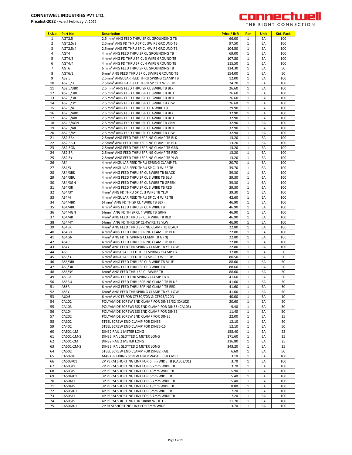

|  | THE RIGHT CONNECTIO |  |
|--|---------------------|--|
|  |                     |  |

| Sr.No          | <b>Part No</b> | <b>Description</b>                                   | Price / INR | Per          | <b>Unit</b> | <b>Std. Pack</b> |
|----------------|----------------|------------------------------------------------------|-------------|--------------|-------------|------------------|
| $\mathbf{1}$   | AGT2.5         | 2.5 mm <sup>2</sup> ANG FEED THRU SP CL GROUNDING TB | 66.00       | 1            | EA          | 100              |
| $\overline{2}$ | AGT2.5/3       | 2.5mm <sup>2</sup> ANG FD THRU SP CL 3WIRE GROUND TB | 97.50       | $\mathbf{1}$ | EA          | 100              |
| 3              | AGT2.5/4       | 2.5mm <sup>2</sup> ANG FD THRU SP CL 4WIRE GROUND TB | 104.50      | $\mathbf{1}$ | EA          | 100              |
| 4              | AGT4           | 4 mm <sup>2</sup> ANG FEED THRU SP CL GROUNDING TB   | 69.00       | 1            | EA          | 100              |
| 5              | AGT4/3         | 4 mm <sup>2</sup> ANG FD THRU SP CL 3 WIRE GROUND TB | 107.80      | 1            | EA          | 100              |
| 6              | AGT4/4         | 4 mm <sup>2</sup> ANG FD THRU SP CL 4 WIRE GROUND TB | 115.50      | 1            | EA          | 100              |
| $\overline{7}$ | AGT6           | 6 mm <sup>2</sup> ANG FEED THRU SP CL GROUNDING TB   | 124.30      | $\mathbf{1}$ | EA          | 50               |
| 8              | AGT6/3         | 6mm <sup>2</sup> ANG FEED THRU SP CL 3WIRE GROUND TB | 154.00      | $\mathbf{1}$ | EA          | 50               |
| 9              | AS2.5          | 2.5mm <sup>2</sup> ANGULAR FEED THRU SPRING CLAMP TB | 12.00       | $\mathbf{1}$ | EA          | 100              |
| 10             | AS2.5/3        | 2.5mm <sup>2</sup> ANGULAR FEED THRU SP CL 3 WIRE TB | 24.20       | $\mathbf{1}$ | EA          | 100              |
| 11             | AS2.5/3BK      | 2.5 mm <sup>2</sup> ANG FEED THRU SP CL 3WIRE TB BLK | 26.60       | $\mathbf{1}$ | EA          | 100              |
| 12             | AS2.5/3BU      | 2.5 mm <sup>2</sup> ANG FEED THRU SP CL 3WIRE TB BLU | 26.60       | $\mathbf{1}$ | EA          | 100              |
|                |                |                                                      |             |              |             |                  |
| 13             | AS2.5/3R       | 2.5 mm <sup>2</sup> ANG FEED THRU SP CL 3WIRE TB RED | 26.60       | 1            | EA          | 100              |
| 14             | AS2.5/3Y       | 2.5 mm <sup>2</sup> ANG FEED THRU SP CL 3WIRE TB YLW | 26.60       | $\mathbf{1}$ | EA          | 100              |
| 15             | AS2.5/4        | 2.5 mm <sup>2</sup> ANG FEED THRU SP CL 4 WIRE TB    | 29.90       | 1            | EA          | 100              |
| 16             | AS2.5/4BK      | 2.5 mm <sup>2</sup> ANG FEED THRU SP CL 4WIRE TB BLK | 32.90       | $\mathbf{1}$ | EA          | 100              |
| 17             | AS2.5/4BU      | 2.5 mm <sup>2</sup> ANG FEED THRU SP CL 4WIRE TB BLU | 32.90       | $\mathbf{1}$ | EA          | 100              |
| 18             | AS2.5/4GN      | 2.5 mm <sup>2</sup> ANG FEED THRU SP CL 4WIRE TB GRN | 32.90       | $\mathbf{1}$ | EA          | 100              |
| 19             | AS2.5/4R       | 2.5 mm <sup>2</sup> ANG FEED THRU SP CL 4WIRE TB RED | 32.90       | $\mathbf{1}$ | EA          | 100              |
| 20             | AS2.5/4Y       | 2.5 mm <sup>2</sup> ANG FEED THRU SP CL 4WIRE TB YLW | 32.90       | $\mathbf{1}$ | EA          | 100              |
| 21             | AS2.5BK        | 2.5mm <sup>2</sup> ANG FEED THRU SPRING CLAMP TB BLK | 13.20       | 1            | EA          | 100              |
| 22             | AS2.5BU        | 2.5mm <sup>2</sup> ANG FEED THRU SPRING CLAMP TB BLU | 13.20       | 1            | EA          | 100              |
| 23             | <b>AS2.5GN</b> | 2.5mm <sup>2</sup> ANG FEED THRU SPRING CLAMP TB GRN | 13.20       | $\mathbf{1}$ | EA          | 100              |
|                |                |                                                      |             |              |             |                  |
| 24             | AS2.5R         | 2.5mm <sup>2</sup> ANG FEED THRU SPRING CLAMP TB RED | 13.20       | $\mathbf{1}$ | EA          | 100              |
| 25             | AS2.5Y         | 2.5mm <sup>2</sup> ANG FEED THRU SPRING CLAMP TB YLW | 13.20       | $\mathbf{1}$ | EA          | 100              |
| 26             | AS4            | 4 mm <sup>2</sup> ANGULAR FEED THRU SPRING CLAMP TB  | 20.70       | $\mathbf{1}$ | EA          | 100              |
| 27             | AS4/3          | 4 mm <sup>2</sup> ANGULAR FEED THRU SP CL 3 WIRE TB  | 35.70       | $\mathbf{1}$ | EA          | 100              |
| 28             | AS4/3BK        | 4 mm <sup>2</sup> ANG FEED THRU SP CL 3WIRE TB BLACK | 39.30       | $\mathbf{1}$ | EA          | 100              |
| 29             | AS4/3BU        | 4 mm <sup>2</sup> ANG FEED THRU SP CL 3 WIRE TB BLU  | 39.30       | $\mathbf{1}$ | EA          | 100              |
| 30             | AS4/3GN        | 4 mm <sup>2</sup> ANG FEED THRU SP CL 3WIRE TB GREEN | 39.30       | 1            | EA          | 100              |
| 31             | AS4/3R         | 4 mm <sup>2</sup> ANG FEED THRU SP CL 3 WIRE TB RED  | 39.30       | 1            | EA          | 100              |
| 32             | AS4/3Y         | 4mm <sup>2</sup> ANG FD THRU SP CL 3 WIRE TB YLW     | 39.30       | $\mathbf{1}$ | EA          | 100              |
| 33             | AS4/4          | 4 mm <sup>2</sup> ANGULAR FEED THRU SP CL 4 WIRE TB  |             | $\mathbf{1}$ | EA          | 100              |
|                |                |                                                      | 42.60       |              |             |                  |
| 34             | AS4/4BK        | (4 mm <sup>2</sup> ANG FD TH SP CL 4WIRE TB BLK)     | 46.90       | $\mathbf{1}$ | EA          | 100              |
| 35             | AS4/4BU        | 4 mm <sup>2</sup> ANG FEED THRU SP CL 4 WIRE TB      | 46.90       | $\mathbf{1}$ | EA          | 100              |
| 36             | AS4/4GN        | (4mm <sup>2</sup> ANG FD TH SP CL 4 WIRE TB GRN)     | 46.90       | $\mathbf{1}$ | EA          | 100              |
| 37             | AS4/4R         | 4mm <sup>2</sup> ANG FEED THRU SP CL 4 WIRE TB RED   | 46.90       | $\mathbf{1}$ | EA          | 100              |
| 38             | AS4/4Y         | (4mm <sup>2</sup> ANG FD THRU SP CL 4WIRE TB YLW)    | 46.90       | 1            | EA          | 100              |
| 39             | AS4BK          | 4mm <sup>2</sup> ANG FEED THRU SPRING CLAMP TB BLACK | 22.80       | $\mathbf{1}$ | EA          | 100              |
| 40             | AS4BU          | 4 mm <sup>2</sup> ANG FEED THRU SPRING CLAMP TB BLUE | 22.80       | 1            | EA          | 100              |
| 41             | AS4GN          | 4mm <sup>2</sup> ANG FD TH SPRING CLAMP TB GRN)      | 22.80       | $\mathbf{1}$ | EA          | 100              |
| 42             | AS4R           | 4 mm <sup>2</sup> ANG FEED THRU SPRING CLAMP TB RED  | 22.80       | 1            | EA          | 100              |
| 43             | AS4Y           | 4mm <sup>2</sup> ANG FEED THR SPRING CLAMP TB YELLOW | 22.80       | $\mathbf{1}$ | EA          | 100              |
| 44             | AS6            | 6 mm <sup>2</sup> ANGULAR FEED THRU SPRING CLAMP TB  | 37.80       | $\mathbf{1}$ | EA          | 50               |
|                | AS6/3          | 6 mm <sup>2</sup> ANGULAR FEED THRU SP CL 3 WIRE TB  |             |              |             |                  |
| 45             |                |                                                      | 80.50       | $\mathbf{1}$ | EA          | 50               |
| 46             | AS6/3BU        | 6 mm <sup>2</sup> ANG FEED THRU SP CL 3 WIRE TB BLUE | 88.60       | 1            | EA          | 50               |
| 47             | AS6/3R         | 6 mm <sup>2</sup> ANG FEED THRU SP CL 3 WIRE TB      | 88.60       | $\mathbf{1}$ | EA          | 50               |
| 48             | AS6/3Y         | 6mm <sup>2</sup> ANG FEED THRU SP CL 3WIRE TB        | 88.60       | 1            | EA          | 50               |
| 49             | AS6BK          | 6 mm <sup>2</sup> ANG FEED THR SPRING CLAMP TB B     | 41.60       | 1            | EA          | 50               |
| 50             | AS6BU          | 6 mm <sup>2</sup> ANG FEED THRU SPRING CLAMP TB BLUE | 41.60       | $\mathbf{1}$ | EA          | 50               |
| 51             | AS6R           | 6 mm <sup>2</sup> ANG FEED THRU SPRING CLAMP TB RED  | 41.60       | Τ.           | EA          | 50               |
| 52             | AS6Y           | 6mm <sup>2</sup> ANG FEED THR SPRING CLAMP TB YELLOW | 41.60       | 1            | EA          | 50               |
| 53             | AUX6           | 6 mm <sup>2</sup> AUX TB FOR CTS50/70N & CTS95/120N  | 40.00       | $\mathbf{1}$ | EA          | 10               |
| 54             | CA102          | POLYAMIDE SCREW END CLAMP FOR DIN35/32 (CA102)       | 20.60       | 1            | EA          | 50               |
| 55             | CA103          | POLYAMIDE SCREWLESS END CLAMP FOR DIN35 (CA103)      | 9.40        | 1            | EA          | 50               |
| 56             | CA104          | POLYAMIDE SCREWLESS END CLAMP FOR DIN35              | 11.40       | 1            | EA          | 50               |
|                |                |                                                      |             |              |             |                  |
| 57             | CA202          | POLYAMIDE SCREW END CLAMP FOR DIN35                  | 22.00       | $\mathbf{1}$ | EA          | 25               |
| 58             | CA302          | STEEL SCREW END CLAMP FOR DIN35                      | 12.10       | 1            | EA          | 50               |
| 59             | CA402          | STEEL SCREW END CLAMP FOR DIN35-15                   | 12.10       | $\mathbf{1}$ | EA          | 50               |
| 60             | CA501-1M       | DIN32 RAIL 1 METER LONG                              | 158.40      | 1            | EA          | 25               |
| 61             | CA501-1M-S     | DIN32 RAIL SLOTTED 1 METER LONG                      | 171.60      | $\mathbf{1}$ | EA          | 25               |
| 62             | CA501-2M       | DIN32 RAIL 2 METER LONG                              | 316.80      | 1            | EA          | 25               |
| 63             | CA501-2M-S     | DIN32 RAIL SLOTTED 2 METER LONG                      | 343.20      | $\mathbf{1}$ | EA          | 25               |
| 64             | CA502          | STEEL SCREW END CLAMP FOR DIN32 RAIL                 | 6.60        | 1            | EA          | 50               |
| 65             | CA502/F        | MARKER FIXING SCREW FIBER WASHER FR CMST             | 3.10        | 1            | EA          | 100              |
| 66             | CA503/01       | 2P PERM SHORTING LINK FOR 6mm WIDE TB (CA503/01)     | 3.70        | 1            | EA          | 100              |
|                |                |                                                      |             |              |             |                  |
| 67             | CA503/1        | 2P PERM SHORTING LINK FOR 6.7mm WIDE TB              | 3.70        | $\mathbf{1}$ | EA          | 100              |
| 68             | CA503/5        | 2P PERM SHORTING LINK FOR 18mm WIDE TB               | 5.90        | $\mathbf{1}$ | EA          | 100              |
| 69             | CA504/01       | 3P PERM SHORTING LINK FOR 6mm WIDE TB                | 5.40        | 1            | EA          | 100              |
| 70             | CA504/1        | 3P PERM SHORTING LINK FOR 6.7mm WIDE TB              | 5.40        | $\mathbf{1}$ | EA          | 100              |
| 71             | CA504/5        | 3P PERM SHORTING LINK FOR 18mm WIDE TB               | 8.80        | 1            | EA          | 100              |
| 72             | CA505/01       | 4P PERM SHORTING LINK FOR 6mm WIDE TB                | 7.20        | $\mathbf{1}$ | EA          | 100              |
| 73             | CA505/1        | 4P PERM SHORTING LINK FOR 6.7mm WIDE TB              | 7.20        | 1            | EA          | 100              |
| 74             | CA505/5        | 4P PERM SHRT LINK FOR 18mm WIDE TB                   | 11.70       | 1            | EA          | 100              |
| 75             | CA506/01       | 2P REM SHORTING LINK FOR 6mm WIDE                    | 3.70        | $\mathbf{1}$ | EA          | 100              |
|                |                |                                                      |             |              |             |                  |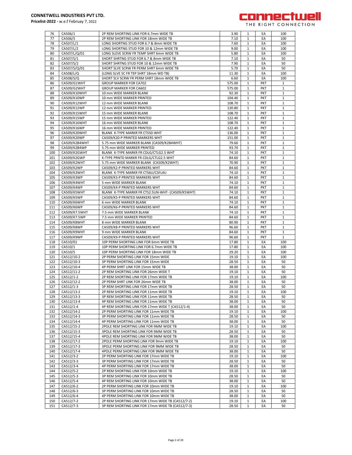

| 76         | CA506/1                | 2P REM SHORTING LINK FOR 6.7mm WIDE TB                                                                 | 3.90           | 1                            | EA         | 100          |
|------------|------------------------|--------------------------------------------------------------------------------------------------------|----------------|------------------------------|------------|--------------|
| 77         | CA506/5                | 2P REM SHORTING LINK FOR 18mm WIDE TB                                                                  | 7.10           | $\mathbf{1}$                 | EA         | 100          |
| 78         | CA507/L/1              | LONG SHORTNG STUD FOR 6.7 & 8mm WIDE TB                                                                | 7.60           | $\mathbf{1}$                 | EA         | 100          |
| 79         | CA507/L/2              | LONG SHORTNG STUD FOR 10 & 12mm WIDE TB                                                                | 9.00           | $\mathbf{1}$                 | EA         | 100          |
| 80         | CA507/L/Q/01           | LONG SLEVE SCRW FR TEMP SHRT 6mm WIDE TB                                                               | 5.80           | $\mathbf{1}$                 | EA         | 100          |
|            |                        |                                                                                                        |                |                              |            |              |
| 81         | CA507/S/1              | SHORT SHRTNG STUD FOR 6.7 & 8mm WIDE TB                                                                | 7.10           | 1                            | EA         | 50           |
| 82         | CA507/S/2              | SHORT SHRTNG STUD FOR 10 & 12mm WIDE TB                                                                | 7.90           | $\mathbf{1}$                 | EA         | 50           |
| 83         | CA507/S/Q/01           | SHORT SLVE SCRW FR PERM SHRT 6mm WIDE TB                                                               | 5.70           | 1                            | EA         | 50           |
| 84         | CA508/L/Q              | (LONG SLVE SC FR TEP SHRT 18mm WD TB)                                                                  | 11.30          | $\mathbf{1}$                 | EA         | 100          |
| 85         | CA508/S/Q              | SHORT SLV SCRW FR PERM SHRT 18mm WIDE TB                                                               | 6.60           | $\mathbf{1}$                 | EA         | 100          |
| 86         | CA509/G1WHT            | <b>GROUP MARKER FOR CA702</b>                                                                          | 575.00         | $\mathbf{1}$                 | PKT        | $\mathbf{1}$ |
|            |                        |                                                                                                        |                |                              |            |              |
| 87         | CA509/G2WHT            | GROUP MARKER FOR CA602                                                                                 | 575.00         | $\mathbf{1}$                 | PKT        | 1            |
| 88         | CA509/K10WHT           | 10 mm WIDE MARKER BLANK                                                                                | 92.30          | $\mathbf{1}$                 | PKT        | $\mathbf{1}$ |
| 89         | CA509/K10WP            | 10 mm WIDE MARKER PRINTED                                                                              | 104.40         | $\mathbf{1}$                 | <b>PKT</b> | 1            |
| 90         | CA509/K12WHT           | 12 mm WIDE MARKER BLANK                                                                                | 108.70         | 1                            | <b>PKT</b> | 1            |
| 91         | CA509/K12WP            | 12 mm WIDE MARKER PRINTED                                                                              | 120.80         | $\mathbf{1}$                 | <b>PKT</b> | $\mathbf{1}$ |
| 92         |                        |                                                                                                        |                | $\mathbf{1}$                 |            |              |
|            | CA509/K15WHT           | 15 mm WIDE MARKER BLANK                                                                                | 108.70         |                              | PKT        | $\mathbf{1}$ |
| 93         | CA509/K15WP            | 15 mm WIDE MARKER PRINTED                                                                              | 122.40         | $\mathbf{1}$                 | <b>PKT</b> | $\mathbf{1}$ |
| 94         | CA509/K16WHT           | 16 mm WIDE MARKER BLANK                                                                                | 108.70         | $\mathbf{1}$                 | PKT        | $\mathbf{1}$ |
| 95         | CA509/K16WP            | 16 mm WIDE MARKER PRINTED                                                                              | 122.40         | $\mathbf{1}$                 | PKT        | $1\,$        |
| 96         | CA509/K20WHT           | BLANK K-TYPE MARKR FR CTS50-WHT                                                                        | 136.00         | $\mathbf{1}$                 | PKT        | 1            |
| 97         |                        |                                                                                                        |                |                              |            |              |
|            | CA509/K20WP            | CA509/K20-P PRINTED MARKERS WHT                                                                        | 151.00         | 1                            | <b>PKT</b> | 1            |
| 98         | CA509/K2B4WHT          | 5.75 mm WIDE MARKER BLANK (CA509/K2B4WHT)                                                              | 79.60          | $\mathbf{1}$                 | PKT        | 1            |
| 99         | CA509/K2B4WP           | 5.75 mm WIDE MARKER PRINTED                                                                            | 93.70          | $\mathbf{1}$                 | PKT        | 1            |
| 100        | CA509/K2GWHT           | BLANK K-TYPE MARKR FR CDLG/CTLG2.5 WHT                                                                 | 74.10          | $\mathbf{1}$                 | PKT        | $\mathbf{1}$ |
| 101        | CA509/K2GWP            | K-TYPE PRNTD MARKR FR CDLG/CTLG2.5 WHT                                                                 | 84.60          | $\mathbf{1}$                 | PKT        | 1            |
| 102        | CA509/K2WHT            | 5.75 mm WIDE MARKER BLANK (CA509/K2WHT)                                                                | 70.90          | $\mathbf{1}$                 | PKT        | $\mathbf{1}$ |
|            |                        |                                                                                                        |                | $\mathbf{1}$                 |            |              |
| 103        | CA509/K2WP             | CA509/K2-P PRINTED MARKERS WHT                                                                         | 84.60          |                              | PKT        | $1\,$        |
| 104        | CA509/K3WHT            | BLANK K-TYPE MARKR FR CTS6U/CSFL4U                                                                     | 74.10          | $\mathbf{1}$                 | PKT        | 1            |
| 105        | CA509/K3WP             | CA509/K3-P PRINTED MARKERS WHT                                                                         | 84.60          | $\mathbf{1}$                 | PKT        | $\mathbf{1}$ |
| 106        | CA509/K4WHT            | 5 mm WIDE MARKER BLANK                                                                                 | 74.10          | 1                            | PKT        | 1            |
| 107        | CA509/K4WP             | CA509/K4-P PRINTED MARKERS WHT                                                                         | 84.60          | $\mathbf{1}$                 | PKT        | $\mathbf{1}$ |
|            |                        |                                                                                                        |                |                              |            |              |
| 108        | CA509/K5WHT            | BLANK K-TYPE MARKR FR CTS2.5UN-WHT- (CA509/K5WHT)                                                      | 74.10          | 1                            | PKT        | 1            |
| 109        | CA509/K5WP             | CA509/K5-P PRINTED MARKERS WHT                                                                         | 84.60          | $\mathbf{1}$                 | PKT        | $\mathbf{1}$ |
| 110        | CA509/K6WHT            | 6 mm WIDE MARKER BLANK                                                                                 | 74.10          | $\mathbf{1}$                 | PKT        | $\mathbf{1}$ |
| 111        | CA509/K6WP             | CA509/K6-P PRINTED MARKERS WHT                                                                         | 84.60          | $\mathbf{1}$                 | PKT        | $\mathbf{1}$ |
| 112        | CA509/K7.5WHT          | 7.5 mm WIDE MARKER BLANK                                                                               | 74.10          | $\mathbf{1}$                 | PKT        | 1            |
| 113        | CA509/K7.5WP           | 7.5 mm WIDE MARKER PRINTED                                                                             | 84.60          | $\mathbf{1}$                 | PKT        | $\mathbf{1}$ |
|            |                        |                                                                                                        |                |                              |            |              |
| 114        | CA509/K8WHT            | 8 mm WIDE MARKER BLANK                                                                                 | 80.90          | $\mathbf{1}$                 | <b>PKT</b> | 1            |
| 115        | CA509/K8WP             | CA509/K8-P PRINTED MARKERS WHT                                                                         | 96.60          | 1                            | <b>PKT</b> | 1            |
| 116        | CA509/K9WHT            | 9 mm WIDE MARKER BLANK                                                                                 | 84.60          | $\mathbf{1}$                 | <b>PKT</b> | $\mathbf{1}$ |
| 117        | CA509/K9WP             | CA509/K9-P PRINTED MARKERS WHT                                                                         | 96.60          | $\mathbf{1}$                 | PKT        | 1            |
| 118        | CA510/01               | 10P PERM SHORTING LINK FOR 6mm WIDE TB                                                                 | 17.80          | $\mathbf{1}$                 | EA         | 100          |
| 119        | CA510/1                | 10P PERM SHORTING LINK FOR 6.7mm WIDE TB                                                               | 17.80          | $\mathbf{1}$                 | EA         | 100          |
|            |                        | 10P PERM SHORTING LINK FOR 18mm WIDE TB                                                                |                |                              |            |              |
| 120        | CA510/5                |                                                                                                        |                |                              |            |              |
| 121        |                        |                                                                                                        | 29.20          | $\mathbf{1}$                 | EA         | 100          |
|            | CA512/10-2             | 2P PERM SHORTING LINK FOR 15mm WIDE                                                                    | 19.10          | $\mathbf{1}$                 | EA         | 100          |
| 122        | CA512/10-3             | 3P PERM SHORTING LINK FOR 15mm WIDE                                                                    | 28.50          | 1                            | EA         | 50           |
| 123        | CA512/10-4             | 4P PERM SHRT LINK FOR 15mm WIDE TB                                                                     | 38.00          | 1                            | EA         | 50           |
|            |                        |                                                                                                        |                |                              |            |              |
| 124        | CA512/11-2             | 2P REM SHORTING LINK FOR 26mm WIDE T                                                                   | 19.10          | $\mathbf{1}$                 | EA         | 50           |
| 125        | CA512/1-2              | 2P REM SHORTING LINK FOR 17mm WIDE TB                                                                  | 19.10          | $\mathbf{1}$                 | EA         | 100          |
| 126        | CA512/12-2             | 2P PERM SHRT LINK FOR 26mm WIDE TB                                                                     | 38.00          | $\mathbf{1}$                 | EA         | 50           |
| 127        | CA512/1-3              | 3P REM SHORTING LINK FOR 17mm WIDE TB                                                                  | 28.50          | 1                            | EA         | 50           |
| 128        | CA512/13-2             | 2P REM SHORTING LINK FOR 11mm WIDE TB                                                                  | 19.10          | $\mathbf{1}$                 | EA         | 100          |
| 129        | CA512/13-3             | 3P REM SHORTING LINK FOR 11mm WIDE TB                                                                  | 28.50          | $\mathbf{1}$                 | EA         | 50           |
| 130        | CA512/13-4             | 4P REM SHORTING LINK FOR 11mm WIDE TB                                                                  | 38.00          | $\mathbf{1}$                 | EA         | 50           |
|            |                        |                                                                                                        |                |                              |            |              |
| 131        | CA512/1-4              | 4P REM SHORTING LINK FOR 17mm WIDE T (CA512/1-4)                                                       | 38.00          | 1                            | EA         | 50           |
| 132        | CA512/14-2             | 2P PERM SHORTING LINK FOR 11mm WIDE TB                                                                 | 19.10          | $\mathbf{1}$                 | EA         | 100          |
| 133        | CA512/14-3             | 3P PERM SHORTING LINK FOR 11mm WIDE TB                                                                 | 28.50          | 1                            | EA         | 50           |
| 134        | CA512/14-4             | 4P PERM SHORTING LINK FOR 11mm WIDE TB                                                                 | 38.00          | $\mathbf{1}$                 | EA         | 50           |
| 135        | CA512/15-2             | 2POLE REM SHORTING LINK FOR 9MM WIDE TB                                                                | 19.10          | $\mathbf{1}$                 | EA         | 100          |
|            |                        |                                                                                                        |                | $\mathbf{1}$                 | EA         | 50           |
| 136        | CA512/15-3             | 3POLE REM SHORTING LINK FOR 9MM WIDE TB                                                                | 28.50          |                              |            |              |
| 137        | CA512/15-4             | 4POLE REM SHORTING LINK FOR 9MM WIDE TB                                                                | 38.00          | $\mathbf{1}$                 | EA         | 50           |
| 138        | CA512/17-2             | 2POLE PERM SHORTING LINK FOR 9mm WIDE TB                                                               | 19.10          | $\mathbf{1}$                 | EA         | 100          |
| 139        | CA512/17-3             | 3POLE PERM SHORTING LINK FOR 9MM WIDE TB                                                               | 28.50          | $\mathbf{1}$                 | EA         | 50           |
| 140        | CA512/17-4             | 4POLE PERM SHORTING LINK FOR 9MM WIDE TB                                                               | 38.00          | $\mathbf{1}$                 | EA         | 50           |
| 141        | CA512/3-2              | 2P PERM SHORTING LINK FOR 17mm WIDE TB                                                                 | 19.10          | $\mathbf{1}$                 | EA         | 100          |
|            |                        |                                                                                                        |                |                              |            |              |
| 142        | CA512/3-3              | 3P PERM SHORTING LINK FOR 17mm WIDE TB                                                                 | 28.50          | $\mathbf{1}$                 | EA         | 50           |
| 143        | CA512/3-4              | 4P PERM SHORTING LINK FOR 17mm WIDE TB                                                                 | 38.00          | $\mathbf{1}$                 | EA         | 50           |
| 144        | CA512/5-2              | 2P REM SHORTING LINK FOR 10mm WIDE TB                                                                  | 19.10          | $\mathbf{1}$                 | EA         | 100          |
| 145        | CA512/5-3              | 3P REM SHORTING LINK FOR 10mm WIDE TB                                                                  | 28.50          | $\mathbf{1}$                 | EA         | 50           |
| 146        | CA512/5-4              | 4P REM SHORTING LINK FOR 10mm WIDE TB                                                                  | 38.00          | $\mathbf{1}$                 | EA         | 50           |
| 147        |                        |                                                                                                        |                | $\mathbf{1}$                 | EA         | 100          |
|            | CA512/6-2              | 2P PERM SHORTING LINK FOR 10mm WIDE TB                                                                 | 19.10          |                              |            |              |
| 148        | CA512/6-3              | 3P PERM SHORTING LINK FOR 10mm WIDE TB                                                                 | 28.50          | 1                            | EA         | 50           |
| 149        | CA512/6-4              | 4P PERM SHORTING LINK FOR 10mm WIDE TB                                                                 | 38.00          | $\mathbf{1}$                 | EA         | 50           |
| 150<br>151 | CA512/7-2<br>CA512/7-3 | 2P REM SHORTING LINK FOR 17mm WIDE TB (CA512/7-2)<br>3P REM SHORTING LINK FOR 17mm WIDE TB (CA512/7-3) | 19.10<br>28.50 | $\mathbf{1}$<br>$\mathbf{1}$ | EA<br>EA   | 100<br>50    |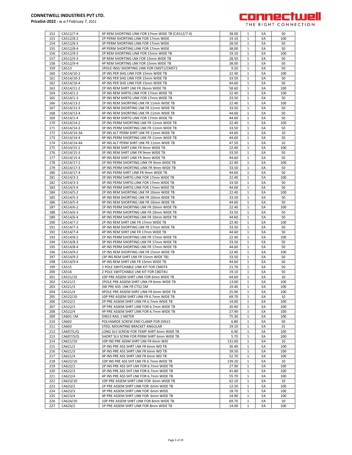

| 152 | CA512/7-4   | 4P REM SHORTING LINK FOR 17mm WIDE TB (CA512/7-4) | 38.00  | 1            | EA | 50  |
|-----|-------------|---------------------------------------------------|--------|--------------|----|-----|
| 153 | CA512/8-2   | 2P PERM SHORTING LINK FOR 17mm WIDE               | 19.10  | 1            | EA | 100 |
| 154 | CA512/8-3   | 3P PERM SHORTING LINK FOR 17mm WIDE               | 28.50  | 1            | EA | 50  |
|     |             | 4P PERM SHORTING LINK FOR 17mm WIDE               |        |              |    |     |
| 155 | CA512/8-4   |                                                   | 38.00  | 1            | EA | 50  |
| 156 | CA512/9-2   | 2P REM SHORTING LINK FOR 15mm WIDE TB             | 19.10  | 1            | EA | 100 |
| 157 | CA512/9-3   | 3P REM SHORTING LNK FOR 15mm WIDE TB              | 28.50  | $\mathbf{1}$ | EA | 50  |
| 158 | CA512/9-4   | 4P REM SHORTING LNK FOR 15mm WIDE TB              | 38.00  | $\mathbf{1}$ | EA | 50  |
| 159 | CA513       | 2POLE INSU SHORTING LINK FOR CMST1/CMST2          | 9.20   | $\mathbf{1}$ | EA | 50  |
| 160 | CA514/10-2  | 2P INS PER SHG LINK FOR 15mm WIDE TB              | 22.40  | $\mathbf{1}$ | EA | 100 |
|     |             |                                                   |        |              |    |     |
| 161 | CA514/10-3  | 3P INS PER SHG LINK FOR 15mm WIDE TB              | 33.50  | 1            | EA | 50  |
| 162 | CA514/10-4  | 4P INS PER SHG LINK FOR 15mm WIDE TB              | 44.60  | 1            | EA | 50  |
| 163 | CA514/11-2  | 2P INS REM SHRT LNK FR 26mm WIDE TB               | 58.60  | $\mathbf{1}$ | EA | 100 |
| 164 | CA514/1-2   | 2P INS REM SHRTG LINK FOR 17mm WIDE TB            | 22.40  | 1            | EA | 100 |
| 165 |             |                                                   |        | $\mathbf{1}$ | EA | 50  |
|     | CA514/1-3   | 3P INS REM SHRTG LINK FOR 17mm WIDE TB            | 33.50  |              |    |     |
| 166 | CA514/13-2  | 2P INS REM SHORTING LNK FR 11mm WIDE TB           | 22.40  | 1            | EA | 100 |
| 167 | CA514/13-3  | 3P INS REM SHORTING LNK FR 11mm WIDE TB           | 33.50  | $\mathbf{1}$ | EA | 50  |
| 168 | CA514/13-4  | 4P INS REM SHORTING LNK FR 11mm WIDE TB           | 44.60  | 1            | EA | 50  |
| 169 | CA514/1-4   | 4P INS REM SHRTG LINK FOR 17mm WIDE TB            | 44.60  | 1            | EA | 50  |
|     |             |                                                   |        |              |    |     |
| 170 | CA514/14-2  | 2P INS PERM SHORTING LNK FR 11mm WIDE TB          | 22.40  | 1            | EA | 100 |
| 171 | CA514/14-3  | 3P INS PERM SHORTING LNK FR 11mm WIDE TB          | 33.50  | 1            | EA | 50  |
| 172 | CA514/14-3A | 3P INS ALT PERM SHRT LNK FR 11mm WIDE TB          | 44.60  | 1            | EA | 10  |
| 173 | CA514/14-4  | 4P INS PERM SHORTING LNK FR 11mm WIDE TB          | 44.60  | 1            | EA | 50  |
| 174 | CA514/14-4A | 4P INS ALT PERM SHRT LNK FR 11mm WIDE TB          | 47.50  | $\mathbf{1}$ | EA | 10  |
|     |             |                                                   |        |              |    |     |
| 175 | CA514/15-2  | 2P INS REM SHRT LINK FR 9mm WIDE TB               | 22.40  | $\mathbf{1}$ | EA | 100 |
| 176 | CA514/15-3  | 3P INS REM SHRT LINK FR 9mm WIDE TB               | 33.50  | $\mathbf{1}$ | EA | 50  |
| 177 | CA514/15-4  | 4P INS REM SHRT LINK FR 9mm WIDE TB               | 44.60  | 1            | EA | 50  |
| 178 | CA514/17-2  | 2P INS PERM SHORTING LINK FR 9mm WIDE TB          | 22.40  | 1            | EA | 100 |
| 179 | CA514/17-3  | 3P INS PERM SHORTING LINK FR 9mm WIDE TB          | 33.50  | 1            | EA | 50  |
|     |             |                                                   |        |              |    |     |
| 180 | CA514/17-4  | 4P INS PERM SHRT LINK FR 9mm WIDE TB              | 44.60  | 1            | EA | 50  |
| 181 | CA514/3-2   | 2P INS PERM SHRTG LINK FOR 17mm WIDE TB           | 22.40  | 1            | EA | 100 |
| 182 | CA514/3-3   | 3P INS PERM SHRTG LINK FOR 17mm WIDE TB           | 33.50  | $\mathbf{1}$ | EA | 50  |
| 183 | CA514/3-4   | 4P INS PERM SHRTG LINK FOR 17mm WIDE TB           | 44.60  | $\mathbf{1}$ | EA | 50  |
|     |             | 2P INS REM SHORTING LNK FR 10mm WIDE TB           |        |              |    |     |
| 184 | CA514/5-2   |                                                   | 22.40  | $\mathbf{1}$ | EA | 100 |
| 185 | CA514/5-3   | 3P INS REM SHORTING LNK FR 10mm WIDE TB           | 33.50  | 1            | EA | 50  |
| 186 | CA514/5-4   | 4P INS REM SHORTING LNK FR 10mm WIDE TB           | 44.60  | 1            | EA | 50  |
| 187 | CA514/6-2   | 2P INS PERM SHORTING LNK FR 10mm WIDE TB          | 22.40  | 1            | EA | 100 |
| 188 | CA514/6-3   | 3P INS PERM SHORTING LNK FR 10mm WIDE TB          | 33.50  | 1            | EA | 50  |
|     |             |                                                   |        |              |    |     |
| 189 | CA514/6-4   | 4P INS PERM SHORTING LNK FR 10mm WIDE TB          | 44.60  | 1            | EA | 50  |
| 190 | CA514/7-2   | 2P INS REM SHRT LNK FR 17mm WIDE TB               | 22.40  | $\mathbf{1}$ | EA | 100 |
| 191 | CA514/7-3   | 3P INS REM SHORTING LNK FR 17mm WIDE TB           | 33.50  | 1            | EA | 50  |
| 192 | CA514/7-4   | 4P INS REM SHRT LNK FR 17mm WIDE TB               | 44.60  | $\mathbf{1}$ | EA | 50  |
| 193 | CA514/8-2   | 2P INS PERM SHORTING LNK FR 17mm WIDE TB          | 22.40  | 1            | EA | 100 |
|     |             |                                                   |        |              |    |     |
| 194 | CA514/8-3   | 3P INS PERM SHORTING LNK FR 17mm WIDE TB          | 33.50  | 1            | EA | 50  |
| 195 | CA514/8-4   | 4P INS PERM SHORTING LNK FR 17mm WIDE TB          | 44.60  | 1            | EA | 50  |
| 196 | CA514/9-2   | 2P INS REM SHORTING LNK FR 15mm WIDE TB           | 22.40  | 1            | EA | 100 |
| 197 | CA514/9-3   | (3P INS REM SHRT LNK FR 15mm WIDE TB)             | 33.50  | 1            | EA | 50  |
| 198 | CA514/9-4   | 4P INS REM SHRT LNK FR 15mm WIDE TB               | 44.60  | 1            | EA | 50  |
|     |             |                                                   |        |              |    |     |
| 199 | CA515       | 2 POLE SWITCHABLE LINK KIT FOR CMDT4              | 21.70  | $\mathbf{1}$ | EA | 50  |
| 200 | CA516       | 2 POLE SWITCHABLE LNK KIT FOR CBDT4U              | 19.10  | $\mathbf{1}$ | EA | 50  |
| 201 | CA521/10    | 10P PRE ASSEM SHRT LINK FOR 6mm WIDE TB           | 64.60  | $\mathbf{1}$ | EA | 10  |
| 202 | CA521/2     | 2POLE PRE ASSEM SHRT LINK FR 6mm WIDE TB          | 13.00  | 1            | EA | 100 |
| 203 | CA521/3     | 3W PRE ASS LNK FR CTS2.5M                         | 19.40  | 1            | EA | 100 |
|     |             |                                                   |        |              |    |     |
| 204 | CA521/4     | 4POLE PRE ASSEM SHRT LINK FR 6mm WIDE TB          | 25.90  | 1            | EA | 100 |
| 205 | CA522/10    | 10P PRE ASSEM SHRT LINK FR 6.7mm WIDE TB          | 69.70  | 1            | EA | 10  |
| 206 | CA522/2     | 2P PRE ASSEM SHRT LINK FR 6.7mm WIDE TB           | 14.00  | 1            | EA | 100 |
| 207 | CA522/3     | 3P PRE ASSEM SHRT LINK FOR 6.7mm WIDE TB          | 20.90  | $\mathbf{1}$ | EA | 100 |
| 208 | CA522/4     | 4P PRE ASSEM SHRT LINK FOR 6.7mm WIDE TB          | 27.90  | $\mathbf{1}$ | EA | 100 |
|     |             |                                                   |        |              |    |     |
| 209 | CA601-1M    | DIN15 RAIL 1 METER                                | 75.30  | $\mathbf{1}$ | EA | 100 |
| 210 | CA602       | POLYAMIDE SCREW END CLAMP FOR DIN15               | 6.80   | 1            | EA | 50  |
| 211 | CA603       | STEEL MOUNTING BRACKET ANGULAR                    | 19.10  | 1            | EA | 25  |
| 212 | CA607/L/Q   | LONG SLV SCREW FOR TEMP SHRT 6mm WIDE TB          | 6.40   | 1            | EA | 100 |
|     | CA607/S/Q   | SHORT SLV SCRW FOR PERM SHRT 6mm WIDE TB          | 5.70   | 1            | EA | 100 |
| 213 |             |                                                   |        |              |    |     |
| 214 | CA621/10    | 10P INS PRE ASSM SHRT LNK FR 6mm WID              | 131.60 | 1            | EA | 10  |
| 215 | CA621/2     | 2P INS PRE ASS SHRT LNK FR 6mm WD TB              | 26.40  | $\mathbf{1}$ | EA | 100 |
| 216 | CA621/3     | 3P INS PRE ASS SHRT LNK FR 6mm WD TB              | 39.50  | $\mathbf{1}$ | EA | 100 |
| 217 | CA621/4     | 4P INS PRE ASS SHRT LNK FR 6mm WD TB              | 52.70  | $\mathbf{1}$ | EA | 100 |
| 218 |             |                                                   | 139.20 |              | EA | 10  |
|     | CA622/10    | 10P INS PRE ASS SHT LNK FR 6.7mm WIDE TB          |        | 1            |    |     |
| 219 | CA622/2     | 2P INS PRE ASS SHT LNK FOR 6.7mm WIDE TB          | 27.90  | 1            | EA | 100 |
| 220 | CA622/3     | 3P INS PRE ASS SHT LNK FOR 6.7mm WIDE TB          | 41.80  | 1            | EA | 100 |
| 221 | CA622/4     | 4P INS PRE ASS SHT LNK FOR 6.7mm WIDE TB          | 55.70  | 1            | EA | 100 |
| 222 | CA623/10    | 10P PRE ASSEM SHRT LINK FOR 6mm WIDE TB           | 62.10  | $\mathbf{1}$ | EA | 10  |
|     |             |                                                   |        |              |    |     |
| 223 | CA623/2     | 2P PRE ASSEM SHRT LINK FOR 6mm WIDE TB            | 12.50  | 1            | EA | 100 |
| 224 | CA623/3     | 3P PRE ASSEM SHRT LINK FOR 6mm WIDE               | 18.70  | $\mathbf{1}$ | EA | 100 |
| 225 | CA623/4     | 4P PRE ASSEM SHRT LINK FOR 6mm WIDE TB            | 24.90  | 1            | EA | 100 |
| 226 | CA624/10    | 10P PRE ASSEM SHRT LINK FOR 8mm WIDE TB           | 69.70  | $\mathbf{1}$ | EA | 10  |
| 227 | CA624/2     | 2P PRE ASSEM SHRT LINK FOR 8mm WIDE TB            | 14.00  | $\mathbf{1}$ | EA | 100 |
|     |             |                                                   |        |              |    |     |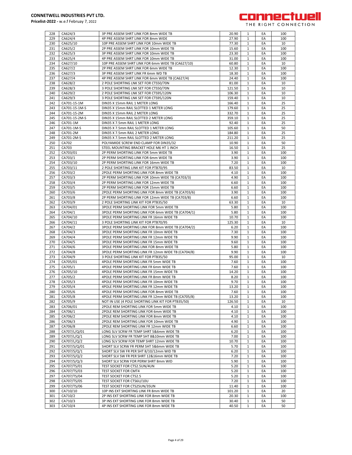

| 228        | CA624/3            | 3P PRE ASSEM SHRT LINK FOR 8mm WIDE TB                                               | 20.90          | 1            | EA       | 100      |
|------------|--------------------|--------------------------------------------------------------------------------------|----------------|--------------|----------|----------|
| 229        | CA624/4            | 4P PRE ASSEM SHRT LINK FOR 8mm WIDE                                                  | 27.90          | $\mathbf{1}$ | EA       | 100      |
| 230        | CA625/10           | 10P PRE ASSEM SHRT LINK FOR 10mm WIDE TB                                             | 77.30          | $\mathbf{1}$ | EA       | 10       |
|            |                    |                                                                                      |                |              |          |          |
| 231        | CA625/2            | 2P PRE ASSEM SHRT LINK FOR 10mm WIDE TB                                              | 15.60          | $\mathbf{1}$ | EA       | 100      |
| 232        | CA625/3            | 3P PRE ASSEM SHRT LINK FOR 10mm WIDE TB                                              | 23.30          | $\mathbf{1}$ | EA       | 100      |
| 233        | CA625/4            | 4P PRE ASSEM SHRT LINK FOR 10mm WIDE TB                                              | 31.00          | 1            | EA       | 100      |
| 234        | CA627/10           | 10P PRE ASSEM SHRT LINK FOR 6mm WIDE TB (CA627/10)                                   | 60.80          | $\mathbf{1}$ | EA       | 10       |
| 235        | CA627/2            | 2P PRE ASSEM SHRT LINK FOR 6mm WIDE TB                                               | 12.30          | $\mathbf{1}$ | EA       | 100      |
|            |                    |                                                                                      |                |              |          |          |
| 236        | CA627/3            | 3P PRE ASSEM SHRT LINK FR 6mm WD TB                                                  | 18.30          | $\mathbf{1}$ | EA       | 100      |
| 237        | CA627/4            | 4P PRE ASSEM SHRT LINK FOR 6mm WIDE TB (CA627/4)                                     | 24.40          | $\mathbf{1}$ | EA       | 100      |
| 238        | CA628/2            | 2 POLE SHORTING LNK SET FOR CTS50/70N                                                | 81.00          | 1            | EA       | 10       |
| 239        | CA628/3            | 3 POLE SHORTING LNK SET FOR CTS50/70N                                                | 121.50         | $\mathbf{1}$ | EA       | 10       |
| 240        | CA629/2            | 2 POLE SHORTING LNK SET FOR CTS95/120N                                               | 106.30         | 1            | EA       | 10       |
|            |                    |                                                                                      |                |              |          |          |
| 241        | CA629/3            | 3 POLE SHORTING LNK SET FOR CTS95/120N                                               | 159.40         | $\mathbf{1}$ | EA       | 10       |
| 242        | CA701-15-1M        | DIN35 X 15mm RAIL 1 METER LONG                                                       | 166.40         | $\mathbf{1}$ | EA       | 25       |
| 243        | CA701-15-1M-S      | DIN35 X 15mm RAIL SLOTTED 1 METER LONG                                               | 179.60         | $\mathbf{1}$ | EA       | 25       |
| 244        | CA701-15-2M        | DIN35 X 15mm RAIL 2 METER LONG                                                       | 332.70         | $\mathbf{1}$ | EA       | 25       |
| 245        | CA701-15-2M-S      | DIN35 X 15mm RAIL SLOTTED 2 METER LONG                                               | 359.10         | $\mathbf{1}$ | EA       | 25       |
|            |                    |                                                                                      |                |              |          |          |
| 246        | CA701-1M           | DIN35 X 7.5mm RAIL 1 METER LONG                                                      | 92.40          | 1            | EA       | 25       |
| 247        | CA701-1M-S         | DIN35 X 7.5mm RAIL SLOTTED 1 METER LONG                                              | 105.60         | $\mathbf{1}$ | EA       | 50       |
| 248        | CA701-2M           | DIN35 X 7.5mm RAIL 2 METER LONG                                                      | 184.80         | $\mathbf{1}$ | EA       | 25       |
| 249        | CA701-2M-S         | DIN35 X 7.5mm RAIL SLOTTED 2 METER LONG                                              | 211.20         | 1            | EA       | 25       |
| 250        | CA702              | POLYAMIDE SCREW END CLAMP FOR DIN35/32                                               | 10.90          | $\mathbf{1}$ | EA       | 50       |
|            |                    |                                                                                      |                |              |          |          |
| 251        | CA703              | STEEL MOUNTING BRACKET HOLE M6 HT 1 INCH                                             | 16.50          | $\mathbf{1}$ | EA       | 25       |
| 252        | CA703/01           | 2P PERM SHORTING LINK FOR 5mm WIDE TB                                                | 3.90           | $\mathbf{1}$ | EA       | 100      |
| 253        | CA703/1            | 2P PERM SHORTING LINK FOR 6mm WIDE TB                                                | 3.90           | $\mathbf{1}$ | EA       | 100      |
| 254        | CA703/10           | 2P PERM SHORTING LINK FOR 16mm WIDE TB                                               | 7.20           | $\mathbf{1}$ | EA       | 100      |
|            |                    |                                                                                      |                |              |          |          |
| 255        | CA703/11           | 2 POLE SHORTING LINK KIT FOR PTB70/95                                                | 83.50          | 1            | EA       | 10       |
| 256        | CA703/2            | 2POLE PERM SHORTING LINK FOR 8mm WIDE TB                                             | 4.10           | $\mathbf{1}$ | EA       | 100      |
| 257        | CA703/3            | 2P PERM SHORTING LINK FOR 10mm WIDE TB (CA703/3)                                     | 4.90           | $\mathbf{1}$ | EA       | 100      |
| 258        | CA703/4            | 2P PERM SHORTING LINK FOR 12mm WIDE TB                                               | 6.60           | 1            | EA       | 100      |
| 259        | CA703/5            | 2P PERM SHORTING LINK FOR 15mm WIDE TB                                               | 6.60           | $\mathbf{1}$ | EA       | 100      |
|            |                    |                                                                                      |                |              |          |          |
| 260        | CA703/6            | 2POLE PERM SHORTING LINK FOR 8mm WIDE TB (CA703/6)                                   | 3.90           | $\mathbf{1}$ | EA       | 100      |
| 261        | CA703/8            | 2P PERM SHORTING LINK FOR 12mm WIDE TB (CA703/8)                                     | 6.60           | $\mathbf{1}$ | EA       | 100      |
| 262        | CA703/9            | 2 POLE SHORTING LINK KIT FOR PTB35/50                                                | 63.30          | $\mathbf{1}$ | EA       | 10       |
| 263        | CA704/01           | 3POLE PERM SHORTING LINK FOR 5mm WIDE TB                                             | 5.80           | $\mathbf{1}$ | EA       | 100      |
| 264        | CA704/1            | 3POLE PERM SHORTING LINK FOR 6mm WIDE TB (CA704/1)                                   | 5.80           | $\mathbf{1}$ | EA       | 100      |
|            |                    |                                                                                      |                |              |          |          |
| 265        | CA704/10           | 3POLE PERM SHORTING LINK FR 16mm WIDE TB                                             | 10.70          | 1            | EA       | 100      |
|            |                    |                                                                                      |                |              |          |          |
| 266        | CA704/11           | 3 POLE SHORTING LINK KIT FOR PTB70/95                                                | 125.30         | $\mathbf{1}$ | EA       | 10       |
| 267        | CA704/2            | 3POLE PERM SHORTING LINK FOR 8mm WIDE TB (CA704/2)                                   | 6.20           | $\mathbf{1}$ | EA       | 100      |
|            |                    |                                                                                      |                |              |          |          |
| 268        | CA704/3            | 3POLE PERM SHORTING LINK FR 10mm WIDE TB                                             | 7.30           | $\mathbf{1}$ | EA       | 100      |
| 269        | CA704/4            | 3POLE PERM SHORTING LINK FR 12mm WIDE TB                                             | 9.90           | $\mathbf{1}$ | EA       | 100      |
| 270        | CA704/5            | 3POLE PERM SHORTING LINK FR 15mm WIDE TB                                             | 9.60           | $\mathbf{1}$ | EA       | 100      |
| 271        | CA704/6            | 3POLE PERM SHORTING LINK FOR 8mm WIDE TB                                             | 5.80           | 1            | EA       | 100      |
| 272        | CA704/8            | 3POLE PERM SHORTING LINK FR 12mm WIDE TB (CA704/8)                                   | 9.90           | $\mathbf{1}$ | EA       | 100      |
| 273        | CA704/9            | 3 POLE SHORTING LINK KIT FOR PTB35/50                                                | 95.00          | $\mathbf{1}$ | EA       | 10       |
|            |                    |                                                                                      |                |              |          |          |
| 274        | CA705/01           | 4POLE PERM SHORTING LINK FR 5mm WIDE TB                                              | 7.60           | 1            | EA       | 100      |
| 275        | CA705/1            | 4POLE PERM SHORTING LINK FR 6mm WIDE TB                                              | 7.60           | $\mathbf{1}$ | EA       | 100      |
| 276        | CA705/10           | 4POLE PERM SHORTING LINK FR 15mm WIDE TB                                             | 14.20          | $\mathbf{1}$ | EA       | 100      |
| 277        | CA705/2            | 4POLE PERM SHORTING LINK FR 8mm WIDE TB                                              | 8.20           | $\mathbf{1}$ | EA       | 100      |
| 278        | CA705/3            | 4POLE PERM SHORTING LINK FR 10mm WIDE TB                                             | 9.70           | $\mathbf{1}$ | EA       | 100      |
|            |                    |                                                                                      |                |              |          |          |
| 279        | CA705/4            | 4POLE PERM SHORTING LINK FR 12mm WIDE TB                                             | 13.20          | 1            | EA       | 100      |
| 280        | CA705/6            | 4POLE PERM SHORTING LINK FOR 8mm WIDE TB                                             | 7.60           | 1            | EA       | 100      |
| 281        | CA705/8            | 4POLE PERM SHORTING LINK FR 12mm WIDE TB (CA705/8)                                   | 13.20          | 1            | EA       | 100      |
| 282        | CA705/9            | NOT IN USE (4 POLE SHORTING LINK KIT FOR PTB35/50)                                   | 126.50         | $\mathbf{1}$ | EA       | 10       |
| 283        | CA706/01           | 2POLE REM SHORTING LINK FOR 5mm WIDE TB                                              | 4.10           | $\mathbf{1}$ | EA       | 100      |
| 284        | CA706/1            | 2POLE REM SHORTING LINK FOR 6mm WIDE TB                                              | 4.10           | $\mathbf{1}$ | EA       | 100      |
|            |                    |                                                                                      |                |              |          |          |
| 285        | CA706/2            | 2POLE REM SHORTING LINK FOR 8mm WIDE TB                                              | 4.10           | $\mathbf{1}$ | EA       | 100      |
| 286        | CA706/3            | 2POLE REM SHORTING LINK FOR 10mm WIDE TB                                             | 4.90           | 1            | EA       | 100      |
| 287        | CA706/8            | 2POLE REM SHORTING LINK FR 12mm WIDE TB                                              | 6.60           | 1            | EA       | 100      |
| 288        | CA707/L/Q/01       | LONG SLV SCRW FR TEMP SHRT 5&6mm WIDE TB                                             | 6.20           | 1            | EA       | 100      |
| 289        |                    | LONG SLV SCRW FR TEMP SHT 8&10mm WIDE TB                                             | 7.00           | $\mathbf{1}$ | EA       | 100      |
|            | CA707/L/Q/1        |                                                                                      |                |              |          |          |
| 290        | CA707/L/Q/2        | LONG SLV SCRW FOR TEMP SHRT 12mm WIDE TB                                             | 10.70          | 1            | EA       | 100      |
| 291        | CA707/S/Q/01       | SHORT SLV SCRW FR PERM SHT 5&6mm WIDE TB                                             | 5.70           | $\mathbf{1}$ | EA       | 100      |
| 292        | CA707/S/Q/1        | SHORT SLV SW FR PER SHT 8/10/12mm WID TB                                             | 6.20           | $\mathbf{1}$ | EA       | 100      |
| 293        | CA707/S/Q/2        | SHORT SLV SW FR PER SHRT 12&16mm WIDE TB                                             | 7.20           | $\mathbf{1}$ | EA       | 100      |
| 294        | CA707/S/Q/3        | SHORT SLV SCRW FOR PERM SHRT 8mm WID                                                 | 5.90           | $\mathbf{1}$ | EA       | 100      |
|            |                    |                                                                                      |                |              |          |          |
| 295        | CA707/TS/01        | TEST SOCKET FOR CTS2.5UN/4UN                                                         | 5.20           | 1            | EA       | 100      |
| 296        | CA707/TS/03        | TEST SOCKET FOR CMT4                                                                 | 5.20           | $\mathbf{1}$ | EA       | 100      |
| 297        | CA707/TS/04        | TEST SOCKET FOR CTS2.5                                                               | 5.20           | 1            | EA       | 100      |
| 298        | CA707/TS/05        | TEST SOCKET FOR CTS6U/10U                                                            | 7.20           | $\mathbf{1}$ | EA       | 100      |
|            |                    |                                                                                      |                | 1            |          |          |
| 299        | CA707/TS/06        | TEST SOCKET FOR CTS25UN/35UN                                                         | 11.40          |              | EA       | 100      |
| 300        | CA710/10           | 10P INS EXT SHORTING LINK FR 8mm WIDE TB                                             | 101.20         | $\mathbf{1}$ | EA       | 20       |
| 301        | CA710/2            | 2P INS EXT SHORTING LINK FOR 8mm WIDE TB                                             | 20.30          | $\mathbf{1}$ | EA       | 100      |
| 302<br>303 | CA710/3<br>CA710/4 | 3P INS EXT SHORTING LINK FOR 8mm WIDE TB<br>4P INS EXT SHORTING LINK FOR 8mm WIDE TB | 30.40<br>40.50 | $\mathbf 1$  | EA<br>EA | 50<br>50 |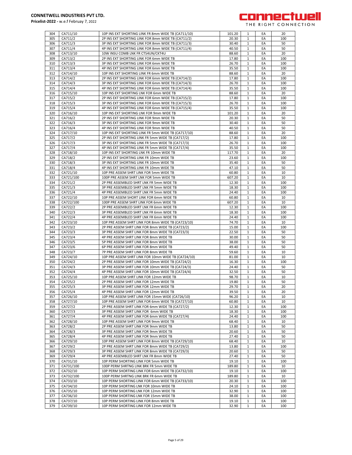

304 CA711/10 10P INS EXT SHORTING LINK FR 8mm WIDE TB (CA711/10) 101.20 1 EA 20 305 | CA711/2 2P INS EXT SHORTING LINK FOR 8mm WIDE TB (CA711/2) 20.30 | 1 | EA | 100 306 CA711/3 3P INS EXT SHORTING LINK FOR 8mm WIDE TB (CA711/3) 30.40 1 EA 50 307 CA711/4 4P INS EXT SHORTING LINK FOR 8mm WIDE TB (CA711/4) 40.50 1 EA 50 308 CA713/10 10W INSU COMB LNK FR CTS4UN/CKT4U COMB LNK FR CTS4UN/CKT4U 88.60 1 EA 20 309 | CA713/2 2P INS EXT SHORTING LINK FOR 6mm WIDE TB 17.80 | 1 | EA | 100 310 CA713/3 3P INS EXT SHORTING LINK FOR 6mm WIDE TB 26.70 1 EA 100 311 CA713/4 4P INS EXT SHORTING LINK FOR 6mm WIDE TB 35.50 1 EA 100 312 CA714/10 10P INS EXT SHORTING LINK FR 6mm WIDE TB 88.60 1 EA 20 313 CA714/2 2P INS EXT SHORTING LINK FOR 6mm WIDE TB (CA714/2) 17.80 1 EA 100 314 CA714/3 3P INS EXT SHORTING LINK FOR 6mm WIDE TB (CA714/3) 26.70 1 EA 100<br>315 CA714/4 4P INS EXT SHORTING LINK FOR 6mm WIDE TB (CA714/4) 35.50 1 EA 100 4P INS EXT SHORTING LINK FOR 6mm WIDE TB (CA714/4) 35.50 35.50 1 316 CA715/10 10P INS EXT SHORTING LNK FOR 6mm WIDE TB 88.60 1 EA 20 317 CA715/2 2P INS EXT SHORTING LINK FOR 6mm WIDE TB (CA715/2) 17.80 1 EA 100 318 CA715/3 3P INS EXT SHORTING LINK FOR 6mm WIDE TB (CA715/3) 26.70 1 EA 100 319 CA715/4 4P INS EXT SHORTING LINK FOR 6mm WIDE TB (CA715/4) 35.50 1 EA 100 320 CA716/10 10P INS EXT SHORTING LNK FOR 9mm WIDE TR 321 CA716/2 2P INS EXT SHORTING LINK FOR 9mm WIDE TB 20.30 1 EA 50 322 CA716/3 3P INS EXT SHORTING LINK FOR 9mm WIDE TB 30.40 1 FA 50 323 CA716/4 4P INS EXT SHORTING LINK FOR 9mm WIDE TB 40.50 1 EA 50 324 CA717/10 10P INS EXT SHORTING LINK FR 5mm WIDE TB (CA717/10) 88.60 1 EA 20 325 CA717/2 2P INS EXT SHORTING LINK FR 5mm WIDE TB (CA717/2) 17.80 1 EA 100 326 CA717/3 3P INS EXT SHORTING LINK FR 5mm WIDE TB (CA717/3) 26.70 1 EA 100 327 CA717/4 4P INS EXT SHORTING LINK FR 5mm WIDE TB (CA717/4) 35.50 1 1 EA 100 328 CA718/10 10P INS EXT SHORTING LNK FR 10mm WIDE TB 117.70 1 EA 20 329 CA718/2 2P INS EXT SHORTING LINK FR 10mm WIDE TB 23.60 1 EA 100 330 | CA718/3 | 3P INS EXT SHORTING LINK FR 10mm WIDE TB | 35.40 | 1 | EA | 50 331 CA718/4 4P INS EXT SHORTING LINK FR 10mm WIDE TB A 47.10 1 EA 50 332 CA721/10 10P PRE ASSEM SHRT LINK FOR 5mm WIDE TB 60.80 1 EA 10 333 CA721/100 100P PRE ASSEM SHRT LNK FOR 5mm WIDE TB 607.20 1 EA 10 334 CA721/2 2P PRE ASSEMBLED SHRT LNK FR 5mm WIDE TB 12.30 1 EA 100 335 CA721/3 3P PRE ASSEMBLED SHRT LNK FR 5mm WIDE TB 18.30 1 1 EA 100 336 CA721/4 4P PRE ASSEMBLED SHRT LNK FR 5mm WIDE TB 24.40 1 EA 100 337 CA722/10 10P PRE ASSEM SHORT LINK FOR 6mm WIDE TB 60.80 1 EA 10 338 CA722/100 100P PRE ASSEM SHRT LINK FOR 6mm WIDE TB 607.20 1 EA 1 10 339 CA722/2 2P PRE ASSEMBLED SHRT LNK FR 6mm WIDE TB 12.30 1 EA 100 340 CA722/3 3P PRE ASSEMBLED SHRT LNK FR 6mm WIDE TB 18.30 1 EA 100 341 CA722/4 4P PRE ASSEMBLED SHRT LNK FR 6mm WIDE TB 24.40 1 EA 1 CA722/4 1 PA 342 CA723/10 10P PRE ASSEM SHRT LINK FOR 8mm WIDE TB (CA723/10) 1 74.70 1 H EA 10 343 CA723/2 2P PRE ASSEM SHRT LINK FOR 8mm WIDE TB (CA723/2) 15.00 1 EA 100 344 CA723/3 3P PRE ASSEM SHRT LINK FOR 8mm WIDE TB (CA723/3) 22.50 1 EA 50 345 CA723/4 4P PRE ASSEM SHRT LINK FOR 8mm WIDE TB 30.00 1 EA 50 346 CA723/5 5P PRE ASSEM SHRT LINK FOR 8mm WIDE TB 38.00 1 EA 50 347 CA723/6 6P PRE ASSEM SHRT LINK FOR 8mm WIDE TB 49.40 1 EA 50<br>348 CA723/7 7P PRE ASSEM SHRT LINK FOR 8mm WIDE TB 59.60 1 EA 10 CA723/7 **318 THE ASSEM SHRT LINK FOR 8mm WIDE TB** 59.60 1 EA 10 349 CA724/10 10P PRE ASSEM SHRT LINK FOR 10mm WIDE TB (CA724/10) 81.00 1 EA 10 350 CA724/2 2P PRE ASSEM SHRT LINK FOR 10mm WIDE TB (CA724/2) 16.30 1 EA 100 351 CA724/3 3P PRE ASSEM SHRT LINK FOR 10mm WIDE TB (CA724/3) 24.40 1 EA 50<br>352 CA724/4 4P PRE ASSEM SHRT LINK FOR 10mm WIDE TB (CA724/4) 32.50 1 EA 50 352 CA724/4 4P PRE ASSEM SHRT LINK FOR 10mm WIDE TB (CA724/4) 32.50 1 EA 353 CA725/10 10P PRE ASSEM SHRT LINK FOR 12mm WIDE TB 98.70 1 EA 10 354 CA725/2 2P PRE ASSEM SHRT LINK FOR 12mm WIDE TB 19.80 1 EA 50 355 CA725/3 3P PRE ASSEM SHRT LINK FOR 12mm WIDE TB 29.70 1 EA 20 356 CA725/4 4P PRE ASSEM SHRT LINK FOR 12mm WIDE TB 39.50 1 EA 20 357 CA726/10 10P PRE ASSEM SHRT LINK FOR 15mm WIDE (CA726/10) 96.20 1 EA 10 358 CA727/10 10P PRE ASSEM SHRT LINK FOR 6mm WIDE TB (CA727/10) 60.80 1 EA 10 359 CA727/2 2P PRE ASSEM SHRT LINK FOR 6mm WIDE TB (CA727/2) 12.30 1 EA 100 360 CA727/3 3P PRE ASSEM SHRT LINK FOR 6mm WIDE TB 1 1 28.30 1 1 EA 100 361 CA727/4 4P PRE ASSEM SHRT LINK FOR 6mm WIDE TB (CA727/4) 24.40 1 EA 100 362 CA728/10 10P PRE ASSEM SHRT LINK FOR 9mm WIDE TB 68.40 1 EA 10 363 CA728/2 2P PRE ASSEM SHRT LINK FOR 9mm WIDE TB 13.80 1 EA 50 364 CA728/3 3P PRE ASSEM SHRT LINK FOR 9mm WIDE TB 20.60 1 EA 50 365 CA728/4 4P PRE ASSEM SHRT LINK FOR 9mm WIDE TB 27.40 1 EA 50 366 CA729/10 10P PRE ASSEM SHRT LINK FOR 8mm WIDE TB (CA729/10) 68.40 1 EA 10 367 CA729/2 2P PRE ASSEM SHRT LINK FOR 8mm WIDE TR (CA729/2) 13.80 1 EA 100 368 CA729/3 3P PRE ASSEM SHRT LINK FOR 8mm WIDE TB (CA729/3) 20.60 1 EA 50 369 CA729/4 4P PRE ASSEMBLED SHRT LNK FR 8mm WIDE TB 27.40 1 EA 50 370 CA731/10 10P PERM SHORTING LINK FOR 5mm WIDE TB 19.10 1 EA 100 371 CA731/100 100P PERM SHRTNG LINK BRK FR 5mm WIDE TB 1 189.80 1 EA 1 10 372 CA732/10 10P PERM SHORTING LINK FOR 6mm WIDE TB (CA732/10) 19.10 19.10 19.10 19.10 373 CA732/100 100P PERM SHRTNG LINK BRK FR 6mm WIDE TB 189.80 1 EA 10 374 | CA733/10 | 10P PERM SHORTING LINK FOR 6mm WIDE TB (CA733/10) | 20.30 | 1 | EA | 100

375 CA734/10 10P PERM SHORTING LNK FOR 10mm WIDE TB 1 24.10 1 1 EA 100 376 CA735/10 10P PERM SHORTING LNK FOR 12mm WIDE TB 32.90 1 EA 100 377 | CA736/10 | 10P PERM SHORTING LNK FOR 15mm WIDE TB | 38.00 | 1 | EA | 100 378 | CA737/10 | 10P PERM SHORTING LINK FOR 8mm WIDE TB 19.10 | 19.10 | 1 | EA | 100 379 CA739/10 10P PERM SHORTING LINK FOR 12mm WIDE TB 32.90 1 EA 1 00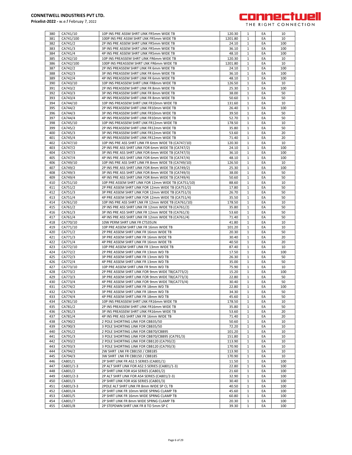

| 380        | CA741/10           | 10P INS PRE ASSM SHRT LINK FR5mm WIDE TB<br>100P INS PRE ASSM SHRT LNK FR5mm WIDE TB | 120.30         | $\mathbf{1}$                 | EA       | 10         |
|------------|--------------------|--------------------------------------------------------------------------------------|----------------|------------------------------|----------|------------|
| 381        | CA741/100          |                                                                                      | 1201.80        | 1                            | EA       | 10         |
| 382        | CA741/2            | 2P INS PRE ASSEM SHRT LINK FR5mm WIDE TB                                             | 24.10          | $\mathbf{1}$                 | EA       | 100        |
| 383        | CA741/3            | 3P INS PRE ASSEM SHRT LINK FR5mm WIDE TB                                             | 36.10          | 1                            | EA       | 100        |
| 384        | CA741/4            | 4P INS PRE ASSEM SHRT LINK FR5mm WIDE TB                                             | 48.10          | $\mathbf{1}$                 | EA       | 100        |
| 385        | CA742/10           | 10P INS PREASSEM SHRT LINK FR6mm WIDE TB                                             | 120.30         | $\mathbf{1}$                 | EA       | 10         |
| 386        | CA742/100          | 100P INS PREASSEM SHRT LNK FR6mm WIDE TB                                             | 1201.80        | $\mathbf{1}$                 | EA       | 10         |
| 387        | CA742/2            | 2P INS PREASSEM SHRT LINK FR 6mm WIDE TB                                             | 24.10          | $\mathbf{1}$                 | EA       | 100        |
| 388        | CA742/3            | 3P INS PREASSEM SHRT LINK FR 6mm WIDE TB                                             | 36.10          | $\mathbf{1}$                 | EA       | 100        |
| 389        | CA742/4            | 4P INS PREASSEM SHRT LINK FR 6mm WIDE TB                                             | 48.10          | $\mathbf{1}$                 | EA       | 100        |
| 390        | CA743/10           | 10P INS PREASSEM SHRT LINK FR8mm WIDE TB                                             | 126.50         | $\mathbf{1}$                 | EA       | 10         |
| 391        | CA743/2            | 2P INS PREASSEM SHRT LINK FR 8mm WIDE TB                                             | 25.30          | $\mathbf{1}$                 | EA       | 100        |
| 392        | CA743/3            | 3P INS PREASSEM SHRT LINK FR 8mm WIDE TB                                             | 38.00          | $\mathbf{1}$                 | EA       | 50         |
| 393        | CA743/4            | 4P INS PREASSEM SHRT LINK FR 8mm WIDE TB                                             | 50.60          | $\mathbf{1}$                 | EA       | 50         |
| 394        | CA744/10           | 10P INS PREASSEM SHRT LNK FR10mm WIDE TB                                             | 131.60         | 1                            | EA       | 10         |
| 395        | CA744/2            | 2P INS PREASSEM SHRT LINK FR10mm WIDE TB                                             | 26.40          | $\mathbf{1}$                 | EA       | 100        |
| 396        | CA744/3            | 3P INS PREASSEM SHRT LINK FR10mm WIDE TB                                             | 39.50          | $\mathbf{1}$                 | EA       | 50         |
| 397        | CA744/4            | 4P INS PREASSEM SHRT LINK FR10mm WIDE TB                                             | 52.70          | $\mathbf{1}$                 | EA       | 50         |
| 398        | CA745/10           | 10P INS PREASSEM SHRT LNK FR12mm WIDE TB                                             | 178.50         | $\mathbf{1}$                 | EA       | 10         |
| 399        | CA745/2            | 2P INS PREASSEM SHRT LINK FR12mm WIDE TB                                             | 35.80          | 1                            | EA       | 50         |
|            |                    |                                                                                      |                |                              |          |            |
| 400        | CA745/3            | 3P INS PREASSEM SHRT LINK FR12mm WIDE TB                                             | 53.60          | $\mathbf{1}$                 | EA       | 20         |
| 401        | CA745/4            | 4P INS PREASSEM SHRT LINK FR12mm WIDE TB                                             | 71.40          | $\mathbf{1}$                 | EA       | 20         |
| 402        | CA747/10           | 10P INS PRE ASS SHRT LINK FR 6mm WIDE TB (CA747/10)                                  | 120.30         | $\mathbf{1}$                 | EA       | 10         |
| 403        | CA747/2            | 2P INS PRE ASS SHRT LINK FOR 6mm WIDE TB (CA747/2)                                   | 24.10          | $\mathbf{1}$                 | EA       | 100        |
| 404        | CA747/3            | 3P INS PRE ASS SHRT LINK FOR 6mm WIDE TB (CA747/3)                                   | 36.10          | $\mathbf{1}$                 | EA       | 100        |
| 405        | CA747/4            | 4P INS PRE ASS SHRT LINK FOR 6mm WIDE TB (CA747/4)                                   | 48.10          | $\mathbf{1}$                 | EA       | 100        |
| 406        | CA749/10           | 10P INS PRE ASS SHRT LINK FR 8mm WIDE TB (CA749/10)                                  | 126.50         | $\mathbf{1}$                 | EA       | 10         |
| 407        | CA749/2            | 2P INS PRE ASS SHRT LINK FOR 8mm WIDE TB (CA749/2)                                   | 25.30          | $\mathbf{1}$                 | EA       | 100        |
| 408        | CA749/3            | 3P INS PRE ASS SHRT LINK FOR 8mm WIDE TB (CA749/3)                                   | 38.00          | 1                            | EA       | 50         |
| 409        | CA749/4            | 4P INS PRE ASS SHRT LINK FOR 8mm WIDE TB (CA749/4)                                   | 50.60          | $\mathbf{1}$                 | EA       | 50         |
| 410        | CA751/10           | 10P PRE ASSEM SHRT LINK FOR 12mm WIDE TB (CA751/10)                                  | 88.60          | $\mathbf{1}$                 | EA       | 10         |
| 411        | CA751/2            | 2P PRE ASSEM SHRT LINK FOR 12mm WIDE TB (CA751/2)                                    | 17.80          | $\mathbf{1}$                 | EA       | 50         |
| 412        | CA751/3            | 3P PRE ASSEM SHRT LINK FOR 12mm WIDE TB (CA751/3)                                    | 26.70          | $\mathbf{1}$                 | EA       | 50         |
|            |                    |                                                                                      |                |                              |          |            |
| 413        | CA751/4            | 4P PRE ASSEM SHRT LINK FOR 12mm WIDE TB (CA751/4)                                    | 35.50          | $\mathbf{1}$                 | EA       | 50         |
| 414        | CA761/10           | 10P INS PRE ASS SHRT LNK FR 12mm WIDE TB (CA761/10)                                  | 178.50         | $\mathbf{1}$                 | EA       | 10         |
| 415        | CA761/2            | 2P INS PRE ASS SHRT LINK FR 12mm WIDE TB (CA761/2)                                   | 35.80          | $\mathbf{1}$                 | EA       | 50         |
| 416        | CA761/3            | 3P INS PRE ASS SHRT LINK FR 12mm WIDE TB (CA761/3)                                   | 53.60          | $\mathbf{1}$                 | EA       | 50         |
| 417        | CA761/4            | 4P INS PRE ASS SHRT LINK FR 12mm WIDE TB (CA761/4)                                   | 71.40          | $\mathbf{1}$                 | EA       | 50         |
| 418        | CA770/10           | 10W PERM SHRT LINK FR CTS35UN                                                        | 41.80          | $\mathbf{1}$                 | EA       | 10         |
| 419        | CA771/10           | 10P PRE ASSEM SHRT LNK FR 16mm WIDE TB                                               | 101.20         | 1                            | EA       | 10         |
| 420        | CA771/2            | 2P PRE ASSEM SHRT LINK FR 16mm WIDE TB                                               | 20.30          | $\mathbf{1}$                 | EA       | 50         |
| 421        | CA771/3            | 3P PRE ASSEM SHRT LINK FR 16mm WIDE TB                                               | 30.40          | $\mathbf{1}$                 | EA       | 20         |
| 422        | CA771/4            | 4P PRE ASSEM SHRT LINK FR 16mm WIDE TB                                               | 40.50          | $\mathbf{1}$                 | EA       | 20         |
| 423        | CA772/10           | 10P PRE ASSEM SHRT LINK FR 13mm WIDE TB                                              | 87.40          | $\mathbf{1}$                 | EA       | 10         |
| 424        | CA772/2            | 2P PRE ASSEM SHRT LINK FR 13mm WD TB                                                 | 17.50          | 1                            | EA       | 100        |
| 425        | CA772/3            | 3P PRE ASSEM SHRT LINK FR 13mm WD TB                                                 | 26.30          | $\mathbf{1}$                 | EA       | 50         |
| 426        | CA772/4            | 4P PRE ASSEM SHRT LINK FR 13mm WD TB                                                 | 35.00          | 1                            | EA       | 50         |
| 427        | CA773/10           | 10P PRE ASSEM SHRT LINK FR 9mm WD TB                                                 | 75.90          | $\mathbf{1}$                 | EA       | 10         |
|            |                    |                                                                                      |                |                              |          | 100        |
| 428        | CA773/2            | 2P PRE ASSEM SHRT LINK FOR 9mm WIDE TB(CA773/2)                                      | 15.20          | $\mathbf{1}$                 | EA       |            |
| 429        | CA773/3            | 3P PRE ASSEM SHRT LINK FOR 9mm WIDE TB(CA773/3)                                      | 22.80          | $\mathbf{1}$                 | EA       | 50         |
| 430        | CA773/4            | 4P PRE ASSEM SHRT LINK FOR 9mm WIDE TB(CA773/4)                                      | 30.40          | $\mathbf{1}$                 | EA       | 50         |
| 431        | CA774/2            | 2P PRE ASSEM SHRT LINK FR 18mm WD TB                                                 | 22.80          | 1                            | EA       | 100        |
| 432        | CA774/3            | 3P PRE ASSEM SHRT LINK FR 18mm WD TB                                                 | 34.30          | $\mathbf{1}$                 | EA       | 50         |
| 433        | CA774/4            | 4P PRE ASSEM SHRT LINK FR 18mm WD TB                                                 | 45.60          | 1                            | EA       | 50         |
| 434        | CA781/10           | 10P INS PREASSEM SHRT LNK FR16mm WIDE TB                                             | 178.50         | $\mathbf{1}$                 | EA       | 10         |
| 435        |                    |                                                                                      |                |                              |          | 50         |
|            | CA781/2            | 2P INS PREASSEM SHRT LINK FR16mm WIDE TB                                             | 35.80          | $\mathbf{1}$                 | EA       |            |
| 436        | CA781/3            | 3P INS PREASSEM SHRT LINK FR16mm WIDE TB                                             | 53.60          | $\mathbf{1}$                 | EA       | 20         |
| 437        | CA781/4            | 4P INS PRE ASS SHRT LNK FR 16mm WIDE TB                                              | 71.40          | 1                            | EA       | 20         |
| 438        | CA790/2            | 2 POLE SHORTING LINK FOR CBB35/50                                                    | 50.60          | 1                            | EA       |            |
|            |                    |                                                                                      |                |                              |          | 10         |
| 439        | CA790/3            | 3 POLE SHORTING LINK FOR CBB35/50                                                    | 72.20          | $\mathbf{1}$                 | EA       | 10         |
| 440        | CA791/2            | 2 POLE SHORTING LINK FOR CBB70/CBB95                                                 | 101.20         | 1                            | EA       | 10         |
| 441        | CA791/3            | 3 POLE SHORTING LINK FOR CBB70/CBB95 (CA791/3)                                       | 151.80         | $\mathbf{1}$                 | EA       | 10         |
| 442        | CA793/2            | 2 POLE SHORTING LINK FOR CBB120 (CA793/2)                                            | 113.90         | 1                            | EA       | 10         |
| 443        | CA793/3            | 3 POLE SHORTING LINK FOR CBB120 (CA793/3)                                            | 170.90         | $\mathbf{1}$                 | EA       | 10         |
| 444        | CA794/2            | 2W SHRT LNK FR CBB150 / CBB185                                                       | 113.90         | 1                            | EA       | 10         |
| 445        | CA794/3            | 3W SHRT LNK FR CBB150 / CBB185                                                       | 170.90         | $\mathbf{1}$                 | EA       | 10         |
| 446        | CA801/1            | 2P SHRT LINK FR AS2.5 SERIES (CA801/1)                                               | 11.50          | $\mathbf{1}$                 | EA       | 100        |
| 447        | CA801/1-3          | 2P ALT SHRT LINK FOR AS2.5 SERIES (CA801/1-3)                                        | 22.80          | 1                            | EA       | 100        |
| 448        | CA801/2            | 2P SHRT LINK FOR AS4 SERIES (CA801/2)                                                | 21.60          | $\mathbf{1}$                 | EA       | 100        |
| 449        | CA801/2-3          | 2P ALT SHRT LINK FOR AS4 SERIES (CA801/2-3)                                          | 32.90          | 1                            | EA       | 100        |
| 450        | CA801/3            | 2P SHRT LINK FOR AS6 SERIES (CA801/3)                                                | 30.40          | $\mathbf{1}$                 | EA       | 100        |
| 451        | CA801/3-3          | 2POLE ALT SHRT LINK FR 8mm WIDE SP CL TB                                             | 40.50          | 1                            | EA       | 100        |
| 452        |                    |                                                                                      | 45.60          | $\mathbf{1}$                 | EA       | 100        |
|            | CA801/4            | 2P SHRT LINK FR 10mm WIDE SPRNG CLAMP TB                                             |                |                              |          |            |
| 453        | CA801/5            | 2P SHRT LINK FR 16mm WIDE SPRNG CLAMP TB                                             | 60.80          | 1                            | EA       | 100        |
| 454<br>455 | CA801/7<br>CA801/8 | 2P SHRT LINK FR 8mm WIDE SPRNG CLAMP TB<br>2P STEPDWN SHRT LNK FR 8 TO 5mm SP C      | 20.30<br>39.30 | $\mathbf{1}$<br>$\mathbf{1}$ | EA<br>EA | 100<br>100 |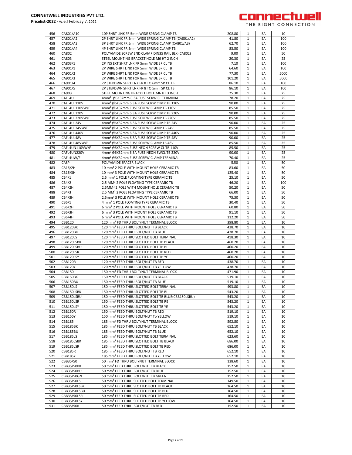

| 456 | CA801/A10      | 10P SHRT LINK FR 5mm WIDE SPRNG CLAMP TB                       | 208.80 | 1            | EA | 10   |
|-----|----------------|----------------------------------------------------------------|--------|--------------|----|------|
| 457 | CA801/A2       | 2P SHRT LINK FR 5mm WIDE SPRING CLAMP TB (CA801/A2)            | 41.80  | 1            | EA | 100  |
|     |                |                                                                |        |              |    |      |
| 458 | CA801/A3       | 3P SHRT LINK FR 5mm WIDE SPRING CLAMP (CA801/A3)               | 62.70  | $\mathbf{1}$ | EA | 100  |
| 459 | CA801/A4       | 4P SHRT LINK FR 5mm WIDE SPRING CLAMP TB                       | 83.50  | $\mathbf{1}$ | EA | 100  |
| 460 | CA802          | POLYAMIDE SCREW END CLAMP DIN35 RAIL BLK (CA802)               | 9.00   | 1            | EA | 50   |
| 461 | CA803          | STEEL MOUNTING BRACKET HOLE M6 HT 2 INCH                       | 20.30  | $\mathbf{1}$ | EA | 25   |
| 462 | CA803/1        | 2P INS EXT SHRT LNK FR 5mm WIDE SP CL TB                       | 7.10   | 1            | EA | 100  |
|     |                |                                                                |        |              |    |      |
| 463 | CA901/1        | 2P WIRE SHRT LINK FOR 5mm WIDE SP CL TB                        | 64.60  | 1            | EA | 100  |
| 464 | CA901/2        | 2P WIRE SHRT LINK FOR 6mm WIDE SP CL TB                        | 77.30  | 1            | EA | 5000 |
| 465 | CA901/3        | 2P WIRE SHRT LINK FOR 8mm WIDE SP CL TB                        | 101.20 | $\mathbf{1}$ | EA | 5000 |
| 466 | CA901/4        | 2P STEPDWN SHRT LNK FR 8 TO 6mm SP CL TB                       | 86.10  | 1            | EA | 100  |
|     |                |                                                                |        |              |    |      |
| 467 | CA901/5        | 2P STEPDWN SHRT LNK FR 8 TO 5mm SP CL TB                       | 86.10  | $\mathbf{1}$ | EA | 100  |
| 468 | CA903          | STEEL MOUNTING BRACKET HOLE M6 HT 3 INCH                       | 25.30  | 1            | EA | 25   |
| 469 | CAFL4U         | 4mm <sup>2</sup> Ø6X32mm 6.3A FUSE SCRW CL TERMINAL            | 78.20  | $\mathbf{1}$ | EA | 25   |
| 470 | CAFL4UL110V    | 4mm <sup>2</sup> Ø6X32mm 6.3A FUSE SCRW CLMP TB 110V           | 90.00  | $\mathbf{1}$ | EA | 25   |
|     |                |                                                                |        |              |    |      |
| 471 | CAFL4UL110VW/F | 4mm <sup>2</sup> Ø6X32mm FUSE SCREW CLAMP TB 110V              | 85.50  | 1            | EA | 25   |
| 472 | CAFL4UL220V    | 4mm <sup>2</sup> Ø6X32mm 6.3A FUSE SCRW CLMP TB 220V           | 90.00  | 1            | EA | 25   |
| 473 | CAFL4UL220VW/F | 4mm <sup>2</sup> Ø6X32mm FUSE SCREW CLAMP TB 220V              | 85.50  | 1            | EA | 25   |
| 474 | CAFL4UL24V     | 4mm <sup>2</sup> Ø6X32mm 6.3A FUSE SCRW CLMP TB 24V            | 90.00  | $\mathbf{1}$ | EA | 25   |
|     |                |                                                                |        |              |    |      |
| 475 | CAFL4UL24VW/F  | 4mm <sup>2</sup> Ø6X32mm FUSE SCREW CLAMP TB 24V               | 85.50  | 1            | EA | 25   |
| 476 | CAFL4UL440V    | 4mm <sup>2</sup> Ø6X32mm 6.3A FUSE SCRW CLMP TB 440V           | 90.00  | $\mathbf{1}$ | EA | 25   |
| 477 | CAFL4UL48V     | 4mm <sup>2</sup> Ø6X32mm 6.3A FUSE SCRW CLMP TB 48V            | 90.00  | 1            | EA | 25   |
| 478 | CAFL4UL48VW/F  | 4mm <sup>2</sup> Ø6X32mm FUSE SCREW CLAMP TB 48V               | 85.50  | $\mathbf{1}$ | EA | 25   |
|     |                |                                                                |        |              |    |      |
| 479 | CAFL4UN110VW/F | 4mm <sup>2</sup> Ø6X32mm FUSE NEON SCREW CL TB 110V            | 85.50  | $\mathbf{1}$ | EA | 25   |
| 480 | CAFL4UN220V    | 4mm <sup>2</sup> Ø6X32mm 6.3A FUSE NEON SWCL TB 220V           | 90.00  | 1            | EA | 25   |
| 481 | CAFL4UW/F      | 4mm <sup>2</sup> Ø6X32mm FUSE SCREW CLAMP TERMINAL             | 70.40  | $\mathbf{1}$ | EA | 25   |
| 482 | CASP           | POLYAMIDE SPACER BLACK                                         | 5.50   | $\mathbf{1}$ | EA | 50   |
|     |                |                                                                |        |              |    |      |
| 483 | CB16/2H        | 10 mm <sup>2</sup> 2 POLE WITH MOUNT HOLE CERAMIC TB           | 83.60  | $\mathbf{1}$ | EA | 50   |
| 484 | CB16/3H        | 10 mm <sup>2</sup> 3 POLE WITH MOUNT HOLE CERAMIC TB           | 125.40 | $\mathbf{1}$ | EA | 50   |
| 485 | CB4/1          | 2.5 mm <sup>2</sup> 1 POLE FLOATING TYPE CERAMIC TB            | 25.10  | 1            | EA | 50   |
| 486 | CB4/2          | 2.5 MM <sup>2</sup> 2 POLE FLOATING TYPE CERAMIC TB            | 46.20  | $\mathbf{1}$ | EA | 100  |
|     |                |                                                                |        |              |    |      |
| 487 | <b>CB4/2H</b>  | 2.5MM <sup>2</sup> 2 POLE WITH MOUNT HOLE CERAMIC TB           | 50.20  | 1            | EA | 50   |
| 488 | CB4/3          | 2.5 MM <sup>2</sup> 3 POLE FLOATING TYPE CERAMIC TB            | 66.00  | 1            | EA | 50   |
| 489 | CB4/3H         | 2.5mm <sup>2</sup> 3 POLE WITH MOUNT HOLE CERAMIC TB           | 75.30  | 1            | EA | 50   |
|     |                |                                                                |        |              |    |      |
| 490 | CB6/1          | 4 mm <sup>2</sup> 1 POLE FLOATING TYPE CERAMIC TB              | 30.40  | $\mathbf{1}$ | EA | 50   |
| 491 | CB6/2H         | 6 mm <sup>2</sup> 2 POLE WITH MOUNT HOLE CERAMIC TB            | 60.80  | 1            | EA | 50   |
| 492 | CB6/3H         | 6 mm <sup>2</sup> 3 POLE WITH MOUNT HOLE CERAMIC TB            | 91.10  | $\mathbf{1}$ | EA | 50   |
| 493 | <b>CB6/4H</b>  | 6 mm <sup>2</sup> 4 POLE WITH MOUNT HOLE CERAMIC TB            | 112.20 | 1            | EA | 50   |
| 494 | <b>CBB120</b>  | 120 mm <sup>2</sup> FD THRU BOLT/NUT TERMINAL BLOCK            | 398.80 | $\mathbf{1}$ | EA | 10   |
|     |                |                                                                |        |              |    |      |
| 495 | CBB120BK       | 120 mm <sup>2</sup> FEED THRU BOLT/NUT TB BLACK                | 438.70 | $\mathbf{1}$ | EA | 10   |
| 496 | CBB120BU       | 120 mm <sup>2</sup> FEED THRU BOLT/NUT TB BLUE                 | 438.70 | 1            | EA | 10   |
| 497 | CBB120LS       | 120 mm <sup>2</sup> FEED THRU SLOTTED BOLT TERMINAL            | 418.30 | 1            | EA | 10   |
| 498 | CBB120LSBK     | 120 mm <sup>2</sup> FEED THRU SLOTTED BOLT TB BLACK            | 460.20 | 1            | EA | 10   |
|     |                |                                                                |        |              |    |      |
| 499 | CBB120LSBU     | 120 mm <sup>2</sup> FEED THRU SLOTTED BOLT TB BL               | 460.20 | $\mathbf{1}$ | EA | 10   |
| 500 | CBB120LSR      | 120 mm <sup>2</sup> FEED THRU SLOTTED BOLT TB RED              | 460.20 | 1            | EA | 10   |
| 501 | CBB120LSY      | 120 mm <sup>2</sup> FEED THRU SLOTTED BOLT TB YE               | 460.20 | 1            | EA | 10   |
| 502 | <b>CBB120R</b> | 120 mm <sup>2</sup> FEED THRU BOLT/NUT TB RED                  | 438.70 | 1            | EA | 10   |
|     |                |                                                                |        |              |    |      |
| 503 | <b>CBB120Y</b> | 120 mm <sup>2</sup> FEED THRU BOLT/NUT TB YELLOW               | 438.70 | $\mathbf{1}$ | EA | 10   |
| 504 | <b>CBB150</b>  | 150 mm <sup>2</sup> FD THRU BOLT/NUT TERMINAL BLOCK            | 471.90 | $\mathbf{1}$ | EA | 10   |
| 505 | CBB150BK       | 150 mm <sup>2</sup> FEED THRU BOLT/NUT TB BLACK                | 519.10 | 1            | EA | 10   |
| 506 | CBB150BU       | 150 mm <sup>2</sup> FEED THRU BOLT/NUT TB BLUE                 | 519.10 | $\mathbf{1}$ | EA | 10   |
|     |                |                                                                |        |              |    |      |
| 507 | CBB150LS       | 150 mm² FEED THRU SLOTTED BOLT TERMINAL                        | 493.80 | 1            | ŁА | 10   |
| 508 | CBB150LSBK     | 150 mm <sup>2</sup> FEED THRU SLOTTED BOLT TB BL               | 543.20 | $\mathbf{1}$ | EA | 10   |
| 509 | CBB150LSBU     | 150 mm <sup>2</sup> FEED THRU SLOTTED BOLT TB BLUE(CBB150LSBU) | 543.20 | 1            | EA | 10   |
| 510 | CBB150LSR      | 150 mm <sup>2</sup> FEED THRU SLOTTED BOLT TB RE               | 543.20 | 1            | EA | 10   |
| 511 | CBB150LSY      | 150 mm <sup>2</sup> FEED THRU SLOTTED BOLT TB YE               | 543.20 | 1            | EA | 10   |
|     |                |                                                                |        |              |    |      |
| 512 | CBB150R        | 150 mm <sup>2</sup> FEED THRU BOLT/NUT TB RED                  | 519.10 | 1            | EA | 10   |
| 513 | <b>CBB150Y</b> | 150 mm <sup>2</sup> FEED THRU BOLT/NUT Tb YELLOW               | 519.10 | 1            | EA | 10   |
| 514 | CBB185         | 185 mm <sup>2</sup> FD THRU BOLT/NUT TERMINAL BLOCK            | 592.80 | 1            | EA | 10   |
| 515 | CBB185BK       | 185 mm <sup>2</sup> FEED THRU BOLT/NUT TB BLACK                | 652.10 | $\mathbf{1}$ | EA | 10   |
|     |                |                                                                |        |              |    |      |
| 516 | CBB185BU       | 185 mm <sup>2</sup> FEED THRU BOLT/NUT TB BLUE                 | 652.10 | 1            | EA | 10   |
| 517 | CBB185LS       | 185 mm <sup>2</sup> FEED THRU SLOTTED BOLT TERMINAL            | 623.60 | 1            | EA | 10   |
| 518 | CBB185LSBK     | 185 mm <sup>2</sup> FEED THRU SLOTTED BOLT TB BLACK            | 686.00 | 1            | EA | 10   |
| 519 | CBB185LSR      | 185 mm <sup>2</sup> FEED THRU SLOTTED BOLT TB RED              | 686.00 | $\mathbf{1}$ | EA | 10   |
|     |                |                                                                |        |              |    |      |
| 520 | <b>CBB185R</b> | 185 mm <sup>2</sup> FEED THRU BOLT/NUT TB RED                  | 652.10 | 1            | EA | 10   |
| 521 | <b>CBB185Y</b> | 185 mm <sup>2</sup> FEED THRU BOLT/NUT TB YELLOW               | 652.10 | 1            | EA | 10   |
| 522 | CBB35/50       | 50 mm <sup>2</sup> FD THRU BOLT/NUT TERMINAL BLOCK             | 138.60 | 1            | EA | 10   |
| 523 | CBB35/50BK     | 50 mm <sup>2</sup> FEED THRU BOLT/NUT TB BLACK                 | 152.50 | 1            | EA | 10   |
|     |                |                                                                |        |              |    |      |
| 524 | CBB35/50BU     | 50 mm <sup>2</sup> FEED THRU BOLT/NUT TB BLUE                  | 152.50 | $\mathbf{1}$ | EA | 10   |
| 525 | CBB35/50GN     | 50 mm <sup>2</sup> FEED THRU BOLT/NUT TB GREEN                 | 152.50 | 1            | EA | 10   |
| 526 | CBB35/50LS     | 50 mm <sup>2</sup> FEED THRU SLOTTED BOLT TERMINAL             | 149.50 | $\mathbf{1}$ | EA | 10   |
| 527 | CBB35/50LSBK   | 50 mm <sup>2</sup> FEED THRU SLOTTED BOLT TB BLACK             | 164.50 | 1            | EA | 10   |
|     |                |                                                                |        |              |    |      |
| 528 | CBB35/50LSBU   | 50 mm <sup>2</sup> FEED THRU SLOTTED BOLT TB BLUE              | 164.50 | $\mathbf{1}$ | EA | 10   |
| 529 | CBB35/50LSR    | 50 mm <sup>2</sup> FEED THRU SLOTTED BOLT TB RED               | 164.50 | $\mathbf{1}$ | EA | 10   |
| 530 | CBB35/50LSY    | 50 mm <sup>2</sup> FEED THRU SLOTTED BOLT TB YELLOW            | 164.50 | 1            | EA | 10   |
| 531 | CBB35/50R      | 50 mm <sup>2</sup> FEED THRU BOLT/NUT TB RED                   | 152.50 | $\mathbf{1}$ | EA | 10   |
|     |                |                                                                |        |              |    |      |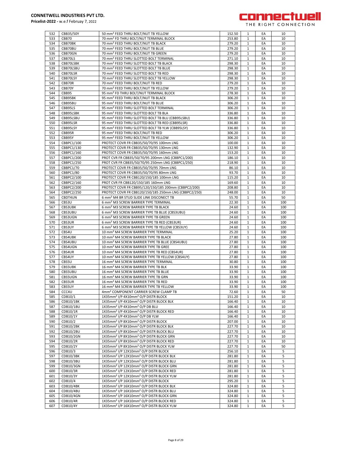

| 532 | CBB35/50Y      | 50 mm <sup>2</sup> FEED THRU BOLT/NUT TB YELLOW                  | 152.50 | 1            | EA | 10  |
|-----|----------------|------------------------------------------------------------------|--------|--------------|----|-----|
|     |                |                                                                  |        |              |    |     |
| 533 | CBB70          | 70 mm <sup>2</sup> FD THRU BOLT/NUT TERMINAL BLOCK               | 253.80 | 1            | EA | 10  |
| 534 | CBB70BK        | 70 mm <sup>2</sup> FEED THRU BOLT/NUT TB BLACK                   | 279.20 | 1            | EA | 10  |
|     |                |                                                                  |        |              |    |     |
| 535 | CBB70BU        | 70 mm <sup>2</sup> FEED THRU BOLT/NUT TB BLUE                    | 279.20 | $\mathbf{1}$ | EA | 10  |
| 536 | CBB70GN        | 70 mm <sup>2</sup> FEED THRU BOLT/NUT TB GREEN                   | 279.20 | $\mathbf{1}$ | EA | 10  |
|     |                |                                                                  |        |              |    |     |
| 537 | CBB70LS        | 70 mm <sup>2</sup> FEED THRU SLOTTED BOLT TERMINAL               | 271.10 | $\mathbf{1}$ | EA | 10  |
|     |                |                                                                  |        |              |    |     |
| 538 | CBB70LSBK      | 70 mm <sup>2</sup> FEED THRU SLOTTED BOLT TB BLACK               | 298.30 | $\mathbf{1}$ | EA | 10  |
| 539 | CBB70LSBU      | 70 mm <sup>2</sup> FEED THRU SLOTTED BOLT TB BLUE                | 298.30 | $\mathbf{1}$ | EA | 10  |
|     |                |                                                                  |        |              |    |     |
| 540 | CBB70LSR       | 70 mm <sup>2</sup> FEED THRU SLOTTED BOLT TB RED                 | 298.30 | $\mathbf{1}$ | EA | 10  |
| 541 | CBB70LSY       | 70 mm <sup>2</sup> FEED THRU SLOTTED BOLT TB YELLOW              | 298.30 | 1            | EA | 10  |
|     |                |                                                                  |        |              |    |     |
| 542 | CBB70R         | 70 mm <sup>2</sup> FEED THRU BOLT/NUT TB RED                     | 279.20 | 1            | EA | 10  |
|     |                |                                                                  |        |              |    |     |
| 543 | CBB70Y         | 70 mm <sup>2</sup> FEED THRU BOLT/NUT TB YELLOW                  | 279.20 | 1            | EA | 10  |
| 544 | CBB95          | 95 mm <sup>2</sup> FD THRU BOLT/NUT TERMINAL BLOCK               | 278.30 | $\mathbf{1}$ | EA | 10  |
|     |                |                                                                  |        |              |    |     |
| 545 | CBB95BK        | 95 mm <sup>2</sup> FEED THRU BOLT/NUT TB BLACK                   | 306.20 | $\mathbf{1}$ | EA | 10  |
| 546 | CBB95BU        | 95 mm <sup>2</sup> FEED THRU BOLT/NUT TB BLUE                    | 306.20 | $\mathbf{1}$ | EA | 10  |
|     |                |                                                                  |        |              |    |     |
| 547 | CBB95LS        | 95 mm <sup>2</sup> FEED THRU SLOTTED BOLT TERMINAL               | 306.20 | $\mathbf{1}$ | EA | 10  |
| 548 | CBB95LSBK      | 95 mm <sup>2</sup> FEED THRU SLOTTED BOLT TB BLA                 | 336.80 |              | EA |     |
|     |                |                                                                  |        | 1            |    | 10  |
| 549 | CBB95LSBU      | 95 mm <sup>2</sup> FEED THRU SLOTTED BOLT TB BLU (CBB95LSBU)     | 336.80 | 1            | EA | 10  |
|     |                |                                                                  |        |              |    |     |
| 550 | CBB95LSR       | 95 mm <sup>2</sup> FEED THRU SLOTTED BOLT TB RED (CBB95LSR)      | 336.80 | 1            | EA | 10  |
| 551 | CBB95LSY       | 95 mm <sup>2</sup> FEED THRU SLOTTED BOLT TB YLW (CBB95LSY)      | 336.80 | $\mathbf{1}$ | EA | 10  |
|     |                |                                                                  |        |              |    |     |
| 552 | CBB95R         | 95 mm <sup>2</sup> FEED THRU BOLT/NUT TB RED                     | 306.20 | 1            | EA | 10  |
| 553 | CBB95Y         | 95 mm <sup>2</sup> FEED THRU BOLT/NUT TB YELLOW                  | 306.20 | $\mathbf{1}$ | EA | 10  |
|     |                |                                                                  |        |              |    |     |
| 554 | CBBPC1/100     | PROTECT COVR FR CBB35/50/70/95 100mm LNG                         | 100.00 | $\mathbf{1}$ | EA | 10  |
|     |                | PROTECT COVR FR CBB35/50/70/95 130mm LNG                         |        |              |    |     |
| 555 | CBBPC1/130     |                                                                  | 132.90 | 1            | EA | 10  |
| 556 | CBBPC1/160     | PROTECT COVR FR CBB35/50/70/95 160mm LNG                         | 153.20 | $\mathbf{1}$ | EA | 10  |
|     |                |                                                                  |        |              |    |     |
| 557 | CBBPC1/200     | PROT CVR FR CBB35/50/70/95 200mm LNG (CBBPC1/200)                | 186.10 | $\mathbf{1}$ | EA | 10  |
| 558 | CBBPC1/250     | PROT CVR FR CBB35/50/70/95 250mm LNG (CBBPC1/250)                | 218.90 | $\mathbf{1}$ | EA | 10  |
|     |                |                                                                  |        |              |    |     |
| 559 | CBBPC1/70      | PROTECT COVR FR CBB35/50/70/95 70mm LNG                          | 86.10  | 1            | EA | 10  |
| 560 | CBBPC1/80      | PROTECT COVR FR CBB35/50/70/95 80mm LNG                          | 93.70  | $\mathbf{1}$ | EA | 10  |
|     |                |                                                                  |        |              |    |     |
| 561 | CBBPC2/100     | PROTECT COVR FR CBB120/150/185 100mm LNG                         | 115.20 | $\mathbf{1}$ | EA | 10  |
|     | CBBPC2/160     |                                                                  |        |              | EA |     |
| 562 |                | PROT CVR FR CBB120/150/185 160mm LNG                             | 169.60 | $\mathbf{1}$ |    | 10  |
| 563 | CBBPC2/200     | PROTECT COVR FR CBB95/120/150/185 200mm (CBBPC2/200)             | 208.80 | $\mathbf{1}$ | EA | 10  |
|     |                |                                                                  |        |              |    |     |
| 564 | CBBPC2/250     | PROTECT COVR FR CBB120/150/185 250mm LNG (CBBPC2/250)            | 248.00 | $\mathbf{1}$ | EA | 10  |
| 565 | CBDT4UN        | 6 mm <sup>2</sup> M4 BR STUD SLIDE LINK DISCONECT TB             | 55.70  | $\mathbf{1}$ | EA | 50  |
|     |                |                                                                  |        |              |    |     |
| 566 | CBS3U          | 6 mm <sup>2</sup> M3 SCREW BARRIER TYPE TERMINAL                 | 22.30  | 1            | EA | 100 |
| 567 |                |                                                                  | 24.60  | 1            | EA | 100 |
|     | <b>CBS3UBK</b> | 6 mm <sup>2</sup> M3 SCREW BARRIER TYPE TB BLACK                 |        |              |    |     |
| 568 | CBS3UBU        | 6 mm <sup>2</sup> M3 SCREW BARRIER TYPE TB BLUE (CBS3UBU)        | 24.60  | 1            | EA | 100 |
|     |                |                                                                  |        |              |    |     |
| 569 | CBS3UGN        | 6 mm <sup>2</sup> M3 SCREW BARRIER TYPE TB GREEN                 | 24.60  | $\mathbf{1}$ | EA | 100 |
| 570 | CBS3UR         | 6 mm <sup>2</sup> M3 SCREW BARRIER TYPE TB RED (CBS3UR)          | 24.60  | $\mathbf{1}$ | EA | 100 |
|     |                |                                                                  |        |              |    |     |
| 571 | CBS3UY         | 6 mm <sup>2</sup> M3 SCREW BARRIER TYPE TB YELLOW (CBS3UY)       | 24.60  | 1            | EA | 100 |
| 572 | CBS4U          | 10 mm <sup>2</sup> M4 SCREW BARRIER TYPE TERMINAL                | 25.20  | $\mathbf{1}$ | EA | 100 |
|     |                |                                                                  |        |              |    |     |
| 573 | CBS4UBK        | 10 mm <sup>2</sup> M4 SCREW BARRIER TYPE TB BLACK                | 27.80  | 1            | EA | 100 |
| 574 | CBS4UBU        | 10 mm <sup>2</sup> M4 SCREW BARRIER TYPE TB BLUE (CBS4UBU)       | 27.80  | 1            | EA | 100 |
|     |                |                                                                  |        |              |    |     |
| 575 | CBS4UGN        | 10 mm <sup>2</sup> M4 SCREW BARRIER TYPE TB GREE                 | 27.80  | 1            | EA | 100 |
| 576 | CBS4UR         | 10 mm <sup>2</sup> M4 SCREW BARRIER TYPE TB RED (CBS4UR)         | 27.80  | $\mathbf{1}$ | EA | 100 |
|     |                |                                                                  |        |              |    |     |
| 577 | CBS4UY         | 10 mm <sup>2</sup> M4 SCREW BARRIER TYPE TB YELLOW (CBS4UY)      | 27.80  | 1            | EA | 100 |
|     |                |                                                                  |        |              |    |     |
| 578 | CBS5U          | 16 mm <sup>2</sup> M4 SCREW BARRIER TYPE TERMINAL                | 30.80  | $\mathbf{1}$ | EA | 100 |
| 579 | <b>CBS5UBK</b> | 16 mm <sup>2</sup> M4 SCREW BARRIER TYPE TB BLK                  | 33.90  | $\mathbf{1}$ | EA | 100 |
|     |                |                                                                  |        |              |    |     |
| 580 | CBS5UBU        | 16 mm <sup>2</sup> M4 SCREW BARRIER TYPE TB BLUE                 | 33.90  | 1            | EA | 100 |
| 581 | <b>CBS5UGN</b> | 16 mm <sup>2</sup> M4 SCREW BARRIER TYPE TB GRN                  | 33.90  | $\mathbf{1}$ | EA | 100 |
|     |                |                                                                  |        |              |    |     |
| 582 | <b>CBS5UR</b>  | 16 mm <sup>2</sup> M4 SCREW BARRIER TYPE TB RED                  | 33.90  | 1            | EA | 100 |
| 583 | CBS5UY         | 16 mm <sup>2</sup> M4 SCREW BARRIER TYPE TB YELLOW               | 33.90  |              | EA | 100 |
|     |                |                                                                  |        |              |    |     |
| 584 | CCC4U          | 4mm <sup>2</sup> COMPONENT CARRIER SCREW CLAMP TB                | 72.60  | 1            | EA | 50  |
| 585 | CDB10/1        | 1X35mm <sup>2</sup> I/P 4X10mm <sup>2</sup> O/P DISTR BLOCK      | 151.20 | $\mathbf{1}$ | EA | 10  |
|     |                |                                                                  |        |              |    |     |
| 586 | CDB10/1BK      | 1X35mm <sup>2</sup> I/P 4X10mm <sup>2</sup> O/P DISTR BLOCK BLK  | 166.40 | 1            | EA | 10  |
|     | CDB10/1BU      |                                                                  | 166.40 |              |    |     |
| 587 |                | 1X35mm <sup>2</sup> I/P 4X10mm <sup>2</sup> O/P DB BLU           |        | $\mathbf{1}$ | EA | 10  |
| 588 | CDB10/1R       | 1X35mm <sup>2</sup> I/P 4X10mm <sup>2</sup> O/P DISTR BLOCK RED  | 166.40 | 1            | EA | 10  |
|     |                |                                                                  |        |              |    |     |
| 589 |                |                                                                  |        |              |    | 10  |
| 590 | CDB10/1Y       | 1X35mm <sup>2</sup> I/P 4X10mm <sup>2</sup> O/P DB YLW           | 166.40 | $\mathbf{1}$ | EA |     |
|     |                |                                                                  |        |              |    |     |
|     | CDB10/2        | 1X35mm <sup>2</sup> I/P 8X10mm <sup>2</sup> O/P DISTR BLOCK      | 207.00 | 1            | EA | 10  |
| 591 | CDB10/2BK      | 1X35mm <sup>2</sup> I/P 8X10mm <sup>2</sup> O/P DISTR BLOCK BLK  | 227.70 | 1            | EA | 10  |
|     |                |                                                                  |        |              |    |     |
| 592 | CDB10/2BU      | 1X35mm <sup>2</sup> I/P 8X10mm <sup>2</sup> O/P DISTR BLOCK BLU  | 227.70 | 1            | EA | 10  |
| 593 | CDB10/2GN      | 1X35mm <sup>2</sup> I/P 8X10mm <sup>2</sup> O/P DISTR BLOCK GRN  | 227.70 | 1            | EA | 10  |
|     |                |                                                                  |        |              |    |     |
| 594 | CDB10/2R       | 1X35mm <sup>2</sup> I/P 8X10mm <sup>2</sup> O/P DISTR BLOCK RED  | 227.70 | $\mathbf{1}$ | EA | 10  |
| 595 | CDB10/2Y       | 1X35mm <sup>2</sup> I/P 8X10mm <sup>2</sup> O/P DISTR BLOCK YLW  | 227.70 | 1            | EA | 50  |
|     |                |                                                                  |        |              |    |     |
| 596 | CDB10/3        | 1X35mm <sup>2</sup> I/P 12X10mm <sup>2</sup> O/P DISTR BLOCK     | 256.10 | 1            | EA | 5   |
| 597 |                |                                                                  |        | 1            | EA | 5   |
|     | CDB10/3BK      | 1X35mm <sup>2</sup> I/P 12X10mm <sup>2</sup> O/P DISTR BLOCK BLK | 281.80 |              |    |     |
| 598 | CDB10/3BU      | 1X35mm <sup>2</sup> I/P 12X10mm <sup>2</sup> O/P DISTR BLOCK BLU | 281.80 | 1            | EA | 5   |
|     |                |                                                                  |        |              |    |     |
| 599 | CDB10/3GN      | 1X35mm <sup>2</sup> I/P 12X10mm <sup>2</sup> O/P DISTR BLOCK GRN | 281.80 | 1            | EA | 5   |
| 600 | CDB10/3R       | 1X35mm <sup>2</sup> I/P 12X10mm <sup>2</sup> O/P DISTR BLOCK RED | 281.80 | 1            | EA | 5   |
|     |                |                                                                  |        |              |    |     |
| 601 | CDB10/3Y       | 1X35mm <sup>2</sup> I/P 12X10mm <sup>2</sup> O/P DISTR BLOCK YLW | 281.80 | $\mathbf{1}$ | EA | 5   |
| 602 | CDB10/4        | 1X35mm <sup>2</sup> I/P 16X10mm <sup>2</sup> O/P DISTR BLOCK     | 295.20 | 1            | EA | 5   |
|     |                |                                                                  |        |              |    |     |
| 603 | CDB10/4BK      | 1X35mm <sup>2</sup> I/P 16X10mm <sup>2</sup> O/P DISTR BLOCK BLK | 324.80 | $\mathbf{1}$ | EA | 5   |
| 604 | CDB10/4BU      | 1X35mm <sup>2</sup> I/P 16X10mm <sup>2</sup> O/P DISTR BLOCK BLU | 324.80 | $\mathbf{1}$ | EA | 5   |
|     |                |                                                                  |        |              |    |     |
| 605 | CDB10/4GN      | 1X35mm <sup>2</sup> I/P 16X10mm <sup>2</sup> O/P DISTR BLOCK GRN | 324.80 | $\mathbf{1}$ | EA | 5   |
| 606 | CDB10/4R       | 1X35mm <sup>2</sup> I/P 16X10mm <sup>2</sup> O/P DISTR BLOCK RED | 324.80 | $\mathbf{1}$ | EA | 5   |
| 607 | CDB10/4Y       | 1X35mm <sup>2</sup> I/P 16X10mm <sup>2</sup> O/P DISTR BLOCK YLW | 324.80 | 1            | EA | 5   |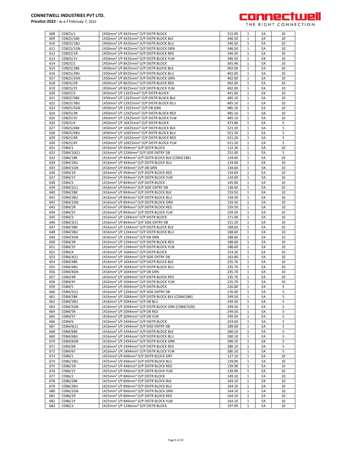

| 608 | CDB25/1          | 1X50mm <sup>2</sup> I/P 4X25mm <sup>2</sup> O/P DISTR BLOCK                | 315.00 | 1            | EA | 10 |
|-----|------------------|----------------------------------------------------------------------------|--------|--------------|----|----|
| 609 | CDB25/1BK        | 1X50mm <sup>2</sup> I/P 4X25mm <sup>2</sup> O/P DISTR BLOCK BLK            | 346.50 | $\mathbf{1}$ | EA | 10 |
| 610 | CDB25/1BU        | 1X50mm <sup>2</sup> I/P 4X25mm <sup>2</sup> O/P DISTR BLOCK BLU            | 346.50 | $\mathbf{1}$ | EA | 10 |
| 611 | CDB25/1GN        | 1X50mm <sup>2</sup> I/P 4X25mm <sup>2</sup> O/P DISTR BLOCK GRN            | 346.50 | $\mathbf{1}$ | EA | 10 |
| 612 | CDB25/1R         | 1X50mm <sup>2</sup> I/P 4X25mm <sup>2</sup> O/P DISTR BLOCK RED            | 346.50 | $\mathbf{1}$ | EA | 10 |
| 613 | CDB25/1Y         | 1X50mm <sup>2</sup> I/P 4X25mm <sup>2</sup> O/P DISTR BLOCK YLW            | 346.50 | $\mathbf{1}$ | EA | 10 |
| 614 | CDB25/2          | 1X50mm <sup>2</sup> I/P 8X25mm <sup>2</sup> O/P DISTR BLOCK                | 365.40 | $\mathbf{1}$ | EA | 10 |
| 615 | <b>CDB25/2BK</b> | 1X50mm <sup>2</sup> I/P 8X25mm <sup>2</sup> O/P DISTR BLOCK BLK            | 402.00 | $\mathbf{1}$ | EA | 10 |
| 616 | CDB25/2BU        | 1X50mm <sup>2</sup> I/P 8X25mm <sup>2</sup> O/P DISTR BLOCK BLU            | 402.00 | $\mathbf{1}$ | EA | 10 |
| 617 | CDB25/2GN        | 1X50mm <sup>2</sup> I/P 8X25mm <sup>2</sup> O/P DISTR BLOCK GRN            | 402.00 | $\mathbf{1}$ | EA | 10 |
| 618 | CDB25/2R         | 1X50mm <sup>2</sup> I/P 8X25mm <sup>2</sup> O/P DISTR BLOCK RED            | 402.00 | $\mathbf{1}$ | EA | 10 |
| 619 | CDB25/2Y         | 1X50mm <sup>2</sup> I/P 8X25mm <sup>2</sup> O/P DISTR BLOCK YLW            | 402.00 | $\mathbf{1}$ | EA | 10 |
| 620 | CDB25/3          | 1X50mm <sup>2</sup> I/P 12X25mm <sup>2</sup> O/P DISTR BLOCK               | 441.00 | $\mathbf{1}$ | EA | 10 |
| 621 | <b>CDB25/3BK</b> | 1X50mm <sup>2</sup> I/P 12X25mm <sup>2</sup> O/P DISTR BLOCK BLK           | 485.10 | $\mathbf{1}$ | EA | 10 |
| 622 | CDB25/3BU        | 1X50mm <sup>2</sup> I/P 12X25mm <sup>2</sup> O/P DISTR BLOCK BLU           | 485.10 | $\mathbf{1}$ | EA | 10 |
| 623 | CDB25/3GN        | 1X50mm <sup>2</sup> I/P 12X25mm <sup>2</sup> O/P DB GRN                    | 485.10 | $\mathbf{1}$ | EA | 10 |
| 624 | CDB25/3R         | 1X50mm <sup>2</sup> I/P 12X25mm <sup>2</sup> O/P DISTR BLOCK RED           | 485.10 | $\mathbf{1}$ | EA | 10 |
| 625 | CDB25/3Y         | 1X50mm <sup>2</sup> I/P 12X25mm <sup>2</sup> O/P DISTR BLOCK YLW           | 485.10 | $\mathbf{1}$ | EA | 10 |
| 626 | CDB25/4          | 1X50mm <sup>2</sup> I/P 16X25mm <sup>2</sup> O/P DISTR BLOCK               | 473.80 | $\mathbf{1}$ | EA | 5  |
| 627 | <b>CDB25/4BK</b> | 1X50mm <sup>2</sup> I/P 16X25mm <sup>2</sup> O/P DISTR BLOCK BLK           | 521.20 | $\mathbf{1}$ | EA | 5  |
| 628 | CDB25/4BU        | 1X50mm <sup>2</sup> I/P 16X25mm <sup>2</sup> O/P DISTR BLOCK BLU           | 521.20 | $\mathbf{1}$ | EA | 5  |
| 629 | CDB25/4R         | 1X50mm <sup>2</sup> I/P 16X25mm <sup>2</sup> O/P DISTR BLOCK RED           | 521.20 | $\mathbf{1}$ | EA | 5  |
| 630 | CDB25/4Y         | 1X50mm <sup>2</sup> I/P 16X25mm <sup>2</sup> O/P DISTR BLOCK YLW           | 521.20 | $\mathbf{1}$ | EA | 5  |
| 631 | CDB4/1           | 1X16mm <sup>2</sup> I/P 4X4mm <sup>2</sup> O/P DISTR BLOCK                 | 122.30 | 1            | EA | 10 |
| 632 | CDB4/10(1)       | 1X16mm <sup>2</sup> I/P 22X4mm <sup>2</sup> O/P SIDE ENTRY DB              | 252.00 | $\mathbf{1}$ | EA | 5  |
| 633 | CDB4/1BK         | 1X16mm <sup>2</sup> I/P 4X4mm <sup>2</sup> O/P DISTR BLOCK BLK (CDB4/1BK)  | 134.60 | $\mathbf{1}$ | EA | 10 |
| 634 | CDB4/1BU         | 1X16mm <sup>2</sup> I/P 4X4mm <sup>2</sup> O/P DISTR BLOCK BLU             | 134.60 | $\mathbf{1}$ | EA | 10 |
| 635 | CDB4/1GN         | 1X16mm <sup>2</sup> I/P 4X4mm <sup>2</sup> O/P DB GRN                      | 134.60 | $\mathbf{1}$ | EA | 10 |
| 636 | CDB4/1R          | 1X16mm <sup>2</sup> I/P 4X4mm <sup>2</sup> O/P DISTR BLOCK RED             | 134.60 | $\mathbf{1}$ | EA | 10 |
| 637 | CDB4/1Y          | 1X16mm <sup>2</sup> I/P 4X4mm <sup>2</sup> O/P DISTR BLOCK YLW             | 134.60 | 1            | EA | 10 |
| 638 | CDB4/2           | 1X16mm <sup>2</sup> I/P 8X4mm <sup>2</sup> O/P DISTR BLOCK                 | 145.00 | $\mathbf{1}$ | EA | 10 |
| 639 |                  |                                                                            | 138.60 |              |    | 10 |
|     | CDB4/2(1)        | 1X16mm <sup>2</sup> I/P 6X4mm <sup>2</sup> O/P SIDE ENTRY DB               |        | $\mathbf{1}$ | EA |    |
| 640 | CDB4/2BK         | 1X16mm <sup>2</sup> I/P 8X4mm <sup>2</sup> O/P DISTR BLOCK BLK             | 159.50 | $\mathbf{1}$ | EA | 10 |
| 641 | CDB4/2BU         | 1X16mm <sup>2</sup> I/P 8X4mm <sup>2</sup> O/P DISTR BLOCK BLU             | 159.50 | $\mathbf{1}$ | EA | 10 |
| 642 | CDB4/2GN         | 1X16mm <sup>2</sup> I/P 8X4mm <sup>2</sup> O/P DISTR BLOCK GRN             | 159.50 | $\mathbf{1}$ | EA | 10 |
| 643 | CDB4/2R          | 1X16mm <sup>2</sup> I/P 8X4mm <sup>2</sup> O/P DISTR BLOCK RED             | 159.50 | $\mathbf{1}$ | EA | 10 |
| 644 | <b>CDB4/2Y</b>   | 1X16mm <sup>2</sup> I/P 8X4mm <sup>2</sup> O/P DISTR BLOCK YLW             | 159.50 | $\mathbf{1}$ | EA | 10 |
| 645 | CDB4/3           | 1X16mm <sup>2</sup> I/P 12X4mm <sup>2</sup> O/P DISTR BLOCK                | 171.40 | $\mathbf{1}$ | EA | 10 |
| 646 | CDB4/3(1)        | 1X16mm <sup>2</sup> I/P 8X4mm <sup>2</sup> O/P SIDE ENTRY DB               | 151.20 | $\mathbf{1}$ | EA | 10 |
| 647 | CDB4/3BK         | 1X16mm <sup>2</sup> I/P 12X4mm <sup>2</sup> O/P DISTR BLOCK BLK            | 188.60 | $\mathbf{1}$ | EA | 10 |
| 648 | CDB4/3BU         | 1X16mm <sup>2</sup> I/P 12X4mm <sup>2</sup> O/P DISTR BLOCK BLU            | 188.60 | $\mathbf{1}$ | EA | 10 |
| 649 | CDB4/3GN         | 1X16mm <sup>2</sup> I/P 12X4mm <sup>2</sup> O/P DB GRN                     | 188.60 | $\mathbf{1}$ | EA | 10 |
| 650 | CDB4/3R          | 1X16mm <sup>2</sup> I/P 12X4mm <sup>2</sup> O/P DISTR BLOCK RED            | 188.60 | $\mathbf{1}$ | EA | 10 |
| 651 | CDB4/3Y          | 1X16mm <sup>2</sup> I/P 12X4mm <sup>2</sup> O/P DISTR BLOCK YLW            | 188.60 | $\mathbf{1}$ | EA | 10 |
| 652 | CDB4/4           | 1X16mm <sup>2</sup> I/P 16X4mm <sup>2</sup> O/P DISTR BLOCK                | 214.20 | $\mathbf{1}$ | EA | 10 |
| 653 | CDB4/4(1)        | 1X16mm <sup>2</sup> I/P 10X4mm <sup>2</sup> O/P SIDE ENTRY DB              | 163.80 | $\mathbf{1}$ | EA | 10 |
| 654 | CDB4/4BK         | 1X16mm <sup>2</sup> I/P 16X4mm <sup>2</sup> O/P DISTR BLOCK BLK            | 235.70 | $\mathbf{1}$ | EA | 10 |
| 655 | CDB4/4BU         | 1X16mm <sup>2</sup> I/P 16X4mm <sup>2</sup> O/P DISTR BLOCK BLU            | 235.70 | $\mathbf{1}$ | EA | 10 |
| 656 | CDB4/4GN         | 1X16mm <sup>2</sup> I/P 16X4mm <sup>2</sup> O/P DB GRN                     | 235.70 | 1            | EA | 10 |
| 657 | CDB4/4R          | 1X16mm <sup>2</sup> I/P 16X4mm <sup>2</sup> O/P DISTR BLOCK RED            | 235.70 | $\mathbf{1}$ | EA | 10 |
| 658 | CDB4/4Y          | 1X16mm <sup>2</sup> I/P 16X4mm <sup>2</sup> O/P DISTR BLOCK YLW            | 235.70 | $\mathbf{1}$ | EA | 10 |
| 659 | CDB4/5           | 1X16mm <sup>2</sup> I/P 20X4mm <sup>2</sup> O/P DISTR BLOCK                | 226.80 | 1            | EA | 5  |
| 660 | CDB4/5(1)        | 1X16mm <sup>2</sup> I/P 12X4mm <sup>2</sup> O/P SIDE ENTRY DB              | 176.40 | $\mathbf{1}$ | EA | 5  |
| 661 | CDB4/5BK         | 1X16mm <sup>2</sup> I/P 20X4mm <sup>2</sup> O/P DISTR BLOCK BLK (CDB4/5BK) | 249.50 | $\mathbf{1}$ | EA | 5  |
| 662 | CDB4/5BU         | 1X16mm <sup>2</sup> I/P 20X4mm <sup>2</sup> O/P DB BLU                     | 249.50 | $\mathbf{1}$ | EA | 5  |
| 663 | CDB4/5GN         | 1X16mm <sup>2</sup> I/P 20X4mm <sup>2</sup> O/P DISTR BLOCK GRN (CDB4/5GN) | 249.50 | $\mathbf{1}$ | EA | 5  |
| 664 | CDB4/5R          | 1X16mm <sup>2</sup> I/P 20X4mm <sup>2</sup> O/P DB RED                     | 249.50 | $\mathbf{1}$ | EA | 5  |
| 665 | CDB4/5Y          | 1X16mm <sup>2</sup> I/P 20X4mm <sup>2</sup> O/P DB YLW                     | 249.50 | $\mathbf{1}$ | EA | 5  |
| 666 | CDB4/6           | 1X16mm <sup>2</sup> I/P 24X4mm <sup>2</sup> O/P DISTR BLOCK                | 254.60 | $\mathbf{1}$ | EA | 5  |
| 667 | CDB4/6(1)        | 1X16mm <sup>2</sup> I/P 14X4mm <sup>2</sup> O/P SIDE ENTRY DB              | 189.00 | $\mathbf{1}$ | EA | 5  |
| 668 | CDB4/6BK         | 1X16mm <sup>2</sup> I/P 24X4mm <sup>2</sup> O/P DISTR BLOCK BLK            | 280.10 | $\mathbf{1}$ | EA | 5  |
| 669 | CDB4/6BU         | 1X16mm <sup>2</sup> I/P 24X4mm <sup>2</sup> O/P DISTR BLOCK BLU            | 280.10 | $1\,$        | EA | 5  |
| 670 | CDB4/6GN         | 1X16mm <sup>2</sup> I/P 24X4mm <sup>2</sup> O/P DISTR BLOCK GRN            | 280.10 | $\mathbf{1}$ | EA | 5  |
| 671 | CDB4/6R          | 1X16mm <sup>2</sup> I/P 24X4mm <sup>2</sup> O/P DISTR BLOCK RED            | 280.10 | $\mathbf{1}$ | EA | 5  |
| 672 | CDB4/6Y          | 1X16mm <sup>2</sup> I/P 24X4mm <sup>2</sup> O/P DISTR BLOCK YLW            | 280.10 | $\mathbf{1}$ | EA | 5  |
| 673 | CDB6/1           | 1X25mm <sup>2</sup> I/P 4X6mm <sup>2</sup> O/P DISTR BLOCK GRY             | 127.10 | $\mathbf{1}$ | EA | 10 |
| 674 | CDB6/1BU         | 1X25mm <sup>2</sup> I/P 4X6mm <sup>2</sup> O/P DISTR BLOCK BLU             | 139.90 | $\mathbf{1}$ | EA | 10 |
| 675 | CDB6/1R          | 1X25mm <sup>2</sup> I/P 4X6mm <sup>2</sup> O/P DISTR BLOCK RED             | 139.90 | $\mathbf{1}$ | EA | 10 |
| 676 | CDB6/1Y          | 1X25mm <sup>2</sup> I/P 4X6mm <sup>2</sup> O/P DISTR BLOCK YLW             | 139.90 | $\mathbf{1}$ | EA | 10 |
| 677 | CDB6/2           | 1X25mm <sup>2</sup> I/P 8X6mm <sup>2</sup> O/P DISTR BLOCK                 | 149.10 | $\mathbf 1$  | EA | 10 |
| 678 | CDB6/2BK         | 1X25mm <sup>2</sup> I/P 8X6mm <sup>2</sup> O/P DISTR BLOCK BLK             | 164.10 | $\mathbf{1}$ | EA | 10 |
|     |                  |                                                                            |        |              |    |    |
| 679 | CDB6/2BU         | 1X25mm <sup>2</sup> I/P 8X6mm <sup>2</sup> O/P DISTR BLOCK BLU             | 164.10 | $\mathbf{1}$ | EA | 10 |
| 680 | CDB6/2GN         | 1X25mm <sup>2</sup> I/P 8X6mm <sup>2</sup> O/P DISTR BLOCK GRN             | 164.10 | $\mathbf{1}$ | EA | 10 |
| 681 | CDB6/2R          | 1X25mm <sup>2</sup> I/P 8X6mm <sup>2</sup> O/P DISTR BLOCK RED             | 164.10 | 1            | EA | 10 |
| 682 | CDB6/2Y          | 1X25mm <sup>2</sup> I/P 8X6mm <sup>2</sup> O/P DISTR BLOCK YLW             | 164.10 | $\mathbf{1}$ | EA | 10 |
| 683 | CDB6/3           | 1X25mm <sup>2</sup> I/P 12X6mm <sup>2</sup> O/P DISTR BLOCK                | 197.90 | $\mathbf{1}$ | EA | 10 |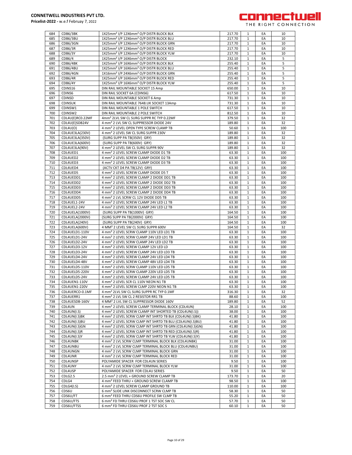

| 684        | CDB6/3BK                | 1X25mm <sup>2</sup> I/P 12X6mm <sup>2</sup> O/P DISTR BLOCK BLK                                          | 217.70         | 1                 | EA       | 10       |
|------------|-------------------------|----------------------------------------------------------------------------------------------------------|----------------|-------------------|----------|----------|
| 685        | CDB6/3BU                | 1X25mm <sup>2</sup> I/P 12X6mm <sup>2</sup> O/P DISTR BLOCK BLU                                          | 217.70         | 1                 | EA       | 10       |
|            |                         |                                                                                                          |                |                   |          |          |
| 686        | CDB6/3GN                | 1X25mm <sup>2</sup> I/P 12X6mm <sup>2</sup> O/P DISTR BLOCK GRN                                          | 217.70         | $\mathbf{1}$      | EA       | 10       |
| 687        | CDB6/3R                 | 1X25mm <sup>2</sup> I/P 12X6mm <sup>2</sup> O/P DISTR BLOCK RED                                          | 217.70         | 1                 | EA       | 10       |
| 688        | CDB6/3Y                 | 1X25mm <sup>2</sup> I/P 12X6mm <sup>2</sup> O/P DISTR BLOCK YLW                                          | 217.70         | 1                 | EA       | 10       |
|            |                         |                                                                                                          |                |                   |          |          |
| 689        | CDB6/4                  | 1X25mm <sup>2</sup> I/P 16X6mm <sup>2</sup> O/P DISTR BLOCK                                              | 232.10         | $\mathbf{1}$      | EA       | 5        |
| 690        | CDB6/4BK                | 1X25mm <sup>2</sup> I/P 16X6mm <sup>2</sup> O/P DISTR BLOCK BLK                                          | 255.40         | 1                 | EA       | 5        |
| 691        | CDB6/4BU                | 1X25mm <sup>2</sup> I/P 16X6mm <sup>2</sup> O/P DISTR BLOCK BLU                                          | 255.40         | 1                 | EA       | 5        |
|            |                         |                                                                                                          |                |                   |          |          |
| 692        | CDB6/4GN                | 1X16mm <sup>2</sup> I/P 24X6mm <sup>2</sup> O/P DISTR BLOCK GRN                                          | 255.40         | 1                 | EA       | 5        |
| 693        | CDB6/4R                 | 1X25mm <sup>2</sup> I/P 16X6mm <sup>2</sup> O/P DISTR BLOCK RED                                          | 255.40         | $\mathbf{1}$      | EA       | 5        |
| 694        | <b>CDB6/4Y</b>          | 1X25mm <sup>2</sup> I/P 16X6mm <sup>2</sup> O/P DISTR BLOCK YLW                                          | 255.40         |                   | EA       | 5        |
|            |                         |                                                                                                          |                | 1                 |          |          |
| 695        | CDINS16                 | DIN RAIL MOUNTABLE SOCKET 15 Amp                                                                         | 650.00         | $\mathbf{1}$      | EA       | 10       |
| 696        | CDINS <sub>6</sub>      | DIN RAIL SOCKET 6A (CDINS6)                                                                              | 617.50         | 1                 | EA       | 10       |
| 697        | CDINSD                  | DIN RAIL MOUNTABLE SOCKET 6 Amp                                                                          | 731.30         | $\mathbf{1}$      | EA       | 10       |
|            |                         |                                                                                                          |                |                   |          |          |
| 698        | <b>CDINSUK</b>          | DIN RAIL MOUNTABLE 7648.UK SOCKET 13Amp                                                                  | 731.30         | $\mathbf{1}$      | EA       | 10       |
| 699        | CDINSW1                 | DIN RAIL MOUNTABLE 1 POLE SWITCH                                                                         | 617.50         | 1                 | EA       | 10       |
| 700        | CDINSW2                 | DIN RAIL MOUNTABLE 2 POLE SWITCH                                                                         | 812.50         | 1                 | EA       | 10       |
|            |                         |                                                                                                          |                |                   |          |          |
| 701        | CDL4U(E)RC0.22MF        | 4mm <sup>2</sup> 2LVL SW CL SURG SUPPR RC TYP 0.22MF                                                     | 379.50         | 1                 | EA       | 32       |
| 702        | CDL4U(E)SDB24V          | 4 mm <sup>2</sup> 2 LVL SW CL SUPPRESSOR DIODE 24V                                                       | 189.80         | $\mathbf{1}$      | EA       | 32       |
| 703        | CDL4U(O)                |                                                                                                          | 50.60          |                   | EA       | 100      |
|            |                         | 4 mm <sup>2</sup> 2 LEVEL OPEN TYPE SCREW CLAMP TB                                                       |                | 1                 |          |          |
| 704        | CDL4UE3LA(230V)         | 4 mm <sup>2</sup> 2 LEVEL SW CL SURG SUPPR 230V                                                          | 189.80         | 1                 | EA       | 32       |
| 705        | CDL4UE3LA(350V)         | (SURG SUPP PA TB(350V) GRY)                                                                              | 189.80         | 1                 | EA       | 32       |
| 706        | CDL4UE3LA(600V)         | (SURG SUPP PA TB(600V) GRY)                                                                              | 189.80         | $\mathbf{1}$      | EA       | 32       |
|            |                         |                                                                                                          |                |                   |          |          |
| 707        | CDL4UE3LA(90V)          | 4 mm <sup>2</sup> 2 LEVEL SW CL SURG SUPPR 90V                                                           | 189.80         | $\mathbf{1}$      | EA       | 32       |
| 708        | CDL4UED1                | 4 mm <sup>2</sup> 2 LEVEL SCREW CLAMP DIODE D1 TB                                                        | 63.30          | 1                 | EA       | 100      |
| 709        | CDL4UED2                | 4 mm <sup>2</sup> 2 LEVEL SCREW CLAMP DIODE D2 TB                                                        | 63.30          | 1                 | EA       | 100      |
|            |                         |                                                                                                          |                |                   |          |          |
| 710        | CDL4UED3                | 4 mm <sup>2</sup> 2 LEVEL SCREW CLAMP DIODE D3 TB                                                        | 63.30          | $\mathbf{1}$      | EA       | 100      |
| 711        | CDL4UED4                | (ACTV CKT D4 PA TB(12V) GRY)                                                                             | 63.30          | $\mathbf{1}$      | EA       | 100      |
| 712        | CDL4UED5                | 4 mm <sup>2</sup> 2 LEVEL SCREW CLAMP DIODE D5 T                                                         | 63.30          | $\mathbf{1}$      | EA       | 100      |
|            |                         |                                                                                                          |                |                   |          |          |
| 713        | CDL4UEDD1               | 4 mm <sup>2</sup> 2 LEVEL SCREW CLAMP 2 DIODE DD1 TB                                                     | 63.30          | 1                 | EA       | 100      |
| 714        | CDL4UEDD2               | 4 mm <sup>2</sup> 2 LEVEL SCREW CLAMP 2 DIODE DD2 TB                                                     | 63.30          | 1                 | EA       | 100      |
| 715        | CDL4UEDD3               | 4 mm <sup>2</sup> 2 LEVEL SCREW CLAMP 2 DIODE DD3 TB                                                     | 63.30          | 1                 | EA       | 100      |
|            |                         |                                                                                                          |                |                   |          |          |
| 716        | CDL4UEDD4               | 4 mm <sup>2</sup> 2 LEVEL SCREW CLAMP 2 DIODE DD4 TB                                                     | 63.30          | 1                 | EA       | 100      |
| 717        | CDL4UEDD5               | 4 mm <sup>2</sup> 2 LVL SCRW CL 12V DIODE DD5 TB                                                         | 63.30          | 1                 | EA       | 100      |
| 718        |                         |                                                                                                          |                | $\mathbf{1}$      | EA       | 100      |
|            | CDL4UEL1-24V            | 4 mm <sup>2</sup> 2 LEVEL SCREW CLAMP 24V LED L1 TB                                                      | 63.30          |                   |          |          |
| 719        | CDL4UEL2-24V            | 4 mm <sup>2</sup> 2 LEVEL SCREW CLAMP 24V LED L2 TB                                                      | 63.30          | 1                 | EA       | 100      |
| 720        | CDL4UELA(1000V)         | (SURG SUPP PA TB(1000V) GRY)                                                                             | 164.50         | $\mathbf{1}$      | EA       | 100      |
| 721        | CDL4UELA(2000V)         | (SURG SUPP PA TB(2000V) GRY)                                                                             | 164.50         | 1                 | EA       | 100      |
|            |                         |                                                                                                          |                |                   |          |          |
| 722        | CDL4UELA(240V)          | (SURG SUPP PA TB(240V) GRY)                                                                              | 164.50         | $\mathbf{1}$      | EA       | 100      |
| 723        | CDL4UELA(600V)          | 4 MM <sup>2</sup> 2 LEVEL SW CL SURG SUPPR 600V                                                          | 164.50         | $\mathbf{1}$      | EA       | 32       |
| 724        |                         |                                                                                                          |                |                   |          |          |
|            | CDL4UELD1-110V          | 4 mm <sup>2</sup> 2 LEVEL SCRW CLAMP 110V LED LD1 TB                                                     | 63.30          | 1                 | EA       | 100      |
| 725        | CDL4UELD1-24V           | 4 mm <sup>2</sup> 2 LEVEL SCRW CLAMP 24V LED LD1 TB                                                      | 63.30          | 1                 | EA       | 100      |
| 726        | CDL4UELD2-24V           | 4 mm <sup>2</sup> 2 LEVEL SCRW CLAMP 24V LED LD2 TB                                                      | 63.30          | 1                 | EA       | 100      |
| 727        | CDL4UELD3-12V           | 4 mm <sup>2</sup> 2 LEVEL SCREW CLAMP 12V LED LD                                                         | 63.30          | $\mathbf{1}$      | EA       | 100      |
|            |                         |                                                                                                          |                |                   |          |          |
| 728        | CDL4UELD3-24V           | 4 mm <sup>2</sup> 2 LEVEL SCREW CLAMP 24V LED LD3 TB                                                     | 63.30          | 1                 | EA       | 100      |
| 729        | CDL4UELD4-24V           | 4 mm <sup>2</sup> 2 LEVEL SCREW CLAMP 24V LED LD4 TB                                                     | 63.30          | 1                 | EA       | 100      |
| 730        | CDL4UELD4-48V           | 4 mm <sup>2</sup> 2 LEVEL SCREW CLAMP 48V LED LD4 TB                                                     | 63.30          | 1                 | EA       | 100      |
|            |                         |                                                                                                          |                |                   |          |          |
| 731        | CDL4UELD5-110V          | 4 mm <sup>2</sup> 2 LEVEL SCRW CLAMP 110V LED LD5 TB                                                     | 63.30          | $\mathbf{1}$      | EA       | 100      |
| 732        | CDL4UELD5-220V          | 4 mm <sup>2</sup> 2 LEVEL SCRW CLAMP 220V LED LD5 TB                                                     | 63.30          | $\mathbf{1}$      | EA       | 100      |
| 733        | CDL4UELD5-24V           | 4 mm <sup>2</sup> 2 LEVEL SCREW CLAMP 24V LED LD5 TB                                                     | 63.30          | 1                 | EA       | 100      |
|            |                         |                                                                                                          |                |                   |          |          |
| 734        | CDL4UEN1-110V           | 4 mm <sup>2</sup> 2 LEVEL SCR CL 110V NEON N1 TB                                                         | 63.30          | $\mathbf{1}$      | EA       | 100      |
| 735        | CDL4UEN1-220V           | 4 mm <sup>2</sup> 2 LEVEL SCREW CLMP 220V NEON N1 TB                                                     |                |                   |          | 100      |
|            |                         |                                                                                                          |                | 1                 | ŁА       |          |
|            |                         |                                                                                                          | 63.30          |                   |          |          |
| 736        | CDL4UERCO-0.1MF         | 4 mm <sup>2</sup> 2LVL SW CL SURG SUPPR RC TYP 0.1MF                                                     | 316.30         | $\mathbf{1}$      | EA       | 32       |
| 737        | CDL4UERR1               | 4 mm <sup>2</sup> 2 LVL SW CL 2 RESISTOR RR1 TB                                                          | 88.60          | 1                 | EA       | 100      |
| 738        | CDL4UESDB-160V          | 4 MM <sup>2</sup> 2 LVL SW CL SUPPRESSOR DIODE 160V                                                      | 189.80         | 1                 | EA       | 52       |
|            |                         |                                                                                                          |                |                   |          |          |
| 739        | CDL4UN                  | 4 mm <sup>2</sup> 2 LEVEL SCREW CLAMP TERMINAL BLOCK (CDL4UN)                                            | 28.10          | 1                 | EA       | 100      |
| 740        | CDL4UN(I.S)             | 4 mm <sup>2</sup> 2 LEVEL SCREW CLAMP INT SHORTED TB (CDL4UN(I.S))                                       | 38.00          | 1                 | EA       | 100      |
| 741        | CDL4UN(I.S)BK           | 4 mm <sup>2</sup> 2 LEVEL SCRW CLMP INT SHRTD TB BLK (CDL4UN(I.S)BK)                                     | 41.80          | 1                 | EA       | 100      |
|            |                         |                                                                                                          |                |                   |          |          |
| 742        | CDL4UN(I.S)BU           | 4 mm <sup>2</sup> 2 LEVEL SCRW CLMP INT SHRTD TB BLU (CDL4UN(I.S)BU)                                     | 41.80          | 1                 | EA       | 100      |
| 743        | CDL4UN(I.S)GN           | 4 mm <sup>2</sup> 2 LEVEL SCRW CLMP INT SHRTD TB GRN (CDL4UN(I.S)GN)                                     | 41.80          | $\mathbf{1}$      | EA       | 100      |
| 744        | CDL4UN(I.S)R            | 4 mm <sup>2</sup> 2 LEVEL SCRW CLMP INT SHRTD TB RED (CDL4UN(I.S)R)                                      | 41.80          | 1                 | EA       | 100      |
|            |                         |                                                                                                          |                |                   |          |          |
| 745        | CDL4UN(I.S)Y            | 4 mm <sup>2</sup> 2 LEVEL SCRW CLMP INT SHRTD TB YLW (CDL4UN(I.S)Y)                                      | 41.80          | 1                 | EA       | 100      |
| 746        | CDL4UNBK                | 4 mm <sup>2</sup> 2 LVL SCRW CLMP TERMINAL BLOCK BLK (CDL4UNBK)                                          | 31.00          | 1                 | EA       | 100      |
| 747        | CDL4UNBU                | 4 mm <sup>2</sup> 2 LVL SCRW CLMP TERMINAL BLOCK BLU (CDL4UNBU)                                          | 31.00          | $\mathbf{1}$      | EA       | 100      |
|            |                         |                                                                                                          |                |                   |          |          |
| 748        | CDL4UNGN                | 4 mm <sup>2</sup> 2 LVL SCRW CLMP TERMINAL BLOCK GRN                                                     | 31.00          | 1                 | EA       | 100      |
| 749        | CDL4UNR                 | 4 mm <sup>2</sup> 2 LVL SCRW CLMP TERMINAL BLOCK RED                                                     | 31.00          | 1                 | EA       | 100      |
| 750        | CDL4UNSP                | POLYAMIDE SPACER FOR CDL4UN SERIES                                                                       | 9.50           | 1                 | EA       | 100      |
|            |                         |                                                                                                          |                |                   |          |          |
| 751        | CDL4UNY                 | 4 mm <sup>2</sup> 2 LVL SCRW CLMP TERMINAL BLOCK YLW                                                     | 31.00          | 1                 | EA       | 100      |
| 752        | CDL4USP                 | POLYAMIDE SPACER FOR CDL4U SERIES                                                                        | 9.50           | $\mathbf{1}$      | EA       | 50       |
| 753        | CDLG2.5                 | 2.5 mm <sup>2</sup> 2 LEVEL + GROUND SCREW CLAMP TB                                                      | 173.70         | 1                 | EA       | 20       |
|            |                         |                                                                                                          |                |                   |          |          |
| 754        | CDLG4                   | 4 mm <sup>2</sup> FEED THRU + GROUND SCREW CLAMP TB                                                      | 98.50          | $\mathbf{1}$      | EA       | 100      |
| 755        | CDLG4(I.S)              | 4 mm <sup>2</sup> 2 LEVEL SCREW CLAMP GROUND TB                                                          | 110.00         | 1                 | EA       | 100      |
| 756        | CDS6U                   | 6 mm <sup>2</sup> SLIDE LINK DISCONNECT SCRW CLMP TB                                                     | 58.30          | $\mathbf{1}$      | EA       | 50       |
|            |                         |                                                                                                          |                |                   |          |          |
| 757        | CDS6U/FT                | 6 mm <sup>2</sup> FEED THRU CDS6U PROFILE SW CLMP TB                                                     | 55.20          | $\mathbf{1}$      | EA       | 50       |
| 758<br>759 | CDS6U/FTS<br>CDS6U/FTSS | 6 mm <sup>2</sup> FD THRU CDS6U PROF 1 TST SOC SW CL<br>6 mm <sup>2</sup> FD THRU CDS6U PROF 2 TST SOC S | 57.70<br>60.10 | 1<br>$\mathbf{1}$ | EA<br>EA | 50<br>50 |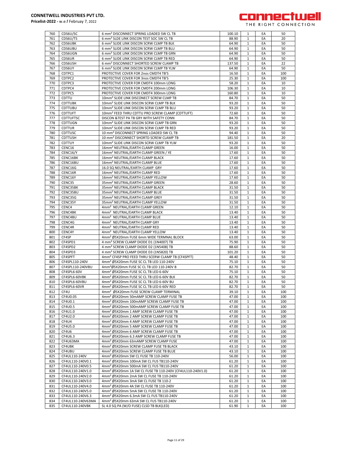

| 760        | CDS6U/SC                             | 6 mm <sup>2</sup> DISCONNECT SPRING LOADED SW CL TB                                            | 100.10         | 1                | EA       | 50         |
|------------|--------------------------------------|------------------------------------------------------------------------------------------------|----------------|------------------|----------|------------|
| 761        | CDS6U/TS                             | 6 mm <sup>2</sup> SLDE LINK DISCON TEST SOC SW CL TB                                           | 88.90          | 1                | EA       | 20         |
| 762        | <b>CDS6UBK</b>                       | 6 mm <sup>2</sup> SLIDE LINK DISCON SCRW CLMP TB BLK                                           | 64.90          | 1                | EA       | 50         |
|            | <b>CDS6UBU</b>                       |                                                                                                |                |                  |          |            |
| 763        |                                      | 6 mm <sup>2</sup> SLIDE LINK DISCON SCRW CLMP TB BLU                                           | 64.90          | 1                | EA       | 50         |
| 764        | <b>CDS6UGN</b>                       | 6 mm <sup>2</sup> SLIDE LINK DISCON SCRW CLMP TB GRN                                           | 64.90          | $\mathbf{1}$     | EA       | 50         |
| 765        | CDS6UR                               | 6 mm <sup>2</sup> SLIDE LINK DISCON SCRW CLMP TB RED                                           | 64.90          | 1                | EA       | 50         |
| 766        | CDS6USH                              | 6 mm <sup>2</sup> DISCONNECT SHORTED SCREW CLAMP TB                                            | 137.50         | 1                | EA       | 22         |
| 767        | CDS6UY                               | 6 mm <sup>2</sup> SLIDE LINK DISCON SCRW CLMP TB YLW                                           | 64.90          | $\mathbf{1}$     | EA       | 50         |
|            |                                      |                                                                                                |                |                  |          |            |
| 768        | CDTPC1                               | PROTECTIVE COVER FOR 2nos CMDT4 TB'S                                                           | 16.50          | 1                | EA       | 100        |
| 769        | CDTPC2                               | PROTECTIVE COVER FOR 3nos CMDT4 TB'S                                                           | 25.30          | 1                | EA       | 100        |
| 770        | CDTPC3                               | PROTECTIVE COVER FOR CMDT4 100mm LONG                                                          | 58.20          | 1                | EA       | 10         |
| 771        | CDTPC4                               | PROTECTIVE COVER FOR CMDT4 200mm LONG                                                          | 106.30         | $\mathbf{1}$     | EA       | 10         |
| 772        | CDTPC5                               | PROTECTIVE COVER FOR CMDT4 300mm LONG                                                          | 160.80         | 1                | EA       | 10         |
|            |                                      |                                                                                                |                |                  |          |            |
| 773        | CDTTU                                | 10mm <sup>2</sup> SLIDE LINK DISCONECT SCREW CLMP TB                                           | 84.70          | $\mathbf{1}$     | EA       | 50         |
| 774        | <b>CDTTUBK</b>                       | 10mm <sup>2</sup> SLIDE LINK DISCON SCRW CLMP TB BLK                                           | 93.20          | 1                | EA       | 50         |
| 775        | CDTTUBU                              | 10mm <sup>2</sup> SLIDE LINK DISCON SCRW CLMP TB BLU                                           | 93.20          | $\mathbf{1}$     | EA       | 50         |
| 776        | <b>CDTTUFT</b>                       | 10mm <sup>2</sup> FEED THRU CDTTU PRO SCREW CLAMP (CDTTUFT)                                    | 72.60          | 1                | EA       | 50         |
|            |                                      |                                                                                                |                |                  | EA       |            |
| 777        | <b>CDTTUFTSC</b>                     | DISCON & TEST PA TB GRY WITH SAFETY CONN                                                       | 84.70          | $\mathbf{1}$     |          | 50         |
| 778        | CDTTUGN                              | 10mm <sup>2</sup> SLIDE LINK DISCON SCRW CLMP TB GRN                                           | 93.20          | 1                | EA       | 50         |
| 779        | <b>CDTTUR</b>                        | 10mm <sup>2</sup> SLIDE LINK DISCON SCRW CLMP TB RED                                           | 93.20          | 1                | EA       | 50         |
| 780        | CDTTUSC                              | 10 mm <sup>2</sup> DISCONNECT SPRING LOADED SW CL TB                                           | 94.40          | $\mathbf{1}$     | EA       | 50         |
| 781        | <b>CDTTUSH</b>                       | 10 mm <sup>2</sup> DISCONNECT SHORTD SCREW CLAMP TB                                            | 181.50         | 1                | EA       | 20         |
|            |                                      |                                                                                                |                |                  |          |            |
| 782        | <b>CDTTUY</b>                        | 10mm <sup>2</sup> SLIDE LINK DISCON SCRW CLMP TB YLW                                           | 93.20          | $\mathbf{1}$     | EA       | 50         |
| 783        | CENC16                               | 16mm <sup>2</sup> NEUTRAL/EARTH CLAMP GREEN                                                    | 16.00          | 1                | EA       | 50         |
| 784        | CENC16/Y                             | 16mm <sup>2</sup> NEUTRAL/EARTH CLAMP GREEN / YE                                               | 17.60          | $\mathbf{1}$     | EA       | 50         |
| 785        | CENC16BK                             | 16mm <sup>2</sup> NEUTRAL/EARTH CLAMP BLACK                                                    | 17.60          | 1                | EA       | 50         |
| 786        | CENC16BU                             | 16mm <sup>2</sup> NEUTRAL/EARTH CLAMP BLUE                                                     | 17.60          | 1                | EA       | 50         |
|            |                                      |                                                                                                |                |                  |          |            |
| 787        | CENC16G                              | 16.0 SQ NEUTRAL/EARTH CLAMP GRY                                                                | 17.60          | 1                | EA       | 50         |
| 788        | CENC16R                              | 16mm <sup>2</sup> NEUTRAL/EARTH CLAMP RED                                                      | 17.60          | 1                | EA       | 50         |
| 789        | CENC16Y                              | 16mm <sup>2</sup> NEUTRAL/EARTH CLAMP YELLOW                                                   | 17.60          | $\mathbf{1}$     | EA       | 50         |
| 790        | CENC35                               | 35mm <sup>2</sup> NEUTRAL/EARTH CLAMP GREEN                                                    | 28.60          | 1                | EA       | 50         |
| 791        | CENC35BK                             | 35mm <sup>2</sup> NEUTRAL/EARTH CLAMP BLACK                                                    | 31.50          | 1                | EA       | 50         |
|            |                                      |                                                                                                |                |                  |          |            |
| 792        | CENC35BU                             | 35mm <sup>2</sup> NEUTRAL/EARTH CLAMP BLUE                                                     | 31.50          | $\mathbf{1}$     | EA       | 50         |
| 793        | CENC35G                              | 35mm <sup>2</sup> NEUTRAL/EARTH CLAMP GREY                                                     | 31.50          | 1                | EA       | 50         |
| 794        | CENC35Y                              | 35mm <sup>2</sup> NEUTRAL/EARTH CLAMP YELLOW                                                   | 31.50          | 1                | EA       | 50         |
| 795        | CENC4                                | 4mm <sup>2</sup> NEUTRAL/EARTH CLAMP GREEN                                                     | 12.10          | 1                | EA       | 50         |
|            |                                      |                                                                                                |                | $\mathbf{1}$     |          |            |
| 796        | CENC4BK                              | 4mm <sup>2</sup> NEUTRAL/EARTH CLAMP BLACK                                                     | 13.40          |                  | EA       | 50         |
| 797        | CENC4BU                              | 4mm <sup>2</sup> NEUTRAL/EARTH CLAMP BLUE                                                      | 13.40          | 1                | EA       | 50         |
| 798        | CENC4G                               | 4mm <sup>2</sup> NEUTRAL/EARTH CLAMP GRY                                                       | 13.40          | $\mathbf{1}$     | EA       | 50         |
| 799        | CENC4R                               | 4mm <sup>2</sup> NEUTRAL/EARTH CLAMP RED                                                       | 13.40          | 1                | EA       | 50         |
| 800        | CENC4Y                               | 4mm <sup>2</sup> NEUTRAL/EARTH CLAMP YELLOW                                                    | 13.40          | $\mathbf{1}$     | EA       | 50         |
|            |                                      |                                                                                                |                |                  |          |            |
| 801        | CF4SP                                | 4mm <sup>2</sup> Ø5X20mm FUSE 6mm WIDE TERMNAL BLOCK                                           | 63.00          | 1                | EA       | 50         |
| 802        | CF4SPD1                              | 4 mm <sup>2</sup> SCREW CLAMP DIODE D1 (1N4007) TB                                             | 75.90          | $\mathbf{1}$     | EA       | 50         |
| 803        | CF4SPD2                              | 4 mm <sup>2</sup> SCREW CLAMP DIODE D2 (1N5408) TB                                             | 88.60          | 1                | EA       | 50         |
| 804        | CF4SPD3                              | 4 mm <sup>2</sup> SCREW CLAMP DIODE D3 (1N5820) TB                                             | 101.20         | 1                | EA       | 50         |
| 805        | CF4SPFT                              | 4mm <sup>2</sup> CF4SP PRO FEED THRU SCERW CLAMP TB (CF4SPFT)                                  | 48.40          | $\mathbf{1}$     | EA       | 50         |
|            |                                      |                                                                                                |                |                  |          |            |
| 806        | CF4SPL110-240V                       | 4mm <sup>2</sup> Ø5X20mm FUSE SC CL TB LED 110-240V                                            | 75.10          | 1                | EA       | 50         |
| 807        | CF4SPL110-240VBU                     | 4mm <sup>2</sup> Ø5X20mm FUSE SC CL TB LED 110-240V B                                          | 82.70          | $\mathbf{1}$     | EA       | 50         |
| 808        | CF4SPL6-60V                          | 4mm <sup>2</sup> Ø5X20mm FUSE SC CL TB LED 6-60V                                               | 75.10          | 1                | EA       | 50         |
| 809        | CF4SPL6-60VBK                        | 4mm <sup>2</sup> Ø5X20mm FUSE SC CL TB LED 6-60V BLK                                           | 82.70          | $\mathbf{1}$     | EA       | 50         |
| 810        | CF4SPL6-60VBU                        | 4mm <sup>2</sup> Ø5X20mm FUSE SC CL TB LED 6-60V BU                                            | 82.70          | $\mathbf{1}$     | EA       | 50         |
|            |                                      |                                                                                                |                |                  |          |            |
| 811        | CF4SPL6-60VR                         | 4mm <sup>2</sup> Ø5X20mm FUSE SC CL TB LED 6-60V RED                                           | 82.70          | 1                | EA       | 50         |
| 812        | CF4U                                 | 4mm <sup>2</sup> Ø5X20mm FUSE SCREW CLAMP TERMINAL                                             | 39.10          | 1                | EA       | 100        |
| 813        | CF4U0.05                             | 4mm <sup>2</sup> Ø5X20mm 50mAMP SCREW CLAMP FUSE TB                                            | 47.00          | 1                | EA       | 100        |
| 814        | CF4U0.1                              | 4mm <sup>2</sup> Ø5X20mm 100mAMP SCREW CLAMP FUSE TB                                           | 47.00          | $\mathbf{1}$     | EA       | 100        |
| 815        | CF4U0.5                              | 4mm <sup>2</sup> Ø5X20mm 500mAMP SCREW CLAMP FUSE TB                                           | 47.00          | 1                | EA       | 100        |
|            |                                      |                                                                                                |                |                  |          |            |
| 816        | CF4U1.0                              | 4mm <sup>2</sup> Ø5X20mm 1 AMP SCREW CLAMP FUSE TB                                             | 47.00          | 1                | EA       | 100        |
| 817        | CF4U2.0                              | 4mm <sup>2</sup> Ø5X20mm 2 AMP SCREW CLAMP FUSE TB                                             | 47.00          | $\mathbf{1}$     | EA       | 100        |
| 818        | CF4U4                                | 4mm <sup>2</sup> Ø5X20mm 4 AMP SCREW CLAMP FUSE TB                                             | 47.00          | $\mathbf{1}$     | EA       | 100        |
| 819        | CF4U5.0                              | 4mm <sup>2</sup> Ø5X20mm 5 AMP SCREW CLAMP FUSE TB                                             | 47.00          | $\mathbf{1}$     | EA       | 100        |
| 820        | CF4U6                                | 4mm <sup>2</sup> Ø5X20mm 6 AMP SCREW CLAMP FUSE TB                                             |                |                  | EA       |            |
|            |                                      |                                                                                                | 47.00          | 1                |          | 100        |
| 821        | CF4U6.3                              | 4mm <sup>2</sup> Ø5X20mm 6.3 AMP SCREW CLAMP FUSE TB                                           | 47.00          | $\mathbf{1}$     | EA       | 100        |
| 822        | CF4U63MA                             | 4mm <sup>2</sup> Ø5X20mm 63mAMP SCREW CLAMP FUSE                                               | 47.00          | 1                | EA       | 100        |
| 823        | CF4UBK                               | 4mm <sup>2</sup> Ø5X20mm SCREW CLAMP FUSE TB BLACK                                             | 43.10          | $\mathbf{1}$     | EA       | 100        |
| 824        | CF4UBU                               | 4mm <sup>2</sup> Ø5X20mm SCREW CLAMP FUSE TB BLUE                                              | 43.10          | 1                | EA       | 100        |
|            | CF4UL110-240V                        |                                                                                                |                |                  |          |            |
| 825        |                                      | 4mm <sup>2</sup> Ø5X20mm SW CL FUSE TB 110-240V                                                | 56.00          | $\mathbf{1}$     | EA       | 100        |
| 826        | CF4UL110-240V0.1                     | 4mm <sup>2</sup> Ø5X20mm 100mA SW CL FUS TB110-240V                                            | 61.20          | 1                | EA       | 100        |
| 827        | CF4UL110-240V0.5                     | 4mm <sup>2</sup> Ø5X20mm 500mA SW CL FUS TB110-240V                                            | 61.20          | $\mathbf{1}$     | EA       | 100        |
| 828        | CF4UL110-240V1.0                     | 4mm <sup>2</sup> Ø5X20mm 1A SW CL FUSE TB 110-240V (CF4UL110-240V1.0)                          | 61.20          | 1                | EA       | 100        |
|            |                                      | 4mm <sup>2</sup> Ø5X20mm 2mA SW CL FUSE TB 110-240V                                            | 61.20          | 1                | EA       | 100        |
|            |                                      |                                                                                                |                |                  |          |            |
| 829        | CF4UL110-240V2.0                     |                                                                                                |                |                  |          |            |
| 830        | CF4UL110-240V3.0                     | 4mm <sup>2</sup> Ø5X20mm 3mA SW CL FUSE TB 110-2                                               | 61.20          | 1                | EA       | 100        |
| 831        | CF4UL110-240V4.0                     | 4mm <sup>2</sup> Ø5X20mm 4A SW CL FUSE TB 110-240V                                             | 61.20          | 1                | EA       | 100        |
| 832        | CF4UL110-240V5.0                     | 4mm <sup>2</sup> Ø5X20mm 5mA SW CL FUSE TB 110-240V                                            | 61.20          | $\mathbf{1}$     | EA       | 100        |
|            |                                      |                                                                                                |                |                  |          |            |
| 833        | CF4UL110-240V6.3                     | 4mm <sup>2</sup> Ø5X20mm 6.3mA SW CL FUS TB110-240V                                            | 61.20          | 1                | EA       | 100        |
| 834<br>835 | CF4UL110-240V63MA<br>CF4UL110-240VBK | 4mm <sup>2</sup> Ø5X20mm 63mA SW CL FUS TB110-240V<br>SL 4.0 SQ PA (W/O FUSE) CLSD TB BLK(LED) | 61.20<br>61.90 | $\mathbf 1$<br>1 | EA<br>EA | 100<br>100 |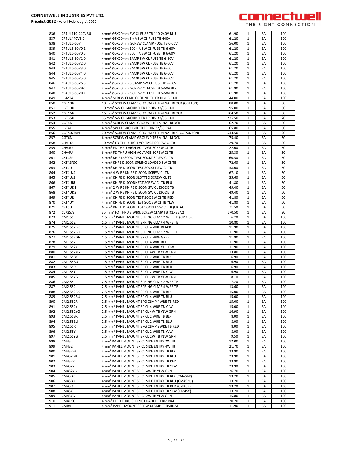

| 836<br>837 |                 |                                                                                                          |                |                   |          |            |
|------------|-----------------|----------------------------------------------------------------------------------------------------------|----------------|-------------------|----------|------------|
|            | CF4UL110-240VBU | 4mm <sup>2</sup> Ø5X20mm SW CL FUSE TB 110-240V BLU                                                      | 61.90          | 1                 | EA       | 100        |
|            | CF4UL440V5.0    | 4mm <sup>2</sup> Ø5X20mm 5mA SW CL FUSE TB 440V                                                          | 61.20          | 1                 | EA       | 100        |
|            |                 |                                                                                                          |                |                   |          |            |
| 838        | CF4UL6-60V      | 4mm <sup>2</sup> Ø5X20mm SCREW CLAMP FUSE TB 6-60V                                                       | 56.00          | 1                 | EA       | 100        |
| 839        | CF4UL6-60V0.1   | 4mm <sup>2</sup> Ø5X20mm 100mA SW CL FUSE TB 6-60V                                                       | 61.20          | $\mathbf{1}$      | EA       | 100        |
| 840        | CF4UL6-60V0.5   | 4mm <sup>2</sup> Ø5X20mm 500mA SW CL FUSE TB 6-60V                                                       | 61.20          | 1                 | EA       | 100        |
|            |                 |                                                                                                          |                |                   |          |            |
| 841        | CF4UL6-60V1.0   | 4mm <sup>2</sup> Ø5X20mm 1AMP SW CL FUSE TB 6-60V                                                        | 61.20          | 1                 | EA       | 100        |
| 842        | CF4UL6-60V2.0   | 4mm <sup>2</sup> Ø5X20mm 2AMP SW CL FUSE TB 6-60V                                                        | 61.20          | 1                 | EA       | 100        |
| 843        | CF4UL6-60V3.0   | 4mm <sup>2</sup> Ø5X20mm 3AMP SW CL FUSE TB 6-60                                                         | 61.20          | $\mathbf{1}$      | EA       | 100        |
|            |                 |                                                                                                          |                |                   |          |            |
| 844        | CF4UL6-60V4.0   | 4mm <sup>2</sup> Ø5X20mm 4AMP SW CL FUSE TB 6-60V                                                        | 61.20          | 1                 | EA       | 100        |
| 845        | CF4UL6-60V5.0   | 4mm <sup>2</sup> Ø5X20mm 5AMP SW CL FUSE TB 6-60V                                                        | 61.20          | $\mathbf{1}$      | EA       | 100        |
|            |                 |                                                                                                          |                |                   |          |            |
| 846        | CF4UL6-60V6.3   | 4mm <sup>2</sup> Ø5X20mm 6.3AMP SW CL FUSE TB 6-60V                                                      | 61.20          | 1                 | EA       | 100        |
| 847        | CF4UL6-60VBK    | 4mm <sup>2</sup> Ø5X20mm SCREW CL FUSE TB 6-60V BLK                                                      | 61.90          | $\mathbf{1}$      | EA       | 100        |
| 848        | CF4UL6-60VBU    | 4mm <sup>2</sup> Ø5X20mm SCREW CL FUSE TB 6-60V BLU                                                      | 61.90          | 1                 | EA       | 100        |
|            |                 |                                                                                                          |                |                   |          |            |
| 849        | CGMT4           | 4 mm <sup>2</sup> SCREW CLMP GROUND TB FR DIN15 RAIL                                                     | 44.00          | 1                 | EA       | 100        |
| 850        | CGT10N          | 10 mm <sup>2</sup> SCREW CLAMP GROUND TERMINAL BLOCK (CGT10N)                                            | 88.00          | 1                 | EA       | 50         |
|            |                 |                                                                                                          |                |                   |          |            |
| 851        | CGT10U          | 10 mm <sup>2</sup> SW CL GROUND TB FR DIN 32/35 RAIL                                                     | 95.00          | 1                 | EA       | 50         |
| 852        | CGT16N          | 16 mm <sup>2</sup> SCREW CLAMP GROUND TERMINAL BLOCK                                                     | 104.50         | 1                 | EA       | 50         |
| 853        | CGT35U          | 35 mm <sup>2</sup> SW CL GROUND TB FR DIN 32/35 RAIL                                                     | 225.50         | $\mathbf{1}$      | EA       | 20         |
|            |                 |                                                                                                          |                |                   |          |            |
| 854        | CGT4N           | 4 mm <sup>2</sup> SCREW CLAMP GROUND TERMINAL BLOCK                                                      | 62.70          | 1                 | EA       | 50         |
| 855        | CGT4U           | 4 mm <sup>2</sup> SW CL GROUND TB FR DIN 32/35 RAIL                                                      | 65.80          | $\mathbf{1}$      | EA       | 50         |
|            |                 |                                                                                                          |                |                   |          |            |
| 856        | CGT50/70N       | 70 mm <sup>2</sup> SCREW CLAMP GROUND TERMINAL BLK (CGT50/70N)                                           | 544.50         | 1                 | EA       | 20         |
| 857        | CGT6N           | 6 mm <sup>2</sup> SCREW CLAMP GROUND TERMINAL BLOCK                                                      | 75.40          | 1                 | EA       | 50         |
| 858        | CHV10U          | 10 mm <sup>2</sup> FD THRU HIGH VOLTAGE SCREW CL TB                                                      | 29.70          | 1                 | EA       | 50         |
|            |                 |                                                                                                          |                |                   |          |            |
| 859        | CHV4U           | 4 mm <sup>2</sup> FD THRU HIGH VOLTAGE SCREW CL TB                                                       | 22.00          | 1                 | EA       | 50         |
| 860        | CHV6U           | 6 mm <sup>2</sup> FD THRU HIGH VOLTAGE SCREW CL TB                                                       | 25.30          | 1                 | EA       | 50         |
| 861        | CKT4SP          |                                                                                                          |                | 1                 | EA       | 50         |
|            |                 | 4 mm <sup>2</sup> KNIF DISCON TEST SOCKT SP SW CL TB                                                     | 60.50          |                   |          |            |
| 862        | CKT4SPSC        | 4 mm <sup>2</sup> KNFE DISCON SPRING LOADED SW CL TB                                                     | 72.60          | 1                 | EA       | 50         |
| 863        | CKT4U           | 4 mm <sup>2</sup> KNIFE DISCON TEST SOCKET SW CL TB                                                      | 38.00          | 1                 | EA       | 50         |
|            |                 |                                                                                                          |                |                   |          |            |
| 864        | CKT4U/4         | 4 mm <sup>2</sup> 4 WIRE KNIFE DISCON SCREW CL TB                                                        | 67.10          | $\mathbf{1}$      | EA       | 50         |
| 865        | CKT4U/S         | 4 mm <sup>2</sup> KNIFE DISCON SLOTTED SCREW CL TB                                                       | 35.60          | 1                 | EA       | 50         |
| 866        | CKT4UBU         | 4 mm <sup>2</sup> KNIFE DISCONNECT SCREW CL TB BLU                                                       | 41.80          | 1                 | EA       | 50         |
|            |                 |                                                                                                          |                |                   |          |            |
| 867        | CKT4UD1         | 4 mm <sup>2</sup> 2 WIRE KNIFE DISCON SW CL DIODE TB                                                     | 49.40          | 1                 | EA       | 50         |
| 868        | CKT4UD2         | 4 mm <sup>2</sup> 2 WIRE KNIFE DISCON SW CL DIODE TB                                                     | 49.40          | $\mathbf{1}$      | EA       | 50         |
|            |                 |                                                                                                          |                |                   |          |            |
| 869        | CKT4UR          | 4 mm <sup>2</sup> KNIFE DISCON TEST SOC SW CL TB RED                                                     | 41.80          | 1                 | EA       | 50         |
| 870        | CKT4UY          | 4 mm <sup>2</sup> KNIFE DISCON TEST SOC SW CL TB YLW                                                     | 41.80          | $\mathbf{1}$      | EA       | 50         |
|            |                 |                                                                                                          |                |                   |          |            |
| 871        | CKT6U           | 6 mm <sup>2</sup> KNIFE DISCON TEST SOCKET SW CL TB (CKT6U)                                              | 71.50          | 1                 | EA       | 50         |
| 872        | CLP35/2         | 35 mm <sup>2</sup> FD THRU 3 WIRE SCREW CLMP TB (CLP35/2)                                                | 170.50         | $\mathbf{1}$      | EA       | 20         |
| 873        | CM1.5S          | 1.5 mm <sup>2</sup> PANEL MOUNT SPRING CLMP 2 WRE TB (CM1.5S)                                            | 6.20           | 1                 | EA       | 100        |
|            |                 |                                                                                                          |                |                   |          |            |
| 874        | CM1.5S2         | 1.5 mm <sup>2</sup> PANEL MOUNT SPRING CLMP 4 WRE TB                                                     | 10.80          | 1                 | EA       | 100        |
| 875        | CM1.5S2BK       | 1.5 mm <sup>2</sup> PANEL MOUNT SP CL 4 WRE BLACK                                                        | 11.90          | 1                 | EA       | 100        |
| 876        |                 |                                                                                                          |                |                   |          |            |
|            | CM1.5S2BU       | 1.5 mm <sup>2</sup> PANEL MOUNT SPRING CLMP 2 WRE TB                                                     | 11.90          | 1                 | EA       | 100        |
| 877        | CM1.5S2GN       | 1.5 mm <sup>2</sup> PANEL MOUNT SP CL 4 WRE GREE                                                         | 11.90          | $\mathbf{1}$      | EA       | 100        |
| 878        | CM1.5S2R        | 1.5 mm <sup>2</sup> PANEL MOUNT SP CL 4 WRE RED                                                          | 11.90          | $\mathbf{1}$      | EA       | 100        |
|            |                 |                                                                                                          |                |                   |          |            |
| 879        | CM1.5S2Y        | 1.5 mm <sup>2</sup> PANEL MOUNT SP CL 4 WRE YELLOW                                                       | 11.90          | 1                 | EA       | 100        |
| 880        | CM1.5S2YG       | 1.5 mm <sup>2</sup> PANEL MOUNT SP CL 4W TB YLW GRN                                                      | 13.80          | $\mathbf{1}$      | EA       | 100        |
| 881        | CM1.5SBK        |                                                                                                          |                |                   |          |            |
|            |                 |                                                                                                          |                |                   |          |            |
|            |                 | 1.5 mm <sup>2</sup> PANEL MOUNT SP CL 2 WRE TB BLK                                                       | 6.90           | 1                 | EA       | 100        |
| 882        | CM1.5SBU        | 1.5 mm <sup>2</sup> PANEL MOUNT SP CL 2 WRE TB BLU                                                       | 6.90           | 1                 | EA       | 100        |
|            |                 |                                                                                                          |                |                   |          |            |
| 883        | CM1.5SR         | 1.5 mm <sup>2</sup> PANEL MOUNT SP CL 2 WRE TB RED                                                       | 6.90           | 1                 | EA       | 100        |
| 884        | <b>CM1.5SY</b>  | 1.5 mm <sup>2</sup> PANEL MOUNT SP CL 2 WRE TB YLW                                                       | 6.90           | 1                 | EA       | 100        |
| 885        | CM1.5SYG        | 1.5 mm <sup>2</sup> PANEL MOUNT SP CL 2W TB YLW GRN                                                      | 8.10           | 1                 | EA       | 100        |
|            |                 |                                                                                                          |                |                   |          |            |
| 886        | CM2.5S          | 2.5 mm <sup>2</sup> PANEL MOUNT SPRING CLMP 2 WRE TB                                                     | 7.20           | $\mathbf{1}$      | EA       | 100        |
| 887        | CM2.5S2         | 2.5 mm <sup>2</sup> PANEL MOUNT SPRING CLMP 4 WRE TB                                                     | 13.60          | $\pm$             | EA       | 100        |
| 888        | CM2.5S2BK       | 2.5 mm <sup>2</sup> PANEL MOUNT SP CL 4 WRE TB BLK                                                       | 15.00          | 1                 | EA       | 100        |
|            |                 |                                                                                                          |                |                   |          |            |
| 889        | CM2.5S2BU       | 2.5 mm <sup>2</sup> PANEL MOUNT SP CL 4 WRE TB BLU                                                       | 15.00          | 1                 | EA       | 100        |
| 890        | CM2.5S2R        | 2.5 mm <sup>2</sup> PANEL MOUNT SPG CLMP 4WRE TB RED                                                     | 15.00          | 1                 | EA       | 100        |
| 891        | CM2.5S2Y        | 2.5 mm <sup>2</sup> PANEL MOUNT SP CL 4 WRE TB YLW                                                       | 15.00          | 1                 | EA       | 100        |
|            |                 |                                                                                                          |                |                   |          |            |
| 892        | CM2.5S2YG       | 2.5 mm <sup>2</sup> PANEL MOUNT SP CL 4W TB YLW GRN                                                      | 16.90          | 1                 | EA       | 100        |
| 893        | CM2.5SBK        | 2.5 mm <sup>2</sup> PANEL MOUNT SP CL 2 WRE TB BLK                                                       | 8.00           | $\mathbf{1}$      | EA       | 100        |
| 894        | CM2.5SBU        | 2.5 mm <sup>2</sup> PANEL MOUNT SP CL 2 WRE TB BLU                                                       | 8.00           | 1                 | EA       | 100        |
|            |                 |                                                                                                          |                |                   |          |            |
| 895        | CM2.5SR         | 2.5 mm <sup>2</sup> PANEL MOUNT SPG CLMP 2WRE TB RED                                                     | 8.00           | $\mathbf{1}$      | EA       | 100        |
| 896        | <b>CM2.5SY</b>  | 2.5 mm <sup>2</sup> PANEL MOUNT SP CL 2 WRE TB YLW                                                       | 8.00           | 1                 | EA       | 100        |
|            |                 |                                                                                                          |                |                   |          |            |
| 897        | CM2.5SYG        | 2.5 mm <sup>2</sup> PANEL MOUNT SP CL 2W TB YLW GRN                                                      | 9.50           | $\mathbf{1}$      | EA       | 100        |
| 898        | CM4S            | 4mm <sup>2</sup> PANEL MOUNT SP CL SIDE ENTRY 2W TB                                                      | 12.00          | 1                 | EA       | 100        |
| 899        | CM4S2           | 4mm <sup>2</sup> PANEL MOUNT SP CL SIDE ENTRY 4W TB                                                      | 21.70          | 1                 | EA       | 100        |
|            |                 |                                                                                                          |                |                   |          |            |
| 900        | CM4S2BK         | 4mm <sup>2</sup> PANEL MOUNT SP CL SIDE ENTRY TB BLK                                                     | 23.90          | 1                 | EA       | 100        |
| 901        | CM4S2BU         | 4mm <sup>2</sup> PANEL MOUNT SP CL SIDE ENTRY TB BLU                                                     | 23.90          | 1                 | EA       | 100        |
| 902        | CM4S2R          |                                                                                                          | 23.90          | $\mathbf{1}$      | EA       | 100        |
|            |                 | 4mm <sup>2</sup> PANEL MOUNT SP CL SIDE ENTRY TB RED                                                     |                |                   |          |            |
| 903        | CM4S2Y          | 4mm <sup>2</sup> PANEL MOUNT SP CL SIDE ENTRY TB YLW                                                     | 23.90          | 1                 | EA       | 100        |
| 904        | CM4S2YG         | 4mm <sup>2</sup> PANEL MOUNT SP CL 4W TB YLW GRN                                                         | 26.70          | 1                 | EA       | 100        |
|            |                 |                                                                                                          |                |                   |          |            |
| 905        | CM4SBK          | 4mm <sup>2</sup> PANEL MOUNT SP CL SIDE ENTRY TB BLK (CM4SBK)                                            | 13.20          | 1                 | EA       | 100        |
| 906        | CM4SBU          | 4mm <sup>2</sup> PANEL MOUNT SP CL SIDE ENTRY TB BLU (CM4SBU)                                            | 13.20          | 1                 | EA       | 100        |
| 907        | CM4SR           |                                                                                                          |                | 1                 | EA       | 100        |
|            |                 | 4mm <sup>2</sup> PANEL MOUNT SP CL SIDE ENTRY TB RED (CM4SR)                                             | 13.20          |                   |          |            |
| 908        | CM4SY           | 4mm <sup>2</sup> PANEL MOUNT SP CL SIDE ENTRY TB YLW (CM4SY)                                             | 13.20          | 1                 | EA       | 100        |
| 909        | CM4SYG          | 4mm <sup>2</sup> PANEL MOUNT SP CL 2W TB YLW GRN                                                         | 15.80          | 1                 | EA       | 100        |
|            |                 |                                                                                                          |                |                   |          |            |
| 910<br>911 | CM4USC<br>CMB4  | 4 mm <sup>2</sup> FEED THRU SPRING LOADED TERMINAL<br>4 mm <sup>2</sup> PANEL MOUNT SCREW CLAMP TERMINAL | 20.20<br>11.90 | 1<br>$\mathbf{1}$ | EA<br>EA | 100<br>100 |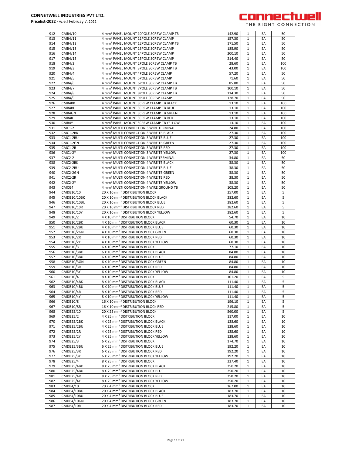

| 912        | CMB4/10                 | 4 mm <sup>2</sup> PANEL MOUNT 10POLE SCREW CLAMP TB                                              | 142.90           | 1                 | EA       | 50       |
|------------|-------------------------|--------------------------------------------------------------------------------------------------|------------------|-------------------|----------|----------|
| 913        |                         | 4 mm <sup>2</sup> PANEL MOUNT 11POLE SCREW CLAMP                                                 | 157.30           |                   |          |          |
|            | CMB4/11                 |                                                                                                  |                  | 1                 | EA       | 50       |
| 914        | CMB4/12                 | 4 mm <sup>2</sup> PANEL MOUNT 12POLE SCREW CLAMP TB                                              | 171.50           | $\mathbf{1}$      | EA       | 50       |
| 915        | CMB4/13                 | 4 mm <sup>2</sup> PANEL MOUNT 13POLE SCREW CLAMP                                                 | 185.90           | 1                 | EA       | 50       |
|            |                         |                                                                                                  |                  |                   |          |          |
| 916        | CMB4/14                 | 4 mm <sup>2</sup> PANEL MOUNT 14POLE SCREW CLAMP                                                 | 200.10           | $\mathbf{1}$      | EA       | 50       |
| 917        | CMB4/15                 | 4 mm <sup>2</sup> PANEL MOUNT 15POLE SCREW CLAMP                                                 | 214.40           | 1                 | EA       | 50       |
| 918        | CMB4/2                  | 4 mm <sup>2</sup> PANEL MOUNT 2POLE SCREW CLAMP TB                                               | 28.60            | $\mathbf{1}$      | EA       | 100      |
|            |                         |                                                                                                  |                  |                   |          |          |
| 919        | CMB4/3                  | 4 mm <sup>2</sup> PANEL MOUNT 3POLE SCREW CLAMP TB                                               | 43.00            | $\mathbf{1}$      | EA       | 100      |
| 920        | CMB4/4                  | 4 mm <sup>2</sup> PANEL MOUNT 4POLE SCREW CLAMP                                                  | 57.20            | 1                 | EA       | 50       |
|            |                         |                                                                                                  |                  |                   |          |          |
| 921        | CMB4/5                  | 4 mm <sup>2</sup> PANEL MOUNT 5POLE SCREW CLAMP                                                  | 71.60            | 1                 | EA       | 50       |
| 922        | <b>CMB4/6</b>           | 4 mm <sup>2</sup> PANEL MOUNT 6POLE SCREW CLAMP TB                                               | 85.80            | 1                 | EA       | 50       |
|            |                         |                                                                                                  |                  |                   |          |          |
| 923        | CMB4/7                  | 4 mm <sup>2</sup> PANEL MOUNT 7POLE SCREW CLAMP TB                                               | 100.10           | $\mathbf{1}$      | EA       | 50       |
| 924        | CMB4/8                  | 4 mm <sup>2</sup> PANEL MOUNT 8POLE SCREW CLAMP TB                                               | 114.30           | $\mathbf{1}$      | EA       | 50       |
| 925        | CMB4/9                  | 4 mm <sup>2</sup> PANEL MOUNT 9POLE SCREW CLAMP                                                  | 128.70           | $\mathbf{1}$      | EA       | 50       |
|            |                         |                                                                                                  |                  |                   |          |          |
| 926        | CMB4BK                  | 4 mm <sup>2</sup> PANEL MOUNT SCREW CLAMP TB BLACK                                               | 13.10            | $\mathbf{1}$      | EA       | 100      |
| 927        | CMB4BU                  | 4 mm <sup>2</sup> PANEL MOUNT SCREW CLAMP TB BLUE                                                | 13.10            | $\mathbf{1}$      | EA       | 100      |
|            |                         |                                                                                                  |                  |                   |          |          |
| 928        | CMB4GN                  | 4 mm <sup>2</sup> PANEL MOUNT SCREW CLAMP TB GREEN                                               | 13.10            | 1                 | EA       | 100      |
| 929        | CMB4R                   | 4 mm <sup>2</sup> PANEL MOUNT SCREW CLAMP TB RED                                                 | 13.10            | 1                 | EA       | 100      |
| 930        | CMB4Y                   | 4 mm <sup>2</sup> PANEL MOUNT SCREW CLAMP TB YELLOW                                              | 13.10            | $\mathbf{1}$      | EA       | 100      |
|            |                         |                                                                                                  |                  |                   |          |          |
| 931        | <b>CMC1-2</b>           | 4 mm <sup>2</sup> MULTI CONNECTION 3 WIRE TERMINAL                                               | 24.80            | $\mathbf{1}$      | EA       | 100      |
| 932        | CMC1-2BK                | 4 mm <sup>2</sup> MULTI CONNECTION 3 WIRE TB BLACK                                               | 27.30            | $\mathbf{1}$      | EA       | 100      |
|            |                         |                                                                                                  |                  |                   |          |          |
| 933        | CMC1-2BU                | 4 mm <sup>2</sup> MULTI CONNECTION 3 WIRE TB BLUE                                                | 27.30            | $\mathbf{1}$      | EA       | 100      |
| 934        | CMC1-2GN                | 4 mm <sup>2</sup> MULTI CONNECTION 3 WIRE TB GREEN                                               | 27.30            | $\mathbf{1}$      | EA       | 100      |
|            |                         |                                                                                                  |                  |                   |          |          |
| 935        | CMC1-2R                 | 4 mm <sup>2</sup> MULTI CONNECTION 3 WIRE TB RED                                                 | 27.30            | $\mathbf{1}$      | EA       | 100      |
| 936        | <b>CMC1-2Y</b>          | 4 mm <sup>2</sup> MULTI CONNECTION 3 WIRE TB YELLOW                                              | 27.30            | 1                 | EA       | 100      |
| 937        | <b>CMC2-2</b>           | 4 mm <sup>2</sup> MULTI CONNECTION 4 WIRE TERMINAL                                               | 34.80            | $\mathbf{1}$      | EA       | 50       |
|            |                         |                                                                                                  |                  |                   |          |          |
| 938        | CMC2-2BK                | 4 mm <sup>2</sup> MULTI CONNECTION 4 WIRE TB BLACK                                               | 38.30            | 1                 | EA       | 50       |
| 939        | CMC2-2BU                | 4 mm <sup>2</sup> MULTI CONNECTION 4 WIRE TB BLUE                                                | 38.30            | $\mathbf{1}$      | EA       | 50       |
|            |                         |                                                                                                  |                  |                   |          |          |
| 940        | CMC2-2GN                | 4 mm <sup>2</sup> MULTI CONNECTION 4 WIRE TB GREEN                                               | 38.30            | 1                 | EA       | 50       |
| 941        | CMC2-2R                 | 4 mm <sup>2</sup> MULTI CONNECTION 4 WIRE TB RED                                                 | 38.30            | $\mathbf{1}$      | EA       | 50       |
| 942        | CMC2-2Y                 | 4 mm <sup>2</sup> MULTI CONNECTION 4 WIRE TB YELLOW                                              | 38.30            | 1                 | EA       | 50       |
|            |                         |                                                                                                  |                  |                   |          |          |
| 943        | CMCG4                   | 4 mm <sup>2</sup> MULTI CONNECTION 4 WIRE GROUND TB                                              | 105.20           | $\mathbf{1}$      | EA       | 50       |
| 944        | CMDB10/10               | 20 X 10 mm <sup>2</sup> DISTRIBUTION BLOCK                                                       | 257.00           | $\mathbf{1}$      | EA       | 5        |
|            |                         |                                                                                                  |                  |                   |          |          |
| 945        | CMDB10/10BK             | 20 X 10 mm <sup>2</sup> DISTRIBUTION BLOCK BLACK                                                 | 282.60           | 1                 | EA       | 5        |
| 946        | CMDB10/10BU             | 20 X 10 mm <sup>2</sup> DISTRIBUTION BLOCK BLUE                                                  | 282.60           | 1                 | EA       | 5        |
| 947        | CMDB10/10R              | 20 X 10 mm <sup>2</sup> DISTRIBUTION BLOCK RED                                                   | 282.60           | 1                 | EA       | 5        |
|            |                         |                                                                                                  |                  |                   |          |          |
| 948        | CMDB10/10Y              | 20 X 10 mm <sup>2</sup> DISTRIBUTION BLOCK YELLOW                                                | 282.60           | $\mathbf{1}$      | EA       | 5        |
| 949        | CMDB10/2                | 4 X 10 mm <sup>2</sup> DISTRIBUTION BLOCK                                                        | 54.70            | $\mathbf{1}$      | EA       | 10       |
|            |                         |                                                                                                  |                  |                   |          |          |
| 950        | CMDB10/2BK              | 4 X 10 mm <sup>2</sup> DISTRIBUTION BLOCK BLACK                                                  | 60.30            | $\mathbf{1}$      | EA       | 10       |
| 951        | CMDB10/2BU              | 4 X 10 mm <sup>2</sup> DISTRIBUTION BLOCK BLUE                                                   | 60.30            | $\mathbf{1}$      | EA       | 10       |
|            |                         |                                                                                                  |                  |                   |          |          |
| 952        | CMDB10/2GN              | 4 X 10 mm <sup>2</sup> DISTRIBUTION BLOCK GREEN                                                  | 60.30            | $\mathbf{1}$      | EA       | 10       |
| 953        | CMDB10/2R               | 4 X 10 mm <sup>2</sup> DISTRIBUTION BLOCK RED                                                    | 60.30            | 1                 | EA       | 10       |
| 954        | CMDB10/2Y               | 4 X 10 mm <sup>2</sup> DISTRIBUTION BLOCK YELLOW                                                 | 60.30            | 1                 | EA       | 10       |
|            |                         |                                                                                                  |                  |                   |          |          |
| 955        | CMDB10/3                | 6 X 10 mm <sup>2</sup> DISTRIBUTION BLOCK                                                        | 77.10            | $\mathbf{1}$      | EA       | 10       |
| 956        | CMDB10/3BK              | 6 X 10 mm <sup>2</sup> DISTRIBUTION BLOCK BLACK                                                  | 84.80            | 1                 | EA       | 10       |
|            |                         |                                                                                                  |                  |                   |          |          |
| 957        |                         |                                                                                                  |                  |                   |          |          |
|            | CMDB10/3BU              | 6 X 10 mm <sup>2</sup> DISTRIBUTION BLOCK BLUE                                                   | 84.80            | $\mathbf{1}$      | EA       | 10       |
| 958        |                         | 6 X 10 mm <sup>2</sup> DISTRIBUTION BLOCK GREEN                                                  | 84.80            | $\mathbf{1}$      | EA       | 10       |
|            | CMDB10/3GN              |                                                                                                  |                  |                   |          |          |
| 959        | CMDB10/3R               | 6 X 10 mm <sup>2</sup> DISTRIBUTION BLOCK RED                                                    | 84.80            | $\mathbf{1}$      | EA       | 10       |
| 960        | CMDB10/3Y               | 6 X 10 mm <sup>2</sup> DISTRIBUTION BLOCK YELLOW                                                 | 84.80            | $\mathbf{1}$      | EA       | 10       |
|            |                         |                                                                                                  |                  |                   |          |          |
| 961        | CMDB10/4                | 8 X 10 mm <sup>2</sup> DISTRIBUTION BLOCK                                                        | 101.20           | 1                 | EA       | 5        |
| 962        | CMDB10/4BK              | 8 X 10 mm <sup>2</sup> DISTRIBUTION BLOCK BLACK                                                  | 111.40           | $\mathbf{1}$      | EA       | 5        |
| 963        | CMDB10/4BU              | 8 X 10 mm <sup>2</sup> DISTRIBUTION BLOCK BLUE                                                   | 111.40           | 1                 | EA       | 5        |
|            |                         |                                                                                                  |                  |                   |          |          |
| 964        | CMDB10/4R               | 8 X 10 mm <sup>2</sup> DISTRIBUTION BLOCK RED                                                    | 111.40           | $\mathbf{1}$      | EA       | 5        |
| 965        | CMDB10/4Y               | 8 X 10 mm <sup>2</sup> DISTRIBUTION BLOCK YELLOW                                                 | 111.40           | 1                 | EA       | 5        |
| 966        | CMDB10/8                | 16 X 10 mm <sup>2</sup> DISTRIBUTION BLOCK                                                       | 196.10           | $\mathbf{1}$      | EA       | 5        |
|            |                         |                                                                                                  |                  |                   |          |          |
| 967        | CMDB10/8R               | 16 X 10 mm <sup>2</sup> DISTRIBUTION BLOCK RED                                                   | 215.80           | 1                 | EA       | 5        |
| 968        | CMDB25/10               | 20 X 25 mm <sup>2</sup> DISTRIBUTION BLOCK                                                       | 560.00           | $\mathbf{1}$      | EA       | 5        |
|            |                         |                                                                                                  |                  |                   |          |          |
| 969        | CMDB25/2                | 4 X 25 mm <sup>2</sup> DISTRIBUTION BLOCK                                                        | 117.00           | $\mathbf{1}$      | EA       | 10       |
| 970        | CMDB25/2BK              | 4 X 25 mm <sup>2</sup> DISTRIBUTION BLOCK BLACK                                                  | 128.60           | $\mathbf{1}$      | EA       | 10       |
| 971        | CMDB25/2BU              | 4 X 25 mm <sup>2</sup> DISTRIBUTION BLOCK BLUE                                                   | 128.60           | 1                 | EA       | 10       |
|            |                         |                                                                                                  |                  |                   |          |          |
| 972        | CMDB25/2R               | 4 X 25 mm <sup>2</sup> DISTRIBUTION BLOCK RED                                                    | 128.60           | 1                 | EA       | 10       |
| 973        | CMDB25/2Y               | 4 X 25 mm <sup>2</sup> DISTRIBUTION BLOCK YELLOW                                                 | 128.60           | $\mathbf{1}$      | EA       | 10       |
| 974        | CMDB25/3                | 6 X 25 mm <sup>2</sup> DISTRIBUTION BLOCK                                                        | 174.70           | $\mathbf{1}$      | EA       | 10       |
|            |                         |                                                                                                  |                  |                   |          |          |
| 975        | CMDB25/3BU              | 6 X 25 mm <sup>2</sup> DISTRIBUTION BLOCK BLUE                                                   | 192.20           | $\mathbf{1}$      | EA       | 10       |
| 976        | CMDB25/3R               | 6 X 25 mm <sup>2</sup> DISTRIBUTION BLOCK RED                                                    | 192.20           | 1                 | EA       | 10       |
| 977        |                         |                                                                                                  |                  | $\mathbf{1}$      | EA       | 10       |
|            | CMDB25/3Y               | 6 X 25 mm <sup>2</sup> DISTRIBUTION BLOCK YELLOW                                                 | 192.20           |                   |          |          |
| 978        | CMDB25/4                | 8 X 25 mm <sup>2</sup> DISTRIBUTION BLOCK                                                        | 227.40           | 1                 | EA       | 10       |
| 979        | CMDB25/4BK              | 8 X 25 mm <sup>2</sup> DISTRIBUTION BLOCK BLACK                                                  | 250.20           | 1                 | EA       | 10       |
|            |                         |                                                                                                  |                  |                   |          |          |
| 980        | CMDB25/4BU              | 8 X 25 mm <sup>2</sup> DISTRIBUTION BLOCK BLUE                                                   | 250.20           | $\mathbf{1}$      | EA       | 10       |
| 981        | CMDB25/4R               | 8 X 25 mm <sup>2</sup> DISTRIBUTION BLOCK RED                                                    | 250.20           | 1                 | EA       | 10       |
| 982        | CMDB25/4Y               | 8 X 25 mm <sup>2</sup> DISTRIBUTION BLOCK YELLOW                                                 | 250.20           | $\mathbf{1}$      | EA       | 10       |
|            |                         |                                                                                                  |                  |                   |          |          |
| 983        | CMDB4/10                | 20 X 4 mm <sup>2</sup> DISTRIBUTION BLOCK                                                        | 167.00           | 1                 | EA       | 10       |
| 984        | CMDB4/10BK              | 20 X 4 mm <sup>2</sup> DISTRIBUTION BLOCK BLACK                                                  | 183.70           | $\mathbf{1}$      | EA       | 10       |
|            |                         |                                                                                                  |                  |                   |          |          |
| 985        | CMDB4/10BU              | 20 X 4 mm <sup>2</sup> DISTRIBUTION BLOCK BLUE                                                   | 183.70           | $\mathbf{1}$      | EA       | 10       |
| 986<br>987 | CMDB4/10GN<br>CMDB4/10R | 20 X 4 mm <sup>2</sup> DISTRIBUTION BLOCK GREEN<br>20 X 4 mm <sup>2</sup> DISTRIBUTION BLOCK RED | 183.70<br>183.70 | $\mathbf{1}$<br>1 | EA<br>EA | 10<br>10 |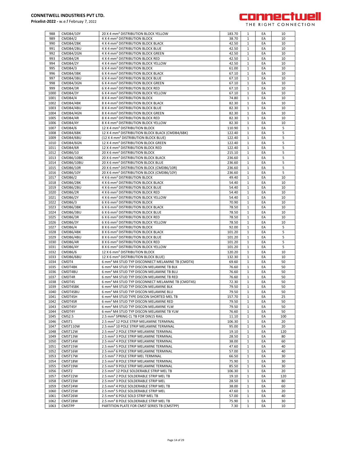

| 988          | CMDB4/10Y                | 20 X 4 mm <sup>2</sup> DISTRIBUTION BLOCK YELLOW                                                                | 183.70           | 1                            | EA       | 10        |
|--------------|--------------------------|-----------------------------------------------------------------------------------------------------------------|------------------|------------------------------|----------|-----------|
| 989          | CMDB4/2                  | 4 X 4 mm <sup>2</sup> DISTRIBUTION BLOCK                                                                        | 38.70            | $\mathbf{1}$                 | EA       | 10        |
| 990<br>991   | CMDB4/2BK<br>CMDB4/2BU   | 4 X 4 mm <sup>2</sup> DISTRIBUTION BLOCK BLACK<br>4 X 4 mm <sup>2</sup> DISTRIBUTION BLOCK BLUE                 | 42.50<br>42.50   | $\mathbf{1}$<br>$\mathbf{1}$ | EA<br>EA | 10<br>10  |
| 992          | CMDB4/2GN                | 4 X 4 mm <sup>2</sup> DISTRIBUTION BLOCK GREEN                                                                  | 42.50            | $\mathbf{1}$                 | EA       | 10        |
| 993          | CMDB4/2R                 | 4 X 4 mm <sup>2</sup> DISTRIBUTION BLOCK RED                                                                    | 42.50            | 1                            | EA       | 10        |
| 994          | CMDB4/2Y                 | 4 X 4 mm <sup>2</sup> DISTRIBUTION BLOCK YELLOW                                                                 | 42.50            | $\mathbf{1}$                 | EA       | 10        |
| 995          | CMDB4/3                  | 6 X 4 mm <sup>2</sup> DISTRIBUTION BLOCK                                                                        | 61.00            | $\mathbf{1}$                 | EA       | 10        |
| 996          | CMDB4/3BK                | 6 X 4 mm <sup>2</sup> DISTRIBUTION BLOCK BLACK                                                                  | 67.10            | $\mathbf{1}$                 | EA       | 10        |
| 997          | CMDB4/3BU                | 6 X 4 mm <sup>2</sup> DISTRIBUTION BLOCK BLUE                                                                   | 67.10            | 1                            | EA       | 10        |
| 998          | CMDB4/3GN                | 6 X 4 mm <sup>2</sup> DISTRIBUTION BLOCK GREEN                                                                  | 67.10            | $\mathbf{1}$                 | EA       | 10        |
| 999          | CMDB4/3R                 | 6 X 4 mm <sup>2</sup> DISTRIBUTION BLOCK RED                                                                    | 67.10            | $\mathbf{1}$                 | EA       | 10        |
| 1000         | CMDB4/3Y                 | 6 X 4 mm <sup>2</sup> DISTRIBUTION BLOCK YELLOW                                                                 | 67.10            | $\mathbf{1}$                 | EA       | 10        |
| 1001         | CMDB4/4                  | 8 X 4 mm <sup>2</sup> DISTRIBUTION BLOCK                                                                        | 74.80            | $\mathbf{1}$                 | EA       | 10        |
| 1002         | CMDB4/4BK                | 8 X 4 mm <sup>2</sup> DISTRIBUTION BLOCK BLACK                                                                  | 82.30            | $\mathbf{1}$                 | EA       | 10        |
| 1003         | CMDB4/4BU                | 8 X 4 mm <sup>2</sup> DISTRIBUTION BLOCK BLUE                                                                   | 82.30            | $\mathbf{1}$                 | EA       | 10        |
| 1004         | CMDB4/4GN                | 8 X 4 mm <sup>2</sup> DISTRIBUTION BLOCK GREEN                                                                  | 82.30            | $\mathbf{1}$                 | EA       | 10        |
| 1005         | CMDB4/4R                 | 8 X 4 mm <sup>2</sup> DISTRIBUTION BLOCK RED                                                                    | 82.30            | $\mathbf{1}$                 | EA       | 10        |
| 1006         | CMDB4/4Y                 | 8 X 4 mm <sup>2</sup> DISTRIBUTION BLOCK YELLOW                                                                 | 82.30            | $\mathbf{1}$                 | EA       | 10        |
| 1007         | CMDB4/6                  | 12 X 4 mm <sup>2</sup> DISTRIBUTION BLOCK                                                                       | 110.90           | $\mathbf 1$                  | EA       | 5         |
| 1008<br>1009 | CMDB4/6BK                | 12 X 4 mm <sup>2</sup> DISTRIBUTION BLOCK BLACK (CMDB4/6BK)<br>(12 X 4 mm <sup>2</sup> DISTRIBUTION BLOCK BLUE) | 122.40<br>122.40 | $\mathbf{1}$                 | EA<br>EA | 5<br>5    |
| 1010         | CMDB4/6BU<br>CMDB4/6GN   | 12 X 4 mm <sup>2</sup> DISTRIBUTION BLOCK GREEN                                                                 | 122.40           | $\mathbf{1}$<br>$\mathbf{1}$ | EA       | 5         |
| 1011         | CMDB4/6R                 | 12 X 4 mm <sup>2</sup> DISTRIBUTION BLOCK RED                                                                   | 122.40           | 1                            | EA       | 5         |
| 1012         | CMDB6/10                 | 20 X 6 mm <sup>2</sup> DISTRIBUTION BLOCK                                                                       | 215.10           | $\mathbf{1}$                 | EA       | 5         |
| 1013         | CMDB6/10BK               | 20 X 6 mm <sup>2</sup> DISTRIBUTION BLOCK BLACK                                                                 | 236.60           | $\mathbf{1}$                 | EA       | 5         |
| 1014         | CMDB6/10BU               | 20 X 6 mm <sup>2</sup> DISTRIBUTION BLOCK BLUE                                                                  | 236.60           | $\mathbf{1}$                 | EA       | 5         |
| 1015         | CMDB6/10R                | 20 X 6 mm <sup>2</sup> DISTRIBUTION BLOCK (CMDB6/10R)                                                           | 236.60           | $\mathbf{1}$                 | EA       | 5         |
| 1016         | <b>CMDB6/10Y</b>         | 20 X 6 mm <sup>2</sup> DISTRIBUTION BLOCK (CMDB6/10Y)                                                           | 236.60           | $\mathbf{1}$                 | EA       | 5         |
| 1017         | CMDB6/2                  | 4 X 6 mm <sup>2</sup> DISTRIBUTION BLOCK                                                                        | 49.40            | $\mathbf{1}$                 | EA       | 10        |
| 1018         | CMDB6/2BK                | 4 X 6 mm <sup>2</sup> DISTRIBUTION BLOCK BLACK                                                                  | 54.40            | 1                            | EA       | 10        |
| 1019         | CMDB6/2BU                | 4 X 6 mm <sup>2</sup> DISTRIBUTION BLOCK BLUE                                                                   | 54.40            | $\mathbf{1}$                 | EA       | 10        |
| 1020         | CMDB6/2R                 | 4 X 6 mm <sup>2</sup> DISTRIBUTION BLOCK RED                                                                    | 54.40            | $\mathbf{1}$                 | EA       | 10        |
| 1021         | CMDB6/2Y                 | 4 X 6 mm <sup>2</sup> DISTRIBUTION BLOCK YELLOW                                                                 | 54.40            | $\mathbf{1}$                 | EA       | 10        |
| 1022         | CMDB6/3                  | 6 X 6 mm <sup>2</sup> DISTRIBUTION BLOCK                                                                        | 70.90            | 1                            | EA       | 10        |
| 1023         | CMDB6/3BK                | 6 X 6 mm <sup>2</sup> DISTRIBUTION BLOCK BLACK                                                                  | 78.50            | $\mathbf{1}$                 | EA       | 10        |
| 1024         | CMDB6/3BU                | 6 X 6 mm <sup>2</sup> DISTRIBUTION BLOCK BLUE                                                                   | 78.50            | $\mathbf{1}$                 | EA       | 10        |
| 1025         | CMDB6/3R                 | 6 X 6 mm <sup>2</sup> DISTRIBUTION BLOCK RED                                                                    | 78.50            | $\mathbf{1}$                 | EA       | 10        |
| 1026<br>1027 | CMDB6/3Y                 | 6 X 6 mm <sup>2</sup> DISTRIBUTION BLOCK YELLOW                                                                 | 78.50            | $\mathbf{1}$<br>$\mathbf{1}$ | EA       | 10        |
| 1028         | CMDB6/4<br>CMDB6/4BK     | 8 X 6 mm <sup>2</sup> DISTRIBUTION BLOCK<br>8 X 6 mm <sup>2</sup> DISTRIBUTION BLOCK BLACK                      | 92.00<br>101.20  | $\mathbf{1}$                 | EA<br>EA | 5<br>5    |
| 1029         | CMDB6/4BU                | 8 X 6 mm <sup>2</sup> DISTRIBUTION BLOCK BLUE                                                                   | 101.20           | $\mathbf{1}$                 | EA       | 5         |
| 1030         | CMDB6/4R                 | 8 X 6 mm <sup>2</sup> DISTRIBUTION BLOCK RED                                                                    | 101.20           | $\mathbf{1}$                 | EA       | 5         |
| 1031         | CMDB6/4Y                 | 8 X 6 mm <sup>2</sup> DISTRIBUTION BLOCK YELLOW                                                                 | 101.20           | $\mathbf{1}$                 | EA       | 5         |
| 1032         | CMDB6/6                  | 12 X 6 mm <sup>2</sup> DISTRIBUTION BLOCK                                                                       | 120.20           | $\mathbf{1}$                 | EA       | 10        |
| 1033         | CMDB6/6BU                | 12 X 6 mm <sup>2</sup> DISTRIBUTION BLOCK BLUE)                                                                 | 132.30           | $\mathbf{1}$                 | EA       | 10        |
| 1034         | CMDT4                    | 6 mm <sup>2</sup> M4 STUD TYP DISCONNECT MELAMINE TB (CMDT4)                                                    | 69.60            | $\mathbf{1}$                 | EA       | 50        |
| 1035         | CMDT4BK                  | 6 mm <sup>2</sup> M4 STUD TYP DISCON MELAMINE TB BLK                                                            | 76.60            | $\mathbf{1}$                 | EA       | 50        |
| 1036         | CMDT4BU                  | 6 mm <sup>2</sup> M4 STUD TYP DISCON MELAMINE TB BLU                                                            | 76.60            | 1                            | EA       | 50        |
| 1037         | CMDT4R                   | 6 mm <sup>2</sup> M4 STUD TYP DISCON MELAMINE TB RED                                                            | 76.60            | $\mathbf{1}$                 | EA       | 50        |
| 1038         | CMDT4S                   | 6 mm <sup>2</sup> M4 STUD TYP DISCONNECT MELAMINE TB (CMDT4S)                                                   | 72.30            | $\mathbf{1}$                 | EA       | 50        |
| 1039         | CMDT4SBK                 | 6 mm <sup>2</sup> M4 STUD TYP DISCON MELAMINE BLK                                                               | 79.50            | 1                            | EA       | 50        |
| 1040         | CMDT4SBU                 | 6 mm <sup>2</sup> M4 STUD TYP DISCON MELAMINE BLU                                                               | 79.50            | 1                            | EA       | 50        |
| 1041         | CMDT4SH                  | 6 mm <sup>2</sup> M4 STUD TYPE DISCON SHORTED MEL TB                                                            | 157.70           | $\mathbf{1}$                 | EA       | 25        |
| 1042         | CMDT4SR                  | 6 mm <sup>2</sup> M4 STUD TYP DISCON MELAMINE RED                                                               | 79.50            | $\mathbf{1}$                 | EA       | 50        |
| 1043         | CMDT4SY                  | 6 mm <sup>2</sup> M4 STUD TYP DISCON MELAMINE YLW                                                               | 79.50            | 1                            | EA       | 50        |
| 1044<br>1045 | CMDT4Y<br>CMS2.5         | 6 mm <sup>2</sup> M4 STUD TYP DISCON MELAMINE TB YLW<br>2.5 mm <sup>2</sup> SPRING CL TB FOR DIN15 RAIL         | 76.60            | 1<br>$\mathbf{1}$            | EA<br>EA | 50<br>100 |
| 1046         | CMST1                    | 2.5 mm <sup>2</sup> 12 POLE STRIP MELAMINE TERMINAL                                                             | 11.10<br>106.30  | $\mathbf{1}$                 | EA       | 20        |
| 1047         | CMST110W                 | 2.5 mm <sup>2</sup> 10 POLE STRIP MELAMINE TERMINAL                                                             | 95.00            | 1                            | EA       | 20        |
| 1048         | CMST12W                  | 2.5 mm <sup>2</sup> 2 POLE STRIP MELAMINE TERMINAL                                                              | 19.10            | $\mathbf{1}$                 | EA       | 120       |
| 1049         | CMST13W                  | 2.5 mm <sup>2</sup> 3 POLE STRIP MELAMINE TERMINAL                                                              | 28.50            | $\mathbf{1}$                 | EA       | 80        |
| 1050         | CMST14W                  | 2.5 mm <sup>2</sup> 4 POLE STRIP MELAMINE TERMINAL                                                              | 38.00            | 1                            | EA       | 60        |
| 1051         | CMST15W                  | 2.5 mm <sup>2</sup> 5 POLE STRIP MELAMINE TERMINAL                                                              | 47.60            | $\mathbf{1}$                 | EA       | 40        |
| 1052         | CMST16W                  | 2.5 mm <sup>2</sup> 6 POLE STRIP MELAMINE TERMINAL                                                              | 57.00            | 1                            | EA       | 40        |
| 1053         | CMST17W                  | 2.5 mm <sup>2</sup> 7 POLE STRIP MEL TERMINAL                                                                   | 66.50            | $\mathbf{1}$                 | EA       | 30        |
| 1054         | CMST18W                  | 2.5 mm <sup>2</sup> 8 POLE STRIP MELAMINE TERMINAL                                                              | 75.90            | $\mathbf{1}$                 | EA       | 30        |
| 1055         | CMST19W                  | 2.5 mm <sup>2</sup> 9 POLE STRIP MELAMINE TERMINAL                                                              | 85.50            | $\mathbf{1}$                 | EA       | 30        |
| 1056         | CMST <sub>2</sub>        | 2.5 mm <sup>2</sup> 12 POLE SOLDERABLE STRIP MEL TB                                                             | 106.30           | 1                            | EA       | 20        |
| 1057         | CMST22W                  | 2.5 mm <sup>2</sup> 2 POLE SOLDERABLE STRIP MEL TB                                                              | 19.10            | 1                            | EA       | 120       |
|              |                          | 2.5 mm <sup>2</sup> 3 POLE SOLDERABLE STRIP MEL                                                                 | 28.50            | $\mathbf{1}$                 | EA       | 80        |
| 1058         | CMST23W                  |                                                                                                                 |                  |                              |          |           |
| 1059         | CMST24W                  | 2.5 mm <sup>2</sup> 4 POLE SOLDERABLE STRIP MEL TB                                                              | 38.00            | $\mathbf{1}$                 | EA       | 60        |
| 1060         | CMST25W                  | 2.5 mm <sup>2</sup> 5 POLE SOLDERABLE STRIP MEL                                                                 | 47.60            | 1                            | EA       | 20        |
| 1061         | CMST26W                  | 2.5 mm <sup>2</sup> 6 POLE SOLD STRIP MEL TB                                                                    | 57.00            | 1                            | EA       | 40        |
| 1062<br>1063 | CMST28W<br><b>CMSTPP</b> | 2.5 mm <sup>2</sup> 8 POLE SOLDERABLE STRIP MEL TB<br>PARTITION PLATE FOR CMST SERIES TB (CMSTPP)               | 75.90<br>7.30    | $\mathbf{1}$<br>$\mathbf{1}$ | EA<br>EA | 30<br>10  |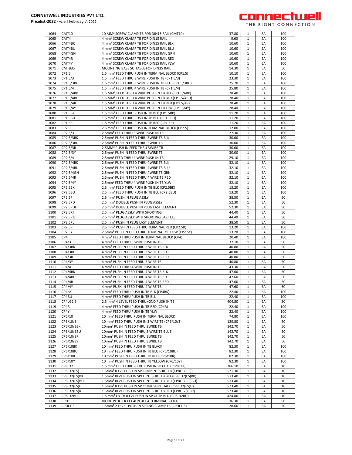

| 1064 | CMT10         |                                                                      | 37.80  |              | EA | 100 |
|------|---------------|----------------------------------------------------------------------|--------|--------------|----|-----|
|      |               | 10 MM <sup>2</sup> SCREW CLAMP TB FOR DIN15 RAIL (CMT10)             |        | 1            |    |     |
| 1065 | CMT4          | 4 mm <sup>2</sup> SCREW CLAMP TB FOR DIN15 RAIL                      | 9.60   | 1            | EA | 100 |
| 1066 | CMT4BK        | 4 mm <sup>2</sup> SCREW CLAMP TB FOR DIN15 RAIL BLK                  | 10.60  | 1            | EA | 100 |
| 1067 | CMT4BU        | 4 mm <sup>2</sup> SCREW CLAMP TB FOR DIN15 RAIL BLU                  | 10.60  | 1            | EA | 100 |
| 1068 | CMT4GN        | 4 mm <sup>2</sup> SCREW CLAMP TB FOR DIN15 RAIL GRN                  | 10.60  | 1            | EA | 100 |
| 1069 | CMT4R         | 4 mm <sup>2</sup> SCREW CLAMP TB FOR DIN15 RAIL RED                  | 10.60  | $\mathbf{1}$ | EA | 100 |
| 1070 | CMT4Y         | 4 mm <sup>2</sup> SCREW CLAMP TB FOR DIN15 RAIL YLW                  | 10.60  | $\mathbf{1}$ | EA | 100 |
| 1071 | CMTB35        | MOUNTING BASE SUITABLE FOR DIN35 RAIL                                | 14.30  | $\mathbf{1}$ | EA | 50  |
|      |               |                                                                      |        |              |    |     |
| 1072 | CP1.5         | 1.5 mm <sup>2</sup> FEED THRU PUSH IN TERMINAL BLOCK (CP1.5)         | 10.10  | 1            | EA | 100 |
| 1073 | CP1.5/3       | 1.5 mm <sup>2</sup> FEED THRU 3 WIRE PUSH IN TB (CP1.5/3)            | 23.30  | $\mathbf{1}$ | EA | 100 |
| 1074 | CP1.5/3BU     | 1.5 mm <sup>2</sup> FEED THRU 3 WIRE PUSH IN TB BLU (CP1.5/3BU)      | 25.70  | 1            | EA | 100 |
| 1075 | CP1.5/4       | 1.5 mm <sup>2</sup> FEED THRU 4 WIRE PUSH IN TB (CP1.5/4)            | 25.80  | 1            | EA | 100 |
| 1076 | CP1.5/4BK     | 1.5 MM <sup>2</sup> FEED THRU 4 WIRE PUSH IN TB BLK (CP1.5/4BK)      | 28.40  | 1            | EA | 100 |
| 1077 | CP1.5/4BU     | 1.5 MM <sup>2</sup> FEED THRU 4 WIRE PUSH IN TB BLU (CP1.5/4BU)      | 28.40  | 1            | EA | 100 |
|      |               |                                                                      |        |              |    |     |
| 1078 | CP1.5/4R      | 1.5 MM <sup>2</sup> FEED THRU 4 WIRE PUSH IN TB RED (CP1.5/4R)       | 28.40  | $\mathbf{1}$ | EA | 100 |
| 1079 | CP1.5/4Y      | 1.5 MM <sup>2</sup> FEED THRU 4 WIRE PUSH IN TB YLW (CP1.5/4Y)       | 28.40  | 1            | EA | 100 |
| 1080 | CP1.5BK       | 1.5 mm <sup>2</sup> FEED THRU PUSH IN TB BLK (CP1.5BK)               | 11.20  | $\mathbf{1}$ | EA | 100 |
| 1081 | CP1.5BU       | 1.5 mm <sup>2</sup> FEED THRU PUSH IN TB BLU (CP1.5BU)               | 11.20  | 1            | EA | 100 |
| 1082 | CP1.5R        | 1.5 mm <sup>2</sup> FEED THRU PUSH IN TB RED (CP1.5R)                | 11.20  | 1            | EA | 100 |
| 1083 | CP2.5         | 2.5 mm <sup>2</sup> FEED THRU PUSH IN TERMINAL BLOCK (CP2.5)         | 12.00  | 1            | EA | 100 |
| 1084 | CP2.5/3       | 2.5mm <sup>2</sup> FEED THRU 3 WIRE PUSH IN TB                       | 27.30  | 1            | EA | 100 |
|      |               |                                                                      |        |              |    |     |
| 1085 | CP2.5/3BK     | 2.5mm <sup>2</sup> PUSH IN FEED THRU 3WIRE TB BLK                    | 30.00  | $\mathbf{1}$ | EA | 100 |
| 1086 | CP2.5/3BU     | 2.5mm <sup>2</sup> PUSH IN FEED THRU 3WIRE TB                        | 30.00  | 1            | EA | 100 |
| 1087 | CP2.5/3R      | 2.5MM <sup>2</sup> PUSH IN FEED THRU 3WIRE TB                        | 30.00  | $\mathbf{1}$ | EA | 100 |
| 1088 | CP2.5/3Y      | 2.5mm <sup>2</sup> PUSH IN FEED THRU 3WIRE TB                        | 30.00  | 1            | EA | 100 |
| 1089 | CP2.5/4       | 2.5mm <sup>2</sup> FEED THRU 4 WIRE PUSH IN TB                       | 29.10  | $\mathbf{1}$ | EA | 100 |
| 1090 | CP2.5/4BK     | 2.5mm <sup>2</sup> PUSH IN FEED THRU 4WIRE TB BLK                    | 32.10  | 1            | EA | 100 |
| 1091 | CP2.5/4BU     | 2.5mm <sup>2</sup> PUSH IN FEED THRU 4WIRE TB BLU                    | 32.10  | $\mathbf{1}$ | EA | 100 |
|      |               |                                                                      |        |              |    |     |
| 1092 | CP2.5/4GN     | 2.5mm <sup>2</sup> PUSH IN FEED THRU 4WIRE TB GRN                    | 32.10  | 1            | EA | 100 |
| 1093 | CP2.5/4R      | 2.5mm <sup>2</sup> PUSH IN FEED THRU 4 WIRE TB RED                   | 32.10  | 1            | EA | 100 |
| 1094 | CP2.5/4Y      | 2.5mm <sup>2</sup> FEED THRU 4 WIRE PUSH IN TB YLW                   | 32.10  | $\mathbf{1}$ | EA | 100 |
| 1095 | CP2.5BK       | 2.5 mm <sup>2</sup> FEED THRU PUSH IN TB BLK (CP2.5BK)               | 13.20  | $\mathbf{1}$ | EA | 100 |
| 1096 | CP2.5BU       | 2.5 mm <sup>2</sup> FEED THRU PUSH IN TB BLU (CP2.5BU)               | 13.20  | 1            | EA | 100 |
| 1097 | CP2.5P        | 2.5 mm <sup>2</sup> PUSH IN PLUG ASSLY                               | 38.50  | 1            | EA | 50  |
|      |               |                                                                      |        |              |    |     |
| 1098 | CP2.5PD       | 2.5 mm <sup>2</sup> DOUBLE PUSH IN PLUG ASSLY                        | 52.30  | $\mathbf{1}$ | EA | 50  |
| 1099 | CP2.5PDL      | 2.5 mm <sup>2</sup> DOUBLE PUSH IN PLUG LAST ELEMENT                 | 52.30  | 1            | EA | 50  |
| 1100 | CP2.5PJ       | 2.5 mm <sup>2</sup> PLUG ASSLY WITH SHORTING                         | 44.40  | 1            | EA | 50  |
| 1101 | CP2.5PJL      | 2.5 mm <sup>2</sup> PLUG ASSLY WTH SHORTING LAST ELE                 | 44.40  | 1            | EA | 50  |
| 1102 | CP2.5PL       | 2.5 mm <sup>2</sup> PUSH IN PLUG LAST ELEMENT                        | 38.50  | 1            | EA | 50  |
| 1103 | CP2.5R        | 2.5 mm <sup>2</sup> PUSH IN FEED THRU TERMINAL RED (CP2.5R)          | 13.20  | $\mathbf{1}$ | EA | 100 |
| 1104 | CP2.5Y        | 2.5mm <sup>2</sup> PUSH IN FEED THRU TERMINAL YELLOW (CP2.5Y)        | 13.20  | 1            | EA | 100 |
|      |               |                                                                      |        |              |    |     |
| 1105 | CP4           | 4 mm <sup>2</sup> FEED THRU PUSH IN TERMINAL BLOCK (CP4)             | 20.40  | $\mathbf{1}$ | EA | 100 |
| 1106 | CP4/3         | 4 mm <sup>2</sup> FEED THRU 3 WIRE PUSH IN TB                        | 37.10  | 1            | EA | 50  |
| 1107 | CP4/3BK       | 4 mm <sup>2</sup> PUSH IN FEED THRU 3 WIRE TB BLK                    | 40.80  | 1            | EA | 50  |
| 1108 | CP4/3BU       | 4 mm <sup>2</sup> PUSH IN FEED THRU 3 WIRE TB BLU                    | 40.80  | 1            | EA | 50  |
| 1109 | CP4/3R        | 4 mm <sup>2</sup> PUSH IN FEED THRU 3 WIRE TB RED                    | 40.80  | 1            | EA | 50  |
| 1110 | CP4/3Y        | 4 mm <sup>2</sup> PUSH IN FEED THRU 3 WIRE TB                        | 40.80  | $\mathbf{1}$ | EA | 50  |
| 1111 | CP4/4         | 4 mm <sup>2</sup> FEED THRU 4 WIRE PUSH IN TB                        |        | 1            | EA |     |
|      |               | 4 mm <sup>2</sup> PUSH IN FEED THRU 4 WIRE TB BLK                    |        |              |    |     |
| 1112 | CP4/4BK       |                                                                      | 43.30  |              |    | 50  |
| 1113 |               |                                                                      | 47.60  | $\mathbf{1}$ | EA | 50  |
| 1114 | CP4/4BU       | 4 mm <sup>2</sup> PUSH IN FEED THRU 4 WIRE TB BLU                    | 47.60  | 1            | EA | 50  |
|      | CP4/4R        | 4 mm <sup>2</sup> PUSH IN FEED THRU 4 WIRE TB RED                    | 47.60  | $\mathbf{1}$ | EA | 50  |
| 1115 | CP4/4Y        | 4 mm <sup>2</sup> PUSH IN FEED THRU 4 WIRE TB                        | 47.60  | $\mathbf{1}$ | EA | 50  |
| 1116 | CP4BK         | 4 mm <sup>2</sup> FEED THRU PUSH IN TB BLK (CP4BK)                   | 22.40  | 1            | EA | 100 |
| 1117 | CP4BU         | 4 mm <sup>2</sup> FEED THRU PUSH IN TB BLU                           | 22.40  | 1            | EA | 100 |
|      |               |                                                                      |        |              |    |     |
| 1118 | CP4LG2.5      | 2.5 mm <sup>2</sup> 4 LEVEL FEED THRU+GND PUSH IN TB                 | 404.80 | 1            | EA | 30  |
| 1119 | CP4R          | 4 mm <sup>2</sup> FEED THRU PUSH IN TB RED (CP4R)                    | 22.40  | 1            | EA | 100 |
| 1120 | CP4Y          | 4 mm <sup>2</sup> FEED THRU PUSH IN TB YLW                           | 22.40  | 1            | EA | 100 |
| 1121 | CP6/10        | 10 mm <sup>2</sup> FEED THRU PUSH IN TERMINAL BLOCK                  | 74.80  | 1            | EA | 100 |
| 1122 | CP6/10/3      | 10 mm <sup>2</sup> FEED THRU PUSH IN 3 WIRE TB (CP6/10/3)            | 129.80 | 1            | EA | 50  |
| 1123 | CP6/10/3BK    | 10mm <sup>2</sup> PUSH IN FEED THRU 3WIRE TB                         | 142.70 | 1            | EA | 50  |
| 1124 | CP6/10/3BU    | 10mm <sup>2</sup> PUSH IN FEED THRU 3 WIRE TB BLUE                   | 142.70 | 1            | EA | 50  |
|      |               | 10mm <sup>2</sup> PUSH IN FEED THRU 3WIRE TB                         |        | 1            | EA | 50  |
| 1125 | CP6/10/3R     |                                                                      | 142.70 |              |    |     |
| 1126 | CP6/10/3Y     | 10mm <sup>2</sup> PUSH IN FEED THRU 3WIRE TB                         | 142.70 | 1            | EA | 50  |
| 1127 | CP6/10BK      | 10 mm <sup>2</sup> FEED THRU PUSH IN TB BLACK                        | 82.30  | 1            | EA | 100 |
| 1128 | CP6/10BU      | 10 mm <sup>2</sup> FEED THRU PUSH IN TB BLU (CP6/10BU)               | 82.30  | 1            | EA | 100 |
| 1129 | CP6/10R       | 10 mm <sup>2</sup> PUSH IN FEED THRU TB RED (CP6/10R)                | 82.30  | 1            | EA | 100 |
| 1130 | CP6/10Y       | 10 mm <sup>2</sup> PUSH IN FEED THRU TB YELLOW (CP6/10Y)             | 82.30  | $\mathbf{1}$ | EA | 100 |
| 1131 | <b>CP8L32</b> | 1.5 mm <sup>2</sup> FEED THRU 8 LVL PUSH IN SP CL TB (CP8L32)        | 386.10 | 1            | EA | 10  |
| 1132 |               | 1.5mm <sup>2</sup> 8 LVL PUSH IN SP CLMP INT SHRT TB (CP8L32(I.S))   | 521.30 | 1            | EA | 10  |
|      | CP8L32(I.S)   |                                                                      |        |              |    |     |
| 1133 | CP8L32(I.S)BK | 1.5mm <sup>2</sup> 8LVL PUSH IN SPCL INT SHRT TB BLK (CP8L32(I.S)BK) | 573.40 | 1            | EA | 10  |
| 1134 | CP8L32(I.S)BU | 1.5mm <sup>2</sup> 8LVL PUSH IN SPCL INT SHRT TB BLU (CP8L32(I.S)BU) | 573.40 | 1            | EA | 10  |
| 1135 | CP8L32(I.S)H  | 1.5mm <sup>2</sup> 8 LVL PUSH IN SP CL INT SHRT HALF (CP8L32(I.S)H)  | 573.40 | $\mathbf{1}$ | EA | 10  |
| 1136 | CP8L32(I.S)R  | 1.5mm <sup>2</sup> 8LVL PUSH IN SPCL INT SHRT TB RED (CP8L32(I.S)R)  | 573.40 | 1            | EA | 10  |
| 1137 | CP8L32BU      | 1.5 mm <sup>2</sup> FD TH 8 LVL PUSH IN SP CL TB BLU (CP8L32BU)      | 424.80 | $\mathbf{1}$ | EA | 10  |
| 1138 | CPD1          | DIODE PLUG FR CCC4U/CXCC4 TERMINAL BLOCK                             | 36.30  | 1            | EA | 50  |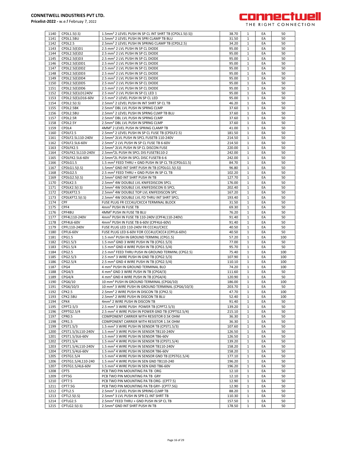

| 1140 | CPDL1.5(I.S)       | 1.5mm <sup>2</sup> 2 LEVEL PUSH IN SP CL INT SHRT TB (CPDL1.5(I.S)) | 38.70  | 1            | EA | 50  |
|------|--------------------|---------------------------------------------------------------------|--------|--------------|----|-----|
| 1141 | CPDL1.5BU          | 1.5mm <sup>2</sup> 2 LEVEL PUSH IN SPRI CLAMP TB BLU                | 31.50  | 1            | EA | 50  |
| 1142 | CPDL2.5            | 2.5mm <sup>2</sup> 2 LEVEL PUSH IN SPRING CLAMP TB (CPDL2.5)        | 34.20  | 1            | EA | 50  |
| 1143 | CPDL2.5(E)D1       | 2.5 mm <sup>2</sup> 2 LVL PUSH IN SP CL DIODE                       | 95.00  | 1            | EA | 50  |
| 1144 | CPDL2.5(E)D2       | 2.5 mm <sup>2</sup> 2 LVL PUSH IN SP CL DIODE                       | 95.00  | 1            | EA | 50  |
| 1145 | CPDL2.5(E)D3       | 2.5 mm <sup>2</sup> 2 LVL PUSH IN SP CL DIODE                       | 95.00  | $\mathbf{1}$ | EA | 50  |
| 1146 | CPDL2.5(E)DD1      | 2.5 mm <sup>2</sup> 2 LVL PUSH IN SP CL DIODE                       | 95.00  | 1            | EA | 50  |
|      |                    |                                                                     |        |              |    |     |
| 1147 | CPDL2.5(E)DD2      | 2.5 mm <sup>2</sup> 2 LVL PUSH IN SP CL DIODE                       | 95.00  | $\mathbf{1}$ | EA | 50  |
| 1148 | CPDL2.5(E)DD3      | 2.5 mm <sup>2</sup> 2 LVL PUSH IN SP CL DIODE                       | 95.00  | 1            | EA | 50  |
| 1149 | CPDL2.5(E)DD4      | 2.5 mm <sup>2</sup> 2 LVL PUSH IN SP CL DIODE                       | 95.00  | $\mathbf{1}$ | EA | 50  |
| 1150 | CPDL2.5(E)DD5      | 2.5 mm <sup>2</sup> 2 LVL PUSH IN SP CL DIODE                       | 95.00  | 1            | EA | 50  |
| 1151 | CPDL2.5(E)DD6      | 2.5 mm <sup>2</sup> 2 LVL PUSH IN SP CL DIODE                       | 95.00  | 1            | EA | 50  |
| 1152 | CPDL2.5(E)LD1240V  | 2.5 mm <sup>2</sup> 2 LVL PUSH IN SP CL LED 1                       | 95.00  | $\mathbf{1}$ | EA | 50  |
|      |                    |                                                                     |        |              |    |     |
| 1153 | CPDL2.5(E)LD16-60V | 2.5 mm <sup>2</sup> 2 LEVEL PUSH IN SP CL LED                       | 95.00  | 1            | EA | 50  |
| 1154 | CPDL2.5(I.S)       | 2.5mm <sup>2</sup> 2 LEVEL PUSH IN INT SHRT SP CL TB                | 46.20  | $\mathbf{1}$ | EA | 50  |
| 1155 | CPDL2.5BK          | 2.5mm <sup>2</sup> DBL LVL PUSH IN SPRNG CLMP                       | 37.60  | 1            | EA | 50  |
| 1156 | CPDL2.5BU          | 2.5mm <sup>2</sup> 2 LEVEL PUSH IN SPRNG CLMP TB BLU                | 37.60  | $\mathbf{1}$ | EA | 50  |
| 1157 | CPDL2.5R           | 2.5mm <sup>2</sup> DBL LVL PUSH IN SPRNG CLMP                       | 37.60  | $\mathbf{1}$ | EA | 50  |
| 1158 | CPDL2.5Y           | 2.5mm <sup>2</sup> DBL LVL PUSH IN SPRNG CLMP                       | 37.60  | $\mathbf{1}$ | EA | 50  |
|      |                    |                                                                     |        |              |    |     |
| 1159 | CPDL4              | 4MM <sup>2</sup> 2 LEVEL PUSH IN SPRING CLAMP TB                    | 41.00  | 1            | EA | 50  |
| 1160 | CPDLF2.5           | 2.5mm <sup>2</sup> 2 LEVEL PUSH IN SP CL FUSE TB (CPDLF2.5)         | 181.50 | 1            | EA | 50  |
| 1161 | CPDLF2.5L110-240V  | 2.5mm <sup>2</sup> 2LVL PUSH IN SPCL FUSETB 110-240V                | 214.50 | 1            | EA | 50  |
| 1162 | CPDLF2.5L6-60V     | 2.5mm <sup>2</sup> 2 LVL PUSH IN SP CL FUSE TB 6-60V                | 214.50 | 1            | EA | 50  |
| 1163 | CPDLFK2.5          | 2.5mm <sup>2</sup> 2LVL PUSH IN SP CL DISCON FUSE                   | 220.00 | $\mathbf{1}$ | EA | 50  |
| 1164 | CPDLFK2.5L110-240V | 2.5mm <sup>2</sup> 2L PUSH IN SPCL DIS FUSETB110-2                  | 242.00 | 1            | EA | 50  |
| 1165 | CPDLFK2.5L6-60V    | 2.5mm <sup>2</sup> 2L PUSH IN SPCL DISC FUSETB 6-6                  | 242.00 | $\mathbf{1}$ | EA | 50  |
|      |                    |                                                                     |        |              |    |     |
| 1166 | CPDLG1.5           | 1.5 mm <sup>2</sup> FEED THRU + GND PUSH IN SP CL TB (CPDLG1.5)     | 84.70  | $\mathbf{1}$ | EA | 50  |
| 1167 | CPDLG1.5(I.S)      | 1.5mm <sup>2</sup> GND INT SHRT PUSH IN TB (CPDLG1.5(I.S))          | 96.80  | 1            | EA | 50  |
| 1168 | CPDLG2.5           | 2.5 mm <sup>2</sup> FEED THRU + GND PUSH IN SP CL TB                | 102.20 | 1            | EA | 50  |
| 1169 | CPDLG2.5(I.S)      | 2.5mm <sup>2</sup> GND INT SHRT PUSH IN TB                          | 127.70 | 1            | EA | 50  |
| 1170 | CPDLK2.5           | 2.5mm <sup>2</sup> 4W DOUBLE LVL KNIFEDISCON SPCL                   | 176.00 | $\mathbf{1}$ | EA | 50  |
| 1171 | CPDLK2.5(I.S)      | 2.5mm <sup>2</sup> 4W DOUBLE LVL KNIFEDISCON IS SPCL                | 202.40 | $\mathbf{1}$ | EA | 50  |
|      |                    |                                                                     |        |              |    |     |
| 1172 | CPDLKFT2.5         | 2.5mm <sup>2</sup> 4W DOUBLE TOP LVL KNIFEDISCON SPC                | 167.20 | $\mathbf{1}$ | EA | 50  |
| 1173 | CPDLKFT2.5(I.S)    | 2.5mm <sup>2</sup> 4W DOUBLE LVL FD THRU INT SHRT SPCL              | 193.40 | 1            | EA | 50  |
| 1174 | CPF                | FUSE PLUG FR CCC4U/CXCC4 TERMINAL BLOCK                             | 31.50  | $\mathbf{1}$ | EA | 50  |
| 1175 | CPF4               | 4mm <sup>2</sup> PUSH IN FUSE TB                                    | 69.30  | 1            | EA | 50  |
| 1176 | CPF4BU             | 4MM <sup>2</sup> PUSH IN FUSE TB BLU                                | 76.20  | 1            | EA | 50  |
| 1177 | CPF4L110-240V      | 4mm <sup>2</sup> PUSH IN FUSE TB 110-240V (CPF4L110-240V)           | 91.40  | $\mathbf{1}$ | EA | 50  |
|      |                    |                                                                     |        |              |    |     |
| 1178 | CPF4L6-60V         | 4mm <sup>2</sup> PUSH IN FUSE TB 6-60V (CPF4L6-60V)                 | 91.40  | 1            | EA | 50  |
| 1179 | CPFL110-240V       | FUSE PLUG LED 110-240V FR CCC4U/CXCC                                | 40.50  | $\mathbf{1}$ | EA | 50  |
| 1180 | CPFL6-60V          | FUSE PLUG LED 6-60V FOR CCC4U/CXCC4 (CPFL6-60V)                     | 40.50  | 1            | EA | 50  |
| 1181 | CPG1.5             | 1.5 mm <sup>2</sup> PUSH IN GROUND TERMINL (CPG1.5)                 | 57.20  | $\mathbf{1}$ | EA | 100 |
| 1182 | CPG1.5/3           | 1.5 mm <sup>2</sup> GND 3 WIRE PUSH IN TB (CPG1.5/3)                | 77.00  | $\mathbf{1}$ | EA | 50  |
| 1183 | CPG1.5/4           | 1.5 mm <sup>2</sup> GND 4 WIRE PUSH IN TB (CPG1.5/4)                | 95.70  | $\mathbf{1}$ | EA | 50  |
| 1184 | CPG2.5             | 2.5 mm <sup>2</sup> FEED THRU PUSH IN GROUND TERMINL (CPG2.5)       | 75.40  | 1            | EA | 100 |
|      |                    |                                                                     |        |              |    |     |
| 1185 | CPG2.5/3           | 2.5 mm <sup>2</sup> 3 WIRE PUSH IN GND TB (CPG2.5/3)                | 107.90 | 1            | EA | 100 |
| 1186 | CPG2.5/4           | 2.5 mm <sup>2</sup> GND 4 WIRE PUSH IN TB (CPG2.5/4)                | 110.10 | $\mathbf{1}$ | EA | 100 |
| 1187 | CPG4               | 4 mm <sup>2</sup> PUSH IN GROUND TERMINAL BLO                       | 74.20  | 1            | EA | 100 |
| 1188 | CPG4/3             | 4 mm <sup>2</sup> GND 3 WIRE PUSH IN TB (CPG4/3)                    | 111.60 | $\mathbf{1}$ | EA | 50  |
| 1189 | CPG4/4             | 4 mm <sup>2</sup> GND 4 WIRE PUSH IN TB (CPG4/4)                    | 120.90 | 1            | EA | 50  |
| 1190 | CPG6/10            | 10 mm <sup>2</sup> PUSH IN GROUND TERMINAL (CPG6/10)                | 186.00 | $\mathbf{1}$ | EA | 100 |
| 1191 | CPG6/10/3          | 10 mm <sup>2</sup> 3 WIRE PUSH IN GROUND TERMINAL (CPG6/10/3)       | 203.70 | $\mathbf 1$  | EA | 50  |
|      |                    |                                                                     |        |              |    |     |
| 1192 | CPK2.5             | 2.5mm <sup>2</sup> 2 WIRE PUSH IN DISCON TB (CPK2.5)                | 47.70  | 1            | EA | 100 |
| 1193 | CPK2.5BU           | 2.5mm <sup>2</sup> 2 WIRE PUSH IN DISCON TB BLU                     | 52.40  | 1            | EA | 100 |
| 1194 | CPK4               | 4mm <sup>2</sup> 2 WIRE PUSH IN DISCON TB                           | 91.40  | 1            | EA | 50  |
| 1195 | CPPT2.5/3          | 2.5 mm <sup>2</sup> 3 WIRE PUSH POWER TB (CPPT2.5/3)                | 139.20 | $\mathbf{1}$ | EA | 50  |
| 1196 | CPPTG2.5/4         | 2.5 mm <sup>2</sup> 4 WIRE PUSH IN POWER GND TB (CPPTG2.5/4)        | 215.10 | 1            | EA | 50  |
| 1197 | CPRO.5             | COMPONENT CARRIER WITH RESISTOR 0.5K OHM                            | 36.30  | $\mathbf{1}$ | EA | 50  |
| 1198 | CPR1.5             | COMPONENT CARRIER WITH RESISTOR 1.5K OHM                            | 36.30  | 1            | EA | 50  |
|      |                    | 1.5 mm <sup>2</sup> 3 WIRE PUSH IN SENSOR TB (CPST1.5/3)            |        |              |    |     |
| 1199 | CPST1.5/3          |                                                                     | 107.60 | $\mathbf{1}$ | EA | 50  |
| 1200 | CPST1.5/3L110-240V | 1.5 mm <sup>2</sup> 3 WIRE PUSH IN SENSOR TB110-240V                | 126.50 | 1            | EA | 50  |
| 1201 | CPST1.5/3L6-60V    | 1.5 mm <sup>2</sup> 3 WIRE PUSH IN SENSOR TB6-60V                   | 126.50 | $\mathbf{1}$ | EA | 50  |
| 1202 | CPST1.5/4          | 1.5 mm <sup>2</sup> 4 WIRE PUSH IN SENSOR TB (CPST1.5/4)            | 139.20 | $\mathbf{1}$ | EA | 50  |
| 1203 | CPST1.5/4L110-240V | 1.5 mm <sup>2</sup> 4 WIRE PUSH IN SENSOR TB110-240V                | 158.20 | 1            | EA | 50  |
| 1204 | CPST1.5/4L6-60V    | 1.5 mm <sup>2</sup> 4 WIRE PUSH IN SENSOR TB6-60V                   | 158.20 | 1            | EA | 50  |
| 1205 | CPSTG1.5/4         | 1.5 mm <sup>2</sup> 4 WIRE PUSH IN SENSOR GND TB (CPSTG1.5/4)       | 177.10 | 1            | EA | 50  |
|      | CPSTG1.5/4L110-240 | 1.5 mm <sup>2</sup> 4 WIRE PUSH IN SEN GND TB110-240                | 196.20 |              | EA |     |
| 1206 |                    |                                                                     |        | 1            |    | 50  |
| 1207 | CPSTG1.5/4L6-60V   | 1.5 mm <sup>2</sup> 4 WIRE PUSH IN SEN GND TB6-60V                  | 196.20 | $\mathbf{1}$ | EA | 50  |
| 1208 | CPT5               | PCB TWO PIN MOUNTING PA TB ORG                                      | 12.10  | $\mathbf{1}$ | EA | 50  |
| 1209 | CPT5G              | PCB TWO PIN MOUNTING PA TB GRY                                      | 12.10  | 1            | EA | 50  |
| 1210 | CPT7.5             | PCB TWO PIN MOUNTING PA TB ORG- (CPT7.5)                            | 12.90  | 1            | EA | 50  |
| 1211 | CPT7.5G            | PCB TWO PIN MOUNTING PA TB GRY- (CPT7.5G)                           | 12.90  | $\mathbf{1}$ | EA | 50  |
| 1212 | CPTL2.5            | 2.5mm <sup>2</sup> 3 LEVEL PUSH IN SPRING CLMP TB                   | 88.20  | 1            | EA | 50  |
|      |                    |                                                                     |        |              |    |     |
| 1213 | CPTL2.5(I.S)       | 2.5mm <sup>2</sup> 3 LVL PUSH IN SPR CL INT SHRT TB                 | 110.30 | $\mathbf{1}$ | EA | 50  |
| 1214 | CPTLG2.5           | 2.5mm <sup>2</sup> FEED THRU + GND PUSH IN SP CL TB                 | 157.50 | 1            | EA | 50  |
| 1215 | CPTLG2.5(I.S)      | 2.5mm <sup>2</sup> GND INT SHRT PUSH IN TB                          | 178.50 | $\mathbf{1}$ | EA | 50  |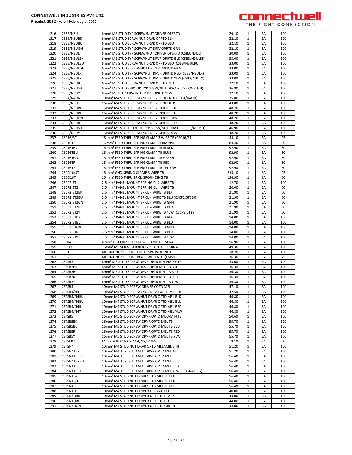

| 1216 | CSB3/N3U         | 6mm <sup>2</sup> M3 STUD TYP SCREW/NUT DRIVER OPERTD               | 29.10  | 1            | EA | 100 |
|------|------------------|--------------------------------------------------------------------|--------|--------------|----|-----|
| 1217 | CSB3/N3UBK       | 6mm <sup>2</sup> M3 STUD SCRW/NUT DRVR OPRTD BLK                   | 32.10  | 1            | EA | 100 |
|      |                  |                                                                    |        |              |    |     |
| 1218 | CSB3/N3UBU       | 6mm <sup>2</sup> M3 STUD SCRW/NUT DRVR OPRTD BLU                   | 32.10  | 1            | EA | 100 |
| 1219 | CSB3/N3UGN       | 6mm <sup>2</sup> M3 STUD TYP SCRW/NUT DRIV OPRTD GRN               | 32.10  | $\mathbf{1}$ | EA | 100 |
| 1220 | CSB3/N3UL        | 6mm <sup>2</sup> M3 STUD TYP SCREW/NUT DRIVER OPERTD (CSB3/N3UL)   | 30.00  | $\mathbf{1}$ | EA | 100 |
| 1221 | CSB3/N3ULBK      | 6mm <sup>2</sup> M3 STUD TYP SCRW/NUT DRVR OPRTD BLK (CSB3/N3ULBK) | 33.00  | $\mathbf{1}$ | EA | 100 |
| 1222 | CSB3/N3ULBU      | 6mm <sup>2</sup> M3 STUD SCRW/NUT DRVR OPRTD BLU (CSB3/N3ULBU)     | 33.00  | 1            | EA | 100 |
|      |                  |                                                                    |        |              |    |     |
| 1223 | CSB3/N3ULGN      | 6mm <sup>2</sup> M3 STUD SCREW/NUT DRIVER OPERTD GRN               | 33.00  | 1            | EA | 100 |
| 1224 | CSB3/N3ULR       | 6mm <sup>2</sup> M3 STUD TYP SCRW/NUT DRVR OPRTD RED (CSB3/N3ULR)  | 33.00  | 1            | EA | 100 |
| 1225 | CSB3/N3ULY       | 6mm <sup>2</sup> M3 STUD TYP SCRW/NUT DRVR OPRTD YLW (CSB3/N3ULY)  | 33.00  | $\mathbf{1}$ | EA | 100 |
| 1226 | CSB3/N3UR        | 6mm <sup>2</sup> M3 STUD SCRW/NUT DRVR OPRTD RED                   | 32.10  | 1            | EA | 100 |
|      |                  |                                                                    |        |              |    |     |
| 1227 | CSB3/N3USH       | 6mm <sup>2</sup> M3 STUD SHROUD TYP SCRW/NUT DRV OP (CSB3/N3USH)   | 36.80  | $\mathbf{1}$ | EA | 100 |
| 1228 | CSB3/N3UY        | 6mm <sup>2</sup> M3 STU SCRW/NUT DRVR OPRTD YLW                    | 32.10  | $\mathbf{1}$ | EA | 100 |
| 1229 | CSB4/N4UN        | 10mm <sup>2</sup> M4 STUD SCREW/NUT DRIVER OPERTD (CSB4/N4UN)      | 35.80  | $\mathbf{1}$ | EA | 100 |
| 1230 | CSB5/N5U         | 16mm <sup>2</sup> M4 STUD SCREW/NUT DRIVER OPERTD                  | 43.80  | 1            | EA | 100 |
| 1231 | CSB5/N5UBK       | 16mm <sup>2</sup> M4 STUD SCREW/NUT DRIV OPRTD BLK                 | 48.20  | 1            | EA | 100 |
|      |                  |                                                                    |        |              |    |     |
| 1232 | CSB5/N5UBU       | 16mm <sup>2</sup> M4 STUD SCREW/NUT DRIV OPRTD BLU                 | 48.20  | 1            | EA | 100 |
| 1233 | CSB5/N5UGN       | 16mm <sup>2</sup> M4 STUD SCREW/NUT DRIV OPRTD GRN                 | 48.20  | 1            | EA | 100 |
| 1234 | CSB5/N5UR        | 16mm <sup>2</sup> M4 STUD SCREW/NUT DRIV OPRTD RED                 | 48.20  | $\mathbf{1}$ | EA | 100 |
| 1235 | CSB5/N5USH       | 16mm <sup>2</sup> M5 STUD SHROUD TYP SCRW/NUT DRV OP (CSB5/N5USH)  | 46.90  | $\mathbf{1}$ | EA | 100 |
| 1236 | CSB5/N5UY        | 16mm <sup>2</sup> M4 STUD SCREW/NUT DRIV OPRTD YLW                 | 48.20  | $\mathbf{1}$ | EA | 100 |
|      |                  |                                                                    |        |              |    |     |
| 1237 | CSC16/3T         | 16 mm <sup>2</sup> FEED THRU SPRING CLAMP 3 WIRE TB (CSC16/3T)     | 144.10 | $\mathbf{1}$ | EA | 25  |
| 1238 | CSC16T           | 16 mm <sup>2</sup> FEED THRU SPRING CLAMP TERMINAL                 | 84.40  | $\mathbf{1}$ | EA | 50  |
| 1239 | CSC16TBK         | 16 mm <sup>2</sup> FEED THRU SPRING CLAMP TB BLACK                 | 92.90  | 1            | EA | 50  |
| 1240 | CSC16TBU         | 16 mm <sup>2</sup> FEED THRU SPRING CLAMP TB BLUE                  | 92.90  | $\mathbf{1}$ | EA | 50  |
| 1241 | CSC16TGN         | 16 mm <sup>2</sup> FEED THRU SPRING CLAMP TB GREEN                 | 92.90  | 1            | EA | 50  |
|      |                  |                                                                    |        |              |    |     |
| 1242 | CSC16TR          | 16 mm <sup>2</sup> FEED THRU SPRING CLAMP TB RED                   | 92.90  | $\mathbf{1}$ | EA | 50  |
| 1243 | CSC16TY          | 16 mm <sup>2</sup> FEED THRU SPRING CLAMP TB YELLOW                | 92.90  | 1            | EA | 50  |
| 1244 | <b>CSCG16/3T</b> | 16 mm <sup>2</sup> GND SPRING CLAMP 3 WIRE TB                      | 215.10 | $\mathbf{1}$ | EA | 25  |
| 1245 | CSCG16T          | 16 mm <sup>2</sup> FEED THRU SP CL GROUNDING TB                    | 194.90 | $\mathbf{1}$ | EA | 50  |
| 1246 | CSCP2.5T         | 2.5 mm <sup>2</sup> PANEL MOUNT SPRING CL 2 WIRE TB                | 12.70  | $\mathbf{1}$ | EA | 100 |
|      |                  |                                                                    |        |              |    |     |
| 1247 | <b>CSCP2.5T2</b> | 2.5 mm <sup>2</sup> PANEL MOUNT SPRING CL 4 WIRE TB                | 20.00  | 1            | EA | 50  |
| 1248 | CSCP2.5T2BK      | 2.5 mm <sup>2</sup> PANEL MOUNT SP CL 4 WIRE TB BLK                | 21.90  | 1            | EA | 50  |
| 1249 | CSCP2.5T2BU      | 2.5 mm <sup>2</sup> PANEL MOUNT SP CL 4 WIRE TB BLU (CSCP2.5T2BU)  | 21.90  | 1            | EA | 50  |
| 1250 | CSCP2.5T2GN      | 2.5 mm <sup>2</sup> PANEL MOUNT SP CL 4 WIRE TB GRN                | 21.90  | $\mathbf{1}$ | EA | 50  |
|      |                  |                                                                    |        |              |    |     |
| 1251 | CSCP2.5T2R       | 2.5 mm <sup>2</sup> PANEL MOUNT SP CL 4 WIRE TB RED                | 21.90  | 1            | EA | 50  |
| 1252 | CSCP2.5T2Y       | 2.5 mm <sup>2</sup> PANEL MOUNT SP CL 4 WIRE TB YLW (CSCP2.5T2Y)   | 21.90  | $\mathbf{1}$ | EA | 50  |
| 1253 | CSCP2.5TBK       | 2.5 mm <sup>2</sup> PANEL MOUNT SP CL 2 WIRE TB BLK                | 14.00  | 1            | EA | 100 |
| 1254 | CSCP2.5TBU       | 2.5 mm <sup>2</sup> PANEL MOUNT SP CL 2 WIRE TB BLU                | 14.00  | $\mathbf{1}$ | EA | 100 |
| 1255 | CSCP2.5TGN       | 2.5 mm <sup>2</sup> PANEL MOUNT SP CL 2 WIRE TB GRN                | 14.00  | 1            | EA | 100 |
|      |                  |                                                                    |        |              |    |     |
| 1256 | CSCP2.5TR        | 2.5 mm <sup>2</sup> PANEL MOUNT SP CL 2 WIRE TB RED                | 14.00  | 1            | EA | 100 |
| 1257 | CSCP2.5TY        | 2.5 mm <sup>2</sup> PANEL MOUNT SP CL 2 WIRE TB YLW                | 14.00  | 1            | EA | 100 |
| 1258 | CSDL4U           | 4 mm <sup>2</sup> DISCONNECT SCREW CLAMP TERMINAL                  | 56.90  | 1            | EA | 100 |
| 1259 | CSE5U            | 16mm <sup>2</sup> M5 SCRW BARRIER TYP EARTH TERMINAL               | 49.30  | $\mathbf{1}$ | EA | 100 |
| 1260 | CSP1             | MOUNTING SUPPORT FOR CTSPC WITH NUT                                | 18.20  | $\mathbf{1}$ | EA | 100 |
|      |                  |                                                                    |        |              |    |     |
| 1261 | CSP <sub>2</sub> | MOUNTING SUPPORT PLATE WITH NUT (CSP2)                             | 36.30  | $\mathbf{1}$ | EA | 25  |
| 1262 | CSTSB3           | 6mm <sup>2</sup> M3 STUD SCREW DRVR OPTD MELAMINE TB               | 33.00  | $\mathbf{1}$ | EA | 100 |
| 1263 | CSTSB3BK         | 6mm <sup>2</sup> M3 STUD SCREW DRVR OPTD MEL TB BLK                | 36.30  | $\mathbf{1}$ | EA | 100 |
| 1264 | CSTSB3BU         | 6mm <sup>2</sup> M3 STUD SCREW DRVR OPTD MEL TB BLU                | 36.30  | 1            | EA | 100 |
| 1265 | CSTSB3R          | 6mm <sup>2</sup> M3 STUD SCREW DRVR OPTD MEL TB RED                | 36.30  | $\mathbf{1}$ | EA | 100 |
|      |                  |                                                                    |        |              |    |     |
| 1266 | CSTSB3Y          | 6mm <sup>2</sup> M3 STUD SCREW DRVR OPTD MEL TB YLW                | 36.30  | $\mathbf{1}$ | EA | 100 |
| 1267 | CSTSB4           | 10mm <sup>2</sup> M4 STUD SCREW DRIVER OPTD MEL                    | 47.10  |              | ŁА | 100 |
| 1268 | CSTSB4/N4        | 10mm <sup>2</sup> M4 STUD SCREW/NUT DRVR OPTD MEL TB               | 42.50  | $\mathbf{1}$ | EA | 100 |
| 1269 | CSTSB4/N4BK      | 10mm <sup>2</sup> M4 STUD SCRW/NUT DRVR OPTD MEL BLK               | 46.80  | 1            | EA | 100 |
| 1270 | CSTSB4/N4BU      | 10mm <sup>2</sup> M4 STUD SCRW/NUT DRVR OPTD MEL BLU               | 46.80  | $\mathbf{1}$ | EA | 100 |
|      |                  |                                                                    |        |              |    |     |
| 1271 | CSTSB4/N4R       | 10mm <sup>2</sup> M4 STUD SCRW/NUT DRVR OPTD MEL RED               | 46.80  | $\mathbf{1}$ | EA | 100 |
| 1272 | CSTSB4/N4Y       | 10mm <sup>2</sup> M4 STUD SCRW/NUT DRVR OPTD MEL YLW               | 46.80  | 1            | EA | 100 |
| 1273 | CSTSB5           | 16mm <sup>2</sup> M5 STUD SCREW DRVR OPTD MELAMIN TB               | 50.60  | 1            | EA | 100 |
| 1274 | CSTSB5BK         | 16mm <sup>2</sup> M5 STUD SCREW DRVR OPTD MEL TB                   | 55.70  | 1            | EA | 100 |
| 1275 | CSTSB5BU         | 16mm <sup>2</sup> M5 STUD SCREW DRVR OPTD MEL TB BLU               | 55.70  | $\mathbf{1}$ | EA | 100 |
| 1276 | CSTSB5R          | 16mm <sup>2</sup> M5 STUD SCREW DRVR OPTD MEL TB RED               | 55.70  | 1            | EA | 100 |
|      |                  |                                                                    |        |              |    |     |
| 1277 | CSTSB5Y          | 16mm <sup>2</sup> M5 STUD SCREW DRVR OPTD MEL TB YLW               | 55.70  | $\mathbf{1}$ | EA | 100 |
| 1278 | CSTSEP2          | END PLATE FOR CSTSN4/N5/B4/B5                                      | 9.10   | 1            | EA | 50  |
| 1279 | CSTSN4           | 10mm <sup>2</sup> M4 STUD NUT DRVR OPTD MELAMINE TB                | 51.20  | $\mathbf{1}$ | EA | 100 |
| 1280 | CSTSN415P        | 10mm <sup>2</sup> M4(15P) STUD NUT DRVR OPTD MEL TB                | 51.20  | $\mathbf{1}$ | EA | 100 |
| 1281 | CSTSN415PBK      | 10mm <sup>2</sup> M4(15P) STUD NUT DRVR OPTD MEL                   | 56.40  | 1            | EA | 100 |
|      |                  |                                                                    |        |              |    |     |
| 1282 | CSTSN415PBU      | 10mm <sup>2</sup> M4(15P) STUD NUT DRVR OPTD MEL BLU               | 56.40  | 1            | EA | 100 |
| 1283 | CSTSN415PR       | 10mm <sup>2</sup> M4(15P) STUD NUT DRVR OPTD MEL RED               | 56.40  | 1            | EA | 100 |
| 1284 | CSTSN415PY       | 10mm <sup>2</sup> M4(15P) STUD NUT DRVR OPTD MEL YLW (CSTSN415PY)  | 56.40  | $\mathbf{1}$ | EA | 100 |
| 1285 | CSTSN4BK         | 10mm <sup>2</sup> M4 STUD NUT DRVR OPTD MEL TB BLK                 | 56.40  | 1            | EA | 100 |
| 1286 | CSTSN4BU         | 10mm <sup>2</sup> M4 STUD NUT DRVR OPTD MEL TB BLU                 | 56.40  | 1            | EA | 100 |
|      |                  |                                                                    |        |              |    |     |
| 1287 | CSTSN4R          | 10mm <sup>2</sup> M4 STUD NUT DRVR OPTD MEL TB RED                 | 56.40  | $\mathbf{1}$ | EA | 100 |
| 1288 | CSTSN4U          | 10mm <sup>2</sup> M4 STUD NUT DRIVER OPERATED TB                   | 40.00  | $\mathbf{1}$ | EA | 100 |
| 1289 | CSTSN4UBK        | 10mm <sup>2</sup> M4 STUD NUT DRIVER OPTD TB BLACK                 | 44.00  | 1            | EA | 100 |
| 1290 | CSTSN4UBU        | 10mm <sup>2</sup> M4 STUD NUT DRIVER OPTD TB BLUE                  | 44.00  | 1            | EA | 100 |
| 1291 | CSTSN4UGN        | 10mm <sup>2</sup> M4 STUD NUT DRIVER OPTD TB GREEN                 | 44.00  | $\mathbf{1}$ | EA | 100 |
|      |                  |                                                                    |        |              |    |     |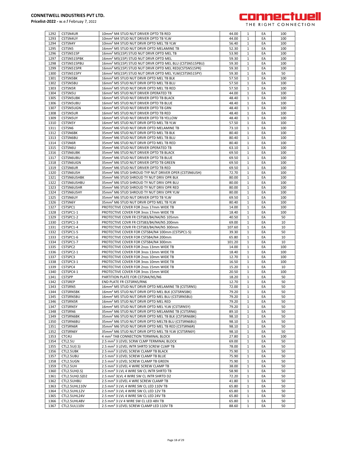

| 1292         | CSTSN4UR                     | 10mm <sup>2</sup> M4 STUD NUT DRIVER OPTD TB RED                                                        | 44.00          | 1                 | EA       | 100      |
|--------------|------------------------------|---------------------------------------------------------------------------------------------------------|----------------|-------------------|----------|----------|
| 1293         | CSTSN4UY                     | 10mm <sup>2</sup> M4 STUD NUT DRIVER OPTD TB YLW                                                        | 44.00          | 1                 | EA       | 100      |
|              |                              |                                                                                                         |                |                   |          |          |
| 1294         | CSTSN4Y                      | 10mm <sup>2</sup> M4 STUD NUT DRVR OPTD MEL TB YLW                                                      | 56.40          | $\mathbf{1}$      | EA       | 100      |
| 1295         | CSTSN5                       | 16mm <sup>2</sup> M5 STUD NUT DRVR OPTD MELAMINE TB                                                     | 52.30          | $\mathbf{1}$      | EA       | 100      |
| 1296         |                              |                                                                                                         |                | 1                 | EA       | 100      |
|              | CSTSN515P                    | 16mm <sup>2</sup> M5(15P) STUD NUT DRVR OPTD MEL TB                                                     | 53.90          |                   |          |          |
| 1297         | CSTSN515PBK                  | 16mm <sup>2</sup> M5(15P) STUD NUT DRVR OPTD MEL                                                        | 59.30          | 1                 | EA       | 100      |
| 1298         | CSTSN515PBU                  | 16mm <sup>2</sup> M5(15P) STUD NUT DRVR OPTD MEL BLU (CSTSN515PBU)                                      | 59.30          | 1                 | EA       | 100      |
|              |                              |                                                                                                         |                |                   |          |          |
| 1299         | CSTSN515PR                   | 16mm <sup>2</sup> M5(15P) STUD NUT DRVR OPTD MEL RED(CSTSN515PR)                                        | 59.30          | $\mathbf{1}$      | EA       | 100      |
| 1300         | CSTSN515PY                   | 16mm <sup>2</sup> M5(15P) STUD NUT DRVR OPTD MEL YLW(CSTSN515PY)                                        | 59.30          | $\mathbf{1}$      | EA       | 50       |
|              |                              |                                                                                                         |                |                   |          |          |
| 1301         | <b>CSTSN5BK</b>              | 16mm <sup>2</sup> M5 STUD NUT DRVR OPTD MEL TB BLK                                                      | 57.50          | $\mathbf{1}$      | EA       | 100      |
| 1302         | CSTSN5BU                     | 16mm <sup>2</sup> M5 STUD NUT DRVR OPTD MEL TB BLU                                                      | 57.50          | $\mathbf{1}$      | EA       | 100      |
|              |                              |                                                                                                         |                |                   |          |          |
| 1303         | CSTSN5R                      | 16mm <sup>2</sup> M5 STUD NUT DRVR OPTD MEL TB RED                                                      | 57.50          | $\mathbf{1}$      | EA       | 100      |
| 1304         | CSTSN5U                      | 16mm <sup>2</sup> M5 STUD NUT DRIVER OPERATED TB                                                        | 44.00          | 1                 | EA       | 100      |
| 1305         | <b>CSTSN5UBK</b>             | 16mm <sup>2</sup> M5 STUD NUT DRIVER OPTD TB BLACK                                                      | 48.40          | 1                 | EA       | 100      |
|              |                              |                                                                                                         |                |                   |          |          |
| 1306         | <b>CSTSN5UBU</b>             | 16mm <sup>2</sup> M5 STUD NUT DRIVER OPTD TB BLUE                                                       | 48.40          | 1                 | EA       | 100      |
| 1307         | CSTSN5UGN                    | 16mm <sup>2</sup> M5 STUD NUT DRIVER OPTD TB GRN                                                        | 48.40          | 1                 | EA       | 100      |
|              |                              |                                                                                                         |                |                   |          |          |
| 1308         | <b>CSTSN5UR</b>              | 16mm <sup>2</sup> M5 STUD NUT DRIVER OPTD TB RED                                                        | 48.40          | $\mathbf{1}$      | EA       | 100      |
| 1309         | CSTSN5UY                     | 16mm <sup>2</sup> M5 STUD NUT DRIVER OPTD TB YELLOW                                                     | 48.40          | $\mathbf{1}$      | EA       | 100      |
| 1310         | CSTSN5Y                      | 16mm <sup>2</sup> M5 STUD NUT DRVR OPTD MEL TB YLW                                                      | 57.50          | $\mathbf{1}$      | EA       | 100      |
|              |                              |                                                                                                         |                |                   |          |          |
| 1311         | CSTSN6                       | 35mm <sup>2</sup> M6 STUD NUT DRVR OPTD MELAMINE TB                                                     | 73.10          | $\mathbf{1}$      | EA       | 100      |
| 1312         | CSTSN6BK                     | 35mm <sup>2</sup> M6 STUD NUT DRVR OPTD MEL TB BLK                                                      | 80.40          | $\mathbf{1}$      | EA       | 100      |
|              |                              |                                                                                                         |                |                   |          |          |
| 1313         | CSTSN6BU                     | 35mm <sup>2</sup> M6 STUD NUT DRVR OPTD MEL TB BLU                                                      | 80.40          | 1                 | EA       | 100      |
| 1314         | CSTSN6R                      | 35mm <sup>2</sup> M6 STUD NUT DRVR OPTD MEL TB RED                                                      | 80.40          | 1                 | EA       | 100      |
| 1315         | CSTSN6U                      | 35mm <sup>2</sup> M6 STUD NUT DRIVER OPERATED TB                                                        | 63.10          | 1                 | EA       | 100      |
|              |                              |                                                                                                         |                |                   |          |          |
| 1316         | <b>CSTSN6UBK</b>             | 35mm <sup>2</sup> M6 STUD NUT DRIVER OPTD TB BLACK                                                      | 69.50          | 1                 | EA       | 100      |
| 1317         | CSTSN6UBU                    | 35mm <sup>2</sup> M6 STUD NUT DRIVER OPTD TB BLUE                                                       | 69.50          | $\mathbf{1}$      | EA       | 100      |
|              |                              |                                                                                                         |                |                   |          |          |
| 1318         | CSTSN6UGN                    | 35mm <sup>2</sup> M6 STUD NUT DRIVER OPTD TB GREEN                                                      | 69.50          | $\mathbf{1}$      | EA       | 100      |
| 1319         | <b>CSTSN6UR</b>              | 35mm <sup>2</sup> M6 STUD NUT DRIVER OPTD TB RED                                                        | 69.50          | $\mathbf{1}$      | EA       | 100      |
|              | CSTSN6USH                    |                                                                                                         |                |                   |          |          |
| 1320         |                              | 35mm <sup>2</sup> M6 STUD SHROUD TYP NUT DRIVER OPER (CSTSN6USH)                                        | 72.70          | $\mathbf{1}$      | EA       | 100      |
| 1321         | <b>CSTSN6USHBK</b>           | 35mm <sup>2</sup> M6 STUD SHROUD TY NUT DRIV OPR BLK                                                    | 80.00          | 1                 | EA       | 100      |
| 1322         | <b>CSTSN6USHBU</b>           | 35mm <sup>2</sup> M6 STUD SHROUD TY NUT DRIV OPR BLU                                                    | 80.00          | 1                 | EA       | 100      |
|              |                              |                                                                                                         |                |                   |          |          |
| 1323         | CSTSN6USHR                   | 35mm <sup>2</sup> M6 STUD SHROUD TY NUT DRIV OPR RED                                                    | 80.00          | 1                 | EA       | 100      |
| 1324         | CSTSN6USHY                   | 35mm <sup>2</sup> M6 STUD SHROUD TY NUT DRIV OPR YLW                                                    | 80.00          | $\mathbf{1}$      | EA       | 100      |
|              |                              |                                                                                                         |                |                   |          |          |
| 1325         | CSTSN6UY                     | 35mm <sup>2</sup> M6 STUD NUT DRIVER OPTD TB YLW                                                        | 69.50          | $\mathbf{1}$      | EA       | 100      |
| 1326         | CSTSN6Y                      | 35mm <sup>2</sup> M6 STUD NUT DRVR OPTD MEL TB YLW                                                      | 80.40          | $\mathbf{1}$      | EA       | 100      |
| 1327         | CSTSPC1                      | PROTECTIVE COVER FOR 2nos 17mm WIDE TB                                                                  | 14.00          | $\mathbf{1}$      | EA       | 100      |
|              |                              |                                                                                                         |                |                   |          |          |
| 1328         | CSTSPC1-1                    | PROTECTIVE COVER FOR 3nos 17mm WIDE TB                                                                  | 18.40          | $\mathbf{1}$      | EA       | 100      |
| 1329         | CSTSPC1-2                    | PROTECTIVE COVR FR CSTSB3/B4/N4/N5 105mm                                                                | 40.50          | 1                 | EA       | 50       |
|              |                              |                                                                                                         |                |                   |          |          |
| 1330         | CSTSPC1-3                    | PROTECTIVE COVR FR CSTSB3/B4/N4/N5 200mm                                                                | 69.00          | 1                 | EA       | 10       |
| 1331         | CSTSPC1-4                    | PROTECTIVE COVR FR CSTSB3/B4/N4/N5 300mm                                                                | 107.60         | 1                 | EA       | 10       |
| 1332         | CSTSPC1-5                    |                                                                                                         |                |                   | EA       | 50       |
|              |                              | PROTECTIVE COVER FOR CSTSB4/N4 100mm (CSTSPC1-5)                                                        | 39.30          | 1                 |          |          |
| 1333         | CSTSPC1-6                    | PROTECTIVE COVER FOR CSTSB4/N4 200mm                                                                    | 65.80          | $\mathbf{1}$      | EA       | 10       |
| 1334         | CSTSPC1-7                    | PROTECTIVE COVER FOR CSTSB4/N4 300mm                                                                    | 101.20         | $\mathbf{1}$      | EA       | 10       |
|              |                              |                                                                                                         |                |                   |          |          |
| 1335         | CSTSPC2                      | PROTECTIVE COVER FOR 2nos 13mm WIDE TB                                                                  | 14.00          | $\mathbf{1}$      | EA       | 100      |
| 1336         | CSTSPC2-1                    | PROTECTIVE COVER FOR 3nos 13mm WIDE TB                                                                  | 18.40          | $\mathbf{1}$      | EA       | 100      |
| 1337         | CSTSPC3                      | PROTECTIVE COVER FOR 2nos 10mm WIDE TB                                                                  | 12.70          | $\mathbf{1}$      | EA       | 100      |
|              |                              |                                                                                                         |                |                   |          |          |
| 1338         | CSTSPC3-1                    | PROTECTIVE COVER FOR 3nos 10mm WIDE TB                                                                  | 16.50          | 1                 | EA       | 100      |
| 1339         | CSTSPC4                      | PROTECTIVE COVER FOR 2nos 15mm WIDE TB                                                                  | 15.20          | 1                 | EA       | 10       |
| 1340         | CSTSPC4-1                    | PROTECTIVE COVER FOR 3nos 15mm WIDE                                                                     | 20.50          | 1                 | EA       | 100      |
|              |                              |                                                                                                         |                |                   |          |          |
| 1341         | <b>CSTSPP</b>                | PARTITION PLATE FOR CSTSN4/N5/N6                                                                        | 18.20          | $\mathbf{1}$      | EA       | 50       |
| 1342         | <b>CSTSREP</b>               | END PLATE FR CSTSRN5/RN6                                                                                | 12.70          | $\mathbf{1}$      | EA       | 50       |
|              |                              |                                                                                                         |                |                   |          |          |
| 1343         | CSTSRN5                      | 16mm <sup>2</sup> M5 STUD NUT DRVR OPTD MELAMINE TB (CSTSRN5)                                           | 72.00          | T.                | EA       | 50       |
| 1344         | <b>CSTSRN5BK</b>             | 16mm <sup>2</sup> M5 STUD NUT DRVR OPTD MEL BLK (CSTSRN5BK)                                             | 79.20          | 1                 | EA       | 50       |
| 1345         | CSTSRN5BU                    | 16mm <sup>2</sup> M5 STUD NUT DRVR OPTD MEL BLU (CSTSRN5BU)                                             | 79.20          | $\mathbf{1}$      | EA       | 50       |
|              |                              |                                                                                                         |                |                   |          |          |
| 1346         | CSTSRN5R                     | 16mm <sup>2</sup> M5 STUD NUT DRVR OPTD MEL RED                                                         | 79.20          | 1                 | EA       | 50       |
| 1347         | CSTSRN5Y                     | 16mm <sup>2</sup> M5 STUD NUT DRVR OPTD MEL YLW (CSTSRN5Y)                                              | 79.20          | 1                 | EA       | 50       |
| 1348         | CSTSRN6                      | 35mm <sup>2</sup> M6 STUD NUT DRVR OPTD MELAMINE TB (CSTSRN6)                                           | 89.10          | 1                 | EA       | 50       |
|              |                              |                                                                                                         |                |                   |          |          |
| 1349         | CSTSRN6BK                    | 35mm <sup>2</sup> M6 STUD NUT DRVR OPTD MEL TB BLK (CSTSRN6BK)                                          | 98.10          | $\mathbf{1}$      | EA       | 50       |
| 1350         | CSTSRN6BU                    | 35mm <sup>2</sup> M6 STUD NUT DRVR OPTD MELTB BLU (CSTSRN6BU)                                           | 98.10          | 1                 | EA       | 50       |
|              |                              |                                                                                                         |                |                   |          |          |
| 1351         | CSTSRN6R                     | 35mm <sup>2</sup> M6 STUD NUT DRVR OPTD MEL TB RED (CSTSRN6R)                                           | 98.10          | $\mathbf{1}$      | EA       | 50       |
| 1352         | CSTSRN6Y                     | 35mm <sup>2</sup> M6 STUD NUT DRVR OPTD MEL TB YLW (CSTSRN6Y)                                           | 98.10          | 1                 | EA       | 50       |
| 1353         | CTC4U                        | 4 mm <sup>2</sup> TAB CONNECTION TERMINAL BLOCK                                                         | 27.80          | $\mathbf{1}$      | EA       | 100      |
|              |                              |                                                                                                         |                |                   |          |          |
| 1354         | CTL2.5U                      | 2.5 mm <sup>2</sup> 3 LEVEL SCRW CLMP TERMINAL BLOCK                                                    | 69.00          | 1                 | EA       | 50       |
| 1355         | CTL2.5U(I.S)                 | 2.5 mm <sup>2</sup> 3 LEVEL INTR SHRTD SCREW CLMP TB                                                    | 78.00          | $\mathbf{1}$      | EA       | 50       |
|              |                              |                                                                                                         |                | 1                 |          |          |
| 1356         | CTL2.5UBK                    | 2.5 mm <sup>2</sup> 3 LEVEL SCREW CLAMP TB BLACK                                                        | 75.90          |                   | EA       | 50       |
| 1357         | CTL2.5UBU                    | 2.5 mm <sup>2</sup> 3 LEVEL SCREW CLAMP TB BLUE                                                         | 75.90          | 1                 | EA       | 50       |
| 1358         | CTL2.5UGN                    | 2.5 mm <sup>2</sup> 3 LEVEL SCREW CLAMP TB GREEN                                                        | 75.90          | $\mathbf{1}$      | EA       | 50       |
|              |                              |                                                                                                         |                |                   |          |          |
| 1359         | CTL2.5UH                     | 2.5 mm <sup>2</sup> 3 LEVEL 4 WIRE SCREW CLAMP TB                                                       | 38.00          | 1                 | EA       | 50       |
| 1360         | CTL2.5UH(I.S)                | 2.5 mm <sup>2</sup> 3 LVL 4 WIRE SW CL INTR SHRTD TB                                                    | 58.90          | $\mathbf{1}$      | EA       | 50       |
|              |                              |                                                                                                         |                |                   | EA       | 50       |
| 1361         | CTL2.5UH(I.S)D2              | 2.5 mm <sup>2</sup> 3LVL 4 WIRE SW CL INTR SHRTD D2                                                     | 72.20          | $\mathbf{1}$      |          |          |
| 1362         | CTL2.5UHBU                   | 2.5 mm <sup>2</sup> 3 LEVEL 4 WRE SCREW CLAMP TB                                                        | 41.80          | $\mathbf{1}$      | EA       | 50       |
| 1363         | CTL2.5UHL110V                | 2.5 mm <sup>2</sup> 3 LVL 4 WIRE SW CL LED 110V TB                                                      | 65.80          | 1                 | EA       | 50       |
|              |                              |                                                                                                         |                |                   |          |          |
| 1364         | CTL2.5UHL12V                 | 2.5 mm <sup>2</sup> 3 LVL 4 WIRE SW CL LED 12V TB                                                       | 65.80          | 1                 | EA       | 50       |
|              |                              | 2.5 mm <sup>2</sup> 3 LVL 4 WIRE SW CL LED 24V TB                                                       |                | 1                 | EA       | 50       |
| 1365         | CTL2.5UHL24V                 |                                                                                                         | 65.80          |                   |          |          |
|              |                              |                                                                                                         |                |                   |          |          |
| 1366<br>1367 | CTL2.5UHL48V<br>CTL2.5UL110V | 2.5 mm <sup>2</sup> 3 LV 4 WIRE SW CL LED 48V TB<br>2.5 mm <sup>2</sup> 3 LEVEL SCREW CLAMP LED 110V TB | 65.80<br>88.60 | 1<br>$\mathbf{1}$ | EA<br>EA | 50<br>50 |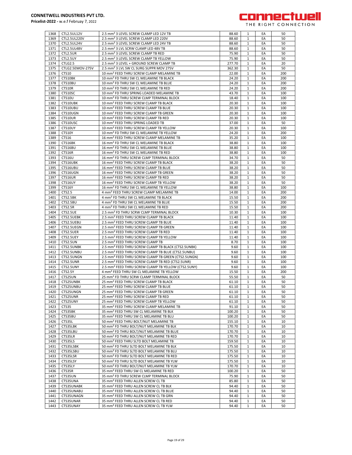

| 1368         | CTL2.5UL12V            | 2.5 mm <sup>2</sup> 3 LEVEL SCREW CLAMP LED 12V TB                                                       | 88.60          | 1                            | EA       | 50       |
|--------------|------------------------|----------------------------------------------------------------------------------------------------------|----------------|------------------------------|----------|----------|
| 1369         | CTL2.5UL220V           | 2.5 mm <sup>2</sup> 3 LEVEL SCREW CLAMP LED 220V                                                         | 88.60          | 1                            | EA       | 50       |
| 1370         | CTL2.5UL24V            | 2.5 mm <sup>2</sup> 3 LEVEL SCREW CLAMP LED 24V TB                                                       | 88.60          | 1                            | EA       | 50       |
| 1371         | CTL2.5UL48V            | 2.5 mm <sup>2</sup> 3 LVL SCRW CLAMP LED 48V TB                                                          | 88.60          | 1                            | EA       | 50       |
| 1372         | CTL2.5UR               | 2.5 mm <sup>2</sup> 3 LEVEL SCREW CLAMP TB RED                                                           | 75.90          | $\mathbf{1}$                 | EA       | 50       |
| 1373         | CTL2.5UY               | 2.5 mm <sup>2</sup> 3 LEVEL SCREW CLAMP TB YELLOW                                                        | 75.90          | 1                            | EA       | 50       |
| 1374         | CTLG2.5                | 2.5 mm <sup>2</sup> 3 LEVEL + GROUND SCREW CLAMP TB                                                      | 277.70         | $\mathbf{1}$                 | EA       | 20       |
| 1375         | CTLG2.5EMOV-275V       | 2.5 mm <sup>2</sup> 3 LVL SW CL SURG SUPPR MOV 275V                                                      | 362.30         | 1                            | EA       | 50       |
| 1376         | CTS10                  | 10 mm <sup>2</sup> FEED THRU SCREW CLAMP MELAMINE TB                                                     | 22.00          | $\mathbf{1}$                 | EA       | 200      |
| 1377         | CTS10BK                | 10 mm <sup>2</sup> FD THRU SW CL MELAMINE TB BLACK                                                       | 24.20          | 1                            | EA       | 200      |
| 1378         | CTS10BU                | 10 mm <sup>2</sup> FD THRU SW CL MELAMINE TB BLUE                                                        | 24.20          | 1                            | EA       | 200      |
| 1379         | CTS10R                 | 10 mm <sup>2</sup> FD THRU SW CL MELAMINE TB RED                                                         | 24.20          | 1                            | EA       | 200      |
| 1380         | CTS10SC                | 10 mm <sup>2</sup> FD THRU SPRING LOADED MELAMINE TB                                                     | 43.70          | 1                            | EA       | 100      |
| 1381         | <b>CTS10U</b>          | 10 mm <sup>2</sup> FD THRU SCREW CLMP TERMINAL BLOCK                                                     | 18.40          | $\mathbf{1}$                 | EA       | 100      |
| 1382         | CTS10UBK               | 10 mm <sup>2</sup> FEED THRU SCREW CLAMP TB BLACK                                                        | 20.30          | 1                            | EA       | 100      |
| 1383         | CTS10UBU               | 10 mm <sup>2</sup> FEED THRU SCREW CLAMP TB BLUE                                                         | 20.30          | $\mathbf{1}$                 | EA       | 100      |
| 1384         | CTS10UGN               | 10 mm <sup>2</sup> FEED THRU SCREW CLAMP TB GREEN                                                        | 20.30          | $\mathbf{1}$                 | EA       | 100      |
| 1385         | CTS10UR                | 10 mm <sup>2</sup> FEED THRU SCREW CLAMP TB RED                                                          | 20.30          | $\mathbf{1}$                 | EA       | 100      |
| 1386         | CTS10USC               | 10 mm <sup>2</sup> FEED THRU SPRING LOADED TB                                                            | 37.00          | 1                            | EA       | 50       |
| 1387         | CTS10UY                | 10 mm <sup>2</sup> FEED THRU SCREW CLAMP TB YELLOW                                                       | 20.30          | 1                            | EA       | 100      |
| 1388         | CTS10Y                 | 10 mm <sup>2</sup> FD THRU SW CL MELAMINE TB YELLOW                                                      | 24.20          | 1                            | EA       | 200      |
| 1389         | CTS16                  | 16 mm <sup>2</sup> FEED THRU SCREW CLAMP MELAMINE TB                                                     | 35.20          | $\mathbf{1}$                 | EA       | 100      |
| 1390         | CTS16BK                | 16 mm <sup>2</sup> FD THRU SW CL MELAMINE TB BLACK                                                       | 38.80          | 1                            | EA       | 100      |
| 1391         | CTS16BU                | 16 mm <sup>2</sup> FD THRU SW CL MELAMINE TB BLUE                                                        | 38.80          | $\mathbf{1}$                 | EA       | 100      |
| 1392         | CTS16R                 | 16 mm <sup>2</sup> FD THRU SW CL MELAMINE TB RED                                                         | 38.80          | 1                            | EA       | 100      |
| 1393         | CTS16U                 | 16 mm <sup>2</sup> FD THRU SCREW CLMP TERMINAL BLOCK                                                     | 34.70          | $\mathbf{1}$                 | EA       | 50       |
| 1394         | CTS16UBK               | 16 mm <sup>2</sup> FEED THRU SCREW CLAMP TB BLACK                                                        | 38.20          | 1                            | EA       | 50       |
| 1395         | CTS16UBU               | 16 mm <sup>2</sup> FEED THRU SCREW CLAMP TB BLUE                                                         | 38.20          | $\mathbf{1}$                 | EA       | 50       |
| 1396         | CTS16UGN               | 16 mm <sup>2</sup> FEED THRU SCREW CLAMP TB GREEN                                                        | 38.20          | 1                            | EA       | 50       |
| 1397         | CTS16UR                | 16 mm <sup>2</sup> FEED THRU SCREW CLAMP TB RED                                                          | 38.20          | $\mathbf{1}$                 | EA       | 50       |
| 1398         | CTS16UY                | 16 mm <sup>2</sup> FEED THRU SCREW CLAMP TB YELLOW                                                       | 38.20          | 1                            | EA       | 50       |
| 1399         | CTS16Y                 | 16 mm <sup>2</sup> FD THRU SW CL MELAMINE TB YELLOW                                                      | 38.80          | $\mathbf{1}$                 | EA       | 100      |
| 1400         | CTS2.5                 | 4 mm <sup>2</sup> FEED THRU SCREW CLAMP MELAMINE TB                                                      | 14.00          | 1                            | EA       | 200      |
| 1401         | CTS2.5BK               | 4 mm <sup>2</sup> FD THRU SW CL MELAMINE TB BLACK                                                        | 15.50          | $\mathbf{1}$                 | EA       | 200      |
| 1402         | CTS2.5BU               | 4 mm <sup>2</sup> FD THRU SW CL MELAMINE TB BLUE                                                         | 15.50          | 1                            | EA       | 200      |
| 1403         | CTS2.5R                | 4 mm <sup>2</sup> FD THRU SW CL MELAMINE TB RED                                                          | 15.50          | 1                            | EA       | 200      |
| 1404         | CTS2.5UE               | 2.5 mm <sup>2</sup> FD THRU SCRW CLMP TERMINAL BLOCK                                                     | 10.30          | 1                            | EA       | 100      |
| 1405         | CTS2.5UEBK             | 2.5 mm <sup>2</sup> FEED THRU SCREW CLAMP TB BLACK                                                       | 11.40          | 1                            | EA       | 100      |
| 1406         | CTS2.5UEBU             | 2.5 mm <sup>2</sup> FEED THRU SCREW CLAMP TB BLUE                                                        | 11.40          | $\mathbf{1}$                 | EA       | 100      |
| 1407         | CTS2.5UEGN             | 2.5 mm <sup>2</sup> FEED THRU SCREW CLAMP TB GREEN                                                       | 11.40          | 1                            | EA       | 100      |
| 1408         | CTS2.5UER              | 2.5 mm <sup>2</sup> FEED THRU SCREW CLAMP TB RED                                                         | 11.40          | $\mathbf{1}$                 | EA       | 100      |
| 1409         | CTS2.5UEY              | 2.5 mm <sup>2</sup> FEED THRU SCREW CLAMP TB YELLOW                                                      | 11.40          | $\mathbf{1}$                 | EA       | 100      |
| 1410         | CTS2.5UN               | 2.5 mm <sup>2</sup> FEED THRU SCREW CLAMP TB                                                             | 8.70           | $\mathbf{1}$                 | EA       | 100      |
| 1411         | CTS2.5UNBK             | 2.5 mm <sup>2</sup> FEED THRU SCREW CLAMP TB BLACK (CTS2.5UNBK)                                          | 9.60           | 1                            | EA       | 100      |
| 1412         | CTS2.5UNBU             | 2.5 mm <sup>2</sup> FEED THRU SCREW CLAMP TB BLUE (CTS2.5UNBU)                                           | 9.60           | 1                            | EA       | 100      |
| 1413         | CTS2.5UNGN             | 2.5 mm <sup>2</sup> FEED THRU SCREW CLAMP TB GREEN (CTS2.5UNGN)                                          | 9.60           | $\mathbf{1}$                 | EA       | 100      |
| 1414         | CTS2.5UNR              | 2.5 mm <sup>2</sup> FEED THRU SCREW CLAMP TB RED (CTS2.5UNR)                                             | 9.60           | $\mathbf{1}$                 | EA       | 100      |
| 1415         | CTS2.5UNY              | 2.5 mm <sup>2</sup> FEED THRU SCREW CLAMP TB YELLOW (CTS2.5UNY)                                          | 9.60           | $\mathbf{1}$                 | EA       | 100      |
| 1416         | CTS2.5Y                | 4 mm <sup>2</sup> FEED THRU SW CL MELAMINE TB YELLOW                                                     | 15.50          | 1                            | EA       | 200      |
| 1417         | CTS25UN                | 25 mm <sup>2</sup> FD THRU SCRW CLAMP TERMINAL BLOCK                                                     | 55.50          | 1                            | EA       | 50       |
| 1418         | CTS25UNBK              | 25 mm <sup>2</sup> FEED THRU SCREW CLAMP TB BLACK                                                        | 61.10          | $\mathbf{1}$                 | EA       | 50       |
| 1419         | CTS25UNBU              | 25 mm <sup>2</sup> FEED THRU SCREW CLAMP TB BLUE                                                         | 61.10          | $\mathbf{1}$                 | EA       | 50       |
| 1420         | CTS25UNGN              | 25 mm <sup>2</sup> FEED THRU SCREW CLAMP TB GREEN                                                        | 61.10          | 1                            | EA       | 50       |
| 1421         | CTS25UNR               | 25 mm <sup>2</sup> FEED THRU SCREW CLAMP TB RED                                                          | 61.10          | 1                            | EA       | 50       |
| 1422         | CTS25UNY               | 25 mm <sup>2</sup> FEED THRU SCREW CLAMP TB YELLOW                                                       | 61.10          | $\mathbf{1}$                 | EA       | 50       |
| 1423         | CTS35                  | 35 mm <sup>2</sup> FEED THRU SCREW CLAMP MELAMINE TB                                                     | 91.10          | 1                            | EA       | 50       |
| 1424         | CTS35BK                | 35 mm <sup>2</sup> FEED THRU SW CL MELAMINE TB BLK                                                       | 100.20         | $\mathbf{1}$                 | EA       | 50       |
| 1425         | CTS35BU                | 35 mm <sup>2</sup> FEED THRU SW CL MELAMINE TB BLU                                                       | 100.20         | 1                            | EA       | 50       |
| 1426         | CTS35L                 | 50 mm <sup>2</sup> FEED THRU BOLT/NUT MELAMINE TB                                                        | 155.10         | $\mathbf{1}$                 | EA       | 10       |
| 1427         |                        |                                                                                                          |                |                              | EA       | 10       |
|              | CTS35LBK               | 50 mm <sup>2</sup> FD THRU BOLT/NUT MELAMINE TB BLK                                                      | 170.70         | 1                            |          |          |
| 1428         | CTS35LBU               | 50 mm <sup>2</sup> FD THRU BOLT/NUT MELAMINE TB BLUE                                                     | 170.70         | 1                            | EA       | 10       |
| 1429         | CTS35LR                | 50 mm <sup>2</sup> FD THRU BOLT/NUT MELAMINE TB RED                                                      | 170.70         | 1                            | EA       | 10       |
| 1430         | CTS35LS                | 50 mm <sup>2</sup> FEED THRU SLTD BOLT MELAMINE TB                                                       | 159.50         | 1                            | EA       | 10       |
| 1431         | CTS35LSBK              | 50 mm <sup>2</sup> FD THRU SLTD BOLT MELAMINE TB BLK                                                     | 175.50         | $\mathbf{1}$                 | EA       | 10       |
| 1432         | CTS35LSBU              | 50 mm <sup>2</sup> FD THRU SLTD BOLT MELAMINE TB BLU                                                     | 175.50         | 1                            | EA       | 10       |
| 1433         | CTS35LSR               | 50 mm <sup>2</sup> FD THRU SLTD BOLT MELAMINE TB RED                                                     | 175.50         | $\mathbf{1}$                 | EA       | 10       |
| 1434         | CTS35LSY               | 50 mm <sup>2</sup> FD THRU SLTD BOLT MELAMINE TB YLW                                                     | 175.50         | $\mathbf{1}$                 | EA       | 10       |
| 1435         | CTS35LY                | 50 mm <sup>2</sup> FD THRU BOLT/NUT MELAMINE TB YLW                                                      | 170.70         | $\mathbf{1}$                 | EA       | 10       |
| 1436         | CTS35R                 | 35 mm <sup>2</sup> FEED THRU SW CL MELAMINE TB RED                                                       | 100.20         | 1                            | EA       | 50       |
| 1437         | CTS35UN                | 35 mm <sup>2</sup> FD THRU SCREW CLMP TERMINAL BLOCK                                                     | 75.90          | 1                            | EA       | 50       |
| 1438         | CTS35UNA               | 35 mm <sup>2</sup> FEED THRU ALLEN SCREW CL TB                                                           | 85.80          | $\mathbf{1}$                 | EA       | 50       |
|              |                        |                                                                                                          | 94.40          | 1                            | EA       | 50       |
| 1439         | CTS35UNABK             | 35 mm <sup>2</sup> FEED THRU ALLEN SCREW CL TB BLK                                                       |                |                              |          |          |
| 1440         | CTS35UNABU             | 35 mm <sup>2</sup> FEED THRU ALLEN SCREW CL TB BLUE                                                      | 94.40          | 1                            | EA       | 50       |
| 1441         | CTS35UNAGN             | 35 mm <sup>2</sup> FEED THRU ALLEN SCREW CL TB GRN                                                       | 94.40          | $\mathbf{1}$                 | EA       | 50       |
| 1442<br>1443 | CTS35UNAR<br>CTS35UNAY | 35 mm <sup>2</sup> FEED THRU ALLEN SCREW CL TB RED<br>35 mm <sup>2</sup> FEED THRU ALLEN SCREW CL TB YLW | 94.40<br>94.40 | $\mathbf{1}$<br>$\mathbf{1}$ | EA<br>EA | 50<br>50 |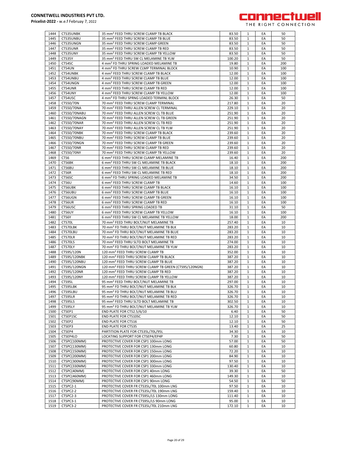

| 1444         | CTS35UNBK            | 35 mm <sup>2</sup> FEED THRU SCREW CLAMP TB BLACK                                   | 83.50           | 1            | EA       | 50       |
|--------------|----------------------|-------------------------------------------------------------------------------------|-----------------|--------------|----------|----------|
| 1445         | CTS35UNBU            | 35 mm <sup>2</sup> FEED THRU SCREW CLAMP TB BLUE                                    | 83.50           | 1            | EA       | 50       |
| 1446         | CTS35UNGN            | 35 mm <sup>2</sup> FEED THRU SCREW CLAMP GREEN                                      | 83.50           | 1            | EA       | 50       |
|              |                      |                                                                                     |                 |              |          |          |
| 1447         | CTS35UNR             | 35 mm <sup>2</sup> FEED THRU SCREW CLAMP TB RED                                     | 83.50           | $\mathbf{1}$ | EA       | 50       |
| 1448         | CTS35UNY             | 35 mm <sup>2</sup> FEED THRU SCREW CLAMP TB YELLOW                                  | 83.50           | $\mathbf{1}$ | EA       | 50       |
| 1449         | CTS35Y               | 35 mm <sup>2</sup> FEED THRU SW CL MELAMINE TB YLW                                  | 100.20          | $\mathbf{1}$ | EA       | 50       |
| 1450         | CTS4SC               | 4 mm <sup>2</sup> FD THRU SPRING LOADED MELAMINE TB                                 | 19.80           | $\mathbf{1}$ | EA       | 200      |
| 1451         | CTS4UN               | 4 mm <sup>2</sup> FD THRU SCREW CLMP TERMINAL BLOCK                                 | 10.90           | $\mathbf{1}$ | EA       | 100      |
|              |                      |                                                                                     |                 |              |          |          |
| 1452         | CTS4UNBK             | 4 mm <sup>2</sup> FEED THRU SCREW CLAMP TB BLACK                                    | 12.00           | $\mathbf{1}$ | EA       | 100      |
| 1453         | CTS4UNBU             | 4 mm <sup>2</sup> FEED THRU SCREW CLAMP TB BLUE                                     | 12.00           | $\mathbf{1}$ | EA       | 100      |
| 1454         | CTS4UNGN             | 4 mm <sup>2</sup> FEED THRU SCREW CLAMP TB GREEN                                    | 12.00           | $\mathbf{1}$ | EA       | 100      |
| 1455         | CTS4UNR              | 4 mm <sup>2</sup> FEED THRU SCREW CLAMP TB RED                                      | 12.00           | $\mathbf{1}$ | EA       | 100      |
| 1456         | CTS4UNY              | 4 mm <sup>2</sup> FEED THRU SCREW CLAMP TB YELLOW                                   | 12.00           | 1            | EA       | 100      |
|              |                      |                                                                                     |                 |              |          |          |
| 1457         | CTS4USC              | 4 mm <sup>2</sup> FD THRU SPRNG LOADED TERMINL BLOCK                                | 26.30           | $\mathbf{1}$ | EA       | 50       |
| 1458         | CTS50/70N            | 70 mm <sup>2</sup> FEED THRU SCREW CLAMP TERMINAL                                   | 217.80          | $\mathbf{1}$ | EA       | 20       |
| 1459         | CTS50/70NA           | 70 mm <sup>2</sup> FEED THRU ALLEN SCREW CL TERMINAL                                | 229.10          | $\mathbf{1}$ | EA       | 20       |
| 1460         | CTS50/70NABU         | 70 mm <sup>2</sup> FEED THRU ALLEN SCREW CL TB BLUE                                 | 251.90          | $\mathbf{1}$ | EA       | 20       |
| 1461         | CTS50/70NAGN         | 70 mm <sup>2</sup> FEED THRU ALLEN SCREW CL TB GREEN                                | 251.90          | $\mathbf{1}$ | EA       | 20       |
|              |                      |                                                                                     |                 |              |          |          |
| 1462         | CTS50/70NAR          | 70 mm <sup>2</sup> FEED THRU ALLEN SCREW CL TB RED                                  | 251.90          | $\mathbf{1}$ | EA       | 20       |
| 1463         | CTS50/70NAY          | 70 mm <sup>2</sup> FEED THRU ALLEN SCREW CL TB YLW                                  | 251.90          | $\mathbf{1}$ | EA       | 20       |
| 1464         | CTS50/70NBK          | 70 mm <sup>2</sup> FEED THRU SCREW CLAMP TB BLACK                                   | 239.60          | $\mathbf{1}$ | EA       | 20       |
| 1465         | CTS50/70NBU          | 70 mm <sup>2</sup> FEED THRU SCREW CLAMP TB BLUE                                    | 239.60          | $\mathbf{1}$ | EA       | 20       |
| 1466         |                      | 70 mm <sup>2</sup> FEED THRU SCREW CLAMP TB GREEN                                   | 239.60          | $\mathbf{1}$ | EA       | 20       |
|              | CTS50/70NGN          |                                                                                     |                 |              |          |          |
| 1467         | <b>CTS50/70NR</b>    | 70 mm <sup>2</sup> FEED THRU SCREW CLAMP TB RED                                     | 239.60          | $\mathbf{1}$ | EA       | 20       |
| 1468         | CTS50/70NY           | 70 mm <sup>2</sup> FEED THRU SCREW CLAMP TB YELLOW                                  | 239.60          | $\mathbf{1}$ | EA       | 20       |
| 1469         | CTS <sub>6</sub>     | 6 mm <sup>2</sup> FEED THRU SCREW CLAMP MELAMINE TB                                 | 16.40           | $\mathbf{1}$ | EA       | 200      |
| 1470         | CTS6BK               | 6 mm <sup>2</sup> FEED THRU SW CL MELAMINE TB BLACK                                 | 18.10           | $\mathbf{1}$ | EA       | 200      |
|              |                      | 6 mm <sup>2</sup> FEED THRU SW CL MELAMINE TB BLUE                                  |                 |              |          |          |
| 1471         | CTS6BU               |                                                                                     | 18.10           | $\mathbf{1}$ | EA       | 200      |
| 1472         | CTS6R                | 6 mm <sup>2</sup> FEED THRU SW CL MELAMINE TB RED                                   | 18.10           | $\mathbf{1}$ | EA       | 200      |
| 1473         | CTS6SC               | 6 mm <sup>2</sup> FD THRU SPRING LOADED MELAMINE TB                                 | 34.50           | $\mathbf{1}$ | EA       | 200      |
| 1474         | CTS6U                | 6 mm <sup>2</sup> FEED THRU SCREW CLAMP TB                                          | 14.60           | $\mathbf{1}$ | EA       | 100      |
| 1475         | CTS6UBK              | 6 mm <sup>2</sup> FEED THRU SCREW CLAMP TB BLACK                                    | 16.10           | $\mathbf{1}$ | EA       | 100      |
|              |                      |                                                                                     |                 |              |          |          |
| 1476         | CTS6UBU              | 6 mm <sup>2</sup> FEED THRU SCREW CLAMP TB BLUE                                     | 16.10           | $\mathbf{1}$ | EA       | 100      |
| 1477         | CTS6UGN              | 6 mm <sup>2</sup> FEED THRU SCREW CLAMP TB GREEN                                    | 16.10           | $\mathbf{1}$ | EA       | 100      |
| 1478         | CTS6UR               | 6 mm <sup>2</sup> FEED THRU SCREW CLAMP TB RED                                      | 16.10           | $\mathbf{1}$ | EA       | 100      |
| 1479         | CTS6USC              | 6 mm <sup>2</sup> FEED THRU SPRING LOADED TB                                        | 31.10           | 1            | EA       | 50       |
| 1480         | CTS6UY               | 6 mm <sup>2</sup> FEED THRU SCREW CLAMP TB YELLOW                                   | 16.10           | $\mathbf{1}$ | EA       | 100      |
|              |                      |                                                                                     |                 |              |          |          |
| 1481         | CTS6Y                | 6 mm <sup>2</sup> FEED THRU SW CL MELAMINE TB YELLOW                                | 18.00           | 1            | EA       | 200      |
| 1482         | CTS70L               | 70 mm <sup>2</sup> FEED THRU BOLT/NUT MELAMINE TB                                   | 257.40          | $\mathbf{1}$ | EA       | 10       |
| 1483         | CTS70LBK             | 70 mm <sup>2</sup> FD THRU BOLT/NUT MELAMINE TB BLK                                 | 283.20          | $\mathbf{1}$ | EA       | 10       |
| 1484         | CTS70LBU             | 70 mm <sup>2</sup> FD THRU BOLT/NUT MELAMINE TB BLUE                                | 283.20          | $\mathbf{1}$ | EA       | 10       |
| 1485         | CTS70LR              | 70 mm <sup>2</sup> FD THRU BOLT/NUT MELAMINE TB RED                                 | 283.20          | $\mathbf{1}$ | EA       | 10       |
|              |                      |                                                                                     |                 |              |          |          |
| 1486         | CTS70LS              | 70 mm <sup>2</sup> FEED THRU SLTD BOLT MELAMINE TB                                  | 274.00          | $\mathbf{1}$ | EA       | 10       |
| 1487         | CTS70LY              | 70 mm <sup>2</sup> FD THRU BOLT/NUT MELAMINE TB YLW                                 | 283.20          | $\mathbf{1}$ | EA       | 10       |
| 1488         | CTS95/120N           | 120 mm <sup>2</sup> FEED THRU SCREW CLAMP TB                                        | 352.00          | $\mathbf{1}$ | EA       | 10       |
| 1489         | CTS95/120NBK         | 120 mm <sup>2</sup> FEED THRU SCREW CLAMP TB BLACK                                  | 387.20          | $\mathbf{1}$ | EA       | 10       |
| 1490         | CTS95/120NBU         |                                                                                     |                 |              |          |          |
|              |                      |                                                                                     |                 |              |          |          |
| 1491         |                      | 120 mm <sup>2</sup> FEED THRU SCREW CLAMP TB BLUE                                   | 387.20          | $\mathbf{1}$ | EA       | 10       |
| 1492         | CTS95/120NGN         | 120 mm <sup>2</sup> FEED THRU SCREW CLAMP TB GREEN (CTS95/120NGN)                   | 387.20          | $\mathbf{1}$ | EA       | 10       |
|              | CTS95/120NR          | 120 mm <sup>2</sup> FEED THRU SCREW CLAMP TB RED                                    | 387.20          | $\mathbf{1}$ | EA       | 10       |
| 1493         | CTS95/120NY          | 120 mm <sup>2</sup> FEED THRU SCREW CLAMP TB YELLOW                                 | 387.20          | $\mathbf{1}$ | EA       | 10       |
| 1494         | CTS95L               | 95 mm <sup>2</sup> FEED THRU BOLT/NUT MELAMINE TB                                   | 297.00          | $\mathbf{1}$ | EA       | 10       |
|              |                      |                                                                                     |                 |              |          |          |
| 1495         | CTS95LBK             | 95 mm <sup>2</sup> FD THRU BOLT/NUT MELAMINE TB BLK                                 | 326.70          | 1            | EA       | 10       |
| 1496         | CTS95LBU             | 95 mm <sup>2</sup> FD THRU BOLT/NUT MELAMINE TB BLU                                 | 326.70          | $\mathbf{1}$ | EA       | 10       |
| 1497         | CTS95LR              | 95 mm <sup>2</sup> FD THRU BOLT/NUT MELAMINE TB RED                                 | 326.70          | 1            | EA       | 10       |
| 1498         | CTS95LS              | 95 mm <sup>2</sup> FEED THRU SLTD BOLT MELAMINE TB                                  | 302.50          | $\mathbf{1}$ | EA       | 10       |
| 1499         | CTS95LY              | 95 mm <sup>2</sup> FD THRU BOLT/NUT MELAMINE TB YLW                                 | 326.70          | $\mathbf{1}$ | EA       | 10       |
| 1500         | CTSEP1               | END PLATE FOR CTS2.5/6/10                                                           | 6.40            | $\mathbf{1}$ | EA       | 50       |
|              |                      |                                                                                     |                 |              |          |          |
| 1501         | CTSEP1SC             | END PLATE FOR CTS10SC                                                               | 12.10           | $\mathbf{1}$ | EA       | 50       |
| 1502         | CTSEP2               | <b>END PLATE FOR CTS16</b>                                                          | 12.10           | $\mathbf{1}$ | EA       | 50       |
| 1503         | CTSEP3               | <b>END PLATE FOR CTS35</b>                                                          | 13.40           | $\mathbf{1}$ | EA       | 25       |
| 1504         | CTSEP4               | PARTITION PLATE FOR CTS35L/70L/95L                                                  | 34.30           | 1            | EA       | 10       |
| 1505         | CTSEP4LO             | LOCATING SUPPORT FOR CTSEP4/EP4P                                                    | 7.30            | $\mathbf{1}$ | EA       | 50       |
|              |                      |                                                                                     |                 |              |          |          |
| 1506         | CTSPC(100MM)         | PROTECTIVE COVER FOR CSP1 100mm LONG                                                | 57.00           | 1            | EA       | 50       |
| 1507         | CTSPC(130MM)         | PROTECTIVE COVER FOR CSP1 130mm LONG                                                | 60.80           | $\mathbf{1}$ | EA       | 10       |
| 1508         | CTSPC(150MM)         | PROTECTIVE COVER FOR CSP1 150mm LONG                                                | 72.20           | $\mathbf{1}$ | EA       | 10       |
| 1509         | CTSPC(200MM)         | PROTECTIVE COVER FOR CSP1 200mm LONG                                                | 84.90           | $\mathbf{1}$ | EA       | 10       |
| 1510         | CTSPC(300MM)         | PROTECTIVE COVER FOR CSP1 300mm LONG                                                | 97.50           | $\mathbf{1}$ | EA       | 10       |
|              |                      |                                                                                     |                 |              |          |          |
| 1511         | CTSPC(330MM)         | PROTECTIVE COVER FOR CSP1 330mm LONG                                                | 130.40          | $\mathbf{1}$ | EA       | 10       |
| 1512         | CTSPC(40MM)          | PROTECTIVE COVER FOR CSP1 40mm LONG                                                 | 39.30           | $\mathbf{1}$ | EA       | 50       |
| 1513         | CTSPC(460MM)         | PROTECTIVE COVER FOR CSP1 460mm LONG                                                | 149.30          | 1            | EA       | 10       |
| 1514         | CTSPC(90MM)          | PROTECTIVE COVER FOR CSP1 90mm LONG                                                 | 54.50           | $\mathbf{1}$ | EA       | 50       |
| 1515         | CTSPC2-1             | PROTECTIVE COVER FR CTS35L/70L 100mm LNG                                            | 97.50           | $\mathbf{1}$ | EA       | 10       |
|              |                      |                                                                                     |                 |              |          |          |
| 1516         | CTSPC2-2             | PROTECTIVE COVER FR CTS35L/70L 190mm LNG                                            | 159.40          | $\mathbf{1}$ | EA       | 10       |
| 1517         | CTSPC2-3             | PROTECTIVE COVER FR CTS95L/LS 130mm LONG                                            | 111.40          | $\mathbf{1}$ | EA       | 10       |
| 1518<br>1519 | CTSPC3-1<br>CTSPC3-2 | PROTECTIVE COVER FR CTS95L/LS 90mm LONG<br>PROTECTIVE COVER FR CTS35L/70L 210mm LNG | 95.00<br>172.10 | $1\,$        | EA<br>EA | 10<br>10 |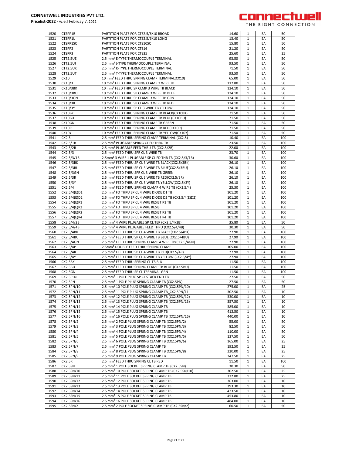

| 1520         | CTSPP1B                 | PARTITION PLATE FOR CTS2.5/6/10 BROAD                                                                               | 14.60           | 1                 | EA       | 50       |
|--------------|-------------------------|---------------------------------------------------------------------------------------------------------------------|-----------------|-------------------|----------|----------|
| 1521         | CTSPP1L                 | PARTITION PLATE FOR CTS2.5/6/10 LONG                                                                                | 13.40           | 1                 | EA       | 50       |
| 1522         | CTSPP1SC                | PARTITION PLATE FOR CTS10SC                                                                                         | 15.80           | 1                 | EA       | 50       |
|              |                         |                                                                                                                     |                 |                   |          |          |
| 1523         | CTSPP2                  | PARTITION PLATE FOR CTS16                                                                                           | 21.20           | 1                 | EA       | 50       |
| 1524         | CTSPP3                  | PARTITION PLATE FOR CTS35                                                                                           | 25.60           | $\mathbf{1}$      | EA       | 25       |
| 1525         | CTT2.5UE                | 2.5 mm <sup>2</sup> E-TYPE THERMOCOUPLE TERMINAL                                                                    | 93.50           | $\mathbf{1}$      | EA       | 50       |
|              |                         |                                                                                                                     |                 |                   |          |          |
| 1526         | CTT2.5UJ                | 2.5 mm <sup>2</sup> J-TYPE THERMOCOUPLE TERMINAL                                                                    | 93.50           | 1                 | EA       | 50       |
| 1527         | CTT2.5UK                | 2.5 mm <sup>2</sup> K-TYPE THERMOCOUPLE TERMINAL                                                                    | 71.50           | $\mathbf{1}$      | EA       | 50       |
|              |                         |                                                                                                                     |                 |                   |          |          |
| 1528         | CTT2.5UT                | 2.5 mm <sup>2</sup> T-TYPE THERMOCOUPLE TERMINAL                                                                    | 93.50           | $\mathbf{1}$      | EA       | 50       |
| 1529         | CX10                    | 10 mm <sup>2</sup> FEED THRU SPRING CLAMP TERMINAL(CX10)                                                            | 65.00           | $\mathbf{1}$      | EA       | 50       |
| 1530         | CX10/3                  | 10 mm <sup>2</sup> FEED THRU SPRING CLAMP 3 WIRE TB                                                                 | 112.80          | 1                 | EA       | 50       |
|              |                         |                                                                                                                     |                 |                   |          |          |
| 1531         | CX10/3BK                | 10 mm <sup>2</sup> FEED THRU SP CLMP 3 WIRE TB BLACK                                                                | 124.10          | 1                 | EA       | 50       |
| 1532         | CX10/3BU                | 10 mm <sup>2</sup> FEED THRU SP CLAMP 3 WIRE TB BLUE                                                                | 124.10          | $\mathbf{1}$      | EA       | 50       |
|              |                         |                                                                                                                     |                 |                   |          |          |
| 1533         | CX10/3GN                | 10 mm <sup>2</sup> FEED THRU SP CLAMP 3 WIRE TB GRN                                                                 | 124.10          | 1                 | EA       | 50       |
| 1534         | CX10/3R                 | 10 mm <sup>2</sup> FEED THRU SP CLAMP 3 WIRE TB RED                                                                 | 124.10          | $\mathbf{1}$      | EA       | 50       |
| 1535         | CX10/3Y                 | 10 mm <sup>2</sup> FEED THRU SP CL 3 WIRE TB YELLOW                                                                 | 124.10          | 1                 | EA       | 50       |
|              |                         |                                                                                                                     |                 |                   |          |          |
| 1536         | CX10BK                  | 10 mm <sup>2</sup> FEED THRU SPRING CLAMP TB BLACK(CX10BK)                                                          | 71.50           | $\mathbf{1}$      | EA       | 50       |
| 1537         | CX10BU                  | 10 mm <sup>2</sup> FEED THRU SPRING CLAMP TB BLUE(CX10BU)                                                           | 71.50           | 1                 | EA       | 50       |
|              |                         |                                                                                                                     |                 |                   |          |          |
| 1538         | CX10GN                  | 10 mm <sup>2</sup> FEED THRU SPRING CLAMP TB GREEN                                                                  | 71.50           | 1                 | EA       | 50       |
| 1539         | CX10R                   | 10 mm <sup>2</sup> FEED THRU SPRING CLAMP TB RED(CX10R)                                                             | 71.50           | 1                 | EA       | 50       |
| 1540         | <b>CX10Y</b>            | 10 mm <sup>2</sup> FEED THRU SPRING CLAMP TB YELLOW(CX10Y)                                                          | 71.50           |                   | EA       | 50       |
|              |                         |                                                                                                                     |                 | 1                 |          |          |
| 1541         | CX2.5                   | 2.5 mm <sup>2</sup> FEED THRU SPRING CLAMP TERMINAL (CX2.5)                                                         | 10.40           | $\mathbf{1}$      | EA       | 100      |
| 1542         | CX2.5/1B                | 2.5 mm <sup>2</sup> PLUGABLE SPRNG CL FD THRU TB                                                                    | 23.50           | 1                 | EA       | 100      |
|              |                         |                                                                                                                     |                 |                   |          |          |
| 1543         | CX2.5/2B                | 2.5 mm <sup>2</sup> PLUGABLE FEED THRU TB (CX2.5/2B)                                                                | 22.00           | $\mathbf{1}$      | EA       | 100      |
| 1544         | CX2.5/3                 | 2.5 mm <sup>2</sup> FEED THRU SPR CL 3 WIRE TB                                                                      | 23.70           | 1                 | EA       | 100      |
|              |                         |                                                                                                                     |                 |                   |          |          |
| 1545         | CX2.5/3/1B              | 2.5mm <sup>2</sup> 3 WIRE 1 PLUGABLE SP CL FD THR TB (CX2.5/3/1B)                                                   | 30.60           | $\mathbf{1}$      | EA       | 100      |
| 1546         | CX2.5/3BK               | 2.5 mm <sup>2</sup> FEED THRU SP CL 3 WIRE TB BLACK(CX2.5/3BK)                                                      | 26.10           | 1                 | EA       | 100      |
| 1547         | CX2.5/3BU               | 2.5 mm <sup>2</sup> FEED THRU SP CL 3 WIRE TB BLUE(CX2.5/3BU)                                                       | 26.10           | 1                 | EA       | 100      |
|              |                         |                                                                                                                     |                 |                   |          |          |
| 1548         | CX2.5/3GN               | 2.5 mm <sup>2</sup> FEED THRU SPR CL 3 WIRE TB GREEN                                                                | 26.10           | 1                 | EA       | 100      |
| 1549         | CX2.5/3R                | 2.5 mm <sup>2</sup> FEED THRU SP CL 3 WIRE TB RED(CX2.5/3R)                                                         | 26.10           | 1                 | EA       | 100      |
|              |                         |                                                                                                                     |                 |                   |          |          |
| 1550         | CX2.5/3Y                | 2.5 mm <sup>2</sup> FEED THRU SP CL 3 WIRE TB YELLOW(CX2.5/3Y)                                                      | 26.10           | $\mathbf{1}$      | EA       | 100      |
| 1551         | CX2.5/4                 | 2.5 mm <sup>2</sup> FEED THRU SPRING CLAMP 4 WIRE TB (CX2.5/4)                                                      | 25.30           | $\mathbf{1}$      | EA       | 100      |
|              | CX2.5/4(E)D1            |                                                                                                                     | 101.20          |                   |          |          |
| 1552         |                         | 2.5 mm <sup>2</sup> FD THRU SP CL 4 WIRE DIODE D1 TB                                                                |                 | $\mathbf{1}$      | EA       | 100      |
| 1553         | CX2.5/4(E)D2            | 2.5 mm <sup>2</sup> FD THRU SP CL 4 WIRE DIODE D2 TB (CX2.5/4(E)D2)                                                 | 101.20          | $\mathbf{1}$      | EA       | 100      |
| 1554         | CX2.5/4(E)R1            | 2.5 mm <sup>2</sup> FD THRU SP CL 4 WRE RESIST R1 TB                                                                | 101.20          | $\mathbf{1}$      | EA       | 100      |
|              |                         |                                                                                                                     |                 |                   |          |          |
| 1555         | CX2.5/4(E)R2            | 2.5 mm <sup>2</sup> FD THRU SP CL 4 WRE RESIS                                                                       | 101.20          | 1                 | EA       | 100      |
| 1556         | CX2.5/4(E)R3            | 2.5 mm <sup>2</sup> FD THRU SP CL 4 WRE RESIST R3 TB                                                                | 101.20          | 1                 | EA       | 100      |
|              |                         |                                                                                                                     |                 |                   |          |          |
| 1557         | CX2.5/4(E)R4            | 2.5 mm <sup>2</sup> FD THRU SP CL 4 WRE RESIST R4 TB                                                                | 101.20          | $\mathbf{1}$      | EA       | 100      |
|              |                         |                                                                                                                     |                 |                   |          |          |
|              |                         |                                                                                                                     |                 |                   |          |          |
| 1558         | CX2.5/4/2B              | 2.5 mm <sup>2</sup> 4 WIRE PLUGABLE SP CL TER (CX2.5/4/2B)                                                          | 35.80           | 1                 | EA       | 50       |
| 1559         | CX2.5/4/4B              | 2.5 mm <sup>2</sup> 4 WIRE PLUGABLE FEED THRU (CX2.5/4/4B)                                                          | 30.30           | $\mathbf{1}$      | EA       | 50       |
| 1560         | CX2.5/4BK               | 2.5 mm <sup>2</sup> FEED THRU SP CL 4 WIRE TB BLACK(CX2.5/4BK)                                                      | 27.90           | 1                 | EA       | 100      |
|              |                         |                                                                                                                     |                 |                   |          |          |
| 1561         | CX2.5/4BU               | 2.5 mm <sup>2</sup> FEED THRU SP CL 4 WIRE TB BLUE (CX2.5/4BU)                                                      | 27.90           | $\mathbf{1}$      | EA       | 100      |
| 1562         | CX2.5/4GN               | 2.5 mm <sup>2</sup> FEED THRU SPRING CLAMP 4 WIRE TB(CX2.5/4GN)                                                     | 27.90           | 1                 | EA       | 100      |
|              |                         |                                                                                                                     |                 |                   |          |          |
| 1563         | CX2.5/4P                | 2.5mm <sup>2</sup> DOUBLE FEED THRU SPRING CLAMP                                                                    | 105.00          | 1                 | EA       | 100      |
| 1564         | CX2.5/4R                | 2.5 mm <sup>2</sup> FEED THRU SP CL 4 WIRE TB RED(CX2.5/4R)                                                         | 27.90           | 1                 | EA       | 100      |
| 1565         | CX2.5/4Y                | 2.5 mm <sup>2</sup> FEED THRU SP CL 4 WIRE TB YELLOW (CX2.5/4Y)                                                     | 27.90           | 1                 | EA       | 100      |
|              |                         |                                                                                                                     |                 |                   |          |          |
| 1566         | CX2.5BK                 | 2.5 mm <sup>2</sup> FEED THRU SPRING CL TB BLK                                                                      | 11.50           | $\mathbf{1}$      | EA       | 100      |
| 1567         | CX2.5BU                 | 2.5 mm <sup>2</sup> FEED THRU SPRING CLAMP TB BLUE (CX2.5BU)                                                        | 11.50           | 1                 | EA       | 100      |
| 1568         | <b>CX2.5GN</b>          | 2.5 mm <sup>2</sup> FEED THRU SP CL TERMINAL GRN                                                                    | 11.50           | $\mathbf{1}$      | EA       | 100      |
|              |                         |                                                                                                                     |                 |                   |          |          |
| 1569         | CX2.5PLN                | 2.5 mm <sup>2</sup> 1 POLE PLUG SP CL STACK END TB                                                                  | 27.50           | 1                 | EA       | 50       |
| 1570         | CX2.5PN                 | 2.5 mm <sup>2</sup> 1 POLE PLUG SPRING CLAMP TB (CX2.5PN)                                                           | 27.50           | $\mathbf{1}$      | EA       | 50       |
|              |                         |                                                                                                                     |                 |                   |          |          |
| 1571         | CX2.5PN/10              | 2.5 mm <sup>2</sup> 10 POLE PLUG SPRING CLAMP TB (CX2.5PN/10)                                                       | 275.00          | $\mathbf{1}$      | EA       | 25       |
| 1572         | CX2.5PN/11              | 2.5 mm <sup>2</sup> 11 POLE PLUG SPRING CLAMP TB_CX2.5PN/11                                                         | 302.50          | 1                 | EA       | 10       |
| 1573         | CX2.5PN/12              | 2.5 mm <sup>2</sup> 12 POLE PLUG SPRING CLAMP TB (CX2.5PN/12)                                                       | 330.00          | 1                 | EA       | 10       |
|              |                         |                                                                                                                     |                 |                   |          |          |
| 1574         | CX2.5PN/13              | 2.5 mm <sup>2</sup> 13 POLE PLUG SPRING CLAMP TB (CX2.5PN/13)                                                       | 357.50          | 1                 | EA       | 10       |
| 1575         | CX2.5PN/14              | 2.5 mm <sup>2</sup> 14 POLE PLUG SPRING CLAMP TB                                                                    | 385.00          | 1                 | EA       | 10       |
|              |                         |                                                                                                                     | 412.50          | 1                 | EA       | 10       |
| 1576         | CX2.5PN/15              | 2.5 mm <sup>2</sup> 15 POLE PLUG SPRING CLAMP TB                                                                    |                 |                   |          |          |
| 1577         | CX2.5PN/16              | 2.5 mm <sup>2</sup> 16 POLE PLUG SPRING CLAMP TB (CX2.5PN/16)                                                       | 440.00          | 1                 | EA       | 10       |
| 1578         | CX2.5PN/2               | 2.5 mm <sup>2</sup> 2 POLE PLUG SPRING CLAMP TB (CX2.5PN/2)                                                         | 55.00           | 1                 | EA       | 50       |
|              |                         |                                                                                                                     |                 |                   |          |          |
| 1579         | CX2.5PN/3               | 2.5 mm <sup>2</sup> 3 POLE PLUG SPRING CLAMP TB (CX2.5PN/3)                                                         | 82.50           | 1                 | EA       | 50       |
| 1580         | CX2.5PN/4               | 2.5 mm <sup>2</sup> 4 POLE PLUG SPRING CLAMP TB (CX2.5PN/4)                                                         | 110.00          | 1                 | EA       | 50       |
|              |                         |                                                                                                                     |                 |                   |          |          |
| 1581         | CX2.5PN/5               | 2.5 mm <sup>2</sup> 5 POLE PLUG SPRING CLAMP TB (CX2.5PN/5)                                                         | 137.50          | 1                 | EA       | 50       |
| 1582         | CX2.5PN/6               | 2.5 mm <sup>2</sup> 6 POLE PLUG SPRING CLAMP TB (CX2.5PN/6)                                                         | 165.00          | $\mathbf{1}$      | EA       | 25       |
| 1583         | CX2.5PN/7               | 2.5 mm <sup>2</sup> 7 POLE PLUG SPRING CLAMP TB                                                                     | 192.50          | 1                 | EA       | 25       |
|              |                         |                                                                                                                     |                 |                   |          |          |
| 1584         | CX2.5PN/8               | 2.5 mm <sup>2</sup> 8 POLE PLUG SPRING CLAMP TB (CX2.5PN/8)                                                         | 220.00          | $\mathbf{1}$      | EA       | 25       |
| 1585         | CX2.5PN/9               | 2.5 mm <sup>2</sup> 9 POLE PLUG SPRING CLAMP TB                                                                     | 247.50          | 1                 | EA       | 25       |
|              |                         |                                                                                                                     |                 |                   |          |          |
| 1586         | CX2.5R                  | 2.5 mm <sup>2</sup> FEED THRU SPRING CL TB RED                                                                      | 11.50           | $\mathbf{1}$      | EA       | 100      |
| 1587         | CX2.5SN                 | 2.5 mm <sup>2</sup> 1 POLE SOCKET SPRING CLAMP TB (CX2.5SN)                                                         | 30.30           | 1                 | EA       | 50       |
| 1588         | CX2.5SN/10              | 2.5 mm <sup>2</sup> 10 POLE SOCKET SPRING CLAMP TB (CX2.5SN/10)                                                     | 302.50          | 1                 | EA       | 25       |
|              |                         |                                                                                                                     |                 |                   |          |          |
| 1589         | CX2.5SN/11              | 2.5 mm <sup>2</sup> 11 POLE SOCKET SPRING CLAMP TB                                                                  | 332.80          | 1                 | EA       | 25       |
| 1590         | CX2.5SN/12              | 2.5 mm <sup>2</sup> 12 POLE SOCKET SPRING CLAMP TB                                                                  | 363.00          | 1                 | EA       | 10       |
|              |                         |                                                                                                                     |                 |                   |          |          |
| 1591         | CX2.5SN/13              | 2.5 mm <sup>2</sup> 13 POLE SOCKET SPRING CLAMP TB                                                                  | 393.30          | 1                 | EA       | 10       |
| 1592         | CX2.5SN/14              | 2.5 mm <sup>2</sup> 14 POLE SOCKET SPRING CLAMP TB                                                                  | 423.50          | 1                 | EA       | 10       |
| 1593         | CX2.5SN/15              | 2.5 mm <sup>2</sup> 15 POLE SOCKET SPRING CLAMP TB                                                                  | 453.80          | $\mathbf{1}$      | EA       | 10       |
|              |                         |                                                                                                                     |                 |                   |          |          |
| 1594<br>1595 | CX2.5SN/16<br>CX2.5SN/2 | 2.5 mm <sup>2</sup> 16 POLE SOCKET SPRING CLAMP TB<br>2.5 mm <sup>2</sup> 2 POLE SOCKET SPRING CLAMP TB (CX2.5SN/2) | 484.00<br>60.50 | 1<br>$\mathbf{1}$ | EA<br>EA | 10<br>50 |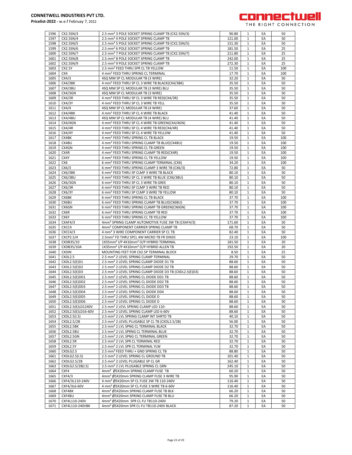

| 1596         |                                  |                                                                                                      |                |                              |          |          |
|--------------|----------------------------------|------------------------------------------------------------------------------------------------------|----------------|------------------------------|----------|----------|
|              | CX2.5SN/3                        | 2.5 mm <sup>2</sup> 3 POLE SOCKET SPRING CLAMP TB (CX2.5SN/3)                                        | 90.80          | 1                            | EA       | 50       |
| 1597         | CX2.5SN/4                        | 2.5 mm <sup>2</sup> 4 POLE SOCKET SPRING CLAMP TB                                                    | 121.00         |                              | EA       | 50       |
|              |                                  |                                                                                                      |                | 1                            |          |          |
| 1598         | CX2.5SN/5                        | 2.5 mm <sup>2</sup> 5 POLE SOCKET SPRING CLAMP TB (CX2.5SN/5)                                        | 151.30         | 1                            | EA       | 50       |
| 1599         | CX2.5SN/6                        | 2.5 mm <sup>2</sup> 6 POLE SOCKET SPRING CLAMP TB                                                    | 181.50         | $\mathbf{1}$                 | EA       | 25       |
| 1600         | CX2.5SN/7                        | 2.5 mm <sup>2</sup> 7 POLE SOCKET SPRING CLAMP TB (CX2.5SN/7)                                        | 211.80         | $\mathbf{1}$                 | EA       | 25       |
|              |                                  |                                                                                                      |                |                              |          |          |
| 1601         | CX2.5SN/8                        | 2.5 mm <sup>2</sup> 8 POLE SOCKET SPRING CLAMP TB                                                    | 242.00         | $\mathbf{1}$                 | EA       | 25       |
| 1602         | CX2.5SN/9                        | 2.5 mm <sup>2</sup> 9 POLE SOCKET SPRING CLAMP TB                                                    | 272.30         | 1                            | EA       | 25       |
| 1603         | CX2.5Y                           | 2.5 mm <sup>2</sup> FEED THRU SPR CL TB YELLOW                                                       | 11.50          | $\mathbf{1}$                 | EA       | 100      |
|              |                                  |                                                                                                      |                |                              |          |          |
| 1604         | CX4                              | 4 mm <sup>2</sup> FEED THRU SPRING CL TERMINAL                                                       | 17.70          | 1                            | EA       | 100      |
| 1605         | CX4/3                            | 4SQ MM SP CL MODULAR TB (3 WIRE)                                                                     | 32.20          | $\mathbf{1}$                 | EA       | 50       |
| 1606         | CX4/3BK                          | 4 mm <sup>2</sup> FEED THRU SP CL 3 WIRE TB BLACK(CX4/3BK)                                           | 35.50          | 1                            | EA       | 50       |
|              |                                  |                                                                                                      |                |                              |          |          |
| 1607         | CX4/3BU                          | 4SQ MM SP CL MODULAR TB (3 WIRE) BLU                                                                 | 35.50          | $\mathbf{1}$                 | EA       | 50       |
| 1608         | CX4/3GN                          | 4SQ MM SP CL MODULAR TB (3 WIRE)                                                                     | 35.50          | 1                            | EA       | 50       |
| 1609         | CX4/3R                           | 4 mm <sup>2</sup> FEED THRU SP CL 3 WIRE TB RED(CX4/3R)                                              | 35.50          | $\mathbf{1}$                 | EA       | 50       |
|              |                                  |                                                                                                      |                |                              |          |          |
| 1610         | CX4/3Y                           | 4 mm <sup>2</sup> FEED THRU SP CL 3 WIRE TB YELL                                                     | 35.50          | 1                            | EA       | 50       |
| 1611         | CX4/4                            | 4SQ MM SP CL MODULAR TB (4 WIRE)                                                                     | 37.60          | 1                            | EA       | 50       |
| 1612         | CX4/4BK                          | 4 mm <sup>2</sup> FEED THRU SP CL 4 WIRE TB BLACK                                                    | 41.40          | 1                            | EA       | 50       |
|              |                                  |                                                                                                      |                |                              |          |          |
| 1613         | CX4/4BU                          | 4SQ MM SP CL MODULAR TB (4 WIRE) BLU                                                                 | 41.40          | 1                            | EA       | 50       |
| 1614         | CX4/4GN                          | 4 mm <sup>2</sup> FEED THRU SP CL 4 WIRE TB GREEN(CX4/4GN)                                           | 41.40          | $\mathbf{1}$                 | EA       | 50       |
| 1615         | CX4/4R                           | 4 mm <sup>2</sup> FEED THRU SP CL 4 WIRE TB RED(CX4/4R)                                              | 41.40          | $\mathbf{1}$                 | EA       | 50       |
|              |                                  |                                                                                                      |                |                              |          |          |
| 1616         | CX4/4Y                           | 4 mm <sup>2</sup> FEED THRU SP CL 4 WIRE TB YELLOW                                                   | 41.40          | $\mathbf{1}$                 | EA       | 50       |
| 1617         | CX4BK                            | 4 mm <sup>2</sup> FEED THRU SPRING CL TB BLACK                                                       | 19.50          | $\mathbf{1}$                 | EA       | 100      |
| 1618         | CX4BU                            | 4 mm <sup>2</sup> FEED THRU SPRING CLAMP TB BLUE(CX4BU)                                              | 19.50          | $\mathbf{1}$                 | EA       | 100      |
|              |                                  |                                                                                                      |                |                              |          |          |
| 1619         | CX4GN                            | 4 mm <sup>2</sup> FEED THRU SPRING CL TB GREEN                                                       | 19.50          | 1                            | EA       | 100      |
| 1620         | CX4R                             | 4 mm <sup>2</sup> FEED THRU SPRING CLAMP TB RED(CX4R)                                                | 19.50          | 1                            | EA       | 100      |
| 1621         | CX4Y                             | 4 mm <sup>2</sup> FEED THRU SPRING CL TB YELLOW                                                      | 19.50          | 1                            | EA       | 100      |
|              |                                  |                                                                                                      |                |                              |          |          |
| 1622         | CX6                              | 6 mm <sup>2</sup> FEED THRU SPRING CLAMP TERMINAL (CX6)                                              | 34.20          | $\mathbf{1}$                 | EA       | 100      |
| 1623         | CX6/3                            | 6 mm <sup>2</sup> FEED THRU SPRING CLAMP 3 WIRE TB (CX6/3)                                           | 72.80          | $\mathbf{1}$                 | EA       | 50       |
| 1624         | CX6/3BK                          | 6 mm <sup>2</sup> FEED THRU SP CLMP 3 WIRE TB BLACK                                                  | 80.10          | $\mathbf{1}$                 | EA       | 50       |
|              |                                  |                                                                                                      |                |                              |          |          |
| 1625         | CX6/3BU                          | 6 mm <sup>2</sup> FEED THRU SP CL 3 WIRE TB BLUE (CX6/3BU)                                           | 80.10          | $\mathbf{1}$                 | EA       | 50       |
| 1626         | CX6/3GN                          | 6 mm <sup>2</sup> FEED THRU SP CL 3 WIRE TB GREE                                                     | 80.10          | $\mathbf{1}$                 | EA       | 50       |
| 1627         | CX6/3R                           | 6 mm <sup>2</sup> FEED THRU SP CLMP 3 WIRE TB RED                                                    | 80.10          | 1                            | EA       | 50       |
|              |                                  |                                                                                                      |                |                              |          |          |
| 1628         | CX6/3Y                           | 6 mm <sup>2</sup> FEED THRU SP CLMP 3 WIRE TB YELLOW                                                 | 80.10          | $\mathbf{1}$                 | EA       | 50       |
| 1629         | CX6BK                            | 6 mm <sup>2</sup> FEED THRU SPRING CL TB BLACK                                                       | 37.70          | 1                            | EA       | 100      |
| 1630         | CX6BU                            | 6 mm <sup>2</sup> FEED THRU SPRING CLAMP TB BLUE(CX6BU)                                              | 37.70          | $\mathbf{1}$                 | EA       | 100      |
|              |                                  |                                                                                                      |                |                              |          |          |
| 1631         | CX6GN                            | 6 mm <sup>2</sup> FEED THRU SPRING CLAMP TB GREEN(CX6GN)                                             | 37.70          | $\mathbf{1}$                 | EA       | 100      |
| 1632         | CX6R                             | 6 mm <sup>2</sup> FEED THRU SPRING CLAMP TB RED                                                      | 37.70          | $\mathbf{1}$                 | EA       | 100      |
| 1633         | CX6Y                             | 6 mm <sup>2</sup> FEED THRU SPRING CL TB YELLOW                                                      | 37.70          | $\mathbf{1}$                 | EA       | 100      |
|              |                                  |                                                                                                      |                |                              |          |          |
| 1634         | CXAF4/3                          | 4mm <sup>2</sup> SPRING CLAMP AUTOMOTIVE FUSE 3W TB (CXAF4/3)                                        | 171.60         | $\mathbf{1}$                 | EA       | 50       |
| 1635         | CXCC4                            | 4mm <sup>2</sup> COMPONENT CARRIER SPRING CLAMP TB                                                   | 68.70          | 1                            | EA       | 50       |
| 1636         | CXCC4/3                          | 4 mm <sup>2</sup> 3 WIRE COMPONENT CARRIER SP CL TB                                                  | 82.40          | 1                            | EA       | 50       |
|              |                                  |                                                                                                      |                | 1                            |          |          |
| 1637         | CXCP2.5/4                        | 2.5mm <sup>2</sup> FD THRU SPCL 4W MICRO TB FR DIN35                                                 | 23.10          |                              | EA       | 100      |
| 1638         | CXDB35/10                        | 1X35mm <sup>2</sup> I/P 4X10mm <sup>2</sup> O/P HYBRID TERMINAL                                      | 181.50         | 1                            | EA       | 20       |
| 1639         | CXDB35/10A                       | 1X35mm <sup>2</sup> I/P 4X10mm <sup>2</sup> O/P HYBRID ALLEN TB                                      | 192.50         | $\mathbf{1}$                 | EA       | 20       |
| 1640         | <b>CXDIN</b>                     | MOUNTING FEET FOR CX2.5P TERMINAL BLOCK                                                              | 8.50           | $\mathbf{1}$                 | EA       | 25       |
|              |                                  |                                                                                                      |                |                              |          |          |
| 1641         | CXDL2.5                          | 2.5 mm <sup>2</sup> 2 LEVEL SPRING CLAMP TERMINAL                                                    | 29.70          | $\mathbf{1}$                 | EA       | 50       |
| 1642         | CXDL2.5(E)D1                     | 2.5 mm <sup>2</sup> 2 LEVEL SPRING CLAMP DIODE D1 TB                                                 |                |                              |          | 50       |
| 1643         |                                  |                                                                                                      | 88.60          | $\mathbf{1}$                 | EA       |          |
|              |                                  |                                                                                                      |                |                              |          |          |
|              | CXDL2.5(E)D2                     | 2.5 mm <sup>2</sup> 2 LEVEL SPRING CLAMP DIODE D2 TB                                                 | 88.60          | $\mathbf{1}$                 | EA       | 50       |
| 1644         | CXDL2.5(E)D3                     | 2.5 mm <sup>2</sup> 2 LEVEL SPRING CLAMP DIODE D3 TB (CXDL2.5(E)D3)                                  | 88.60          | 1                            | EA       | 50       |
| 1645         | CXDL2.5(E)DD1                    | 2.5 mm <sup>2</sup> 2 LEVEL SPRING CL DIODE DD1 TB                                                   | 88.60          | $\mathbf{1}$                 | EA       | 50       |
|              |                                  |                                                                                                      |                |                              |          |          |
| 1646         | CXDL2.5(E)DD2                    | 2.5 mm <sup>2</sup> 2 LEVEL SPRING CL DIODE DD2 TB                                                   | 88.60          | $\mathbf{1}$                 | EA       | 50       |
| 1647         | CXDL2.5(E)DD3                    | 2.5 mm² 2 LEVEL SPRING CL DIODE DD3 TB                                                               | 88.60          |                              | ŁА       | 50       |
| 1648         | CXDL2.5(E)DD4                    | 2.5 mm <sup>2</sup> 2 LEVEL SPRING CL DIODE DD4                                                      | 88.60          | $\mathbf{1}$                 | EA       | 50       |
| 1649         |                                  |                                                                                                      | 88.60          | 1                            | EA       | 50       |
|              | $\overline{C}$ XDL2.5(E)DD5      | 2.5 mm <sup>2</sup> 2 LEVEL SPRING CL DIODE D                                                        |                |                              |          |          |
| 1650         | CXDL2.5(E)DD6                    | 2.5 mm <sup>2</sup> 2 LEVEL SPRING CL DIODE D                                                        | 88.60          | $\mathbf{1}$                 | EA       | 50       |
| 1651         | CXDL2.5(E)LD1240V                | 2.5 mm <sup>2</sup> 2 LEVL SPRING CLAMP LED 110-                                                     | 88.60          | $\mathbf{1}$                 | EA       | 50       |
| 1652         | CXDL2.5(E)LD16-60V               | 2.5 mm <sup>2</sup> 2 LEVEL SPRING CLAMP LED 6-60V                                                   | 88.60          | $\mathbf{1}$                 | EA       | 50       |
|              |                                  |                                                                                                      |                |                              |          |          |
| 1653         | CXDL2.5(I.S)                     | 2.5 mm <sup>2</sup> 2 LVL SPRING CLAMP INT SHRTD TB                                                  | 40.10          | 1                            | EA       | 50       |
| 1654         | <b>CXDL2.5/2B</b>                | 2.5 mm <sup>2</sup> 2 LEVEL PLUGABLE SP CL TB (CXDL2.5/2B)                                           | 56.00          | 1                            | EA       | 50       |
| 1655         | CXDL2.5BK                        | 2.5 mm <sup>2</sup> 2 LVL SPNG CL TERMINAL BLACK                                                     | 32.70          | $\mathbf{1}$                 | EA       | 50       |
|              |                                  |                                                                                                      |                |                              |          |          |
| 1656         | CXDL2.5BU                        | 2.5 mm <sup>2</sup> 2 LVL SPRNG CL TERMINAL BLUE                                                     | 32.70          | 1                            | EA       | 50       |
| 1657         | CXDL2.5GN                        | 2.5 mm <sup>2</sup> 2 LVL SPNG CL TERMINAL GREEN                                                     | 32.70          | $\mathbf{1}$                 | EA       | 50       |
| 1658         | CXDL2.5R                         | 2.5 mm <sup>2</sup> 2 LVL SPR CL TERMINAL RED                                                        | 32.70          | 1                            | EA       | 50       |
|              |                                  |                                                                                                      |                | $\mathbf{1}$                 | EA       | 50       |
| 1659         | CXDL2.5Y                         | 2.5 mm <sup>2</sup> 2 LVL SPR CL TERMINAL YLW                                                        | 32.70          |                              |          |          |
| 1660         | CXDLG2.5                         | 2.5 mm <sup>2</sup> FEED THRU + GND SPRING CL TB                                                     | 88.80          | $\mathbf{1}$                 | EA       | 50       |
| 1661         | CXDLG2.5(I.S)                    | 2.5 mm <sup>2</sup> 2 LEVEL SPRING CL GROUND TB                                                      | 101.40         | 1                            | EA       | 50       |
| 1662         |                                  |                                                                                                      |                | 1                            | EA       | 50       |
|              | CXDLG2.5/2B                      | 2.5 mm <sup>2</sup> 2 LEVEL PLUGABLE SP CL GR                                                        | 162.40         |                              |          |          |
| 1663         | CXDLG2.5/2B(I.S)                 | 2.5 mm <sup>2</sup> 2 LVL PLUGABLE SPRING CL GRN                                                     | 245.10         | 1                            | EA       | 50       |
| 1664         | CXF4                             | 4mm <sup>2</sup> Ø5X20mm SPRING CLAMP FUSE TB                                                        | 60.20          | $\mathbf{1}$                 | EA       | 50       |
| 1665         | CXF4/3                           | 4mm <sup>2</sup> Ø5X20mm SPRING CLAMP FUSE 3 WIRE TB                                                 | 95.90          | $\mathbf{1}$                 | EA       | 50       |
|              |                                  |                                                                                                      |                |                              |          |          |
| 1666         | CXF4/3L110-240V                  | 4 mm <sup>2</sup> Ø5X20mm SP CL FUSE 3W TB 110-240V                                                  | 116.40         | 1                            | EA       | 50       |
| 1667         | CXF4/3L6-60V                     | 4 mm <sup>2</sup> Ø5X20mm SP CL FUSE 3 WIRE TB 6-60V                                                 | 116.40         | $\mathbf{1}$                 | EA       | 50       |
| 1668         | CXF4BK                           | 4mm <sup>2</sup> Ø5X20mm SPRING CLAMP FUSE TB BLK                                                    | 66.20          | $\mathbf{1}$                 | EA       | 50       |
|              |                                  |                                                                                                      |                |                              |          |          |
| 1669         | CXF4BU                           | 4mm <sup>2</sup> Ø5X20mm SPRING CLAMP FUSE TB BLU                                                    | 66.20          | 1                            | EA       | 50       |
| 1670<br>1671 | CXF4L110-240V<br>CXF4L110-240VBK | 4mm <sup>2</sup> Ø5X20mm SPR CL FU TB110-240V<br>4mm <sup>2</sup> Ø5X20mm SPR CL FU TB110-240V BLACK | 79.20<br>87.20 | $\mathbf{1}$<br>$\mathbf{1}$ | EA<br>EA | 50<br>50 |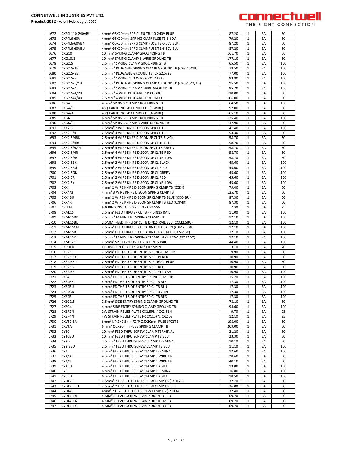

| 1672 | CXF4L110-240VBU   | 4mm <sup>2</sup> Ø5X20mm SPR CL FU TB110-240V BLUE                | 87.20  | $\mathbf{1}$ | EA | 50  |
|------|-------------------|-------------------------------------------------------------------|--------|--------------|----|-----|
| 1673 | <b>CXF4L6-60V</b> | 4mm <sup>2</sup> Ø5X20mm SPRING CLMP FUSE TB 6-60V                | 79.20  | $\mathbf{1}$ | EA | 50  |
| 1674 | CXF4L6-60VBK      | 4mm <sup>2</sup> Ø5X20mm SPRG CLMP FUSE TB 6-60V BLK              | 87.20  | $\mathbf{1}$ | EA | 50  |
| 1675 | CXF4L6-60VBU      | 4mm <sup>2</sup> Ø5X20mm SPRG CLMP FUSE TB 6-60V BLU              | 87.20  | 1            | EA | 50  |
| 1676 | CXG10             | 10 mm <sup>2</sup> SPRING CLAMP GROUNDING TB                      | 161.70 | $\mathbf{1}$ | EA | 50  |
|      |                   |                                                                   |        |              |    |     |
| 1677 | CXG10/3           | 10 mm <sup>2</sup> SPRING CLAMP 3 WIRE GROUND TB                  | 177.10 | $\mathbf{1}$ | EA | 50  |
| 1678 | CXG2.5            | 2.5 mm <sup>2</sup> SPRING CLAMP GROUNDING TB                     | 65.50  | 1            | EA | 100 |
| 1679 | CXG2.5/1B         | 2.5 mm <sup>2</sup> PLUGABLE SPRING CLAMP GROUND TB (CXG2.5/1B)   | 78.50  | $\mathbf{1}$ | EA | 100 |
| 1680 | CXG2.5/2B         | 2.5 mm <sup>2</sup> PLUGABLE GROUND TB (CXG2.5/2B)                | 77.00  | 1            | EA | 100 |
|      |                   |                                                                   |        | $\mathbf{1}$ |    |     |
| 1681 | CXG2.5/3          | 2.5 mm <sup>2</sup> SPRING CL 3 WIRE GROUND TB                    | 93.80  |              | EA | 100 |
| 1682 | CXG2.5/3/1B       | 2.5 mm <sup>2</sup> PLUGABLE SPRING CLAMP GROUND TB (CXG2.5/3/1B) | 95.50  | $\mathbf{1}$ | EA | 100 |
| 1683 | CXG2.5/4          | 2.5 mm <sup>2</sup> SPRING CLAMP 4 WIRE GROUND TB                 | 95.70  | $\mathbf{1}$ | EA | 100 |
| 1684 | CXG2.5/4/2B       | 2.5 mm <sup>2</sup> 4 WIRE PLUGABLE SP CL GRO                     | 110.00 | $\mathbf{1}$ | EA | 50  |
| 1685 | CXG2.5/4/4B       | 2.5 mm <sup>2</sup> 4 WIRE PLUGABLE GROUND TE                     | 106.00 | $\mathbf{1}$ | EA | 50  |
|      |                   |                                                                   |        |              |    |     |
| 1686 | CXG4              | 4 mm <sup>2</sup> SPRING CLAMP GROUNDING TB                       | 64.50  | $\mathbf{1}$ | EA | 100 |
| 1687 | CXG4/3            | 4SQ EARTHING SP CL MOD TB (3 WIRE)                                | 97.00  | 1            | EA | 50  |
| 1688 | CXG4/4            | 4SQ EARTHING SP CL MOD TB (4 WIRE)                                | 105.10 | $\mathbf{1}$ | EA | 50  |
| 1689 | CXG6              | 6 mm <sup>2</sup> SPRING CLAMP GROUNDING TB                       | 125.40 | $\mathbf{1}$ | EA | 100 |
| 1690 | CXG6/3            | 6 mm <sup>2</sup> SPRING CLAMP 3 WIRE GROUND TB                   | 142.90 | $\mathbf{1}$ | EA | 50  |
|      |                   |                                                                   |        |              |    |     |
| 1691 | <b>CXK2.5</b>     | 2.5mm <sup>2</sup> 2 WIRE KNIFE DISCON SPR CL TB                  | 41.40  | 1            | EA | 100 |
| 1692 | CXK2.5/4          | 2.5mm <sup>2</sup> 4 WIRE KNIFE DISCON SPR CL TB                  | 53.30  | $\mathbf{1}$ | EA | 50  |
| 1693 | <b>CXK2.5/4BK</b> | 2.5mm <sup>2</sup> 4 WIRE KNFE DISCON SP CL TB BLACK              | 58.70  | $\mathbf{1}$ | EA | 50  |
| 1694 | <b>CXK2.5/4BU</b> | 2.5mm <sup>2</sup> 4 WIRE KNIFE DISCON SP CL TB BLUE              | 58.70  | $\mathbf{1}$ | EA | 50  |
|      |                   |                                                                   |        |              |    |     |
| 1695 | <b>CXK2.5/4GN</b> | 2.5mm <sup>2</sup> 4 WIRE KNFE DISCON SP CL TB GREEN              | 58.70  | 1            | EA | 50  |
| 1696 | CXK2.5/4R         | 2.5mm <sup>2</sup> 4 WIRE KNIFE DISCON SP CL TB RED               | 58.70  | 1            | EA | 50  |
| 1697 | <b>CXK2.5/4Y</b>  | 2.5mm <sup>2</sup> 4 WIRE KNIFE DISCON SP CL YELLOW               | 58.70  | $\mathbf{1}$ | EA | 50  |
| 1698 | CXK2.5BK          | 2.5mm <sup>2</sup> 2 WIRE KNIFE DISCON SP CL BLACK                | 45.60  | $\mathbf{1}$ | EA | 100 |
| 1699 | CXK2.5BU          | 2.5mm <sup>2</sup> 2 WIRE KNIFE DISCON SP CL BLUE                 | 45.60  | $\mathbf{1}$ | EA | 100 |
|      |                   |                                                                   |        |              |    |     |
| 1700 | CXK2.5GN          | 2.5mm <sup>2</sup> 2 WIRE KNIFE DISCON SP CL GREEN                | 45.60  | $\mathbf{1}$ | EA | 100 |
| 1701 | CXK2.5R           | 2.5mm <sup>2</sup> 2 WIRE KNIFE DISCON SP CL RED                  | 45.60  | $\mathbf{1}$ | EA | 100 |
| 1702 | <b>CXK2.5Y</b>    | 2.5mm <sup>2</sup> 2 WIRE KNIFE DISCON SP CL YELLOW               | 45.60  | $\mathbf{1}$ | EA | 100 |
| 1703 | CXK4              | 4mm <sup>2</sup> 2 WIRE KNIFE DISCON SPRNG CLMP TB (CXK4)         | 79.40  | 1            | EA | 50  |
| 1704 | CXK4/3            |                                                                   |        | $\mathbf{1}$ | EA | 50  |
|      |                   | 4 mm <sup>2</sup> 3 WIRE KNIFE DISCON SPRNG CLMP TB               | 125.70 |              |    |     |
| 1705 | CXK4BU            | 4mm <sup>2</sup> 2 WIRE KNIFE DISCON SP CLMP TB BLUE (CXK4BU)     | 87.30  | 1            | EA | 50  |
| 1706 | CXK4R             | 4mm <sup>2</sup> 2 WIRE KNIFE DISCON SP CLMP TB RED (CXK4R)       | 87.30  | $\mathbf{1}$ | EA | 50  |
| 1707 | <b>CXLPN</b>      | LOCKING PIN FOR CX2.5PN / CX2.5SN                                 | 7.30   | $\mathbf{1}$ | EA | 25  |
| 1708 | CXM2.5            | 2.5mm <sup>2</sup> FEED THRU SP CL TB FR DIN15 RAIL               | 11.00  | $\mathbf{1}$ | EA | 100 |
|      |                   |                                                                   |        |              |    |     |
| 1709 | CXM2.5BK          | 2.5 mm <sup>2</sup> MINIATURE SPRING CLAMP TB                     | 12.10  | $\mathbf{1}$ | EA | 100 |
| 1710 | CXM2.5BU          | 2.5MM <sup>2</sup> FEED THRU SP CL TB DIN15 RAIL BLU (CXM2.5BU)   | 12.10  | $\mathbf{1}$ | EA | 100 |
| 1711 | CXM2.5GN          | 2.5mm <sup>2</sup> FEED THRU SP CL TB DIN15 RAIL GRN (CXM2.5GN)   | 12.10  | $\mathbf{1}$ | EA | 100 |
| 1712 | CXM2.5R           | 2.5mm <sup>2</sup> FEED THRU SP CL TB DIN15 RAIL RED (CXM2.5R)    | 12.10  | 1            | EA | 100 |
| 1713 | <b>CXM2.5Y</b>    | 2.5 mm <sup>2</sup> MINIATURE SPRING CLAMP TB YELLOW (CXM2.5Y)    | 12.10  | $\mathbf{1}$ | EA | 100 |
|      |                   |                                                                   |        |              |    |     |
| 1714 | CXMG2.5           | 2.5mm <sup>2</sup> SP CL GROUND TB FR DIN15 RAIL                  | 44.40  | $\mathbf{1}$ | EA | 100 |
| 1715 | <b>CXPOLN</b>     | CODING PIN FOR CX2.5PN / CX2.5PLN                                 | 3.10   | $\mathbf{1}$ | EA | 20  |
| 1716 | CXS2.5            | 2.5mm <sup>2</sup> FD THRU SIDE ENTRY SPRING CLMP TB              | 9.90   | 1            | EA | 50  |
| 1717 | CXS2.5BK          | 2.5mm <sup>2</sup> FD THRU SIDE ENTRY SP CL BLACK                 | 10.90  | $\mathbf{1}$ | EA | 50  |
| 1718 | CXS2.5BU          | 2.5mm <sup>2</sup> FD THRU SIDE ENTRY SPRING CL BLUE              | 10.90  | $\mathbf{1}$ | EA | 50  |
|      |                   |                                                                   |        |              |    |     |
| 1719 | CXS2.5R           | 2.5mm <sup>2</sup> FD THRU SIDE ENTRY SP CL RED                   | 10.90  | $\mathbf{1}$ | EA | 50  |
| 1720 | <b>CXS2.5Y</b>    | 2.5mm <sup>2</sup> FD THRU SIDE ENTRY SP CL YELLOW                | 10.90  | 1            | EA | 100 |
| 1721 | CXS4              | 4 mm <sup>2</sup> FD THRU SIDE ENTRY SPRING CLMP TB               | 15.70  | 1            | EA | 100 |
| 1722 | CXS4BK            | 4 mm <sup>2</sup> FD THRU SIDE ENTRY SP CL TB BLK                 | 17.30  | $\mathbf{1}$ | EA | 100 |
|      |                   |                                                                   |        |              |    |     |
| 1723 | CXS4BU            | 4 mm* FD THRU SIDE ENTRY SP CL TB BLU                             | 17.30  | т.           | ЕA | 100 |
| 1724 | CXS4GN            | 4 mm <sup>2</sup> FD THRU SIDE ENTRY SP CL TB GRN                 | 17.30  | $\mathbf{1}$ | EA | 100 |
| 1725 | CXS4R             | 4 mm <sup>2</sup> FD THRU SIDE ENTRY SP CL TB RED                 | 17.30  | 1            | EA | 100 |
| 1726 | CXSG2.5           | 2.5mm <sup>2</sup> SIDE ENTRY SPRING CLAMP GROUND TB              | 78.10  | $\mathbf{1}$ | EA | 50  |
| 1727 | CXSG4             | 4 mm <sup>2</sup> SIDE ENTRY SPRING CLAMP GROUND TB               | 94.60  | $\mathbf{1}$ | EA | 100 |
| 1728 | CXSR2N            | 2W STRAIN RELIEF PLATE CX2.5PN / CX2.5SN                          | 9.70   | 1            | EA | 25  |
|      |                   |                                                                   |        |              |    |     |
| 1729 | CXSR4N            | 4W STRAIN RELIEF PLATE FR CX2.5PN/CX2.5S                          | 12.10  | 1            | EA | 25  |
| 1730 | CXVF2.5A          | 6mm <sup>2</sup> I/P 2X2.5mm <sup>2</sup> O/P Ø5X20mm FUSE SPCLTB | 198.00 | 1            | EA | 50  |
| 1731 | <b>CXVFA</b>      | 6 mm <sup>2</sup> Ø5X20mm FUSE SPRING CLAMP TB                    | 209.00 | $\mathbf{1}$ | EA | 50  |
| 1732 | CY10              | 10 mm <sup>2</sup> FEED THRU SCREW CLAMP TERMINAL                 | 21.20  | $\mathbf{1}$ | EA | 50  |
|      |                   |                                                                   |        |              |    |     |
| 1733 | CY10BU            | 10 mm <sup>2</sup> FEED THRU SCREW CLAMP TB BLU                   | 23.30  | $\mathbf{1}$ | EA | 50  |
| 1734 | CY2.5             | 2.5 mm <sup>2</sup> FEED THRU SCREW CLAMP TERMINAL                | 10.10  | $\mathbf{1}$ | EA | 50  |
| 1735 | CY2.5BU           | 2.5 mm <sup>2</sup> FEED THRU SCREW CLAMP TB BLU                  | 11.10  | 1            | EA | 100 |
| 1736 | CY4               | 4 mm <sup>2</sup> FEED THRU SCREW CLAMP TERMINAL                  | 12.60  | 1            | EA | 100 |
| 1737 |                   | 4 mm <sup>2</sup> FEED THRU SCREW CLAMP 3 WIRE TB                 |        | 1            | EA | 50  |
|      | CY4/3             |                                                                   | 28.60  |              |    |     |
| 1738 | CY4/4             | 4 mm <sup>2</sup> FEED THRU SCREW CLAMP 4 WIRE TB                 | 40.10  | $\mathbf{1}$ | EA | 50  |
| 1739 | CY4BU             | 4 mm <sup>2</sup> FEED THRU SCREW CLAMP TB BLU                    | 13.80  | 1            | EA | 100 |
| 1740 | CY <sub>6</sub>   | 6 mm <sup>2</sup> FEED THRU SCREW CLAMP TERMINAL                  | 16.80  | $\mathbf{1}$ | EA | 100 |
| 1741 | CY6BU             | 6 mm <sup>2</sup> FEED THRU SCREW CLAMP TB BLU                    | 18.50  | 1            | EA | 100 |
|      |                   |                                                                   |        |              |    |     |
| 1742 | CYDL2.5           | 2.5mm <sup>2</sup> 2 LEVEL FD THRU SCREW CLMP TB (CYDL2.5)        | 32.70  | $\mathbf{1}$ | EA | 50  |
| 1743 | CYDL2.5BU         | 2.5mm <sup>2</sup> 2 LEVEL FD THRU SCREW CLMP TB BLU              | 36.00  | $\mathbf{1}$ | EA | 50  |
| 1744 | CYDL4             | 4mm <sup>2</sup> 2 LEVEL FD THRU SCREW CLMP TB (CYDL4)            | 32.40  | 1            | EA | 50  |
| 1745 | CYDL4ED1          | 4 MM <sup>2</sup> 2 LEVEL SCREW CLAMP DIODE D1 TB                 | 69.70  | 1            | EA | 50  |
| 1746 | CYDL4ED2          | 4 MM <sup>2</sup> 2 LEVEL SCREW CLAMP DIODE D2 TB                 | 69.70  | 1            | EA | 50  |
|      |                   |                                                                   |        |              |    |     |
| 1747 | CYDL4ED3          | 4 MM <sup>2</sup> 2 LEVEL SCREW CLAMP DIODE D3 TB                 | 69.70  | $\mathbf{1}$ | EA | 50  |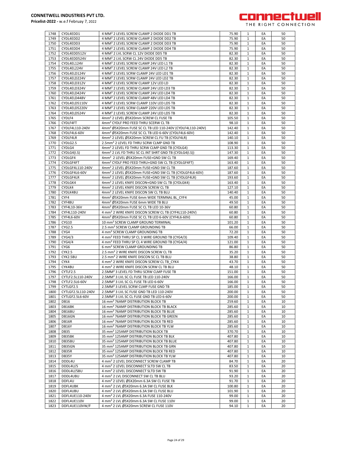

| 1748 | CYDL4EDD1          | 4 MM <sup>2</sup> 2 LEVEL SCREW CLAMP 2 DIODE DD1 TB                  | 75.90  | 1            | EA | 50 |
|------|--------------------|-----------------------------------------------------------------------|--------|--------------|----|----|
| 1749 | CYDL4EDD2          | 4 MM <sup>2</sup> 2 LEVEL SCREW CLAMP 2 DIODE DD2 TB                  | 75.90  | 1            | EA | 50 |
| 1750 | CYDL4EDD3          | 4 MM <sup>2</sup> 2 LEVEL SCREW CLAMP 2 DIODE DD3 TB                  | 75.90  | 1            | EA | 50 |
|      |                    |                                                                       |        |              |    |    |
| 1751 | CYDL4EDD4          | 4 MM <sup>2</sup> 2 LEVEL SCREW CLAMP 2 DIODE DD4 TB                  | 75.90  | 1            | EA | 50 |
| 1752 | CYDL4EDD512V       | 4 MM <sup>2</sup> 2 LVL SCRW CL 12V DIODE DD5 TB                      | 82.30  | $\mathbf{1}$ | EA | 50 |
| 1753 | CYDL4EDD524V       | 4 MM <sup>2</sup> 2 LVL SCRW CL 24V DIODE DD5 TB                      | 82.30  | $\mathbf{1}$ | EA | 50 |
| 1754 | CYDL4EL124V        | 4 MM <sup>2</sup> 2 LEVEL SCREW CLAMP 24V LED L1 TB                   | 82.30  | $\mathbf{1}$ | EA | 50 |
|      |                    |                                                                       |        |              |    |    |
| 1755 | CYDL4EL224V        | 4 MM <sup>2</sup> 2 LEVEL SCREW CLAMP 24V LED L2 TB                   | 82.30  | $\mathbf{1}$ | EA | 50 |
| 1756 | CYDL4ELD124V       | 4 MM <sup>2</sup> 2 LEVEL SCRW CLAMP 24V LED LD1 TB                   | 82.30  | 1            | EA | 50 |
| 1757 | CYDL4ELD224V       | 4 MM <sup>2</sup> 2 LEVEL SCRW CLAMP 24V LED LD2 TB                   | 82.30  | 1            | EA | 50 |
|      |                    |                                                                       |        |              |    |    |
| 1758 | CYDL4ELD312V       | 4 MM <sup>2</sup> 2 LEVEL SCREW CLAMP 12V LED LD                      | 82.30  | $\mathbf{1}$ | EA | 50 |
| 1759 | CYDL4ELD324V       | 4 MM <sup>2</sup> 2 LEVEL SCREW CLAMP 24V LED LD3 TB                  | 82.30  | 1            | EA | 50 |
| 1760 | CYDL4ELD424V       | 4 MM <sup>2</sup> 2 LEVEL SCREW CLAMP 24V LED LD4 TB                  | 82.30  | $\mathbf{1}$ | EA | 50 |
|      |                    |                                                                       |        |              |    |    |
| 1761 | CYDL4ELD448V       | 4 MM <sup>2</sup> 2 LEVEL SCREW CLAMP 48V LED LD4 TB                  | 82.30  | 1            | EA | 50 |
| 1762 | CYDL4ELD5110V      | 4 MM <sup>2</sup> 2 LEVEL SCRW CLAMP 110V LED LD5 TB                  | 82.30  | $\mathbf{1}$ | EA | 50 |
| 1763 | CYDL4ELD5220V      | 4 MM <sup>2</sup> 2 LEVEL SCRW CLAMP 220V LED LD5 TB                  | 82.30  | $\mathbf{1}$ | EA | 50 |
|      | CYDL4ELD524V       |                                                                       |        |              |    |    |
| 1764 |                    | 4 MM <sup>2</sup> 2 LEVEL SCREW CLAMP 24V LED LD5 TB                  | 82.30  | 1            | EA | 50 |
| 1765 | CYDLF4             | 4mm <sup>2</sup> 2 LEVEL Ø5X20mm SCREW CL FUSE TB                     | 105.50 | 1            | EA | 50 |
| 1766 | CYDLF4FT           | 4mm <sup>2</sup> CYDLF PRO FEED THRU SCERW CL TB                      | 98.10  | 1            | EA | 50 |
| 1767 | CYDLF4L110-240V    | 4mm <sup>2</sup> Ø5X20mm FUSE SC CL TB LED 110-240V (CYDLF4L110-240V) | 142.40 | $\mathbf{1}$ | EA | 50 |
|      |                    |                                                                       |        |              |    |    |
| 1768 | CYDLF4L6-60V       | 4mm <sup>2</sup> Ø5X20mm FUSE SC CL TB LED 6-60V (CYDLF4L6-60V)       | 142.40 | 1            | EA | 50 |
| 1769 | CYDLF4LR           | 4mm <sup>2</sup> 2 LEVEL Ø5X20mm SCREW CL FU TB (CYDLF4LR)            | 140.10 | $\mathbf{1}$ | EA | 50 |
| 1770 | CYDLG2.5           | 2.5mm <sup>2</sup> 2 LEVEL FD THRU SCRW CLMP GND TB                   | 108.90 | $\mathbf{1}$ | EA | 50 |
|      |                    |                                                                       |        |              |    |    |
| 1771 | CYDLG4             | 4mm <sup>2</sup> 2 LEVEL FD THRU SCRW CLMP GND TB (CYDLG4)            | 113.30 | $\mathbf{1}$ | EA | 50 |
| 1772 | CYDLG4(I.S)        | 4mm <sup>2</sup> 2 LVL FD THRU SC CL INT SHRT GND TB (CYDLG4(I.S))    | 147.30 | 1            | EA | 50 |
| 1773 | CYDLGF4            | 4mm <sup>2</sup> 2 LEVEL Ø5X20mm FUSE+GND SW CL TB                    | 169.40 | 1            | EA | 50 |
|      |                    |                                                                       |        |              |    |    |
| 1774 | CYDLGF4FT          | 4mm <sup>2</sup> CYDLF PRO FEED THRU+GND SW CL TB (CYDLGF4FT)         | 163.40 | 1            | EA | 50 |
| 1775 | CYDLGF4L110-240V   | 4mm <sup>2</sup> 2 LEVEL Ø5X20mm FUSE+GND SW CL TB                    | 187.60 | $\mathbf{1}$ | EA | 50 |
| 1776 | CYDLGF4L6-60V      | 4mm <sup>2</sup> 2 LEVEL Ø5X20mm FUSE+GND SW CL TB (CYDLGF4L6-60V)    | 187.60 | 1            | EA | 50 |
|      | CYDLGF4LR          |                                                                       |        |              | EA | 50 |
| 1777 |                    | 4mm <sup>2</sup> 2 LEVEL Ø5X20mm FUSE+GND SW CL TB (CYDLGF4LR)        | 193.60 | $\mathbf{1}$ |    |    |
| 1778 | CYDLGK4            | 4mm <sup>2</sup> 2 LEVEL KNIFE DISCON+GND SW CL TB (CYDLGK4)          | 163.40 | $\mathbf{1}$ | EA | 50 |
| 1779 | CYDLK4             | 4mm <sup>2</sup> 2 LEVEL KNIFE DISCON SCREW CL TB                     | 127.10 | $\mathbf{1}$ | EA | 50 |
| 1780 | CYDLK4BU           | 4mm <sup>2</sup> 2 LEVEL KNIFE DISCON SW CL TB BLU                    | 140.40 |              | EA | 50 |
|      |                    |                                                                       |        | $\mathbf{1}$ |    |    |
| 1781 | CYF4               | 4mm <sup>2</sup> Ø5X20mm FUSE 6mm WIDE TERMNAL BL CYF4                | 45.00  | 1            | EA | 50 |
| 1782 | CYF4BU             | 4mm <sup>2</sup> Ø5X20mm FUSE 6mm WIDE TB BLU                         | 49.50  | 1            | EA | 50 |
|      |                    |                                                                       |        | $\mathbf{1}$ | EA | 50 |
| 1783 | CYF4L10-36V        | 4mm <sup>2</sup> Ø5X20mm FUSE SC CL TB LED 10-36V                     | 60.80  |              |    |    |
| 1784 | CYF4L110-240V      | 4 mm <sup>2</sup> 2 WIRE KNIFE DISCON SCREW CL TB (CYF4L110-240V)     | 60.80  | 1            | EA | 50 |
| 1785 | CYF4L6-60V         | 4mm <sup>2</sup> Ø5X20mm FUSE SC CL TB LED 6-60V (CYF4L6-60V)         | 60.80  | $\mathbf{1}$ | EA | 50 |
| 1786 | CYG10              | 10 mm <sup>2</sup> SCREW CLAMP GROUND TERMINAL                        | 101.20 | 1            | EA | 50 |
|      |                    |                                                                       |        |              |    |    |
|      |                    |                                                                       |        |              |    |    |
| 1787 | CYG2.5             | 2.5 mm <sup>2</sup> SCREW CLAMP GROUNDING TB                          | 66.00  | $\mathbf{1}$ | EA | 50 |
| 1788 | CYG4               | 4 mm <sup>2</sup> SCREW CLAMP GROUNDING TB                            | 72.20  | 1            | EA | 50 |
|      |                    |                                                                       |        |              |    |    |
| 1789 | CYG4/3             | 4 mm <sup>2</sup> FEED THRU SP CL 3 WIRE GROUND TB (CYG4/3)           | 109.40 | 1            | EA | 50 |
| 1790 | CYG4/4             | 4 mm <sup>2</sup> FEED THRU SP CL 4 WIRE GROUND TB (CYG4/4)           | 121.00 | 1            | EA | 50 |
| 1791 | CYG <sub>6</sub>   | 6 mm <sup>2</sup> SCREW CLAMP GROUNDING TB                            | 86.80  | 1            | EA | 50 |
|      |                    |                                                                       |        |              |    |    |
| 1792 | CYK2.5             | 2.5 mm <sup>2</sup> 2 WIRE KNIFE DISCON SCREW CL TB                   | 35.20  | $\mathbf{1}$ | EA | 50 |
| 1793 | CYK2.5BU           | 2.5 mm <sup>2</sup> 2 WIRE KNIFE DISCON SC CL TB BLU                  | 38.80  | 1            | EA | 50 |
| 1794 | CYK4               | 4 mm <sup>2</sup> 2 WIRE KNIFE DISCON SCREW CL TB CYK4                | 43.70  | $\mathbf{1}$ | EA | 50 |
| 1795 | CYK4BU             | 4 mm <sup>2</sup> 2 WIRE KNIFE DISCON SCRW CL TB BLU                  | 48.10  | $\mathbf{1}$ | EA | 50 |
|      |                    |                                                                       |        |              |    |    |
| 1796 | CYTLF2.5           | 2.5MM <sup>2</sup> 3 LEVEL FD THRU SCRW CLMP FUSE TB                  | 151.00 | $\mathbf{1}$ | EA | 50 |
| 1797 | CYTLF2.5L110-240V  | 2.5MM <sup>2</sup> 3 LVL SC CL FUSE TB LED 110-240V                   | 166.00 | 1            | EA | 50 |
| 1798 | CYTLF2.5L6-60V     | 2.5MM <sup>2</sup> 3 LVL SC CL FUSE TB LED 6-60V                      | 166.00 | 1            | EA | 50 |
| 1799 | CYTLGF2.5          | 2.5MM <sup>2</sup> 3 LEVEL SCRW CLMP FUSE GND TB                      | 185.00 | 1            | EA | 50 |
|      |                    |                                                                       |        |              |    |    |
| 1800 | CYTLGF2.5L110-240V | 2.5MM <sup>2</sup> 3 LVL SC FUSE GND TB LED 110-240V                  | 200.00 | $\mathbf{1}$ | EA | 50 |
| 1801 | CYTLGF2.5L6-60V    | 2.5MM <sup>2</sup> 3 LVL SC CL FUSE GND TB LED 6-60V                  | 200.00 | $\mathbf{1}$ | EA | 50 |
| 1802 | <b>DB16</b>        | 16 mm <sup>2</sup> 76AMP DISTRIBUTION BLOCK TB                        | 259.60 | $\mathbf{1}$ | EA | 10 |
|      |                    |                                                                       |        |              |    |    |
| 1803 | DB16BK             | 16 mm <sup>2</sup> 76AMP DISTRIBUTION BLOCK TB BLACK                  | 285.60 | $\mathbf{1}$ | EA | 10 |
| 1804 | DB16BU             | 16 mm <sup>2</sup> 76AMP DISTRIBUTION BLOCK TB BLUE                   | 285.60 | $\mathbf{1}$ | EA | 10 |
| 1805 | DB16GN             | 16 mm <sup>2</sup> 76AMP DISTRIBUTION BLOCK TB GREEN                  | 285.60 | $\mathbf{1}$ | EA | 10 |
|      |                    |                                                                       |        |              |    |    |
| 1806 | DB16R              | 16 mm <sup>2</sup> 76AMP DISTRIBUTION BLOCK TB RED                    | 285.60 | 1            | EA | 10 |
| 1807 | DB16Y              | 16 mm <sup>2</sup> 76AMP DISTRIBUTION BLOCK TB YLW                    | 285.60 | 1            | EA | 10 |
| 1808 | DB35               | 35 mm <sup>2</sup> 125AMP DISTRIBUTION BLOCK TB                       | 370.70 | $\mathbf{1}$ | EA | 10 |
| 1809 | DB35BK             | 35 mm <sup>2</sup> 125AMP DISTRIBUTION BLOCK TB BLK                   |        | $\mathbf{1}$ | EA | 10 |
|      |                    |                                                                       | 407.80 |              |    |    |
| 1810 | DB35BU             | 35 mm <sup>2</sup> 125AMP DISTRIBUTION BLOCK TB BLUE                  | 407.80 | $\mathbf{1}$ | EA | 10 |
| 1811 | DB35GN             | 35 mm <sup>2</sup> 125AMP DISTRIBUTION BLOCK TB GRN                   | 407.80 | $\mathbf{1}$ | EA | 10 |
| 1812 | DB35R              | 35 mm <sup>2</sup> 125AMP DISTRIBUTION BLOCK TB RED                   | 407.80 | $\mathbf{1}$ | EA | 10 |
|      |                    |                                                                       |        |              |    |    |
| 1813 | DB35Y              | 35 mm <sup>2</sup> 125AMP DISTRIBUTION BLOCK TB YLW                   | 407.80 | 1            | EA | 10 |
| 1814 | DDDL4U             | 4 mm <sup>2</sup> 2 LEVEL DISCONNECT SCREW CLAMP TB                   | 84.70  | 1            | EA | 20 |
| 1815 | DDDL4U/S           | 4 mm <sup>2</sup> 2 LEVEL DISCONNECT SLTD SW CL TB                    | 83.50  | 1            | EA | 20 |
|      |                    |                                                                       |        |              |    |    |
| 1816 | DDDL4U/SBU         | 4 mm <sup>2</sup> 2 LEVEL DISCONNECT SLTD SW TB                       | 91.90  | 1            | EA | 20 |
| 1817 | DDDL4UBU           | 4 mm <sup>2</sup> 2 LVL DISCONNECT SW CL TB BLU                       | 93.20  | $\mathbf{1}$ | EA | 20 |
| 1818 | DDFL4U             | 4 mm <sup>2</sup> 2 LEVEL Ø5X20mm 6.3A SW CL FUSE TB                  | 91.70  | $\mathbf{1}$ | EA | 20 |
|      |                    |                                                                       |        |              |    |    |
| 1819 | DDFL4UBK           | 4 mm <sup>2</sup> 2 LVL Ø5X20mm 6.3A SW CL FUSE BLK                   | 100.80 | $\mathbf{1}$ | EA | 20 |
| 1820 | DDFL4UBU           | 4 mm <sup>2</sup> 2 LVL Ø5X20mm 6.3A SW CL FUSE BLU                   | 101.90 | $\mathbf{1}$ | EA | 20 |
| 1821 | DDFL4UE110-240V    | 4 mm <sup>2</sup> 2 LVL Ø5X20mm 6.3A FUSE 110-240V                    | 99.00  | $\mathbf{1}$ | EA | 20 |
| 1822 | DDFL4UE110V        | 4 mm <sup>2</sup> 2 LVL Ø5X20mm 6.3A SW CL FUSE 110V                  | 99.00  | 1            | EA | 20 |
| 1823 | DDFL4UE110VW/F     | 4 mm <sup>2</sup> 2 LVL Ø5X20mm SCREW CL FUSE 110V                    | 94.10  | 1            | EA | 20 |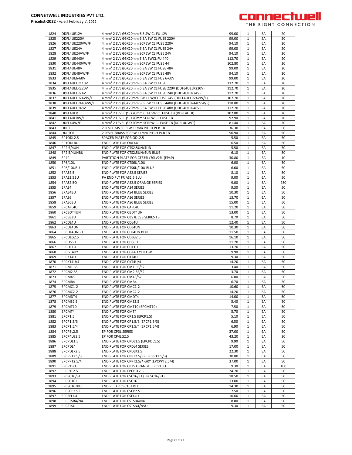

| 1824 |                    |                                                                       |        |              |    |     |
|------|--------------------|-----------------------------------------------------------------------|--------|--------------|----|-----|
|      | DDFL4UE12V         | 4 mm <sup>2</sup> 2 LVL Ø5X20mm 6.3 SW CL FU 12V                      | 99.00  | 1            | EA | 20  |
| 1825 | DDFL4UE220V        | 4 mm <sup>2</sup> 2 LVL Ø5X20mm 6.3A SW CL FUSE 220V                  | 99.00  | 1            | EA | 20  |
|      | DDFL4UE220VW/F     |                                                                       |        |              |    |     |
| 1826 |                    | 4 mm <sup>2</sup> 2 LVL Ø5X20mm SCREW CL FUSE 220V                    | 94.10  | $\mathbf{1}$ | EA | 20  |
| 1827 | DDFL4UE24V         | 4 mm <sup>2</sup> 2 LVL Ø5X20mm 6.3A SW CL FUSE 24V                   | 99.00  | 1            | EA | 20  |
| 1828 | DDFL4UE24VW/F      | 4 mm <sup>2</sup> 2 LVL Ø5X20mm SCREW CL FUSE 24V                     | 94.10  | $\mathbf{1}$ | EA | 20  |
|      |                    | 4 mm <sup>2</sup> 2 LVL Ø5X20mm 6.3A SWCL FU 440                      |        |              |    |     |
| 1829 | DDFL4UE440V        |                                                                       | 112.70 | 1            | EA | 20  |
| 1830 | DDFL4UE440VW/F     | 4 mm <sup>2</sup> 2 LVL Ø5X20mm SCREW CL FUSE 44                      | 102.80 | $1\,$        | EA | 20  |
| 1831 | DDFL4UE48V         | 4 mm <sup>2</sup> 2 LVL Ø5X20mm 6.3A SW CL FUSE 48V                   | 99.00  | $\mathbf{1}$ | EA | 20  |
|      |                    |                                                                       |        |              |    |     |
| 1832 | DDFL4UE48VW/F      | 4 mm <sup>2</sup> 2 LVL Ø5X20mm SCREW CL FUSE 48V                     | 94.10  | $\mathbf{1}$ | EA | 20  |
| 1833 | DDFL4UE6-60V       | 4 mm <sup>2</sup> 2 LVL Ø5X20mm 6.3A SW CL FUS 6-60V                  | 99.00  | 1            | EA | 20  |
| 1834 | DDFL4UELR110V      | 4 mm <sup>2</sup> 2 LVL Ø5X20mm 6.3A SW CL FUSE                       | 112.70 | $\mathbf{1}$ | EA | 20  |
|      |                    |                                                                       |        |              |    |     |
| 1835 | DDFL4UELR220V      | 4 mm <sup>2</sup> 2 LVL Ø5X20mm 6.3A SW CL FUSE 220V (DDFL4UELR220V)  | 112.70 | $\mathbf{1}$ | EA | 20  |
| 1836 | DDFL4UELR24V       | 4 mm <sup>2</sup> 2 LVL Ø5X20mm 6.3A SW CL FUSE 24V (DDFL4UELR24V)    | 112.70 | 1            | EA | 20  |
|      |                    |                                                                       |        |              |    |     |
| 1837 | DDFL4UELR24VW/F    | 4 mm <sup>2</sup> 2 LVL Ø5X20mm SW CL W/O FUSE 24V (DDFL4UELR24VW/F)  | 107.70 | $\mathbf{1}$ | EA | 20  |
| 1838 | DDFL4UELR440VW/F   | 4 mm <sup>2</sup> 2 LVL Ø5X20mm SCREW CL FUSE 440V (DDFL4UELR440VW/F) | 118.80 | $1\,$        | EA | 20  |
| 1839 | DDFL4UELR48V       | 4 mm <sup>2</sup> 2 LVL Ø5X20mm 6.3A SW CL FUSE 48V (DDFL4UELR48V)    | 112.70 | $\mathbf{1}$ | EA | 20  |
|      |                    |                                                                       |        |              |    |     |
| 1840 | DDFL4ULR           | 4 mm <sup>2</sup> 2 LEVEL Ø5X20mm 6.3A SW CL FUSE TB (DDFL4ULR)       | 102.80 | $\mathbf{1}$ | EA | 20  |
| 1841 | DDFL4ULRW/F        | 4 mm <sup>2</sup> 2 LEVEL Ø5X20mm SCREW CL FUSE TB                    | 92.90  | 1            | EA | 20  |
|      |                    |                                                                       |        |              |    |     |
| 1842 | DDFL4UW/F          | 4 mm <sup>2</sup> 2 LEVEL Ø5X20mm SCREW CL FUSE TB (DDFL4UW/F)        | 81.40  | $1\,$        | EA | 20  |
| 1843 | <b>DDPT</b>        | 2 LEVEL MS SCREW 11mm PITCH PCB TB                                    | 36.30  | $\mathbf{1}$ | EA | 50  |
| 1844 | <b>DDPTCR</b>      | 2 LEVEL BRASS SCREW 11mm PITCH PCB TB                                 | 50.90  | $\mathbf{1}$ | EA | 50  |
|      |                    |                                                                       |        |              |    |     |
| 1845 | EP1ODL2.5          | SPACER PLATE FOR ODL2.5                                               | 5.50   | 1            | EA | 50  |
| 1846 | EP1ODL4U           | <b>END PLATE FOR ODL4U</b>                                            | 6.50   | $1\,$        | EA | 50  |
|      | EP2.5/4UN          |                                                                       |        |              |    |     |
| 1847 |                    | END PLATE FOR CTS2.5UN/4UN                                            | 5.50   | $1\,$        | EA | 50  |
| 1848 | EP2.5/4UNBU        | END PLATE FOR CTS2.5UN/4UN BLUE                                       | 6.10   | 1            | EA | 50  |
| 1849 | EP4P               | PARTITION PLATE FOR CTS35L/70L/95L (EP4P)                             | 30.80  | $\mathbf{1}$ | EA | 10  |
|      |                    |                                                                       |        |              |    |     |
| 1850 | EP6/10U            | END PLATE FOR CTS6U/10U                                               | 6.00   | $\mathbf{1}$ | EA | 50  |
| 1851 | EP6/10UBU          | END PLATE FOR CTS6U/10U BLUE                                          | 6.60   | $\mathbf{1}$ | EA | 50  |
| 1852 | EPAS2.5            | <b>END PLATE FOR AS2.5 SERIES</b>                                     | 8.10   | 1            | EA | 50  |
|      |                    |                                                                       |        |              |    |     |
| 1853 | EPAS2.5BU          | PA END PLT FR AS2.5 BLU                                               | 9.00   | $\mathbf{1}$ | EA | 50  |
| 1854 | <b>EPAS2.50</b>    | END PLATE FOR AS2.5 ORANGE SERIES                                     | 9.00   | 1            | EA | 250 |
|      |                    |                                                                       |        |              |    |     |
| 1855 | EPAS4              | <b>END PLATE FOR AS4 SERIES</b>                                       | 9.30   | $1\,$        | EA | 50  |
| 1856 | EPAS4BU            | END PLATE FOR AS4 BLUE SERIES                                         | 10.30  | $\mathbf{1}$ | EA | 50  |
|      |                    |                                                                       |        |              |    |     |
| 1857 | EPAS6              | END PLATE FOR AS6 SERIES                                              | 13.70  | $\mathbf{1}$ | EA | 50  |
| 1858 | EPAS6BU            | END PLATE FOR AS6 BLUE SERIES                                         | 15.00  | 1            | EA | 50  |
| 1859 | EPCAFL4U           | END PLATE FOR CAFL4U                                                  | 11.20  | $\mathbf{1}$ | EA | 50  |
|      |                    |                                                                       |        |              |    |     |
| 1860 | EPCBDT4UN          | END PLATE FOR CBDT4UN                                                 | 13.00  | $\mathbf{1}$ | EA | 50  |
| 1861 | EPCBS3U            | END PLATE FOR CBS & CSB SERIES TB                                     | 8.70   | $\mathbf{1}$ | EA | 50  |
| 1862 | EPCDL4U            | <b>END PLATE FOR CDL4U</b>                                            | 12.40  | $\mathbf{1}$ | EA | 50  |
|      |                    |                                                                       |        |              |    |     |
| 1863 | EPCDL4UN           | <b>END PLATE FOR CDL4UN</b>                                           | 10.30  | $1\,$        | EA | 50  |
| 1864 | EPCDL4UNBU         | END PLATE FOR CDL4UN BLUE                                             | 11.50  | $\mathbf{1}$ | EA | 50  |
|      |                    |                                                                       |        |              |    |     |
| 1865 | EPCDLG2.5          | END PLATE FOR CDLG2.5                                                 | 16.10  | $\mathbf{1}$ | EA | 50  |
| 1866 | EPCDS6U            | END PLATE FOR CDS6U                                                   | 11.20  | 1            | EA | 50  |
| 1867 | EPCDTTU            | <b>END PLATE FOR CDTTU</b>                                            | 13.70  | $\mathbf{1}$ | EA | 50  |
|      |                    |                                                                       |        |              |    |     |
| 1868 | EPCGT4UY           |                                                                       |        | $\mathbf{1}$ |    | 50  |
|      |                    | END PLATE FOR CGT4U YELLOW                                            | 9.90   |              | EA |     |
|      |                    |                                                                       |        |              |    |     |
| 1869 | EPCKT4U            | END PLATE FOR CKT4U                                                   | 9.30   | $\mathbf{1}$ | EA | 50  |
| 1870 | EPCKT4U/4          | END PLATE FOR CKT4U/4                                                 | 14.20  | 1            | EA | 50  |
| 1871 | EPCM1.5S           | END PLATE FOR CM1.5S/S2                                               | 3.40   | $1\,$        | EA | 50  |
|      |                    |                                                                       |        |              |    |     |
| 1872 | EPCM2.5S           | END PLATE FOR CM2.5S/S2                                               | 3.70   | $1\,$        | EA | 50  |
| 1873 | EPCM4S             | END PLATE FOR CM4S/S2                                                 | 6.00   | 1            | EA | 50  |
| 1874 | EPCMB4             | <b>END PLATE FOR CMB4</b>                                             | 6.70   | $\mathbf{1}$ | EA | 50  |
|      |                    |                                                                       |        |              |    |     |
| 1875 | EPCMC1-2           | <b>END PLATE FOR CMC1-2</b>                                           | 10.60  | 1            | EA | 50  |
| 1876 | EPCMC2-2           | <b>END PLATE FOR CMC2-2</b>                                           | 14.20  | $1\,$        | EA | 50  |
| 1877 | EPCMDT4            | END PLATE FOR CMDT4                                                   | 14.00  | 1            | EA | 50  |
|      |                    |                                                                       |        |              |    |     |
| 1878 | EPCMS2.5           | <b>END PLATE FOR CMS2.5</b>                                           | 5.40   | $\mathbf 1$  | EA | 50  |
| 1879 | EPCMT10            | END PLATE FOR CMT10 (EPCMT10)                                         | 7.50   | $\mathbf{1}$ | EA | 50  |
| 1880 | EPCMT4             | END PLATE FOR CMT4                                                    | 5.70   | $1\,$        | EA | 50  |
|      |                    |                                                                       |        |              |    |     |
| 1881 | EPCP1.5            | END PLATE FOR CP1.5 (EPCP1.5)                                         | 5.10   | $1\,$        | EA | 50  |
| 1882 | EPCP1.5/3          | END PLATE FOR CP1.5/3 (EPCP1.5/3)                                     | 6.50   | 1            | EA | 50  |
|      |                    |                                                                       |        | 1            |    |     |
| 1883 | EPCP1.5/4          | END PLATE FOR CP1.5/4 (EPCP1.5/4)                                     | 6.90   |              | EA | 50  |
| 1884 | EPCP3L2.5          | EP FOR CP3L SERIES                                                    | 37.00  | 1            | EA | 50  |
| 1885 | EPCP4LG2.5         | EP FOR CP4LG2.5                                                       | 43.20  | $1\,$        | EA | 30  |
|      |                    |                                                                       |        |              |    |     |
| 1886 | EPCPDL1.5          | END PLATE FOR CPDL1.5 (EPCPDL1.5)                                     | 9.90   | 1            | EA | 50  |
| 1887 | EPCPDL4            | END PLATE FOR CPDL4 SERIES                                            | 17.00  | $\mathbf 1$  | EA | 50  |
| 1888 | EPCPDLK2.5         | <b>END PLATE FOR CPDLK2.5</b>                                         | 22.30  | 1            | EA | 50  |
|      |                    |                                                                       |        |              |    |     |
| 1889 | <b>EPCPPT2.5/3</b> | END PLATE FOR CPPT2.5/3 (EPCPPT2.5/3)                                 | 30.80  | $1\,$        | EA | 50  |
| 1890 | <b>EPCPPT2.5/4</b> | END PLATE FOR CPPT2.5/4 GRY (EPCPPT2.5/4)                             | 37.00  | $\mathbf{1}$ | EA | 50  |
|      |                    |                                                                       |        |              |    |     |
| 1891 | EPCPT5O            | END PLATE FOR CPT5 ORANGE EPCPT5O                                     | 9.30   | 1            | EA | 100 |
| 1892 | EPCPTL2.5          | END PLATE FOR EPCPTL2.5                                               | 24.70  | $\mathbf{1}$ | EA | 50  |
| 1893 | EPCSC16/3T         | END PLATE FOR CSC16/3T (EPCSC16/3T)                                   | 18.50  | $\mathbf{1}$ | EA | 50  |
|      |                    |                                                                       |        |              |    |     |
| 1894 | EPCSC16T           | END PLATE FOR CSC16T                                                  | 13.00  | $\mathbf 1$  | EA | 50  |
| 1895 | EPCSC16TBU         | END PLT FR CSC16T BLU                                                 | 14.30  | 1            | EA | 50  |
|      |                    |                                                                       |        |              |    |     |
| 1896 | EPCSCP2.5T         | END PLATE FOR CSCP2.5T                                                | 7.50   | $1\,$        | EA | 50  |
| 1897 | EPCSFL4U           | END PLATE FOR CSFL4U                                                  | 10.60  | $1\,$        | EA | 50  |
| 1898 | EPCSTSB4/N4        | END PLATE FOR CSTSB4/N4                                               | 8.80   | 1            | EA | 50  |
| 1899 | EPCSTSU            | END PLATE FOR CSTSN4/N5U                                              | 9.30   | 1            | EA | 50  |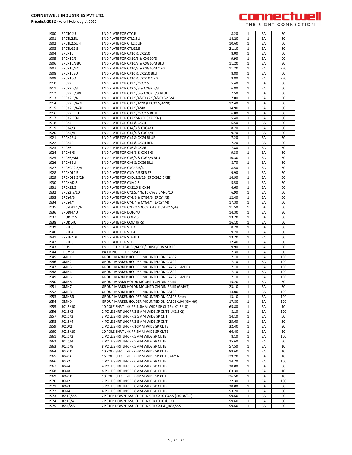

| 1900 | EPCTC4U          | <b>END PLATE FOR CTC4U</b>                           | 8.20   | 1            | EA | 50  |
|------|------------------|------------------------------------------------------|--------|--------------|----|-----|
| 1901 | EPCTL2.5U        | END PLATE FOR CTL2.5U                                | 14.20  | 1            | EA | 50  |
| 1902 | EPCTL2.5UH       |                                                      |        | $\mathbf{1}$ | EA | 50  |
|      |                  | END PLATE FOR CTL2.5UH                               | 10.60  |              |    |     |
| 1903 | EPCTLG2.5        | <b>END PLATE FOR CTLG2.5</b>                         | 21.10  | 1            | EA | 50  |
| 1904 | EPCX10           | END PLATE FOR CX10 & CXG10                           | 8.00   | $\mathbf{1}$ | EA | 50  |
| 1905 | EPCX10/3         | END PLATE FOR CX10/3 & CXG10/3                       | 9.90   | 1            | EA | 20  |
| 1906 | EPCX10/3BU       | END PLATE FOR CX10/3 & CXG10/3 BLU                   | 11.20  | 1            | EA | 20  |
|      |                  |                                                      |        |              |    |     |
| 1907 | EPCX10/3O        | END PLATE FOR CX10/3 & CXG10/3 ORG                   | 11.20  | $\mathbf{1}$ | EA | 250 |
| 1908 | EPCX10BU         | END PLATE FOR CX10 & CXG10 BLU                       | 8.80   | 1            | EA | 50  |
| 1909 | <b>EPCX100</b>   | END PLATE FOR CX10 & CXG10 ORG                       | 8.80   | $\mathbf{1}$ | EA | 250 |
| 1910 | EPCX2.5          | END PLATE FOR CX2.5/CXG2.5                           | 5.40   | 1            | EA | 50  |
|      |                  |                                                      |        |              |    |     |
| 1911 | EPCX2.5/3        | END PLATE FOR CX2.5/3 & CXG2.5/3                     | 6.80   | $\mathbf{1}$ | EA | 50  |
| 1912 | EPCX2.5/3BU      | END PLATE FOR CX2.5/3 & CXG2.5/3 BLUE                | 7.50   | $\mathbf{1}$ | EA | 50  |
| 1913 | EPCX2.5/4        | END PLATE FOR CX2.5/4&CXK2.5/4&CXG2.5/4              | 7.00   | $\mathbf{1}$ | EA | 50  |
| 1914 | EPCX2.5/4/2B     | END PLATE FOR CX2.5/4/2B (EPCX2.5/4/2B)              | 12.40  | 1            | EA | 50  |
|      |                  |                                                      |        |              |    |     |
| 1915 | EPCX2.5/4/4B     | END PLATE FOR CX2.5/4/4B                             | 14.90  | 1            | EA | 50  |
| 1916 | EPCX2.5BU        | END PLATE FOR CX2.5/CXG2.5 BLUE                      | 6.00   | $\mathbf{1}$ | EA | 50  |
| 1917 | EPCX2.5SN        | END PLATE FOR CX2.5SN (EPCX2.5SN)                    | 5.40   | 1            | EA | 50  |
| 1918 | EPCX4            | END PLATE FOR CX4 & CXG4                             | 6.50   | $\mathbf{1}$ | EA | 50  |
| 1919 | EPCX4/3          |                                                      |        |              | EA | 50  |
|      |                  | END PLATE FOR CX4/3 & CXG4/3                         | 8.20   | 1            |    |     |
| 1920 | EPCX4/4          | END PLATE FOR CX4/4 & CXG4/4                         | 9.70   | $\mathbf{1}$ | EA | 50  |
| 1921 | EPCX4BU          | END PLATE FOR CX4 & CXG4 BLUE                        | 7.20   | 1            | EA | 50  |
| 1922 | EPCX4R           | END PLATE FOR CX4 & CXG4 RED                         | 7.20   | 1            | EA | 50  |
| 1923 | EPCX6            | END PLATE FOR CX6 & CXG6                             | 7.80   | 1            | EA | 50  |
|      |                  |                                                      |        |              |    |     |
| 1924 | EPCX6/3          | END PLATE FOR CX6/3 & CXG6/3                         | 9.30   | 1            | EA | 50  |
| 1925 | EPCX6/3BU        | END PLATE FOR CX6/3 & CXG6/3 BLU                     | 10.30  | $\mathbf{1}$ | EA | 50  |
| 1926 | EPCX6BU          | END PLATE FOR CX6 & CXG6 BLU                         | 8.70   | 1            | EA | 50  |
| 1927 | EPCXCP2.5/4      | END PLATE FOR CXCP2.5/4                              | 8.50   | $\mathbf{1}$ | EA | 50  |
|      |                  | <b>END PLATE FOR CXDL2.5 SERIES</b>                  |        |              |    |     |
| 1928 | EPCXDL2.5        |                                                      | 9.90   | 1            | EA | 50  |
| 1929 | EPCXDL2.5/2B     | END PLATE FOR CXDL2.5/2B (EPCXDL2.5/2B)              | 14.90  | $\mathbf{1}$ | EA | 50  |
| 1930 | EPCXM2.5         | END PLATE FOR CXM2.5                                 | 5.50   | 1            | EA | 50  |
| 1931 | EPCXS2.5         | END PLATE FOR CXS2.5 & CXS4                          | 4.60   | 1            | EA | 50  |
| 1932 |                  |                                                      |        | $\mathbf{1}$ | EA |     |
|      | EPCY2.5/10       | END PLATE FOR CY2.5/4/6/10 CYG2.5/4/6/10             | 6.90   |              |    | 50  |
| 1933 | EPCY4/3          | END PLATE FOR CY4/3 & CYG4/3 (EPCY4/3)               | 12.40  | 1            | EA | 50  |
| 1934 | EPCY4/4          | END PLATE FOR CY4/4 & CYG4/4 (EPCY4/4)               | 17.30  | $\mathbf{1}$ | EA | 50  |
| 1935 | EPCYDL2.5/4      | END PLATE FOR CYDL2.5 & CYDL4 (EPCYDL2.5/4)          | 11.50  | 1            | EA | 50  |
| 1936 | EPDDFL4U         | END PLATE FOR DDFL4U                                 | 14.30  | $\mathbf{1}$ | EA |     |
|      |                  |                                                      |        |              |    | 20  |
| 1937 | EPODL2.5         | END PLATE FOR ODL2.5                                 | 13.70  | $\mathbf{1}$ | EA | 50  |
| 1938 | EPODL4U          | END PLATE FOR ODL4U(FS)                              | 16.10  | $\mathbf{1}$ | EA | 50  |
| 1939 | EPSTH3           | <b>END PLATE FOR STH3</b>                            | 8.70   | 1            | EA | 50  |
| 1940 | EPSTH4           | <b>END PLATE FOR STH4</b>                            | 9.20   | 1            | EA | 50  |
|      |                  |                                                      |        | $\mathbf{1}$ |    |     |
| 1941 | EPSTH4DT         | <b>END PLATE FOR STH4DT</b>                          | 13.70  |              | EA | 50  |
| 1942 | EPSTH6           | <b>END PLATE FOR STH6</b>                            | 12.40  | 1            | EA | 50  |
| 1943 | <b>EPUSC</b>     | END PLT FR CTS4USC/6USC/10USC/CHV SERIES             | 9.90   | $\mathbf{1}$ | EA | 50  |
| 1944 | <b>FPCMST</b>    | PA FIXING PLT FR CMST1                               | 7.30   | 1            | EA | 50  |
| 1945 | GMH1             | GROUP MARKER HOLDER MOUNTED ON CA602                 | 7.10   | $\mathbf{1}$ | EA | 100 |
|      |                  |                                                      |        |              |    |     |
| 1946 | GMH <sub>2</sub> | GROUP MARKER HOLDER MOUNTED ON CA702                 | 7.10   | $\mathbf{1}$ | EA | 100 |
| 1947 | GMH3             | GROUP MARKER HOLDER MOUNTED ON CA702 (GMH3)          | 7.10   | 1            | EA | 100 |
| 1948 | GMH4             | GROUP MARKER HOLDER MOUNTED ON CA802                 | 7.10   | 1            | EA | 100 |
| 1949 | GMH <sub>5</sub> | GROUP MARKER HOLDER MOUNTED ON CA702 (GMH5)          | 7.10   | 1            | EA | 100 |
| 1950 | GMH <sub>6</sub> | GROUP MARKR HOLDR MOUNTD ON DIN RAILS                | 15.20  | $\mathbf{1}$ | EA | 50  |
|      |                  |                                                      |        |              |    |     |
| 1951 | GMH/             | GROUP MARKR HOLDR MOUNTD ON DIN RAILS (GMH7)         | 23.10  | 1            | ĿА | 50  |
| 1952 | GMH8             | GROUP MARKER HOLDER MOUNTED ON CA103                 | 14.00  | $\mathbf{1}$ | EA | 100 |
| 1953 | GMH8N            | GROUP MARKER HOLDER MOUNTED ON CA103-6mm             | 13.10  | 1            | EA | 100 |
| 1954 | GMH9             | GROUP MARKER HOLDER MOUNTED ON CA103/104 (GMH9)      | 17.80  | $\mathbf{1}$ | EA | 100 |
| 1955 | JX1.5/10         | 10 POLE SHRT LNK FR 3.5MM WIDE SP CL TB (JX1.5/10)   | 65.80  | 1            | EA | 10  |
|      |                  |                                                      |        |              |    |     |
| 1956 | JX1.5/2          | 2 POLE SHRT LNK FR 3.5MM WIDE SP CL TB (JX1.5/2)     | 8.10   | $\mathbf{1}$ | EA | 100 |
| 1957 | JX1.5/3          | 3 POLE SHRT LNK FR 3.5MM WIDE SP CL T                | 14.10  | $\mathbf{1}$ | EA | 50  |
| 1958 | JX1.5/4          | 4 POLE SHRT LNK FR 3.5MM WIDE SP CL T                | 25.60  | 1            | EA | 50  |
| 1959 | JX10/2           | 2 POLE SHRT LNK FR 10MM WIDE SP CL TB                | 32.40  | $\mathbf{1}$ | EA | 20  |
|      |                  |                                                      |        |              |    |     |
| 1960 | JX2.5/10         | 10 POLE SHRT LNK FR 5MM WIDE SP CL TB                | 66.40  | 1            | EA | 10  |
| 1961 | JX2.5/2          | 2 POLE SHRT LNK FR 5MM WIDE SP CL TB                 | 8.10   | $\mathbf{1}$ | EA | 100 |
| 1962 | JX2.5/4          | 4 POLE SHRT LNK FR 5MM WIDE SP CL TB                 | 25.60  | $\mathbf{1}$ | EA | 50  |
| 1963 | JX2.5/8          | 8 POLE SHRT LNK FR 5MM WIDE SP CL TB                 | 57.50  | $\mathbf{1}$ | EA | 10  |
| 1964 | JX4/10           | 10 POLE SHRT LNK FR 6MM WIDE SP CL TB                | 88.60  | 1            | EA | 10  |
|      |                  |                                                      |        |              |    |     |
| 1965 | JX4/16           | 16 POLE SHRT LNK FR 6MM WIDE SP CL T JX4/16          | 139.20 | 1            | EA | 10  |
| 1966 | JX4/2            | 2 POLE SHRT LNK FR 6MM WIDE SP CL TB                 | 14.70  | $\mathbf{1}$ | EA | 100 |
| 1967 | JX4/4            | 4 POLE SHRT LNK FR 6MM WIDE SP CL TB                 | 38.00  | 1            | EA | 50  |
| 1968 | JX4/8            | 8 POLE SHRT LNK FR 6MM WIDE SP CL TB                 | 63.30  | $\mathbf{1}$ | EA | 10  |
|      |                  |                                                      |        |              | EA |     |
| 1969 | JX6/10           | 10 POLE SHRT LNK FR 8MM WIDE SP CL TB                | 126.50 | 1            |    | 10  |
| 1970 | JX6/2            | 2 POLE SHRT LNK FR 8MM WIDE SP CL TB                 | 22.30  | $\mathbf{1}$ | EA | 100 |
| 1971 | JX6/3            | 3 POLE SHRT LNK FR 8MM WIDE SP CL TB                 | 38.00  | 1            | EA | 50  |
| 1972 | JX6/4            | 4 POLE SHRT LNK FR 8MM WIDE SP CL TB                 | 53.20  | 1            | EA | 50  |
| 1973 | JXS10/2.5        | 2P STEP DOWN INSU SHRT LNK FR CX10 CX2.5 (JXS10/2.5) | 59.60  | $\mathbf{1}$ | EA | 50  |
|      |                  |                                                      |        |              |    |     |
| 1974 | JXS10/4          | 2P STEP DOWN INSU SHRT LNK FR CX10 & CX4             | 59.60  | 1            | EA | 50  |
| 1975 | JXS4/2.5         | 2P STEP DOWN INSU SHRT LNK FR CX4 & JXS4/2.5         | 59.60  | $\mathbf 1$  | EA | 50  |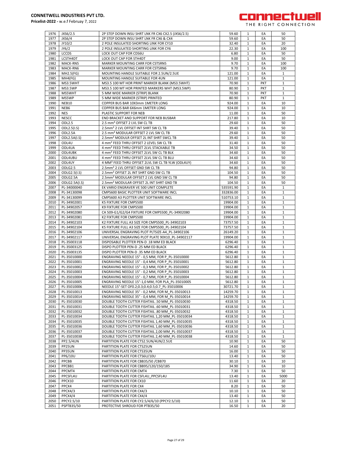

| 1976         | JXS6/2.5                   | 2P STEP DOWN INSU SHRT LNK FR CX6 CX2.5 (JXS6/2.5)                                                   | 59.60              | 1                 | EA         | 50                |
|--------------|----------------------------|------------------------------------------------------------------------------------------------------|--------------------|-------------------|------------|-------------------|
| 1977         | JXS6/4                     | 2P STEP DOWN INSU SHRT LNK FR CX6 & CX4                                                              | 59.60              | 1                 | EA         | 50                |
| 1978         | JY10/2                     | 2 POLE INSULATED SHORTING LINK FOR CY10                                                              | 32.40              | $\mathbf{1}$      | EA         | 20                |
| 1979         | JY6/2                      | 2 POLE INSULATED SHORTING LINK FOR CY6                                                               | 22.30              | 1                 | EA         | 100               |
| 1980         | <b>LCCDS</b>               | LOCK OUT CAP FOR CDS6U                                                                               | 6.80               | 1                 | EA         | 50                |
| 1981         | LCSTH4DT                   | LOCK OUT CAP FOR STH4DT                                                                              | 9.00               | 1                 | EA         | 50                |
| 1982         | MACK-RN5                   | MARKER MOUNTING CARR FOR CSTSRN5                                                                     | 9.70               | $\mathbf{1}$      | EA         | 100               |
| 1983         | MACK-RN6                   | MARKER MOUNTING CARR FOR CSTSRN6                                                                     | 9.70               | $\mathbf{1}$      | EA         | 100               |
| 1984         | MH2.5(FG)                  | MOUNTING HANDLE SUITABLE FOR 2.5UN/2.5UE                                                             | 121.00             | 1                 | EA         | $\mathbf{1}$      |
| 1985         | MH4(FG)                    | MOUNTING HANDLE SUITABLE FOR 4UN                                                                     | 121.00             | $\mathbf{1}$      | EA         | $\mathbf{1}$      |
| 1986         | MS3.5WHT                   | MS3.5 100 MT HOR PRINT MARKER BLANK (MS3.5WHT)                                                       | 70.90              | $\mathbf{1}$      | PKT        | 1                 |
| 1987         | MS3.5WP                    | MS3.5 100 MT HOR PRINTED MARKERS WHT (MS3.5WP)                                                       | 80.90              | 1                 | <b>PKT</b> | $\mathbf{1}$      |
| 1988         | MS5WHT                     | 5 MM WIDE MARKER (STRIP) BLANK                                                                       | 70.90              | 1                 | PKT        | 1                 |
| 1989         | MS5WP                      | 5 MM WIDE MARKER (STRIP) PRINTED                                                                     | 80.90              | 1                 | PKT        | 1                 |
| 1990         | NEB10                      | COPPER BUS BAR 10X3mm 1METER LONG                                                                    | 924.00             | $\mathbf{1}$      | EA         | 10                |
| 1991         | NEB6                       | COPPER BUS BAR 6X6mm 1METER LONG                                                                     | 924.00             | 1                 | EA         | 10                |
| 1992         | <b>NES</b>                 | PLASTIC SUPPORT FOR NEB                                                                              | 11.00              | $\mathbf{1}$      | EA         | 50                |
| 1993         | <b>NESCC</b>               | END BRACKET AND SUPPORT FOR NEB BUSBAR                                                               | 217.80             | 1                 | EA         | 10                |
| 1994         | ODL <sub>2.5</sub>         | 2.5 mm <sup>2</sup> OFFSET 2 LVL SW CL TB                                                            | 29.60              | $\mathbf{1}$      | EA         | 50                |
| 1995         | ODL2.5(I.S)                | 2.5mm <sup>2</sup> 2 LVL OFFSET INT SHRT SW CL TB                                                    | 39.40              | 1                 | EA         | 50                |
| 1996         | ODL2.5A                    | 2.5 mm <sup>2</sup> MODULAR OFFSET 2 LVL SW CL TB                                                    | 29.60              | 1                 | EA         | 50                |
| 1997         | ODL2.5A(I.S)               | 2.5mm <sup>2</sup> MODULR OFFSET 2L INT SHRT SWCL TB                                                 | 39.40              | 1                 | EA         | 50                |
| 1998         | ODL4U                      | 4 mm <sup>2</sup> FEED THRU OFFSET 2 LEVEL SW CL TB                                                  | 31.40              | 1                 | EA         | 50                |
| 1999         | ODL4UA                     | 4 mm <sup>2</sup> FEED THRU OFFSET 2LVL STACKABLE TB                                                 | 34.50              | $\mathbf{1}$      | EA         | 50                |
| 2000         | ODL4UBK                    | 4 mm <sup>2</sup> FEED THRU OFFSET 2LVL SW CL TB BLK                                                 | 34.60              | 1                 | EA         | 50                |
| 2001         | ODL4UBU                    | 4 mm <sup>2</sup> FEED THRU OFFSET 2LVL SW CL TB BLU                                                 | 34.60              | $\mathbf{1}$      | EA         | 50                |
| 2002         | ODL4UY                     | 4 MM <sup>2</sup> FEED THRU OFFSET 2LVL SW CL TB YLW (ODL4UY)                                        | 34.60              | $\mathbf{1}$      | EA         | 50                |
| 2003         | ODLG2.5                    | 2.5mm <sup>2</sup> 2 LVL OFFSET GND SW CL TB                                                         | 94.80              | $\mathbf{1}$      | EA         | 50                |
| 2004         | ODLG2.5(I.S)               | 2.5mm <sup>2</sup> OFFSET 2L INT SHRT GND SW CL TB                                                   | 104.50             | 1                 | EA         | 50                |
| 2005         | ODLG2.5A                   | 2.5mm <sup>2</sup> MODULAR OFFSET 2 LVL GND SW CL TB                                                 | 94.80              | 1                 | EA         | 50                |
| 2006         | ODLG2.5A(I.S)              | 2.5mm <sup>2</sup> MODULAR OFFSET 2L INT SHRT GND TB                                                 | 104.50             | 1                 | EA         | 50                |
| 2007         | PL-34000040                | EK VARIO ENGRAVER VE 500 UNIT COMPLETE                                                               | 535591.90          | $\mathbf{1}$      | EA         | $\mathbf{1}$      |
| 2008         | PL-34130098                | CMPS600 BASIC PLOTTER UNIT SOFTWARE INCL                                                             | 332836.00          | $\mathbf{1}$      | EA         | $\mathbf{1}$      |
| 2009         | PL-34130099                | CMPS600 A3 PLOTTER UNIT SOFTWARE INCL                                                                | 510753.10          | 1                 | EA         | 1                 |
| 2010         | PL-34902001                | K5 FIXTURE FOR CMPS500                                                                               | 19904.00           | $\mathbf{1}$      | EA         | 1                 |
| 2011         | PL-34902057                | K9 FIXTURE FOR CMPS500                                                                               | 19904.00           | 1                 | EA         | 1                 |
| 2012         | PL-34902080                | CA 509-G1/G2/G4 FIXTURE FOR CMPS500_PL-34902080                                                      | 19904.00           | $\mathbf{1}$      | EA         | $\mathbf{1}$      |
| 2013         | PL-34902081                | K2 FIXTURE FOR CMPS500                                                                               | 19904.00           | 1                 | EA         | 1                 |
| 2014         | PL-34902103                | K2 FIXTURE FULL A3 SIZE FOR CMPS500 PL-34902103                                                      | 73757.50           | 1                 | EA         | 1                 |
| 2015         | PL-34902104                | K5 FIXTURE FULL A3 SIZE FOR CMPS500 PL-34902104                                                      | 73757.50           | $\mathbf{1}$      | EA         | $\mathbf{1}$      |
| 2016         | PL-34902106                | UNIVERSAL ENGRAVING PLOT PLTSIZE-A4 PL-34902106                                                      | 26149.20           | 1                 | EA         | 1                 |
| 2017         | PL-34902117                | UNIVERSAL ENGRAVING PLOT PLATE 90X10 PL-34902117                                                     | 19904.00           | $\mathbf{1}$      | EA         | $\mathbf{1}$      |
| 2018         | PL-35003118                | DISPOSABLE PLOTTER PEN-D .18 MM ED BLACK                                                             | 6296.40            | 1                 | EA         | 1                 |
| 2019         | PL-35003125                | DISPO PLOTTER PEN-D .25 MM ED BLACK                                                                  | 6296.40            | $\mathbf{1}$      | EA         | $\mathbf{1}$      |
| 2020         | PL-35003135                | DISPO PLOTTER PEN-D .35 MM ED BLACK                                                                  | 6296.40            | 1                 | EA         | 1                 |
| 2021         | PL-35010000                | ENGRAVING NEEDLE 15° - 0,5 MM, FOR P_PL-35010000                                                     | 5612.80            | 1                 | EA         | 1                 |
| 2022         | PL-35010001                | ENGRAVING NEEDLE 15° - 0,4 MM, FOR P PL-35010001                                                     | 5612.80            | 1                 | EA         | $\mathbf{1}$      |
| 2023<br>2024 | PL-35010002<br>PL-35010003 | ENGRAVING NEEDLE 15° - 0,3 MM, FOR P PL-35010002<br>ENGRAVING NEEDLE 15° - 0,2 MM, FOR P PL-35010003 | 5612.80<br>5612.80 | 1<br>$\mathbf{1}$ | EA<br>EA   | 1<br>$\mathbf{1}$ |
| 2025         | PL-35010004                |                                                                                                      |                    | 1                 | EA         | $\mathbf{1}$      |
| 2026         | PL-35010005                | ENGRAVING NEEDLE 15° - 0,7 MM, FOR P PL-35010004<br>ENGRAVING NEEDLE 15°-1,0 MM, FOR PLA PL-35010005 | 5612.80<br>5612.80 | $\mathbf{1}$      | EA         | $\mathbf{1}$      |
| 2027         | PL-35010006                |                                                                                                      | 30721.70           | $\mathbf{1}$      | EA         |                   |
| 2028         | PL-35010013                | NEEDLE 15°-SET OF0.2;0.3;0.4;0.5;0.7_PL-35010006<br>ENGRAVING NEEDLE 35° - 0,2 MM, FOR M PL-35010013 | 14259.70           | $\mathbf{1}$      | EA         | 1<br>$\mathbf{1}$ |
| 2029         | PL-35010014                | ENGRAVING NEEDLE 35° - 0,4 MM, FOR M PL-35010014                                                     | 14259.70           | 1                 | EA         | $\mathbf{1}$      |
| 2030         | PL-35010030                | DOUBLE TOOTH CUTTER FISHTAIL .50 MM_PL-35010030                                                      | 4318.50            | 1                 | EA         | 1                 |
| 2031         | PL-35010031                | DOUBLE TOOTH CUTTER FISHTAIL .60 MM PL-35010031                                                      | 4318.50            | 1                 | EA         | 1                 |
| 2032         | PL-35010032                | DOUBLE TOOTH CUTTER FISHTAIL .80 MM PL-35010032                                                      | 4318.50            | $\mathbf{1}$      | EA         | $\mathbf{1}$      |
| 2033         | PL-35010034                | DOUBLE TOOTH CUTTER FISHTAIL 1,20 MM PL-35010034                                                     | 4318.50            | $\mathbf{1}$      | EA         | $\mathbf{1}$      |
| 2034         | PL-35010035                | DOUBLE TOOTH CUTTER FISHTAIL 1,40 MM PL-35010035                                                     | 4318.50            | 1                 | EA         | $\mathbf{1}$      |
| 2035         | PL-35010036                | DOUBLE TOOTH CUTTER FISHTAIL 1,60 MM PL-35010036                                                     | 4318.50            | 1                 | EA         | $\mathbf{1}$      |
| 2036         | PL-35010037                | DOUBLE TOOTH CUTTER FISHTAIL 2,00 MM PL-35010037                                                     | 4318.50            | $\mathbf{1}$      | EA         | $\mathbf{1}$      |
| 2037         | PL-35010038                | DOUBLE TOOTH CUTTER FISHTAIL 2,40 MM PL-35010038                                                     | 4318.50            | 1                 | EA         | $\mathbf{1}$      |
| 2038         | PP2.5/4UN                  | PARTITION PLATE FOR CTS2.5UN/4UN/2.5UE                                                               | 10.90              | 1                 | EA         | 50                |
| 2039         | PP25UN                     | PARTITION PLATE FOR CTS25UN                                                                          | 14.60              | 1                 | EA         | 50                |
| 2040         | PP35UN                     | PARTITION PLATE FOR CTS35UN                                                                          | 16.00              | $\mathbf{1}$      | EA         | 50                |
| 2041         | PP6/10U                    | PARTITION PLATE FOR CTS6U/10U                                                                        | 13.40              | 1                 | EA         | 50                |
| 2042         | PPCBB                      | PARTITION PLATE FOR CBB35/50 / CBB70                                                                 | 30.10              | $\mathbf{1}$      | EA         | 10                |
| 2043         | PPCBB1                     | PARTITION PLATE FOR CBB95/120/150/185                                                                | 34.90              | 1                 | EA         | 10                |
| 2044         | PPCMT4                     | PARTITION PLATE FOR CMT4                                                                             | 7.30               | $\mathbf{1}$      | EA         | 50                |
| 2045         | PPCSFL4U                   | PARTITION PLATE FOR CSFL4U PPCSFL4U                                                                  | 13.40              | 1                 | EA         | 5000              |
| 2046         | PPCX10                     | PARTITION PLATE FOR CX10                                                                             | 11.60              | 1                 | EA         | 20                |
| 2047         | PPCX4                      | PARTITION PLATE FOR CX4                                                                              | 8.20               | 1                 | EA         | 50                |
| 2048         | PPCX4/3                    | PARTITION PLATE FOR CX4/3                                                                            | 10.10              | 1                 | EA         | 50                |
| 2049         | PPCX4/4                    | PARTITION PLATE FOR CX4/4                                                                            | 13.40              | $\mathbf{1}$      | EA         | 50                |
| 2050         | PPCY2.5/10                 | PARTITION PLATE FOR CY2.5/4/6/10 (PPCY2.5/10)                                                        | 12.10              | 1                 | EA         | 50                |
| 2051         | PSPTB35/50                 | PROTECTIVE SHROUD FOR PTB35/50                                                                       | 16.50              | $\mathbf{1}$      | EА         | 20                |
|              |                            |                                                                                                      |                    |                   |            |                   |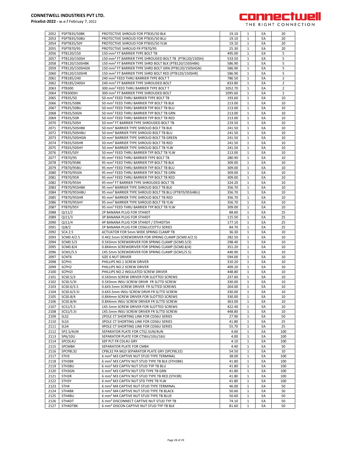

| 2052         | PSPTB35/50BK       | PROTECTIVE SHROUD FOR PTB35/50 BLK                                                                           | 19.10          | 1                 | EA       | 20             |
|--------------|--------------------|--------------------------------------------------------------------------------------------------------------|----------------|-------------------|----------|----------------|
| 2053         | PSPTB35/50BU       | PROTECTIVE SHROUD FOR PTB35/50 BLU                                                                           | 19.10          | 1                 | EA       | 20             |
|              |                    |                                                                                                              |                |                   |          |                |
| 2054         | <b>PSPTB35/50Y</b> | PROTECTIVE SHROUD FOR PTB35/50 YLW                                                                           | 19.10          | 1                 | EA       | 20             |
| 2055         | PSPTB70/95         | PROTECTIVE SHROUD FR PTB70/95                                                                                | 25.30          | $\mathbf{1}$      | EA       | 20             |
| 2056         | PTB120/150         | 150 mm <sup>2</sup> FT BARRIER TYPE BOLT TB                                                                  | 495.00         | $\mathbf{1}$      | EA       | 5              |
| 2057         | PTB120/150SH       | 150 mm <sup>2</sup> FT BARRIER TYPE SHROUDED BOLT TB (PTB120/150SH)                                          | 533.50         | $\mathbf{1}$      | EA       | 5              |
|              |                    |                                                                                                              |                |                   |          |                |
| 2058         | PTB120/150SHBK     | 150 mm <sup>2</sup> FT BARRIER TYPE SHRD BOLT BLK (PTB120/150SHBK)                                           | 586.90         | 1                 | EA       | 5              |
| 2059         | PTB120/150SHGN     | 150 mm <sup>2</sup> FT BARRIER TYPE SHRD BOLT GRN (PTB120/150SHGN)                                           | 586.90         | 1                 | EA       | 5              |
| 2060         | PTB120/150SHR      | 150 mm <sup>2</sup> FT BARRIER TYPE SHRD BOLT RED (PTB120/150SHR)                                            | 586.90         | 1                 | EA       | 5              |
|              |                    |                                                                                                              |                |                   |          |                |
| 2061         | PTB185/240         | 240 mm <sup>2</sup> FEED THRU BARRIER TYPE BOLT T                                                            | 786.50         | $\mathbf{1}$      | EA       | $\overline{2}$ |
| 2062         | PTB185/240SH       | 240 mm <sup>2</sup> FT BARRIER TYPE SHROUDED BOLT                                                            | 833.80         | 1                 | EA       | 2              |
| 2063         | <b>PTB300</b>      | 300 mm <sup>2</sup> FEED THRU BARRIER TYPE BOLT T                                                            | 1052.70        | $\mathbf{1}$      | EA       | $\overline{2}$ |
|              | PTB300SH           |                                                                                                              |                |                   |          |                |
| 2064         |                    | 300 mm <sup>2</sup> FT BARRIER TYPE SHROUDED BOLT                                                            | 1095.60        | 1                 | EA       | 2              |
| 2065         | PTB35/50           | 50 mm <sup>2</sup> FEED THRU BARRIER TYPE BOLT TB                                                            | 193.60         | $\mathbf{1}$      | EA       | 10             |
| 2066         | PTB35/50BK         | 50 mm <sup>2</sup> FEED THRU BARRIER TYP BOLT TB BLK                                                         | 213.00         | 1                 | EA       | 10             |
| 2067         | PTB35/50BU         | 50 mm <sup>2</sup> FEED THRU BARRIER TYP BOLT TB BLU                                                         | 213.00         | 1                 | EA       | 10             |
|              |                    |                                                                                                              |                |                   |          |                |
| 2068         | PTB35/50GN         | 50 mm <sup>2</sup> FEED THRU BARRIER TYP BOLT TB GRN                                                         | 213.00         | 1                 | EA       | 10             |
| 2069         | PTB35/50R          | 50 mm <sup>2</sup> FEED THRU BARRIER TYP BOLT TB RED                                                         | 213.00         | 1                 | EA       | 10             |
| 2070         | PTB35/50SH         | 50 mm <sup>2</sup> FT BARRIER TYPE SHROUDED BOLT TB                                                          | 219.50         | $\mathbf{1}$      | EA       | 10             |
|              |                    |                                                                                                              |                |                   |          |                |
| 2071         | PTB35/50SHBK       | 50 mm <sup>2</sup> BARRIER TYPE SHROUD BOLT TB BLK                                                           | 241.50         | 1                 | EA       | 10             |
| 2072         | PTB35/50SHBU       | 50 mm <sup>2</sup> BARRIER TYPE SHROUD BOLT TB BLU                                                           | 241.50         | $\mathbf{1}$      | EA       | 10             |
| 2073         | PTB35/50SHGN       | 50 mm <sup>2</sup> BARRIER TYPE SHROUD BOLT TB GREEN                                                         | 241.50         | 1                 | EA       | 10             |
|              |                    |                                                                                                              |                |                   |          |                |
| 2074         | PTB35/50SHR        | 50 mm <sup>2</sup> BARRIER TYPE SHROUD BOLT TB RED                                                           | 241.50         | $\mathbf{1}$      | EA       | 10             |
| 2075         | PTB35/50SHY        | 50 mm <sup>2</sup> BARRIER TYPE SHROUD BOLT TB YLW                                                           | 241.50         | 1                 | EA       | 10             |
| 2076         | PTB35/50Y          | 50 mm <sup>2</sup> FEED THRU BARRIER TYP BOLT TB YLW                                                         | 213.00         | 1                 | EA       | 10             |
| 2077         | PTB70/95           | 95 mm <sup>2</sup> FEED THRU BARRIER TYPE BOLT TB                                                            | 280.90         | 1                 | EA       | 10             |
|              |                    |                                                                                                              |                |                   |          |                |
| 2078         | <b>PTB70/95BK</b>  | 95 mm <sup>2</sup> FEED THRU BARRIER TYP BOLT TB BLK                                                         | 309.00         | 1                 | EA       | 10             |
| 2079         | PTB70/95BU         | 95 mm <sup>2</sup> FEED THRU BARRIER TYP BOLT TB BLU                                                         | 309.00         | $\mathbf{1}$      | EA       | 10             |
| 2080         | PTB70/95GN         | 95 mm <sup>2</sup> FEED THRU BARRIER TYP BOLT TB GRN                                                         | 309.00         | $\mathbf{1}$      | EA       | 10             |
|              |                    |                                                                                                              |                |                   |          |                |
| 2081         | PTB70/95R          | 95 mm <sup>2</sup> FEED THRU BARRIER TYP BOLT TB RED                                                         | 309.00         | $\mathbf{1}$      | EA       | 10             |
| 2082         | PTB70/95SH         | 95 mm <sup>2</sup> FT BARRIER TYPE SHROUDED BOLT TB                                                          | 324.20         | $\mathbf{1}$      | EA       | 10             |
| 2083         | PTB70/95SHBK       | 95 mm <sup>2</sup> BARRIER TYPE SHROUD BOLT TB BLK                                                           | 356.70         | 1                 | EA       | 10             |
| 2084         |                    |                                                                                                              |                |                   | EA       | 10             |
|              | PTB70/95SHBU       | 95 mm <sup>2</sup> BARRIER TYPE SHROUD BOLT TB BLU (PTB70/95SHBU)                                            | 356.70         | 1                 |          |                |
| 2085         | PTB70/95SHR        | 95 mm <sup>2</sup> BARRIER TYPE SHROUD BOLT TB RED                                                           | 356.70         | 1                 | EA       | 10             |
| 2086         | <b>PTB70/95SHY</b> | 95 mm <sup>2</sup> BARRIER TYPE SHROUD BOLT TB YLW                                                           | 356.70         | $\mathbf{1}$      | EA       | 10             |
| 2087         | PTB70/95Y          | 95 mm <sup>2</sup> FEED THRU BARRIER TYP BOLT TB YLW                                                         | 309.00         | 1                 | EA       | 10             |
|              |                    |                                                                                                              |                |                   |          |                |
| 2088         | QJ11/2             | 2P BANANA PLUG FOR STH4DT                                                                                    | 88.60          | $\mathbf{1}$      | EA       | 25             |
| 2089         | QJ11/3             | 3P BANANA PLUG FOR STH4DT                                                                                    | 115.50         | 1                 | EA       | 25             |
| 2090         | QJ11/4             | 4P BANANA PLUG FOR STH4DT / STH4DTSH                                                                         | 177.10         | $\mathbf{1}$      | EA       | 25             |
|              |                    |                                                                                                              |                |                   |          |                |
| 2091         | QJ8/2              | 2P BANANA PLUG FOR CDS6U/CDTTU SERIES                                                                        | 84.70          | 1                 | EA       | 25             |
| 2092         | <b>SCA 2.5</b>     | ACTUATOR FOR 5mm WIDE SPRING CLAMP TB                                                                        | 36.30          | 1                 | EA       | 10             |
| 2093         | SCM0.4/2.5         | 0.4X2.5mm SCREWDRIVER FOR SPRING CLAMP (SCM0.4/2.5)                                                          | 282.50         | 1                 | EA       | 10             |
| 2094         | SCM0.5/3           | 0.5X3mm SCREWDRIVER FOR SPRING CLAMP (SCM0.5/3)                                                              | 298.40         | 1                 | EA       | 10             |
|              |                    |                                                                                                              |                |                   |          |                |
| 2095         | SCM0.8/4           | 0.8X4mm SCREWDRIVER FOR SPRING CLAMP (SCM0.8/4)                                                              | 351.20         | $\mathbf{1}$      | EA       | 10             |
| 2096         | SCM1/5.5           | 1X5.5mm SCREWDRIVER FOR SPRING CLAMP (SCM1/5.5)                                                              | 440.90         | 1                 | EA       | 10             |
| 2097         | SCNT6              | SIZE 6 NUT DRIVER                                                                                            | 594.00         | $\mathbf{1}$      | EA       | 10             |
|              |                    |                                                                                                              |                |                   |          |                |
| 2098         | SCPH1              | PHILLIPS NO.1 SCREW DRIVER                                                                                   | 310.20         | 1                 | EA       | 10             |
| 2099         | SCPH <sub>2</sub>  | PHILLIPS NO.2 SCREW DRIVER                                                                                   | 409.20         | $\mathbf{1}$      | EA       | 10             |
| 2100         | SCPH2I             | PHILLIPS NO.2 INSULATED SCREW DRIVER                                                                         | 448.80         | 1                 | EA       | 10             |
| 2101         | SCS0.5/3           | 0.5X3mm SCREW DRIVER FOR SLOTTED SCREWS                                                                      | 237.60         | 1                 | EA       | 10             |
|              |                    |                                                                                                              |                |                   |          |                |
| 2102         | SCS0.5/31          | 0.5X3mm INSU SCREW DRIVR FR SLTTD SCREW                                                                      | 330.00         | $\mathbf{1}$      | EA       | 10             |
| 2103         | SCS0.6/3.5         | 0.6X3.5mm SCREW DRIVER FR SLTTED SCREWS                                                                      | 264.00         |                   | ĿА       | 10             |
| 2104         | SCS0.6/3.51        | 0.6X3.5mm INSU SCREW DRVR FR SLTTD SCREW                                                                     | 330.00         | $\mathbf{1}$      | EA       | 10             |
| 2105         | SCS0.8/4           | 0.8X4mm SCREW DRIVER FOR SLOTTED SCREWS                                                                      | 330.00         |                   | EA       | 10             |
|              |                    |                                                                                                              |                | 1                 |          |                |
| 2106         | SCS0.8/4I          | 0.8X4mm INSU SCREW DRIVER FR SLTTD SCREW                                                                     | 363.00         | $\mathbf{1}$      | EA       | 10             |
| 2107         | SCS1/5.5           | 1X5.5mm SCREW DRIVER FOR SLOTTED SCREWS                                                                      | 422.40         | $\mathbf{1}$      | EA       | 10             |
| 2108         | SCS1/5.51          | 1X5.5mm INSU SCREW DRIVER FR SLTTD SCREW                                                                     | 448.80         | 1                 | EA       | 10             |
|              |                    |                                                                                                              |                |                   |          |                |
| 2109         | SLS <sub>2</sub>   | 2POLE CT SHORTING LINK FOR CDS6U SERIES                                                                      | 27.90          | 1                 | EA       | 50             |
| 2110         | SLS3               | 3POLE CT SHORTING LINK FOR CDS6U SERIES                                                                      | 41.80          | 1                 | EA       | 25             |
| 2111         | SLS4               | 4POLE CT SHORTING LINK FOR CDS6U SERIES                                                                      | 55.70          | $\mathbf{1}$      | EA       | 25             |
| 2112         | SP2.5/4UN          | SEPARATOR PLATE FOR CTS2.5UN/4UN                                                                             | 4.00           | $\mathbf{1}$      | EA       | 100            |
|              |                    |                                                                                                              |                |                   |          |                |
| 2113         | SP6/10U            | SEPARATOR PLATE FOR CTS6U/10U/16U                                                                            | 4.00           | $\mathbf{1}$      | EA       | 100            |
| 2114         | SPCDL4U            | SEP PLT FR CDL4U GRY                                                                                         | 4.10           | $\mathbf{1}$      | EA       | 100            |
|              |                    |                                                                                                              |                |                   |          |                |
|              |                    |                                                                                                              |                |                   |          |                |
| 2115         | SPCMB4             | SEPARATOR PLATE FOR CMB4                                                                                     | 4.40           | $\mathbf{1}$      | EA       | 50             |
| 2116         | SPCP8L32           | CP8L32 PA MLD SEPARATOR PLATE GRY (SPCP8L32)                                                                 | 54.50          | $\mathbf{1}$      | EA       | 10             |
| 2117         | STH <sub>3</sub>   | 6 mm <sup>2</sup> M3 CAPTIVE NUT STUD TYPE TERMINAL                                                          | 38.00          | 1                 | EA       | 100            |
|              |                    |                                                                                                              | 41.80          | 1                 | EA       | 100            |
| 2118         | STH3BK             | 6 mm <sup>2</sup> M3 CAPTIV NUT STUD TYPE TB BLK (STH3BK)                                                    |                |                   |          |                |
| 2119         | STH3BU             | 6 mm <sup>2</sup> M3 CAPTIV NUT STUD TYP TB BLU                                                              | 41.80          | 1                 | EA       | 100            |
| 2120         | STH3GN             | 6 mm <sup>2</sup> M3 CAPTIV NUT STD TYPE TB GRN                                                              | 41.80          | $\mathbf{1}$      | EA       | 100            |
| 2121         | STH3R              | 6 mm <sup>2</sup> M3 CAPTIV NUT STUD TYPE TB RED (STH3R)                                                     | 41.80          | 1                 | EA       | 100            |
|              |                    |                                                                                                              |                |                   |          |                |
| 2122         | STH3Y              | 6 mm <sup>2</sup> M3 CAPTIV NUT STD TYPE TB YLW                                                              | 41.80          | 1                 | EA       | 100            |
| 2123         | STH4               | 6 mm <sup>2</sup> M4 CAPTIVE NUT STUD TYPE TERMINAL                                                          | 46.00          | $\mathbf{1}$      | EA       | 50             |
| 2124         | STH4BK             | 6 mm <sup>2</sup> M4 CAPTIVE NUT STUD TYPE TB BLACK                                                          | 50.60          | $\mathbf{1}$      | EA       | 50             |
|              |                    |                                                                                                              |                |                   |          |                |
| 2125         | STH4BU             | 6 mm <sup>2</sup> M4 CAPTIVE NUT STUD TYPE TB BLUE                                                           | 50.60          | 1                 | EA       | 50             |
| 2126<br>2127 | STH4DT<br>STH4DTBK | 6 mm <sup>2</sup> DISCONNECT CAPTIVE NUT STUD TYP TB<br>6 mm <sup>2</sup> DISCON CAPTIVE NUT STUD TYP TB BLK | 74.10<br>81.60 | $\mathbf{1}$<br>1 | EA<br>EA | 50<br>50       |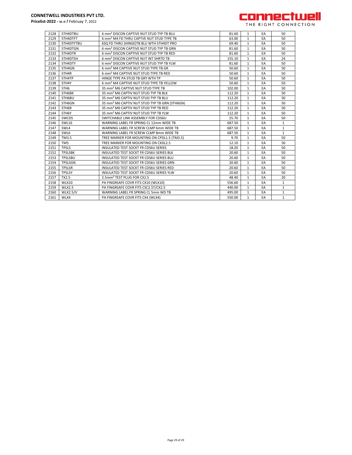

| 2128 | STH4DTBU         | 6 mm <sup>2</sup> DISCON CAPTIVE NUT STUD TYP TB BLU      | 81.60  | $\mathbf{1}$ | EA | 50           |
|------|------------------|-----------------------------------------------------------|--------|--------------|----|--------------|
| 2129 | STH4DTFT         | 6 mm <sup>2</sup> M4 FD THRU CAPTVE NUT STUD TYPE TB      | 63.00  | $\mathbf{1}$ | EA | 50           |
| 2130 | STH4DTFTBU       | 6SQ FD THRU (HINGE)TB BLU WTH STH4DT PRO                  | 69.40  | $\mathbf{1}$ | EA | 50           |
| 2131 | STH4DTGN         | 6 mm <sup>2</sup> DISCON CAPTIVE NUT STUD TYP TB GRN      | 81.60  | 1            | EA | 50           |
| 2132 | STH4DTR          | 6 mm <sup>2</sup> DISCON CAPTIVE NUT STUD TYP TB RED      | 81.60  | $\mathbf{1}$ | EA | 50           |
| 2133 | STH4DTSH         | 6 mm <sup>2</sup> DISCON CAPTIVE NUT INT SHRTD TB         | 155.10 | $\mathbf{1}$ | EA | 24           |
| 2134 | STH4DTY          | 6 mm <sup>2</sup> DISCON CAPTIVE NUT STUD TYP TB YLW      | 81.60  | $\mathbf{1}$ | EA | 50           |
| 2135 | STH4GN           | 6 mm <sup>2</sup> M4 CAPTIVE NUT STUD TYPE TB GR          | 50.60  | $\mathbf{1}$ | EA | 50           |
| 2136 | STH4R            | 6 mm <sup>2</sup> M4 CAPTIVE NUT STUD TYPE TB RED         | 50.60  | $\mathbf{1}$ | EA | 50           |
| 2137 | STH4TP           | HINGE TYPE PA STUD TB GRY WTH TP                          | 50.60  | $\mathbf{1}$ | EA | 50           |
| 2138 | STH4Y            | 6 mm <sup>2</sup> M4 CAPTIVE NUT STUD TYPE TB YELLOW      | 50.60  | $\mathbf{1}$ | EA | 50           |
| 2139 | STH <sub>6</sub> | 35 mm <sup>2</sup> M6 CAPTIVE NUT STUD TYPE TB            | 102.00 | $\mathbf{1}$ | EA | 50           |
| 2140 | STH6BK           | 35 mm <sup>2</sup> M6 CAPTIV NUT STUD TYP TB BLK          | 112.20 | $\mathbf{1}$ | EA | 50           |
| 2141 | STH6BU           | 35 mm <sup>2</sup> M6 CAPTIV NUT STUD TYP TB BLU          | 112.20 | $\mathbf{1}$ | EA | 50           |
| 2142 | STH6GN           | 35 mm <sup>2</sup> M6 CAPTIV NUT STUD TYP TB GRN (STH6GN) | 112.20 | $\mathbf{1}$ | EA | 50           |
| 2143 | STH6R            | 35 mm <sup>2</sup> M6 CAPTIV NUT STUD TYP TB RED          | 112.20 | $\mathbf{1}$ | EA | 50           |
| 2144 | STH6Y            | 35 mm <sup>2</sup> M6 CAPTIV NUT STUD TYP TB YLW          | 112.20 | $\mathbf{1}$ | EA | 50           |
| 2145 | SWCDS            | SWITCHABLE LINK ASSEMBLY FOR CDS6U                        | 25.70  | $\mathbf{1}$ | EA | 50           |
| 2146 | <b>SWL16</b>     | WARNING LABEL FR SPRING CL 12mm WIDE TB                   | 687.50 | $\mathbf{1}$ | EA | $\mathbf{1}$ |
| 2147 | SWL4             | WARNING LABEL FR SCREW CLMP 6mm WIDE TB                   | 687.50 | $\mathbf{1}$ | EA | 1            |
| 2148 | SWL6             | WARNING LABEL FR SCREW CLMP 8mm WIDE TB                   | 687.50 | $\mathbf{1}$ | EA | $\mathbf{1}$ |
| 2149 | TM3.5            | TREE MARKER FOR MOUNTING ON CPDL1.5 (TM3.5)               | 9.70   | $\mathbf{1}$ | EA | 50           |
| 2150 | TM <sub>5</sub>  | TREE MARKER FOR MOUNTING ON CXDL2.5                       | 12.10  | $\mathbf{1}$ | EA | 50           |
| 2151 | <b>TPSLS</b>     | <b>INSULATED TEST SOCKT FR CDS6U SERIES</b>               | 18.20  | $\mathbf{1}$ | EA | 50           |
| 2152 | <b>TPSLSBK</b>   | <b>INSULATED TEST SOCKT FR CDS6U SERIES BLK</b>           | 20.60  | $\mathbf{1}$ | EA | 50           |
| 2153 | <b>TPSLSBU</b>   | INSULATED TEST SOCKT FR CDS6U SERIES BLU                  | 20.60  | $\mathbf{1}$ | EA | 50           |
| 2154 | <b>TPSLSGN</b>   | INSULATED TEST SOCKT FR CDS6U SERIES GRN                  | 20.60  | $\mathbf{1}$ | EA | 50           |
| 2155 | <b>TPSLSR</b>    | INSULATED TEST SOCKT FR CDS6U SERIES RED                  | 20.60  | $\mathbf{1}$ | EA | 50           |
| 2156 | <b>TPSLSY</b>    | INSULATED TEST SOCKT FR CDS6U SERIES YLW                  | 20.60  | $\mathbf{1}$ | EA | 50           |
| 2157 | TX2.5            | 2.5mm <sup>2</sup> TEST PLUG FOR CX2.5                    | 48.40  | $\mathbf{1}$ | EA | 20           |
| 2158 | WLX10            | PA FINGRSAFE COVR FITS CX10 (WLX10)                       | 556.60 | $\mathbf{1}$ | EA | $\mathbf{1}$ |
| 2159 | <b>WLX2.5</b>    | PA FINGRSAFE COVR FITS CSC2.5T/CX2.5                      | 440.00 | $\mathbf{1}$ | EA | $\mathbf{1}$ |
| 2160 | <b>WLX2.5/V</b>  | WARNING LABEL FR SPRING CL 5mm WD TB                      | 495.00 | $\mathbf{1}$ | EA | $\mathbf{1}$ |
| 2161 | WLX4             | PA FINGRSAFE COVR FITS CX4 (WLX4)                         | 550.00 | $\mathbf{1}$ | EA | $\mathbf{1}$ |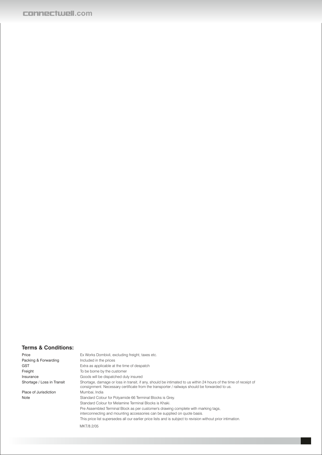### **.com**

#### **Terms & Conditions:**

Price Ex Works Dombivli, excluding freight, taxes etc. Packing & Forwarding Included in the prices GST **Extra as applicable at the time of despatch** Freight To be borne by the customer Insurance Goods will be dispatched duly insured<br>Shortage / Loss in Transit Shortage, damage or loss in transit, if a Shortage, damage or loss in transit, if any, should be intimated to us within 24 hours of the time of receipt of consignment. Necessary certificate from the transporter / railways should be forwarded to us. Place of Jurisdiction Mumbai, India Note Standard Colour for Polyamide 66 Terminal Blocks is Grey. Standard Colour for Melamine Terminal Blocks is Khaki. Pre Assembled Terminal Block as per customer's drawing complete with marking tags, interconnecting and mounting accessories can be supplied on quote basis. This price list supersedes all our earlier price lists and is subject to revision without prior intimation.

MKT/8.2/05